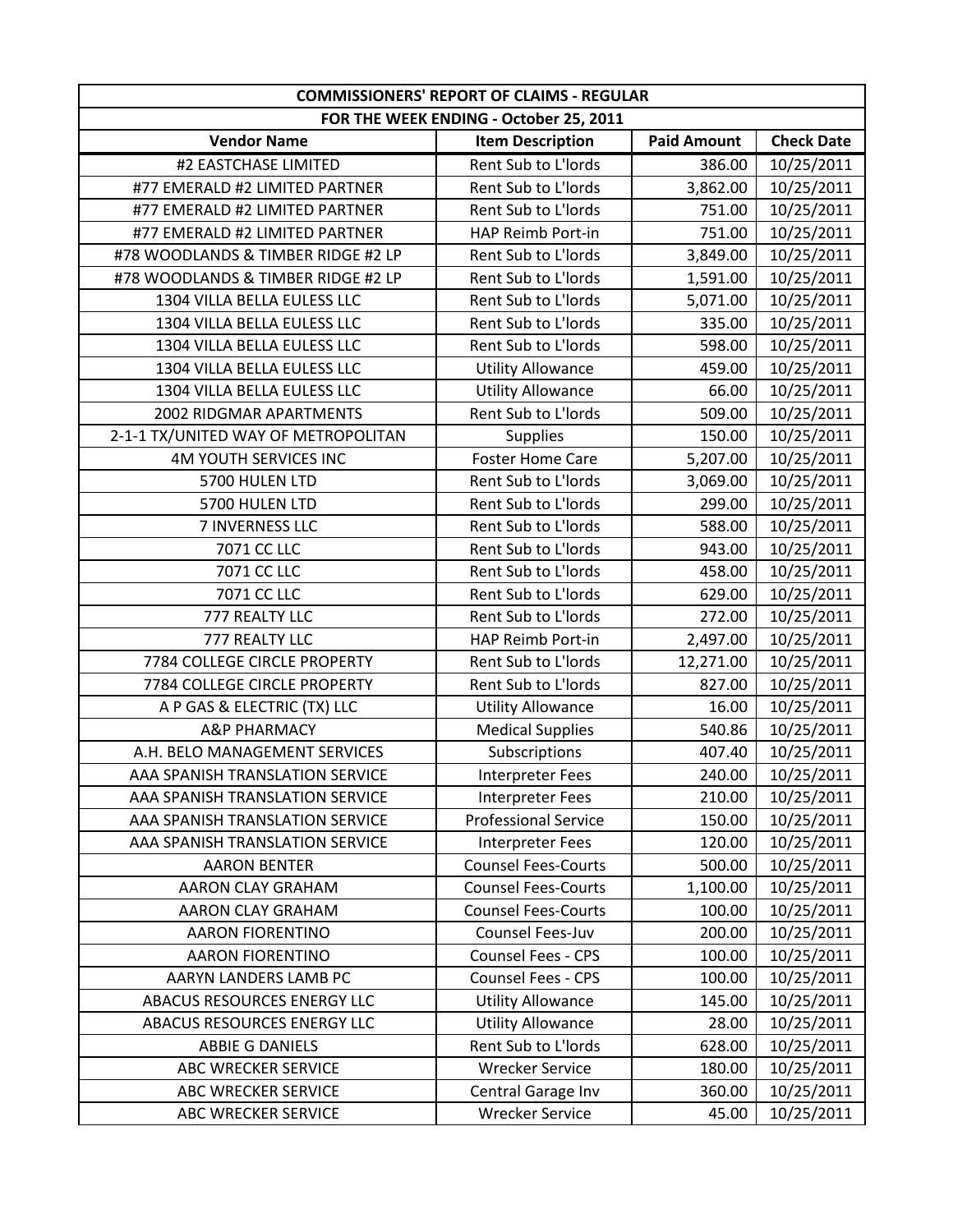| <b>COMMISSIONERS' REPORT OF CLAIMS - REGULAR</b> |                             |                    |                   |
|--------------------------------------------------|-----------------------------|--------------------|-------------------|
| FOR THE WEEK ENDING - October 25, 2011           |                             |                    |                   |
| <b>Vendor Name</b>                               | <b>Item Description</b>     | <b>Paid Amount</b> | <b>Check Date</b> |
| #2 EASTCHASE LIMITED                             | Rent Sub to L'Iords         | 386.00             | 10/25/2011        |
| #77 EMERALD #2 LIMITED PARTNER                   | Rent Sub to L'Iords         | 3,862.00           | 10/25/2011        |
| #77 EMERALD #2 LIMITED PARTNER                   | Rent Sub to L'Iords         | 751.00             | 10/25/2011        |
| #77 EMERALD #2 LIMITED PARTNER                   | HAP Reimb Port-in           | 751.00             | 10/25/2011        |
| #78 WOODLANDS & TIMBER RIDGE #2 LP               | Rent Sub to L'Iords         | 3,849.00           | 10/25/2011        |
| #78 WOODLANDS & TIMBER RIDGE #2 LP               | Rent Sub to L'Iords         | 1,591.00           | 10/25/2011        |
| 1304 VILLA BELLA EULESS LLC                      | Rent Sub to L'Iords         | 5,071.00           | 10/25/2011        |
| 1304 VILLA BELLA EULESS LLC                      | Rent Sub to L'Iords         | 335.00             | 10/25/2011        |
| 1304 VILLA BELLA EULESS LLC                      | Rent Sub to L'Iords         | 598.00             | 10/25/2011        |
| 1304 VILLA BELLA EULESS LLC                      | <b>Utility Allowance</b>    | 459.00             | 10/25/2011        |
| 1304 VILLA BELLA EULESS LLC                      | <b>Utility Allowance</b>    | 66.00              | 10/25/2011        |
| 2002 RIDGMAR APARTMENTS                          | Rent Sub to L'Iords         | 509.00             | 10/25/2011        |
| 2-1-1 TX/UNITED WAY OF METROPOLITAN              | <b>Supplies</b>             | 150.00             | 10/25/2011        |
| <b>4M YOUTH SERVICES INC</b>                     | <b>Foster Home Care</b>     | 5,207.00           | 10/25/2011        |
| 5700 HULEN LTD                                   | Rent Sub to L'Iords         | 3,069.00           | 10/25/2011        |
| 5700 HULEN LTD                                   | Rent Sub to L'Iords         | 299.00             | 10/25/2011        |
| 7 INVERNESS LLC                                  | Rent Sub to L'Iords         | 588.00             | 10/25/2011        |
| 7071 CC LLC                                      | Rent Sub to L'Iords         | 943.00             | 10/25/2011        |
| 7071 CC LLC                                      | Rent Sub to L'Iords         | 458.00             | 10/25/2011        |
| 7071 CC LLC                                      | Rent Sub to L'Iords         | 629.00             | 10/25/2011        |
| 777 REALTY LLC                                   | Rent Sub to L'Iords         | 272.00             | 10/25/2011        |
| 777 REALTY LLC                                   | HAP Reimb Port-in           | 2,497.00           | 10/25/2011        |
| 7784 COLLEGE CIRCLE PROPERTY                     | Rent Sub to L'Iords         | 12,271.00          | 10/25/2011        |
| 7784 COLLEGE CIRCLE PROPERTY                     | Rent Sub to L'Iords         | 827.00             | 10/25/2011        |
| A P GAS & ELECTRIC (TX) LLC                      | <b>Utility Allowance</b>    | 16.00              | 10/25/2011        |
| <b>A&amp;P PHARMACY</b>                          | <b>Medical Supplies</b>     | 540.86             | 10/25/2011        |
| A.H. BELO MANAGEMENT SERVICES                    | Subscriptions               | 407.40             | 10/25/2011        |
| AAA SPANISH TRANSLATION SERVICE                  | <b>Interpreter Fees</b>     | 240.00             | 10/25/2011        |
| AAA SPANISH TRANSLATION SERVICE                  | Interpreter Fees            | 210.00             | 10/25/2011        |
| AAA SPANISH TRANSLATION SERVICE                  | <b>Professional Service</b> | 150.00             | 10/25/2011        |
| AAA SPANISH TRANSLATION SERVICE                  | <b>Interpreter Fees</b>     | 120.00             | 10/25/2011        |
| <b>AARON BENTER</b>                              | <b>Counsel Fees-Courts</b>  | 500.00             | 10/25/2011        |
| <b>AARON CLAY GRAHAM</b>                         | <b>Counsel Fees-Courts</b>  | 1,100.00           | 10/25/2011        |
| AARON CLAY GRAHAM                                | <b>Counsel Fees-Courts</b>  | 100.00             | 10/25/2011        |
| <b>AARON FIORENTINO</b>                          | Counsel Fees-Juv            | 200.00             | 10/25/2011        |
| <b>AARON FIORENTINO</b>                          | <b>Counsel Fees - CPS</b>   | 100.00             | 10/25/2011        |
| AARYN LANDERS LAMB PC                            | <b>Counsel Fees - CPS</b>   | 100.00             | 10/25/2011        |
| ABACUS RESOURCES ENERGY LLC                      | <b>Utility Allowance</b>    | 145.00             | 10/25/2011        |
| ABACUS RESOURCES ENERGY LLC                      | <b>Utility Allowance</b>    | 28.00              | 10/25/2011        |
| ABBIE G DANIELS                                  | Rent Sub to L'Iords         | 628.00             | 10/25/2011        |
| ABC WRECKER SERVICE                              | <b>Wrecker Service</b>      | 180.00             | 10/25/2011        |
| ABC WRECKER SERVICE                              | Central Garage Inv          | 360.00             | 10/25/2011        |
| ABC WRECKER SERVICE                              | <b>Wrecker Service</b>      | 45.00              | 10/25/2011        |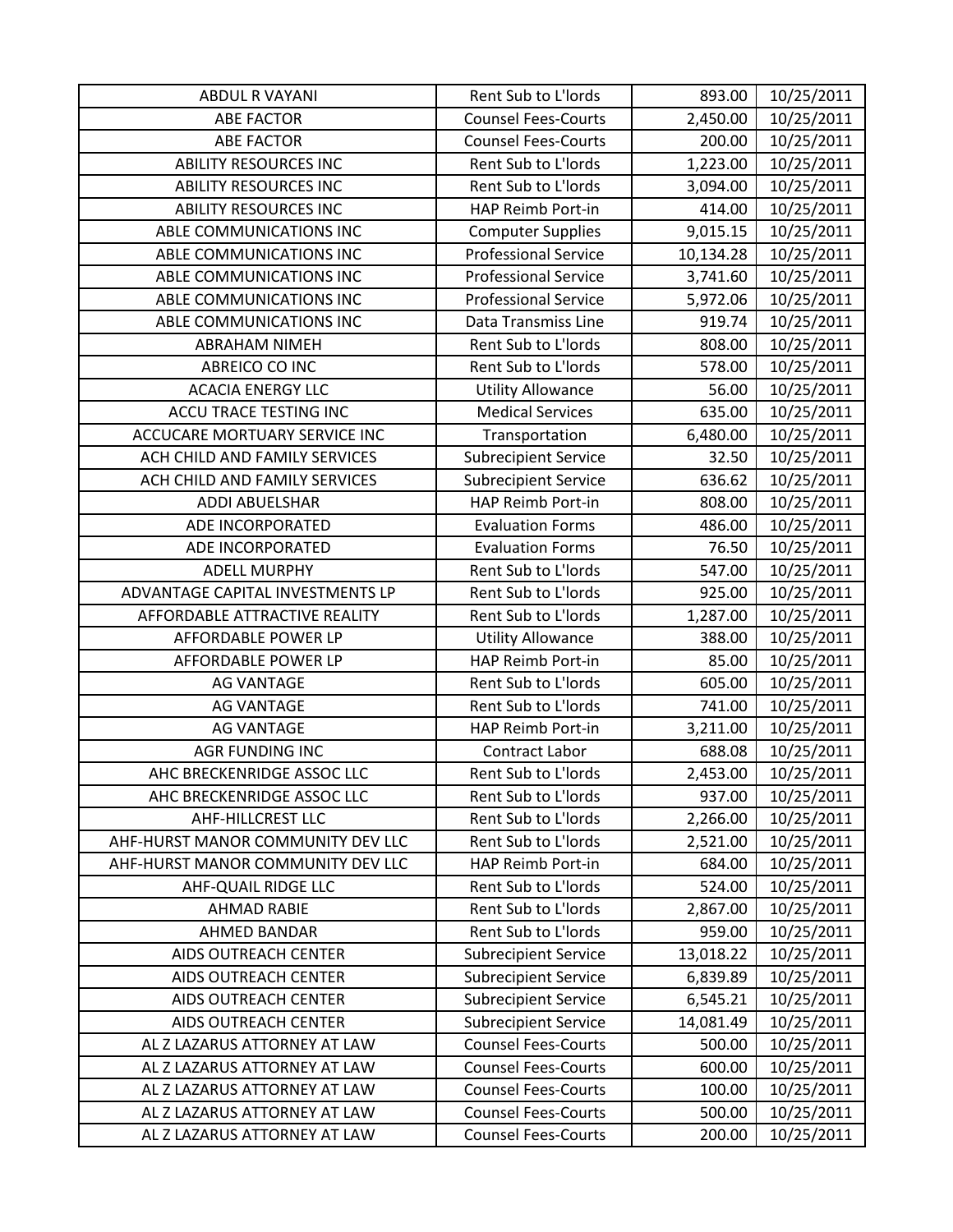| <b>ABDUL R VAYANI</b>             | Rent Sub to L'Iords         | 893.00    | 10/25/2011 |
|-----------------------------------|-----------------------------|-----------|------------|
| <b>ABE FACTOR</b>                 | <b>Counsel Fees-Courts</b>  | 2,450.00  | 10/25/2011 |
| <b>ABE FACTOR</b>                 | <b>Counsel Fees-Courts</b>  | 200.00    | 10/25/2011 |
| <b>ABILITY RESOURCES INC</b>      | Rent Sub to L'Iords         | 1,223.00  | 10/25/2011 |
| <b>ABILITY RESOURCES INC</b>      | Rent Sub to L'Iords         | 3,094.00  | 10/25/2011 |
| <b>ABILITY RESOURCES INC</b>      | HAP Reimb Port-in           | 414.00    | 10/25/2011 |
| ABLE COMMUNICATIONS INC           | <b>Computer Supplies</b>    | 9,015.15  | 10/25/2011 |
| ABLE COMMUNICATIONS INC           | <b>Professional Service</b> | 10,134.28 | 10/25/2011 |
| ABLE COMMUNICATIONS INC           | <b>Professional Service</b> | 3,741.60  | 10/25/2011 |
| ABLE COMMUNICATIONS INC           | <b>Professional Service</b> | 5,972.06  | 10/25/2011 |
| ABLE COMMUNICATIONS INC           | <b>Data Transmiss Line</b>  | 919.74    | 10/25/2011 |
| <b>ABRAHAM NIMEH</b>              | Rent Sub to L'Iords         | 808.00    | 10/25/2011 |
| ABREICO CO INC                    | Rent Sub to L'Iords         | 578.00    | 10/25/2011 |
| <b>ACACIA ENERGY LLC</b>          | <b>Utility Allowance</b>    | 56.00     | 10/25/2011 |
| ACCU TRACE TESTING INC            | <b>Medical Services</b>     | 635.00    | 10/25/2011 |
| ACCUCARE MORTUARY SERVICE INC     | Transportation              | 6,480.00  | 10/25/2011 |
| ACH CHILD AND FAMILY SERVICES     | <b>Subrecipient Service</b> | 32.50     | 10/25/2011 |
| ACH CHILD AND FAMILY SERVICES     | <b>Subrecipient Service</b> | 636.62    | 10/25/2011 |
| <b>ADDI ABUELSHAR</b>             | HAP Reimb Port-in           | 808.00    | 10/25/2011 |
| ADE INCORPORATED                  | <b>Evaluation Forms</b>     | 486.00    | 10/25/2011 |
| ADE INCORPORATED                  | <b>Evaluation Forms</b>     | 76.50     | 10/25/2011 |
| <b>ADELL MURPHY</b>               | Rent Sub to L'Iords         | 547.00    | 10/25/2011 |
| ADVANTAGE CAPITAL INVESTMENTS LP  | Rent Sub to L'Iords         | 925.00    | 10/25/2011 |
| AFFORDABLE ATTRACTIVE REALITY     | Rent Sub to L'Iords         | 1,287.00  | 10/25/2011 |
| <b>AFFORDABLE POWER LP</b>        | <b>Utility Allowance</b>    | 388.00    | 10/25/2011 |
| AFFORDABLE POWER LP               | HAP Reimb Port-in           | 85.00     | 10/25/2011 |
| <b>AG VANTAGE</b>                 | Rent Sub to L'Iords         | 605.00    | 10/25/2011 |
| <b>AG VANTAGE</b>                 | Rent Sub to L'Iords         | 741.00    | 10/25/2011 |
| <b>AG VANTAGE</b>                 | HAP Reimb Port-in           | 3,211.00  | 10/25/2011 |
| <b>AGR FUNDING INC</b>            | Contract Labor              | 688.08    | 10/25/2011 |
| AHC BRECKENRIDGE ASSOC LLC        | Rent Sub to L'Iords         | 2,453.00  | 10/25/2011 |
| AHC BRECKENRIDGE ASSOC LLC        | Rent Sub to L'Iords         | 937.00    | 10/25/2011 |
| <b>AHF-HILLCREST LLC</b>          | Rent Sub to L'Iords         | 2,266.00  | 10/25/2011 |
| AHF-HURST MANOR COMMUNITY DEV LLC | Rent Sub to L'Iords         | 2,521.00  | 10/25/2011 |
| AHF-HURST MANOR COMMUNITY DEV LLC | HAP Reimb Port-in           | 684.00    | 10/25/2011 |
| AHF-QUAIL RIDGE LLC               | Rent Sub to L'Iords         | 524.00    | 10/25/2011 |
| <b>AHMAD RABIE</b>                | Rent Sub to L'Iords         | 2,867.00  | 10/25/2011 |
| <b>AHMED BANDAR</b>               | Rent Sub to L'Iords         | 959.00    | 10/25/2011 |
| <b>AIDS OUTREACH CENTER</b>       | <b>Subrecipient Service</b> | 13,018.22 | 10/25/2011 |
| AIDS OUTREACH CENTER              | <b>Subrecipient Service</b> | 6,839.89  | 10/25/2011 |
| AIDS OUTREACH CENTER              | <b>Subrecipient Service</b> | 6,545.21  | 10/25/2011 |
| AIDS OUTREACH CENTER              | <b>Subrecipient Service</b> | 14,081.49 | 10/25/2011 |
| AL Z LAZARUS ATTORNEY AT LAW      | <b>Counsel Fees-Courts</b>  | 500.00    | 10/25/2011 |
| AL Z LAZARUS ATTORNEY AT LAW      | <b>Counsel Fees-Courts</b>  | 600.00    | 10/25/2011 |
| AL Z LAZARUS ATTORNEY AT LAW      | <b>Counsel Fees-Courts</b>  | 100.00    | 10/25/2011 |
| AL Z LAZARUS ATTORNEY AT LAW      | <b>Counsel Fees-Courts</b>  | 500.00    | 10/25/2011 |
| AL Z LAZARUS ATTORNEY AT LAW      | <b>Counsel Fees-Courts</b>  | 200.00    | 10/25/2011 |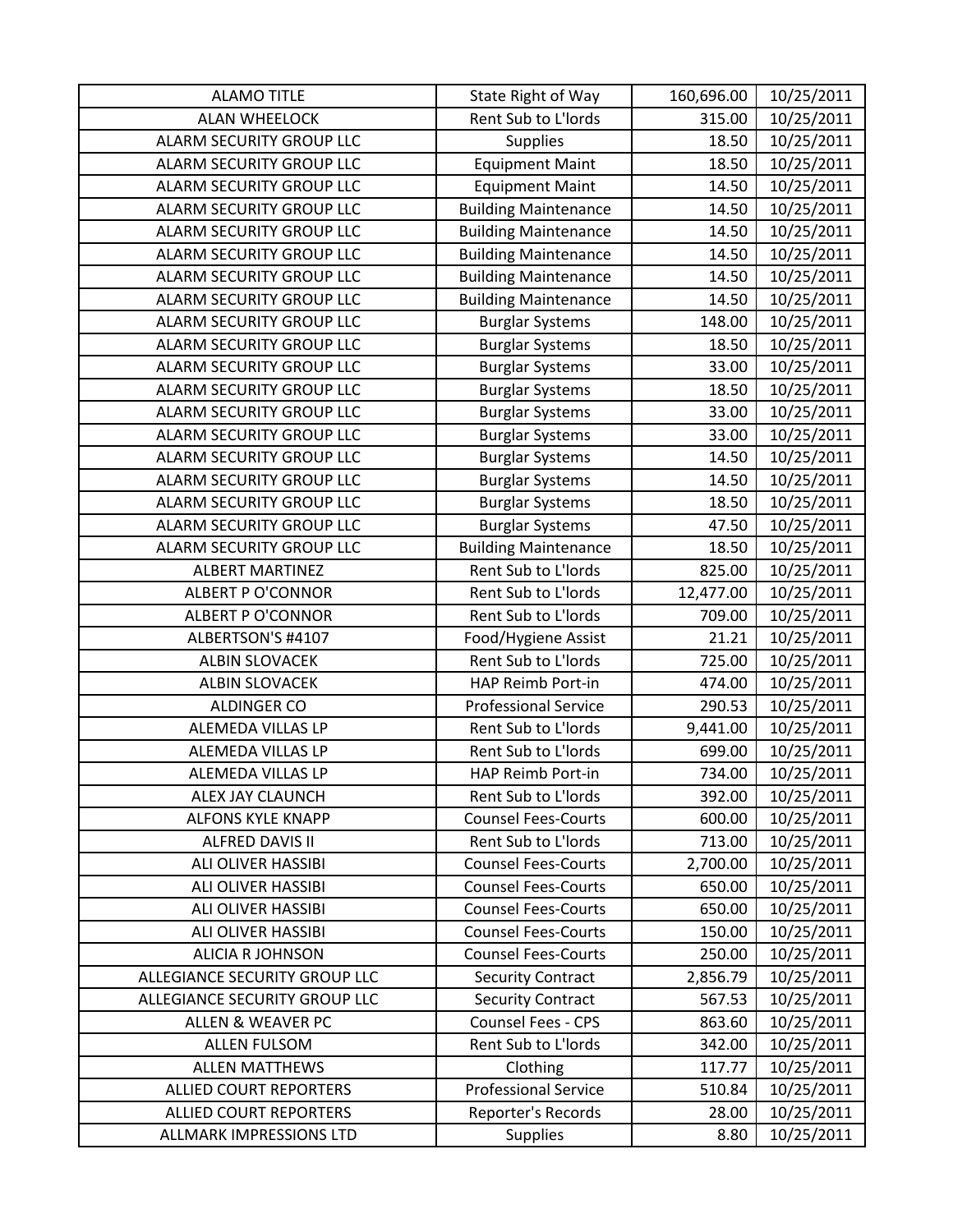| <b>ALAMO TITLE</b>              | State Right of Way          | 160,696.00 | 10/25/2011 |
|---------------------------------|-----------------------------|------------|------------|
| <b>ALAN WHEELOCK</b>            | Rent Sub to L'Iords         | 315.00     | 10/25/2011 |
| ALARM SECURITY GROUP LLC        | <b>Supplies</b>             | 18.50      | 10/25/2011 |
| ALARM SECURITY GROUP LLC        | <b>Equipment Maint</b>      | 18.50      | 10/25/2011 |
| ALARM SECURITY GROUP LLC        | <b>Equipment Maint</b>      | 14.50      | 10/25/2011 |
| ALARM SECURITY GROUP LLC        | <b>Building Maintenance</b> | 14.50      | 10/25/2011 |
| ALARM SECURITY GROUP LLC        | <b>Building Maintenance</b> | 14.50      | 10/25/2011 |
| ALARM SECURITY GROUP LLC        | <b>Building Maintenance</b> | 14.50      | 10/25/2011 |
| <b>ALARM SECURITY GROUP LLC</b> | <b>Building Maintenance</b> | 14.50      | 10/25/2011 |
| ALARM SECURITY GROUP LLC        | <b>Building Maintenance</b> | 14.50      | 10/25/2011 |
| ALARM SECURITY GROUP LLC        | <b>Burglar Systems</b>      | 148.00     | 10/25/2011 |
| ALARM SECURITY GROUP LLC        | <b>Burglar Systems</b>      | 18.50      | 10/25/2011 |
| ALARM SECURITY GROUP LLC        | <b>Burglar Systems</b>      | 33.00      | 10/25/2011 |
| ALARM SECURITY GROUP LLC        | <b>Burglar Systems</b>      | 18.50      | 10/25/2011 |
| ALARM SECURITY GROUP LLC        | <b>Burglar Systems</b>      | 33.00      | 10/25/2011 |
| ALARM SECURITY GROUP LLC        | <b>Burglar Systems</b>      | 33.00      | 10/25/2011 |
| ALARM SECURITY GROUP LLC        | <b>Burglar Systems</b>      | 14.50      | 10/25/2011 |
| ALARM SECURITY GROUP LLC        | <b>Burglar Systems</b>      | 14.50      | 10/25/2011 |
| ALARM SECURITY GROUP LLC        | <b>Burglar Systems</b>      | 18.50      | 10/25/2011 |
| ALARM SECURITY GROUP LLC        | <b>Burglar Systems</b>      | 47.50      | 10/25/2011 |
| ALARM SECURITY GROUP LLC        | <b>Building Maintenance</b> | 18.50      | 10/25/2011 |
| <b>ALBERT MARTINEZ</b>          | Rent Sub to L'Iords         | 825.00     | 10/25/2011 |
| <b>ALBERT P O'CONNOR</b>        | Rent Sub to L'Iords         | 12,477.00  | 10/25/2011 |
| <b>ALBERT P O'CONNOR</b>        | Rent Sub to L'Iords         | 709.00     | 10/25/2011 |
| ALBERTSON'S #4107               | Food/Hygiene Assist         | 21.21      | 10/25/2011 |
| <b>ALBIN SLOVACEK</b>           | Rent Sub to L'Iords         | 725.00     | 10/25/2011 |
| <b>ALBIN SLOVACEK</b>           | HAP Reimb Port-in           | 474.00     | 10/25/2011 |
| <b>ALDINGER CO</b>              | <b>Professional Service</b> | 290.53     | 10/25/2011 |
| ALEMEDA VILLAS LP               | Rent Sub to L'Iords         | 9,441.00   | 10/25/2011 |
| ALEMEDA VILLAS LP               | Rent Sub to L'Iords         | 699.00     | 10/25/2011 |
| ALEMEDA VILLAS LP               | HAP Reimb Port-in           | 734.00     | 10/25/2011 |
| ALEX JAY CLAUNCH                | Rent Sub to L'Iords         | 392.00     | 10/25/2011 |
| <b>ALFONS KYLE KNAPP</b>        | <b>Counsel Fees-Courts</b>  | 600.00     | 10/25/2011 |
| <b>ALFRED DAVIS II</b>          | Rent Sub to L'Iords         | 713.00     | 10/25/2011 |
| <b>ALI OLIVER HASSIBI</b>       | <b>Counsel Fees-Courts</b>  | 2,700.00   | 10/25/2011 |
| <b>ALI OLIVER HASSIBI</b>       | <b>Counsel Fees-Courts</b>  | 650.00     | 10/25/2011 |
| <b>ALI OLIVER HASSIBI</b>       | <b>Counsel Fees-Courts</b>  | 650.00     | 10/25/2011 |
| <b>ALI OLIVER HASSIBI</b>       | <b>Counsel Fees-Courts</b>  | 150.00     | 10/25/2011 |
| <b>ALICIA R JOHNSON</b>         | <b>Counsel Fees-Courts</b>  | 250.00     | 10/25/2011 |
| ALLEGIANCE SECURITY GROUP LLC   | <b>Security Contract</b>    | 2,856.79   | 10/25/2011 |
| ALLEGIANCE SECURITY GROUP LLC   | <b>Security Contract</b>    | 567.53     | 10/25/2011 |
| <b>ALLEN &amp; WEAVER PC</b>    | Counsel Fees - CPS          | 863.60     | 10/25/2011 |
| <b>ALLEN FULSOM</b>             | Rent Sub to L'Iords         | 342.00     | 10/25/2011 |
| <b>ALLEN MATTHEWS</b>           | Clothing                    | 117.77     | 10/25/2011 |
| <b>ALLIED COURT REPORTERS</b>   | <b>Professional Service</b> | 510.84     | 10/25/2011 |
| <b>ALLIED COURT REPORTERS</b>   | Reporter's Records          | 28.00      | 10/25/2011 |
| ALLMARK IMPRESSIONS LTD         | <b>Supplies</b>             | 8.80       | 10/25/2011 |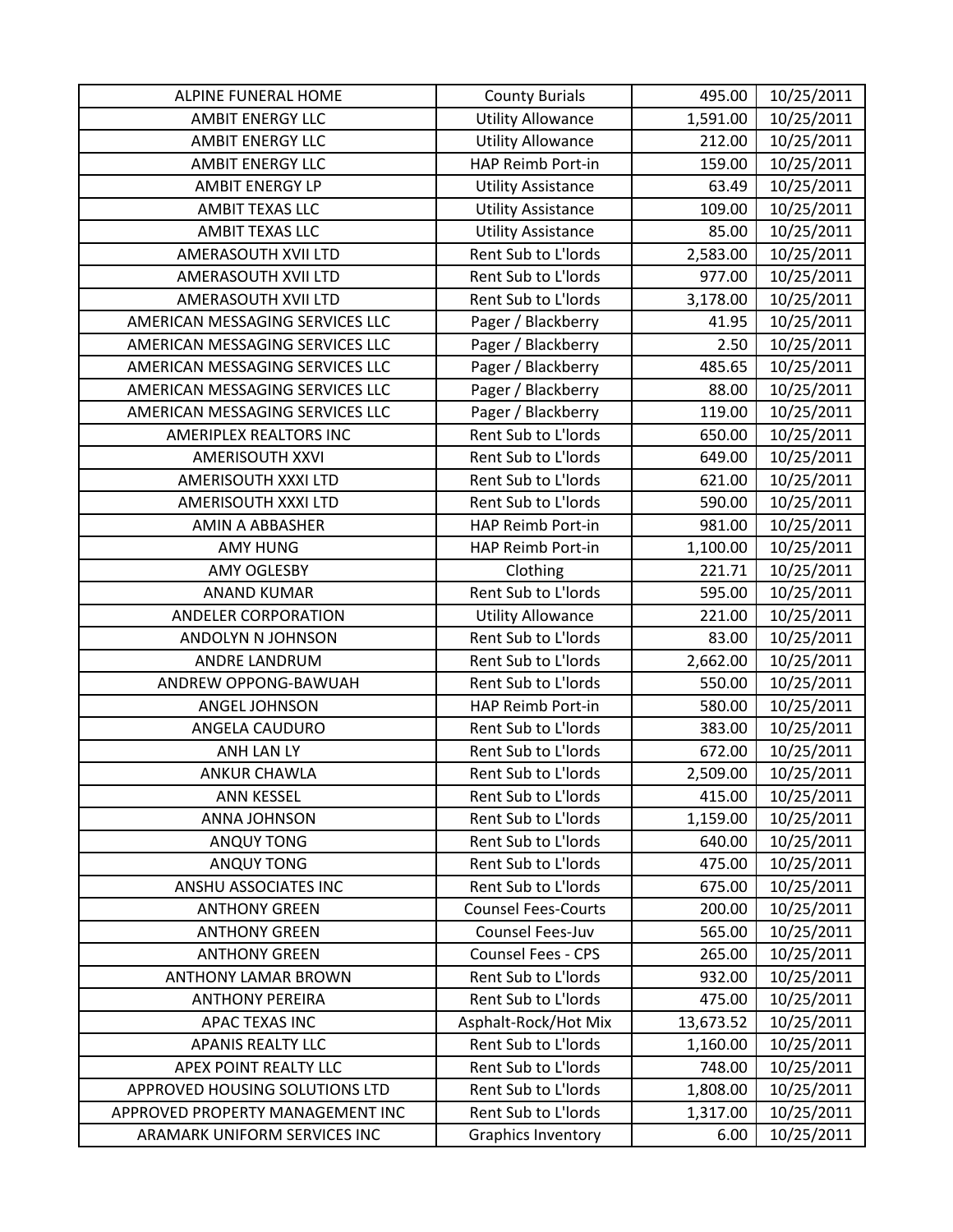| ALPINE FUNERAL HOME              | <b>County Burials</b>      | 495.00    | 10/25/2011 |
|----------------------------------|----------------------------|-----------|------------|
| <b>AMBIT ENERGY LLC</b>          | <b>Utility Allowance</b>   | 1,591.00  | 10/25/2011 |
| <b>AMBIT ENERGY LLC</b>          | <b>Utility Allowance</b>   | 212.00    | 10/25/2011 |
| <b>AMBIT ENERGY LLC</b>          | HAP Reimb Port-in          | 159.00    | 10/25/2011 |
| <b>AMBIT ENERGY LP</b>           | <b>Utility Assistance</b>  | 63.49     | 10/25/2011 |
| AMBIT TEXAS LLC                  | <b>Utility Assistance</b>  | 109.00    | 10/25/2011 |
| <b>AMBIT TEXAS LLC</b>           | <b>Utility Assistance</b>  | 85.00     | 10/25/2011 |
| AMERASOUTH XVII LTD              | Rent Sub to L'Iords        | 2,583.00  | 10/25/2011 |
| AMERASOUTH XVII LTD              | Rent Sub to L'Iords        | 977.00    | 10/25/2011 |
| AMERASOUTH XVII LTD              | Rent Sub to L'Iords        | 3,178.00  | 10/25/2011 |
| AMERICAN MESSAGING SERVICES LLC  | Pager / Blackberry         | 41.95     | 10/25/2011 |
| AMERICAN MESSAGING SERVICES LLC  | Pager / Blackberry         | 2.50      | 10/25/2011 |
| AMERICAN MESSAGING SERVICES LLC  | Pager / Blackberry         | 485.65    | 10/25/2011 |
| AMERICAN MESSAGING SERVICES LLC  | Pager / Blackberry         | 88.00     | 10/25/2011 |
| AMERICAN MESSAGING SERVICES LLC  | Pager / Blackberry         | 119.00    | 10/25/2011 |
| AMERIPLEX REALTORS INC           | Rent Sub to L'Iords        | 650.00    | 10/25/2011 |
| <b>AMERISOUTH XXVI</b>           | Rent Sub to L'Iords        | 649.00    | 10/25/2011 |
| AMERISOUTH XXXI LTD              | Rent Sub to L'Iords        | 621.00    | 10/25/2011 |
| AMERISOUTH XXXI LTD              | Rent Sub to L'Iords        | 590.00    | 10/25/2011 |
| AMIN A ABBASHER                  | HAP Reimb Port-in          | 981.00    | 10/25/2011 |
| AMY HUNG                         | HAP Reimb Port-in          | 1,100.00  | 10/25/2011 |
| <b>AMY OGLESBY</b>               | Clothing                   | 221.71    | 10/25/2011 |
| <b>ANAND KUMAR</b>               | Rent Sub to L'Iords        | 595.00    | 10/25/2011 |
| <b>ANDELER CORPORATION</b>       | <b>Utility Allowance</b>   | 221.00    | 10/25/2011 |
| ANDOLYN N JOHNSON                | Rent Sub to L'Iords        | 83.00     | 10/25/2011 |
| ANDRE LANDRUM                    | Rent Sub to L'Iords        | 2,662.00  | 10/25/2011 |
| ANDREW OPPONG-BAWUAH             | Rent Sub to L'Iords        | 550.00    | 10/25/2011 |
| ANGEL JOHNSON                    | HAP Reimb Port-in          | 580.00    | 10/25/2011 |
| ANGELA CAUDURO                   | Rent Sub to L'Iords        | 383.00    | 10/25/2011 |
| <b>ANH LAN LY</b>                | Rent Sub to L'Iords        | 672.00    | 10/25/2011 |
| <b>ANKUR CHAWLA</b>              | Rent Sub to L'Iords        | 2,509.00  | 10/25/2011 |
| <b>ANN KESSEL</b>                | Rent Sub to L'Iords        | 415.00    | 10/25/2011 |
| <b>ANNA JOHNSON</b>              | Rent Sub to L'Iords        | 1,159.00  | 10/25/2011 |
| <b>ANQUY TONG</b>                | Rent Sub to L'Iords        | 640.00    | 10/25/2011 |
| <b>ANQUY TONG</b>                | Rent Sub to L'Iords        | 475.00    | 10/25/2011 |
| ANSHU ASSOCIATES INC             | Rent Sub to L'Iords        | 675.00    | 10/25/2011 |
| <b>ANTHONY GREEN</b>             | <b>Counsel Fees-Courts</b> | 200.00    | 10/25/2011 |
| <b>ANTHONY GREEN</b>             | Counsel Fees-Juv           | 565.00    | 10/25/2011 |
| <b>ANTHONY GREEN</b>             | Counsel Fees - CPS         | 265.00    | 10/25/2011 |
| <b>ANTHONY LAMAR BROWN</b>       | Rent Sub to L'Iords        | 932.00    | 10/25/2011 |
| <b>ANTHONY PEREIRA</b>           | Rent Sub to L'Iords        | 475.00    | 10/25/2011 |
| APAC TEXAS INC                   | Asphalt-Rock/Hot Mix       | 13,673.52 | 10/25/2011 |
| <b>APANIS REALTY LLC</b>         | Rent Sub to L'Iords        | 1,160.00  | 10/25/2011 |
| APEX POINT REALTY LLC            | Rent Sub to L'Iords        | 748.00    | 10/25/2011 |
| APPROVED HOUSING SOLUTIONS LTD   | Rent Sub to L'Iords        | 1,808.00  | 10/25/2011 |
| APPROVED PROPERTY MANAGEMENT INC | Rent Sub to L'Iords        | 1,317.00  | 10/25/2011 |
| ARAMARK UNIFORM SERVICES INC     | <b>Graphics Inventory</b>  | 6.00      | 10/25/2011 |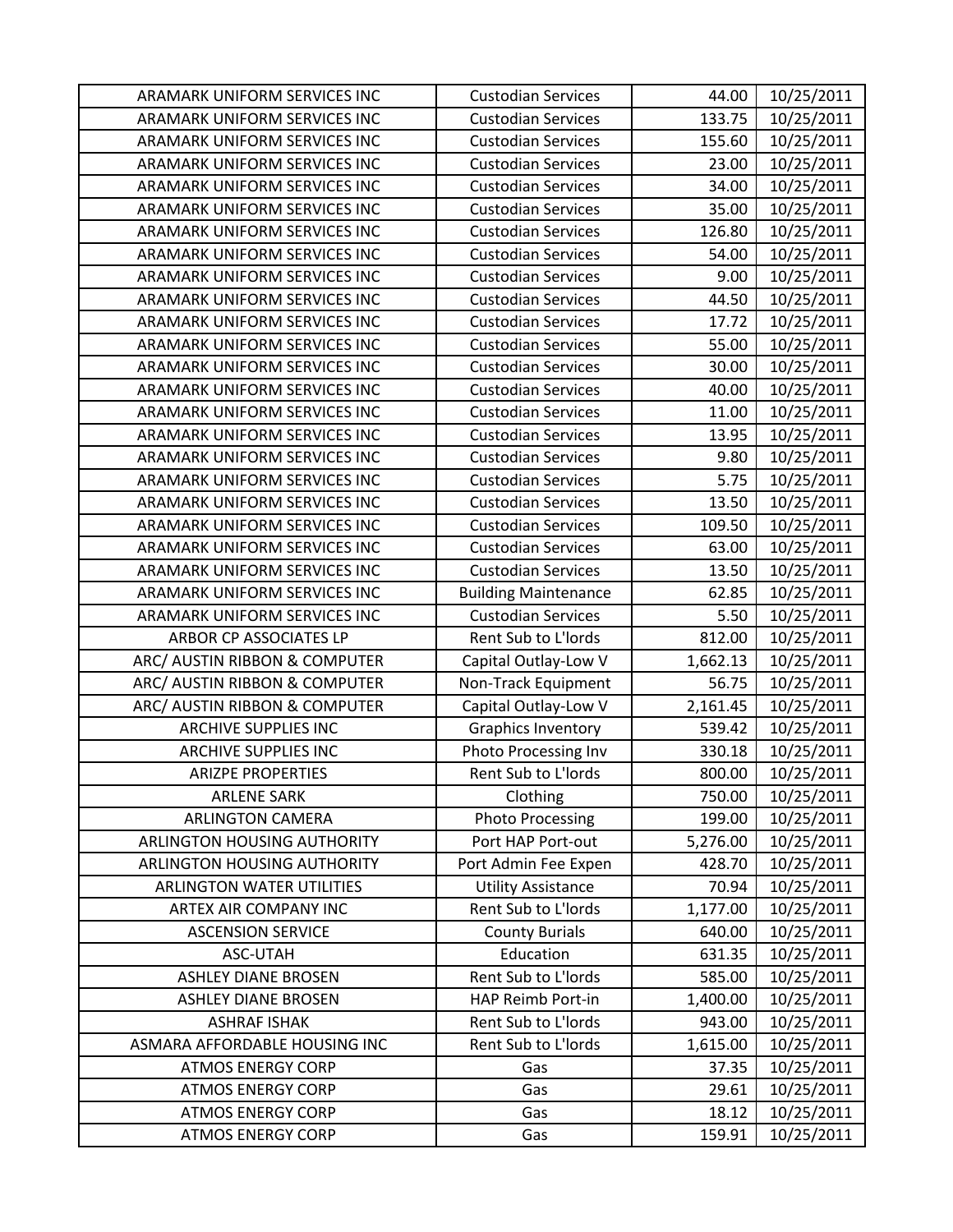| ARAMARK UNIFORM SERVICES INC     | <b>Custodian Services</b>   | 44.00    | 10/25/2011 |
|----------------------------------|-----------------------------|----------|------------|
| ARAMARK UNIFORM SERVICES INC     | <b>Custodian Services</b>   | 133.75   | 10/25/2011 |
| ARAMARK UNIFORM SERVICES INC     | <b>Custodian Services</b>   | 155.60   | 10/25/2011 |
| ARAMARK UNIFORM SERVICES INC     | <b>Custodian Services</b>   | 23.00    | 10/25/2011 |
| ARAMARK UNIFORM SERVICES INC     | <b>Custodian Services</b>   | 34.00    | 10/25/2011 |
| ARAMARK UNIFORM SERVICES INC     | <b>Custodian Services</b>   | 35.00    | 10/25/2011 |
| ARAMARK UNIFORM SERVICES INC     | <b>Custodian Services</b>   | 126.80   | 10/25/2011 |
| ARAMARK UNIFORM SERVICES INC     | <b>Custodian Services</b>   | 54.00    | 10/25/2011 |
| ARAMARK UNIFORM SERVICES INC     | <b>Custodian Services</b>   | 9.00     | 10/25/2011 |
| ARAMARK UNIFORM SERVICES INC     | <b>Custodian Services</b>   | 44.50    | 10/25/2011 |
| ARAMARK UNIFORM SERVICES INC     | <b>Custodian Services</b>   | 17.72    | 10/25/2011 |
| ARAMARK UNIFORM SERVICES INC     | <b>Custodian Services</b>   | 55.00    | 10/25/2011 |
| ARAMARK UNIFORM SERVICES INC     | <b>Custodian Services</b>   | 30.00    | 10/25/2011 |
| ARAMARK UNIFORM SERVICES INC     | <b>Custodian Services</b>   | 40.00    | 10/25/2011 |
| ARAMARK UNIFORM SERVICES INC     | <b>Custodian Services</b>   | 11.00    | 10/25/2011 |
| ARAMARK UNIFORM SERVICES INC     | <b>Custodian Services</b>   | 13.95    | 10/25/2011 |
| ARAMARK UNIFORM SERVICES INC     | <b>Custodian Services</b>   | 9.80     | 10/25/2011 |
| ARAMARK UNIFORM SERVICES INC     | <b>Custodian Services</b>   | 5.75     | 10/25/2011 |
| ARAMARK UNIFORM SERVICES INC     | <b>Custodian Services</b>   | 13.50    | 10/25/2011 |
| ARAMARK UNIFORM SERVICES INC     | <b>Custodian Services</b>   | 109.50   | 10/25/2011 |
| ARAMARK UNIFORM SERVICES INC     | <b>Custodian Services</b>   | 63.00    | 10/25/2011 |
| ARAMARK UNIFORM SERVICES INC     | <b>Custodian Services</b>   | 13.50    | 10/25/2011 |
| ARAMARK UNIFORM SERVICES INC     | <b>Building Maintenance</b> | 62.85    | 10/25/2011 |
| ARAMARK UNIFORM SERVICES INC     | <b>Custodian Services</b>   | 5.50     | 10/25/2011 |
| ARBOR CP ASSOCIATES LP           | Rent Sub to L'Iords         | 812.00   | 10/25/2011 |
| ARC/ AUSTIN RIBBON & COMPUTER    | Capital Outlay-Low V        | 1,662.13 | 10/25/2011 |
| ARC/ AUSTIN RIBBON & COMPUTER    | Non-Track Equipment         | 56.75    | 10/25/2011 |
| ARC/ AUSTIN RIBBON & COMPUTER    | Capital Outlay-Low V        | 2,161.45 | 10/25/2011 |
| <b>ARCHIVE SUPPLIES INC</b>      | <b>Graphics Inventory</b>   | 539.42   | 10/25/2011 |
| <b>ARCHIVE SUPPLIES INC</b>      | Photo Processing Inv        | 330.18   | 10/25/2011 |
| <b>ARIZPE PROPERTIES</b>         | Rent Sub to L'Iords         | 800.00   | 10/25/2011 |
| <b>ARLENE SARK</b>               | Clothing                    | 750.00   | 10/25/2011 |
| <b>ARLINGTON CAMERA</b>          | <b>Photo Processing</b>     | 199.00   | 10/25/2011 |
| ARLINGTON HOUSING AUTHORITY      | Port HAP Port-out           | 5,276.00 | 10/25/2011 |
| ARLINGTON HOUSING AUTHORITY      | Port Admin Fee Expen        | 428.70   | 10/25/2011 |
| <b>ARLINGTON WATER UTILITIES</b> | <b>Utility Assistance</b>   | 70.94    | 10/25/2011 |
| ARTEX AIR COMPANY INC            | Rent Sub to L'Iords         | 1,177.00 | 10/25/2011 |
| <b>ASCENSION SERVICE</b>         | <b>County Burials</b>       | 640.00   | 10/25/2011 |
| ASC-UTAH                         | Education                   | 631.35   | 10/25/2011 |
| <b>ASHLEY DIANE BROSEN</b>       | Rent Sub to L'Iords         | 585.00   | 10/25/2011 |
| <b>ASHLEY DIANE BROSEN</b>       | HAP Reimb Port-in           | 1,400.00 | 10/25/2011 |
| <b>ASHRAF ISHAK</b>              | Rent Sub to L'Iords         | 943.00   | 10/25/2011 |
| ASMARA AFFORDABLE HOUSING INC    | Rent Sub to L'Iords         | 1,615.00 | 10/25/2011 |
| <b>ATMOS ENERGY CORP</b>         | Gas                         | 37.35    | 10/25/2011 |
| <b>ATMOS ENERGY CORP</b>         | Gas                         | 29.61    | 10/25/2011 |
| <b>ATMOS ENERGY CORP</b>         | Gas                         | 18.12    | 10/25/2011 |
| <b>ATMOS ENERGY CORP</b>         | Gas                         | 159.91   | 10/25/2011 |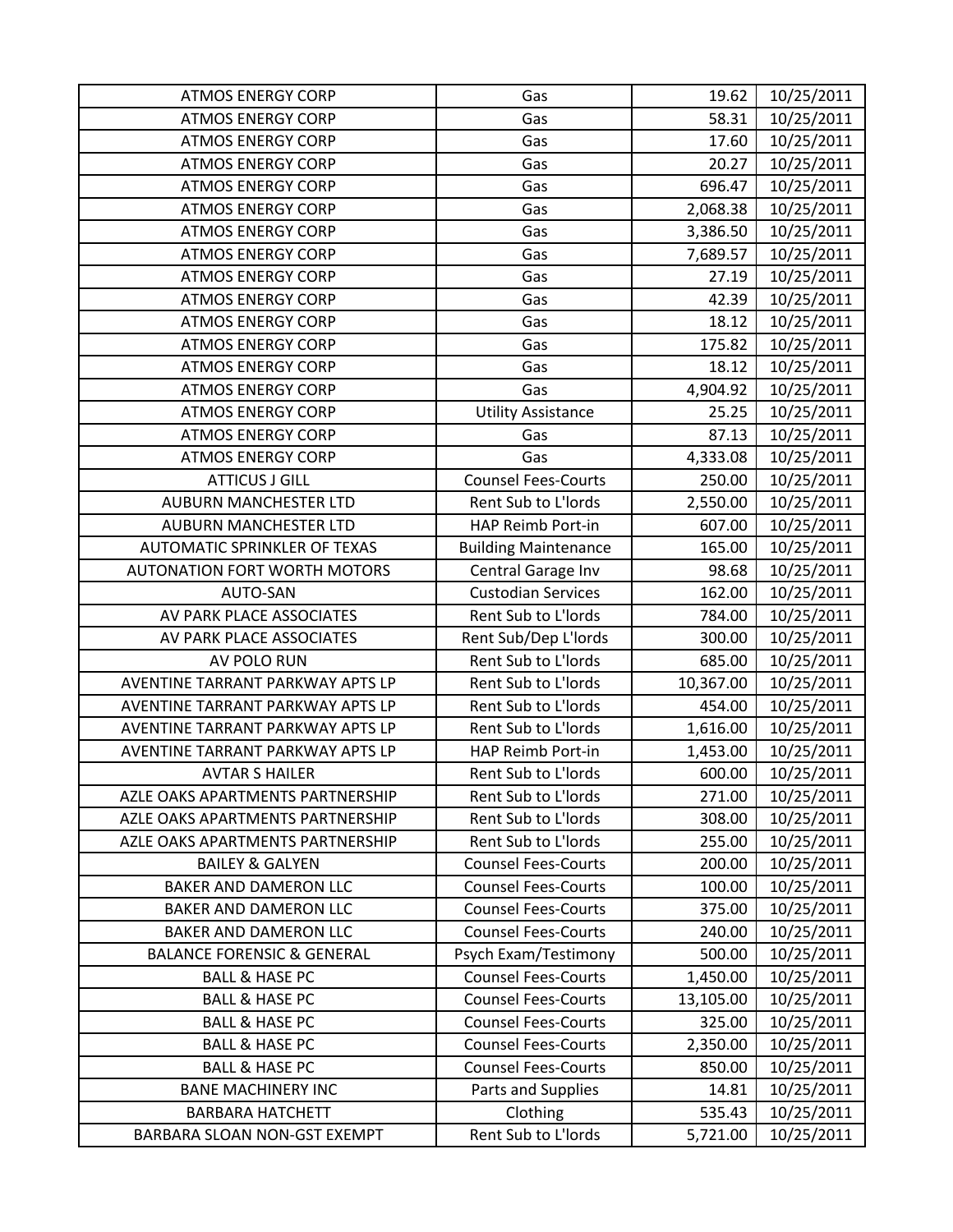| <b>ATMOS ENERGY CORP</b>              | Gas                         | 19.62     | 10/25/2011 |
|---------------------------------------|-----------------------------|-----------|------------|
| <b>ATMOS ENERGY CORP</b>              | Gas                         | 58.31     | 10/25/2011 |
| <b>ATMOS ENERGY CORP</b>              | Gas                         | 17.60     | 10/25/2011 |
| <b>ATMOS ENERGY CORP</b>              | Gas                         | 20.27     | 10/25/2011 |
| <b>ATMOS ENERGY CORP</b>              | Gas                         | 696.47    | 10/25/2011 |
| <b>ATMOS ENERGY CORP</b>              | Gas                         | 2,068.38  | 10/25/2011 |
| <b>ATMOS ENERGY CORP</b>              | Gas                         | 3,386.50  | 10/25/2011 |
| <b>ATMOS ENERGY CORP</b>              | Gas                         | 7,689.57  | 10/25/2011 |
| <b>ATMOS ENERGY CORP</b>              | Gas                         | 27.19     | 10/25/2011 |
| <b>ATMOS ENERGY CORP</b>              | Gas                         | 42.39     | 10/25/2011 |
| <b>ATMOS ENERGY CORP</b>              | Gas                         | 18.12     | 10/25/2011 |
| <b>ATMOS ENERGY CORP</b>              | Gas                         | 175.82    | 10/25/2011 |
| <b>ATMOS ENERGY CORP</b>              | Gas                         | 18.12     | 10/25/2011 |
| <b>ATMOS ENERGY CORP</b>              | Gas                         | 4,904.92  | 10/25/2011 |
| <b>ATMOS ENERGY CORP</b>              | <b>Utility Assistance</b>   | 25.25     | 10/25/2011 |
| <b>ATMOS ENERGY CORP</b>              | Gas                         | 87.13     | 10/25/2011 |
| <b>ATMOS ENERGY CORP</b>              | Gas                         | 4,333.08  | 10/25/2011 |
| <b>ATTICUS J GILL</b>                 | <b>Counsel Fees-Courts</b>  | 250.00    | 10/25/2011 |
| <b>AUBURN MANCHESTER LTD</b>          | Rent Sub to L'Iords         | 2,550.00  | 10/25/2011 |
| <b>AUBURN MANCHESTER LTD</b>          | HAP Reimb Port-in           | 607.00    | 10/25/2011 |
| AUTOMATIC SPRINKLER OF TEXAS          | <b>Building Maintenance</b> | 165.00    | 10/25/2011 |
| <b>AUTONATION FORT WORTH MOTORS</b>   | Central Garage Inv          | 98.68     | 10/25/2011 |
| AUTO-SAN                              | <b>Custodian Services</b>   | 162.00    | 10/25/2011 |
| AV PARK PLACE ASSOCIATES              | Rent Sub to L'Iords         | 784.00    | 10/25/2011 |
| AV PARK PLACE ASSOCIATES              | Rent Sub/Dep L'Iords        | 300.00    | 10/25/2011 |
| AV POLO RUN                           | Rent Sub to L'Iords         | 685.00    | 10/25/2011 |
| AVENTINE TARRANT PARKWAY APTS LP      | Rent Sub to L'Iords         | 10,367.00 | 10/25/2011 |
| AVENTINE TARRANT PARKWAY APTS LP      | Rent Sub to L'Iords         | 454.00    | 10/25/2011 |
| AVENTINE TARRANT PARKWAY APTS LP      | Rent Sub to L'Iords         | 1,616.00  | 10/25/2011 |
| AVENTINE TARRANT PARKWAY APTS LP      | <b>HAP Reimb Port-in</b>    | 1,453.00  | 10/25/2011 |
| <b>AVTAR S HAILER</b>                 | Rent Sub to L'Iords         | 600.00    | 10/25/2011 |
| AZLE OAKS APARTMENTS PARTNERSHIP      | Rent Sub to L'Iords         | 271.00    | 10/25/2011 |
| AZLE OAKS APARTMENTS PARTNERSHIP      | Rent Sub to L'Iords         | 308.00    | 10/25/2011 |
| AZLE OAKS APARTMENTS PARTNERSHIP      | Rent Sub to L'Iords         | 255.00    | 10/25/2011 |
| <b>BAILEY &amp; GALYEN</b>            | <b>Counsel Fees-Courts</b>  | 200.00    | 10/25/2011 |
| <b>BAKER AND DAMERON LLC</b>          | <b>Counsel Fees-Courts</b>  | 100.00    | 10/25/2011 |
| <b>BAKER AND DAMERON LLC</b>          | <b>Counsel Fees-Courts</b>  | 375.00    | 10/25/2011 |
| <b>BAKER AND DAMERON LLC</b>          | <b>Counsel Fees-Courts</b>  | 240.00    | 10/25/2011 |
| <b>BALANCE FORENSIC &amp; GENERAL</b> | Psych Exam/Testimony        | 500.00    | 10/25/2011 |
| <b>BALL &amp; HASE PC</b>             | <b>Counsel Fees-Courts</b>  | 1,450.00  | 10/25/2011 |
| <b>BALL &amp; HASE PC</b>             | <b>Counsel Fees-Courts</b>  | 13,105.00 | 10/25/2011 |
| <b>BALL &amp; HASE PC</b>             | <b>Counsel Fees-Courts</b>  | 325.00    | 10/25/2011 |
| <b>BALL &amp; HASE PC</b>             | <b>Counsel Fees-Courts</b>  | 2,350.00  | 10/25/2011 |
| <b>BALL &amp; HASE PC</b>             | <b>Counsel Fees-Courts</b>  | 850.00    | 10/25/2011 |
| <b>BANE MACHINERY INC</b>             | Parts and Supplies          | 14.81     | 10/25/2011 |
| <b>BARBARA HATCHETT</b>               | Clothing                    | 535.43    | 10/25/2011 |
| BARBARA SLOAN NON-GST EXEMPT          | Rent Sub to L'Iords         | 5,721.00  | 10/25/2011 |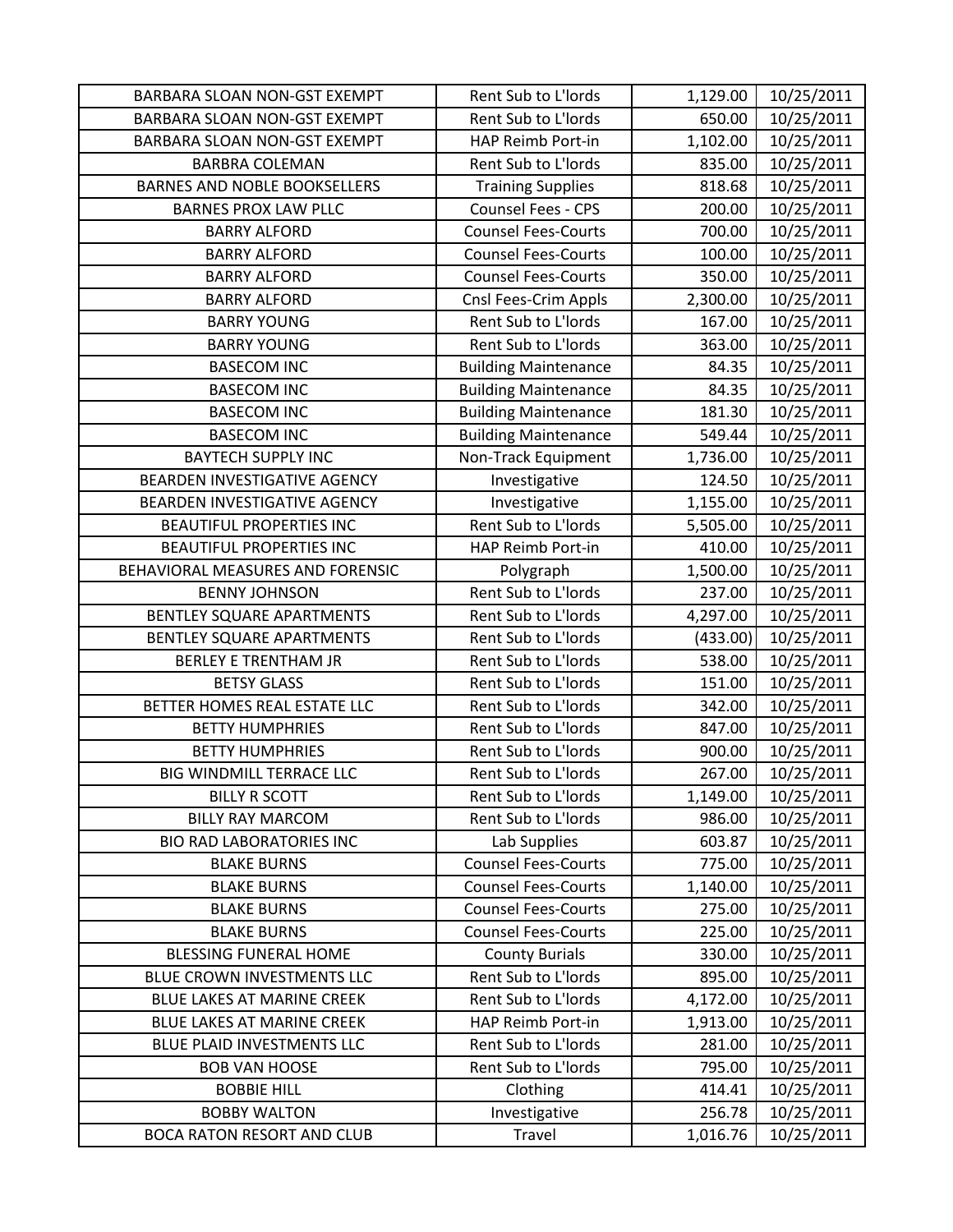| <b>BARBARA SLOAN NON-GST EXEMPT</b> | Rent Sub to L'Iords         | 1,129.00 | 10/25/2011 |
|-------------------------------------|-----------------------------|----------|------------|
| BARBARA SLOAN NON-GST EXEMPT        | Rent Sub to L'Iords         | 650.00   | 10/25/2011 |
| BARBARA SLOAN NON-GST EXEMPT        | HAP Reimb Port-in           | 1,102.00 | 10/25/2011 |
| <b>BARBRA COLEMAN</b>               | Rent Sub to L'Iords         | 835.00   | 10/25/2011 |
| <b>BARNES AND NOBLE BOOKSELLERS</b> | <b>Training Supplies</b>    | 818.68   | 10/25/2011 |
| <b>BARNES PROX LAW PLLC</b>         | <b>Counsel Fees - CPS</b>   | 200.00   | 10/25/2011 |
| <b>BARRY ALFORD</b>                 | <b>Counsel Fees-Courts</b>  | 700.00   | 10/25/2011 |
| <b>BARRY ALFORD</b>                 | <b>Counsel Fees-Courts</b>  | 100.00   | 10/25/2011 |
| <b>BARRY ALFORD</b>                 | <b>Counsel Fees-Courts</b>  | 350.00   | 10/25/2011 |
| <b>BARRY ALFORD</b>                 | Cnsl Fees-Crim Appls        | 2,300.00 | 10/25/2011 |
| <b>BARRY YOUNG</b>                  | Rent Sub to L'Iords         | 167.00   | 10/25/2011 |
| <b>BARRY YOUNG</b>                  | Rent Sub to L'Iords         | 363.00   | 10/25/2011 |
| <b>BASECOM INC</b>                  | <b>Building Maintenance</b> | 84.35    | 10/25/2011 |
| <b>BASECOM INC</b>                  | <b>Building Maintenance</b> | 84.35    | 10/25/2011 |
| <b>BASECOM INC</b>                  | <b>Building Maintenance</b> | 181.30   | 10/25/2011 |
| <b>BASECOM INC</b>                  | <b>Building Maintenance</b> | 549.44   | 10/25/2011 |
| <b>BAYTECH SUPPLY INC</b>           | Non-Track Equipment         | 1,736.00 | 10/25/2011 |
| BEARDEN INVESTIGATIVE AGENCY        | Investigative               | 124.50   | 10/25/2011 |
| BEARDEN INVESTIGATIVE AGENCY        | Investigative               | 1,155.00 | 10/25/2011 |
| BEAUTIFUL PROPERTIES INC            | Rent Sub to L'Iords         | 5,505.00 | 10/25/2011 |
| <b>BEAUTIFUL PROPERTIES INC</b>     | HAP Reimb Port-in           | 410.00   | 10/25/2011 |
| BEHAVIORAL MEASURES AND FORENSIC    | Polygraph                   | 1,500.00 | 10/25/2011 |
| <b>BENNY JOHNSON</b>                | Rent Sub to L'Iords         | 237.00   | 10/25/2011 |
| BENTLEY SQUARE APARTMENTS           | Rent Sub to L'Iords         | 4,297.00 | 10/25/2011 |
| BENTLEY SQUARE APARTMENTS           | Rent Sub to L'Iords         | (433.00) | 10/25/2011 |
| <b>BERLEY E TRENTHAM JR</b>         | Rent Sub to L'Iords         | 538.00   | 10/25/2011 |
| <b>BETSY GLASS</b>                  | Rent Sub to L'Iords         | 151.00   | 10/25/2011 |
| BETTER HOMES REAL ESTATE LLC        | Rent Sub to L'Iords         | 342.00   | 10/25/2011 |
| <b>BETTY HUMPHRIES</b>              | Rent Sub to L'Iords         | 847.00   | 10/25/2011 |
| <b>BETTY HUMPHRIES</b>              | Rent Sub to L'Iords         | 900.00   | 10/25/2011 |
| <b>BIG WINDMILL TERRACE LLC</b>     | Rent Sub to L'Iords         | 267.00   | 10/25/2011 |
| <b>BILLY R SCOTT</b>                | Rent Sub to L'Iords         | 1,149.00 | 10/25/2011 |
| <b>BILLY RAY MARCOM</b>             | Rent Sub to L'Iords         | 986.00   | 10/25/2011 |
| <b>BIO RAD LABORATORIES INC</b>     | Lab Supplies                | 603.87   | 10/25/2011 |
| <b>BLAKE BURNS</b>                  | <b>Counsel Fees-Courts</b>  | 775.00   | 10/25/2011 |
| <b>BLAKE BURNS</b>                  | <b>Counsel Fees-Courts</b>  | 1,140.00 | 10/25/2011 |
| <b>BLAKE BURNS</b>                  | <b>Counsel Fees-Courts</b>  | 275.00   | 10/25/2011 |
| <b>BLAKE BURNS</b>                  | <b>Counsel Fees-Courts</b>  | 225.00   | 10/25/2011 |
| <b>BLESSING FUNERAL HOME</b>        | <b>County Burials</b>       | 330.00   | 10/25/2011 |
| BLUE CROWN INVESTMENTS LLC          | Rent Sub to L'Iords         | 895.00   | 10/25/2011 |
| <b>BLUE LAKES AT MARINE CREEK</b>   | Rent Sub to L'Iords         | 4,172.00 | 10/25/2011 |
| BLUE LAKES AT MARINE CREEK          | HAP Reimb Port-in           | 1,913.00 | 10/25/2011 |
| BLUE PLAID INVESTMENTS LLC          | Rent Sub to L'Iords         | 281.00   | 10/25/2011 |
| <b>BOB VAN HOOSE</b>                | Rent Sub to L'Iords         | 795.00   | 10/25/2011 |
| <b>BOBBIE HILL</b>                  | Clothing                    | 414.41   | 10/25/2011 |
| <b>BOBBY WALTON</b>                 | Investigative               | 256.78   | 10/25/2011 |
| <b>BOCA RATON RESORT AND CLUB</b>   | Travel                      | 1,016.76 | 10/25/2011 |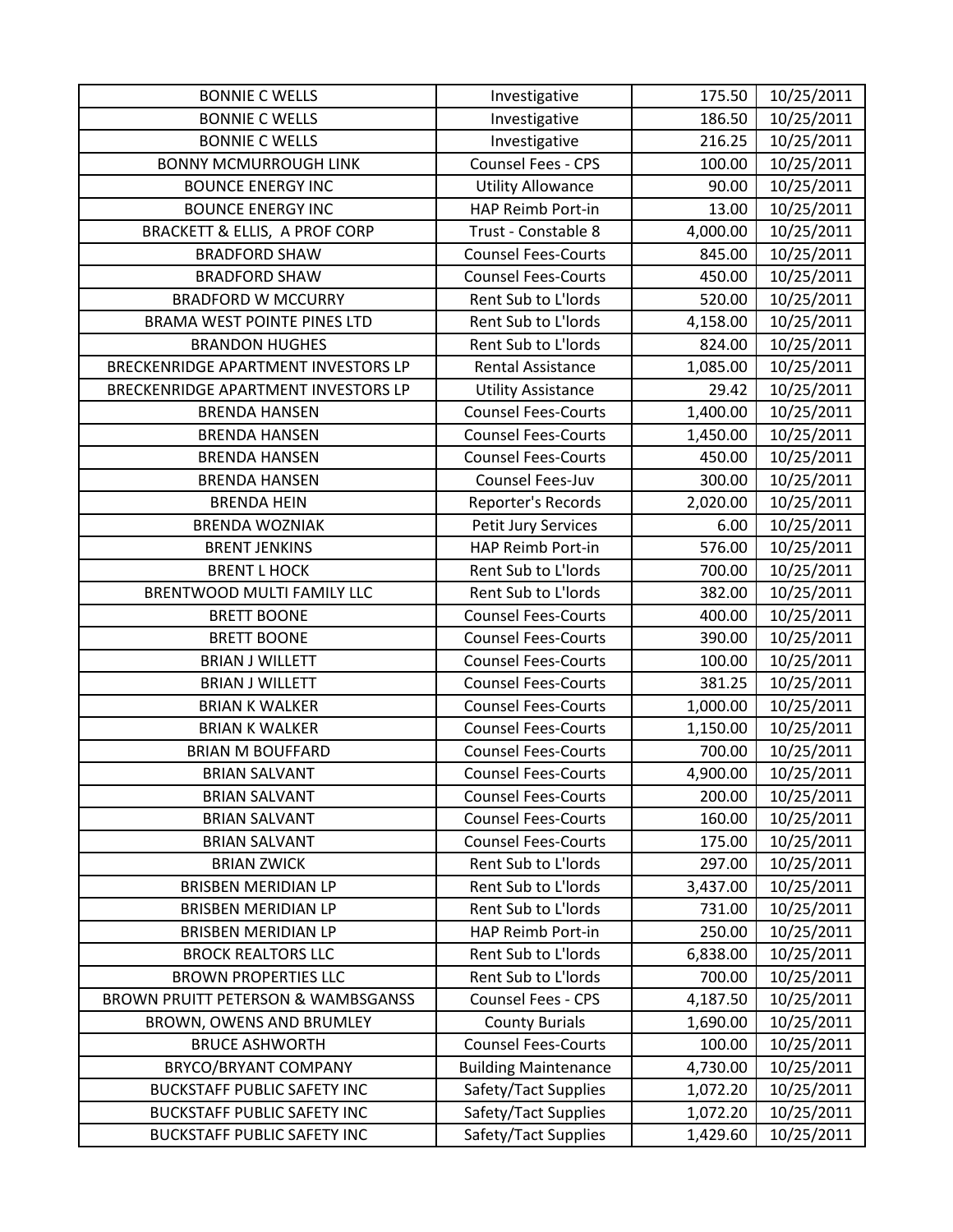| <b>BONNIE C WELLS</b>                         | Investigative               | 175.50   | 10/25/2011 |
|-----------------------------------------------|-----------------------------|----------|------------|
| <b>BONNIE C WELLS</b>                         | Investigative               | 186.50   | 10/25/2011 |
| <b>BONNIE C WELLS</b>                         | Investigative               | 216.25   | 10/25/2011 |
| <b>BONNY MCMURROUGH LINK</b>                  | Counsel Fees - CPS          | 100.00   | 10/25/2011 |
| <b>BOUNCE ENERGY INC</b>                      | <b>Utility Allowance</b>    | 90.00    | 10/25/2011 |
| <b>BOUNCE ENERGY INC</b>                      | HAP Reimb Port-in           | 13.00    | 10/25/2011 |
| <b>BRACKETT &amp; ELLIS, A PROF CORP</b>      | Trust - Constable 8         | 4,000.00 | 10/25/2011 |
| <b>BRADFORD SHAW</b>                          | <b>Counsel Fees-Courts</b>  | 845.00   | 10/25/2011 |
| <b>BRADFORD SHAW</b>                          | <b>Counsel Fees-Courts</b>  | 450.00   | 10/25/2011 |
| <b>BRADFORD W MCCURRY</b>                     | Rent Sub to L'Iords         | 520.00   | 10/25/2011 |
| <b>BRAMA WEST POINTE PINES LTD</b>            | Rent Sub to L'Iords         | 4,158.00 | 10/25/2011 |
| <b>BRANDON HUGHES</b>                         | Rent Sub to L'Iords         | 824.00   | 10/25/2011 |
| BRECKENRIDGE APARTMENT INVESTORS LP           | <b>Rental Assistance</b>    | 1,085.00 | 10/25/2011 |
| BRECKENRIDGE APARTMENT INVESTORS LP           | <b>Utility Assistance</b>   | 29.42    | 10/25/2011 |
| <b>BRENDA HANSEN</b>                          | <b>Counsel Fees-Courts</b>  | 1,400.00 | 10/25/2011 |
| <b>BRENDA HANSEN</b>                          | <b>Counsel Fees-Courts</b>  | 1,450.00 | 10/25/2011 |
| <b>BRENDA HANSEN</b>                          | <b>Counsel Fees-Courts</b>  | 450.00   | 10/25/2011 |
| <b>BRENDA HANSEN</b>                          | Counsel Fees-Juv            | 300.00   | 10/25/2011 |
| <b>BRENDA HEIN</b>                            | Reporter's Records          | 2,020.00 | 10/25/2011 |
| <b>BRENDA WOZNIAK</b>                         | Petit Jury Services         | 6.00     | 10/25/2011 |
| <b>BRENT JENKINS</b>                          | HAP Reimb Port-in           | 576.00   | 10/25/2011 |
| <b>BRENT L HOCK</b>                           | Rent Sub to L'Iords         | 700.00   | 10/25/2011 |
| BRENTWOOD MULTI FAMILY LLC                    | Rent Sub to L'Iords         | 382.00   | 10/25/2011 |
| <b>BRETT BOONE</b>                            | <b>Counsel Fees-Courts</b>  | 400.00   | 10/25/2011 |
| <b>BRETT BOONE</b>                            | <b>Counsel Fees-Courts</b>  | 390.00   | 10/25/2011 |
| <b>BRIAN J WILLETT</b>                        | <b>Counsel Fees-Courts</b>  | 100.00   | 10/25/2011 |
| <b>BRIAN J WILLETT</b>                        | <b>Counsel Fees-Courts</b>  | 381.25   | 10/25/2011 |
| <b>BRIAN K WALKER</b>                         | <b>Counsel Fees-Courts</b>  | 1,000.00 | 10/25/2011 |
| <b>BRIAN K WALKER</b>                         | <b>Counsel Fees-Courts</b>  | 1,150.00 | 10/25/2011 |
| <b>BRIAN M BOUFFARD</b>                       | <b>Counsel Fees-Courts</b>  | 700.00   | 10/25/2011 |
| <b>BRIAN SALVANT</b>                          | <b>Counsel Fees-Courts</b>  | 4,900.00 | 10/25/2011 |
| <b>BRIAN SALVANT</b>                          | <b>Counsel Fees-Courts</b>  | 200.00   | 10/25/2011 |
| <b>BRIAN SALVANT</b>                          | <b>Counsel Fees-Courts</b>  | 160.00   | 10/25/2011 |
| <b>BRIAN SALVANT</b>                          | <b>Counsel Fees-Courts</b>  | 175.00   | 10/25/2011 |
| <b>BRIAN ZWICK</b>                            | Rent Sub to L'Iords         | 297.00   | 10/25/2011 |
| <b>BRISBEN MERIDIAN LP</b>                    | Rent Sub to L'Iords         | 3,437.00 | 10/25/2011 |
| <b>BRISBEN MERIDIAN LP</b>                    | Rent Sub to L'Iords         | 731.00   | 10/25/2011 |
| <b>BRISBEN MERIDIAN LP</b>                    | HAP Reimb Port-in           | 250.00   | 10/25/2011 |
| <b>BROCK REALTORS LLC</b>                     | Rent Sub to L'Iords         | 6,838.00 | 10/25/2011 |
| <b>BROWN PROPERTIES LLC</b>                   | Rent Sub to L'Iords         | 700.00   | 10/25/2011 |
| <b>BROWN PRUITT PETERSON &amp; WAMBSGANSS</b> | Counsel Fees - CPS          | 4,187.50 | 10/25/2011 |
| BROWN, OWENS AND BRUMLEY                      | <b>County Burials</b>       | 1,690.00 | 10/25/2011 |
| <b>BRUCE ASHWORTH</b>                         | <b>Counsel Fees-Courts</b>  | 100.00   | 10/25/2011 |
| BRYCO/BRYANT COMPANY                          | <b>Building Maintenance</b> | 4,730.00 | 10/25/2011 |
| <b>BUCKSTAFF PUBLIC SAFETY INC</b>            | Safety/Tact Supplies        | 1,072.20 | 10/25/2011 |
| <b>BUCKSTAFF PUBLIC SAFETY INC</b>            | Safety/Tact Supplies        | 1,072.20 | 10/25/2011 |
| <b>BUCKSTAFF PUBLIC SAFETY INC</b>            | Safety/Tact Supplies        | 1,429.60 | 10/25/2011 |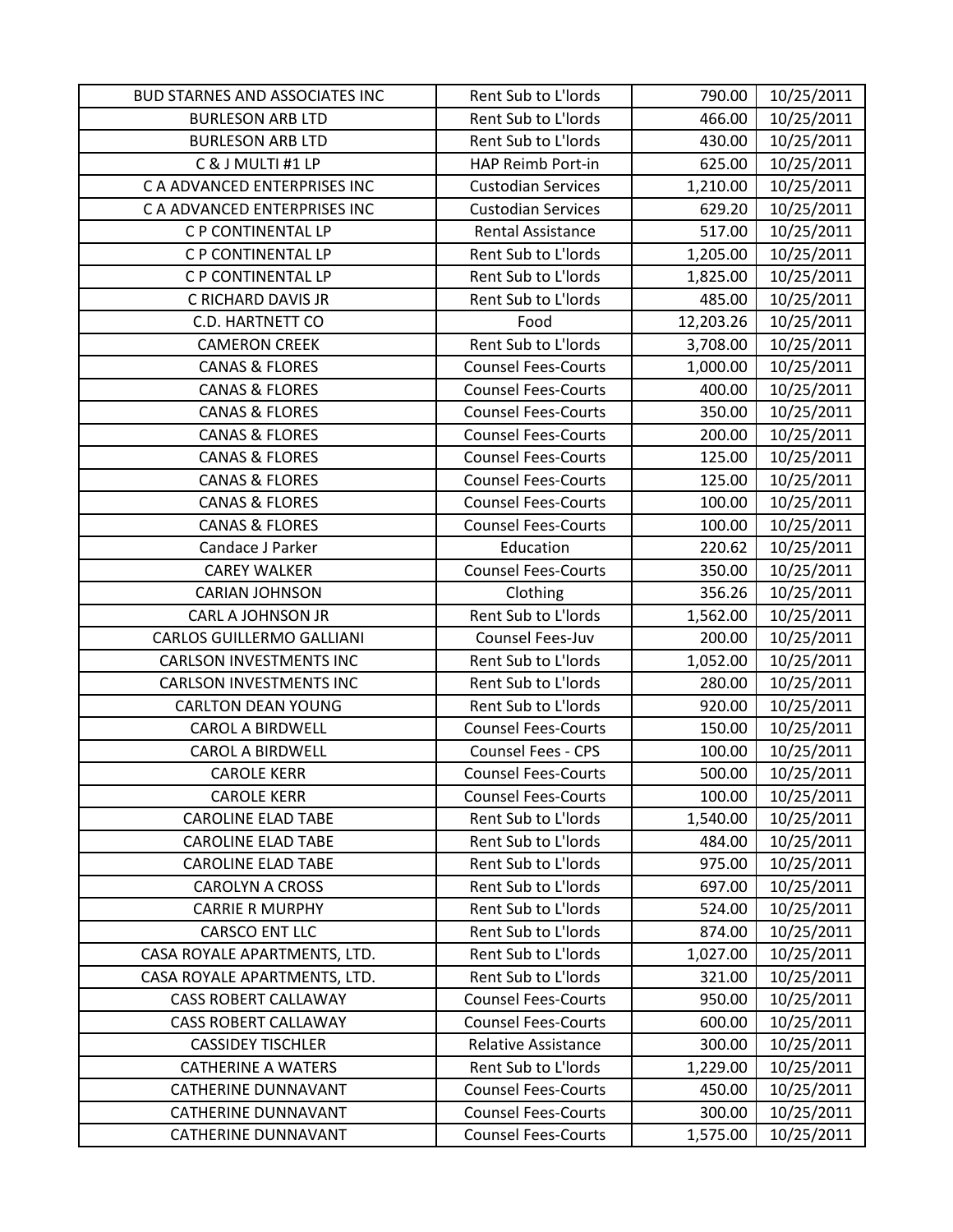| <b>BUD STARNES AND ASSOCIATES INC</b> | Rent Sub to L'Iords        | 790.00    | 10/25/2011 |
|---------------------------------------|----------------------------|-----------|------------|
| <b>BURLESON ARB LTD</b>               | Rent Sub to L'Iords        | 466.00    | 10/25/2011 |
| <b>BURLESON ARB LTD</b>               | Rent Sub to L'Iords        | 430.00    | 10/25/2011 |
| C & J MULTI #1 LP                     | HAP Reimb Port-in          | 625.00    | 10/25/2011 |
| C A ADVANCED ENTERPRISES INC          | <b>Custodian Services</b>  | 1,210.00  | 10/25/2011 |
| C A ADVANCED ENTERPRISES INC          | <b>Custodian Services</b>  | 629.20    | 10/25/2011 |
| C P CONTINENTAL LP                    | <b>Rental Assistance</b>   | 517.00    | 10/25/2011 |
| C P CONTINENTAL LP                    | Rent Sub to L'Iords        | 1,205.00  | 10/25/2011 |
| C P CONTINENTAL LP                    | Rent Sub to L'Iords        | 1,825.00  | 10/25/2011 |
| C RICHARD DAVIS JR                    | Rent Sub to L'Iords        | 485.00    | 10/25/2011 |
| C.D. HARTNETT CO                      | Food                       | 12,203.26 | 10/25/2011 |
| <b>CAMERON CREEK</b>                  | Rent Sub to L'Iords        | 3,708.00  | 10/25/2011 |
| <b>CANAS &amp; FLORES</b>             | <b>Counsel Fees-Courts</b> | 1,000.00  | 10/25/2011 |
| <b>CANAS &amp; FLORES</b>             | <b>Counsel Fees-Courts</b> | 400.00    | 10/25/2011 |
| <b>CANAS &amp; FLORES</b>             | <b>Counsel Fees-Courts</b> | 350.00    | 10/25/2011 |
| <b>CANAS &amp; FLORES</b>             | <b>Counsel Fees-Courts</b> | 200.00    | 10/25/2011 |
| <b>CANAS &amp; FLORES</b>             | <b>Counsel Fees-Courts</b> | 125.00    | 10/25/2011 |
| <b>CANAS &amp; FLORES</b>             | <b>Counsel Fees-Courts</b> | 125.00    | 10/25/2011 |
| <b>CANAS &amp; FLORES</b>             | <b>Counsel Fees-Courts</b> | 100.00    | 10/25/2011 |
| <b>CANAS &amp; FLORES</b>             | <b>Counsel Fees-Courts</b> | 100.00    | 10/25/2011 |
| Candace J Parker                      | Education                  | 220.62    | 10/25/2011 |
| <b>CAREY WALKER</b>                   | <b>Counsel Fees-Courts</b> | 350.00    | 10/25/2011 |
| <b>CARIAN JOHNSON</b>                 | Clothing                   | 356.26    | 10/25/2011 |
| <b>CARL A JOHNSON JR</b>              | Rent Sub to L'Iords        | 1,562.00  | 10/25/2011 |
| <b>CARLOS GUILLERMO GALLIANI</b>      | Counsel Fees-Juv           | 200.00    | 10/25/2011 |
| <b>CARLSON INVESTMENTS INC</b>        | Rent Sub to L'Iords        | 1,052.00  | 10/25/2011 |
| <b>CARLSON INVESTMENTS INC</b>        | Rent Sub to L'Iords        | 280.00    | 10/25/2011 |
| <b>CARLTON DEAN YOUNG</b>             | Rent Sub to L'Iords        | 920.00    | 10/25/2011 |
| <b>CAROL A BIRDWELL</b>               | <b>Counsel Fees-Courts</b> | 150.00    | 10/25/2011 |
| <b>CAROL A BIRDWELL</b>               | Counsel Fees - CPS         | 100.00    | 10/25/2011 |
| <b>CAROLE KERR</b>                    | <b>Counsel Fees-Courts</b> | 500.00    | 10/25/2011 |
| <b>CAROLE KERR</b>                    | <b>Counsel Fees-Courts</b> | 100.00    | 10/25/2011 |
| <b>CAROLINE ELAD TABE</b>             | Rent Sub to L'Iords        | 1,540.00  | 10/25/2011 |
| <b>CAROLINE ELAD TABE</b>             | Rent Sub to L'Iords        | 484.00    | 10/25/2011 |
| <b>CAROLINE ELAD TABE</b>             | Rent Sub to L'Iords        | 975.00    | 10/25/2011 |
| <b>CAROLYN A CROSS</b>                | Rent Sub to L'Iords        | 697.00    | 10/25/2011 |
| <b>CARRIE R MURPHY</b>                | Rent Sub to L'Iords        | 524.00    | 10/25/2011 |
| <b>CARSCO ENT LLC</b>                 | Rent Sub to L'Iords        | 874.00    | 10/25/2011 |
| CASA ROYALE APARTMENTS, LTD.          | Rent Sub to L'Iords        | 1,027.00  | 10/25/2011 |
| CASA ROYALE APARTMENTS, LTD.          | Rent Sub to L'Iords        | 321.00    | 10/25/2011 |
| <b>CASS ROBERT CALLAWAY</b>           | <b>Counsel Fees-Courts</b> | 950.00    | 10/25/2011 |
| <b>CASS ROBERT CALLAWAY</b>           | <b>Counsel Fees-Courts</b> | 600.00    | 10/25/2011 |
| <b>CASSIDEY TISCHLER</b>              | <b>Relative Assistance</b> | 300.00    | 10/25/2011 |
| <b>CATHERINE A WATERS</b>             | Rent Sub to L'Iords        | 1,229.00  | 10/25/2011 |
| <b>CATHERINE DUNNAVANT</b>            | <b>Counsel Fees-Courts</b> | 450.00    | 10/25/2011 |
| <b>CATHERINE DUNNAVANT</b>            | <b>Counsel Fees-Courts</b> | 300.00    | 10/25/2011 |
| <b>CATHERINE DUNNAVANT</b>            | <b>Counsel Fees-Courts</b> | 1,575.00  | 10/25/2011 |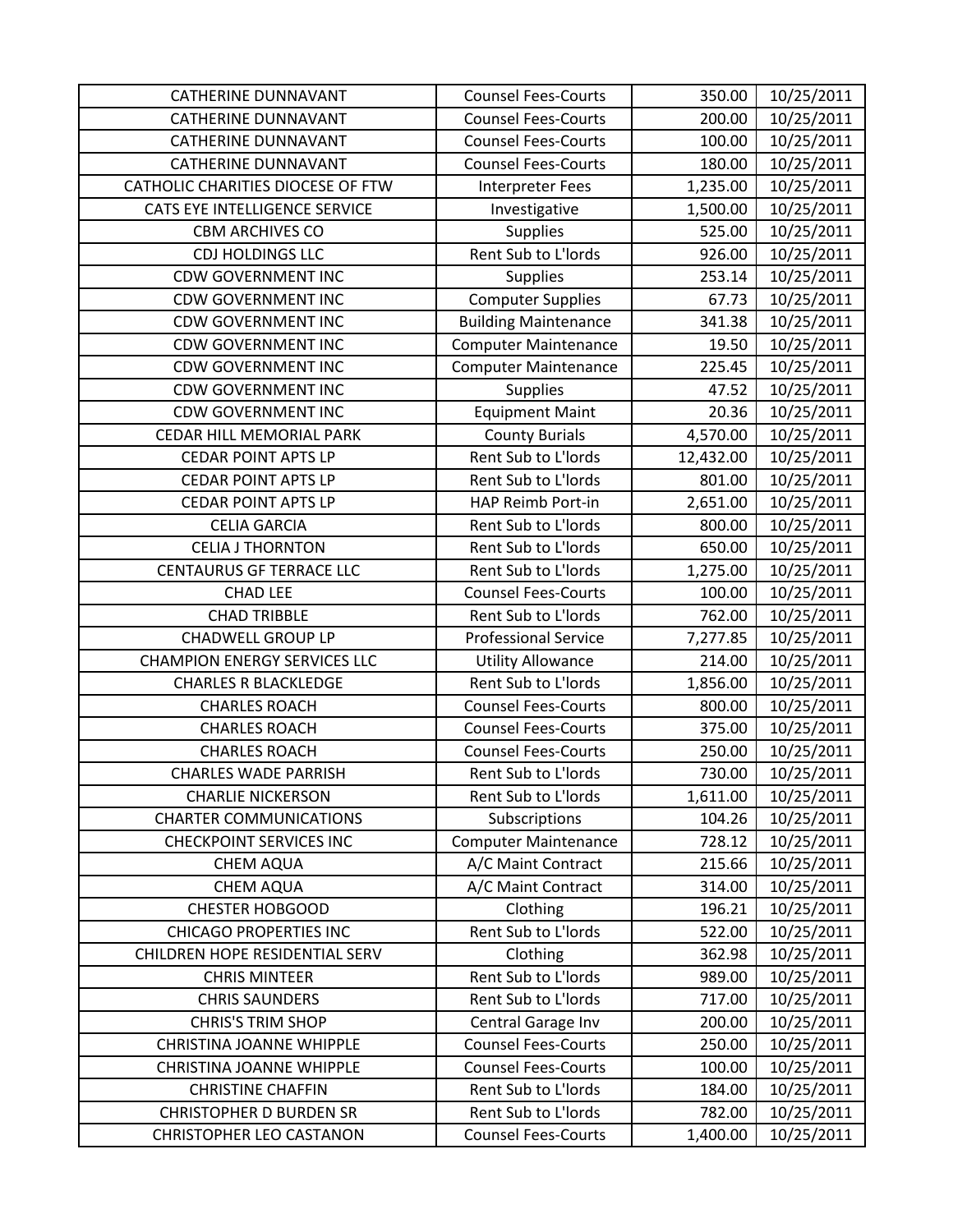| <b>CATHERINE DUNNAVANT</b>          | <b>Counsel Fees-Courts</b>  | 350.00    | 10/25/2011 |
|-------------------------------------|-----------------------------|-----------|------------|
| <b>CATHERINE DUNNAVANT</b>          | <b>Counsel Fees-Courts</b>  | 200.00    | 10/25/2011 |
| <b>CATHERINE DUNNAVANT</b>          | <b>Counsel Fees-Courts</b>  | 100.00    | 10/25/2011 |
| <b>CATHERINE DUNNAVANT</b>          | <b>Counsel Fees-Courts</b>  | 180.00    | 10/25/2011 |
| CATHOLIC CHARITIES DIOCESE OF FTW   | Interpreter Fees            | 1,235.00  | 10/25/2011 |
| CATS EYE INTELLIGENCE SERVICE       | Investigative               | 1,500.00  | 10/25/2011 |
| <b>CBM ARCHIVES CO</b>              | <b>Supplies</b>             | 525.00    | 10/25/2011 |
| <b>CDJ HOLDINGS LLC</b>             | Rent Sub to L'Iords         | 926.00    | 10/25/2011 |
| <b>CDW GOVERNMENT INC</b>           | <b>Supplies</b>             | 253.14    | 10/25/2011 |
| <b>CDW GOVERNMENT INC</b>           | <b>Computer Supplies</b>    | 67.73     | 10/25/2011 |
| <b>CDW GOVERNMENT INC</b>           | <b>Building Maintenance</b> | 341.38    | 10/25/2011 |
| <b>CDW GOVERNMENT INC</b>           | <b>Computer Maintenance</b> | 19.50     | 10/25/2011 |
| <b>CDW GOVERNMENT INC</b>           | <b>Computer Maintenance</b> | 225.45    | 10/25/2011 |
| <b>CDW GOVERNMENT INC</b>           | <b>Supplies</b>             | 47.52     | 10/25/2011 |
| <b>CDW GOVERNMENT INC</b>           | <b>Equipment Maint</b>      | 20.36     | 10/25/2011 |
| <b>CEDAR HILL MEMORIAL PARK</b>     | <b>County Burials</b>       | 4,570.00  | 10/25/2011 |
| <b>CEDAR POINT APTS LP</b>          | Rent Sub to L'Iords         | 12,432.00 | 10/25/2011 |
| <b>CEDAR POINT APTS LP</b>          | Rent Sub to L'Iords         | 801.00    | 10/25/2011 |
| <b>CEDAR POINT APTS LP</b>          | HAP Reimb Port-in           | 2,651.00  | 10/25/2011 |
| <b>CELIA GARCIA</b>                 | Rent Sub to L'Iords         | 800.00    | 10/25/2011 |
| <b>CELIA J THORNTON</b>             | Rent Sub to L'Iords         | 650.00    | 10/25/2011 |
| <b>CENTAURUS GF TERRACE LLC</b>     | Rent Sub to L'Iords         | 1,275.00  | 10/25/2011 |
| <b>CHAD LEE</b>                     | <b>Counsel Fees-Courts</b>  | 100.00    | 10/25/2011 |
| <b>CHAD TRIBBLE</b>                 | Rent Sub to L'Iords         | 762.00    | 10/25/2011 |
| <b>CHADWELL GROUP LP</b>            | <b>Professional Service</b> | 7,277.85  | 10/25/2011 |
| <b>CHAMPION ENERGY SERVICES LLC</b> | <b>Utility Allowance</b>    | 214.00    | 10/25/2011 |
| <b>CHARLES R BLACKLEDGE</b>         | Rent Sub to L'Iords         | 1,856.00  | 10/25/2011 |
| <b>CHARLES ROACH</b>                | <b>Counsel Fees-Courts</b>  | 800.00    | 10/25/2011 |
| <b>CHARLES ROACH</b>                | <b>Counsel Fees-Courts</b>  | 375.00    | 10/25/2011 |
| <b>CHARLES ROACH</b>                | <b>Counsel Fees-Courts</b>  | 250.00    | 10/25/2011 |
| <b>CHARLES WADE PARRISH</b>         | Rent Sub to L'Iords         | 730.00    | 10/25/2011 |
| <b>CHARLIE NICKERSON</b>            | Rent Sub to L'Iords         | 1,611.00  | 10/25/2011 |
| <b>CHARTER COMMUNICATIONS</b>       | Subscriptions               | 104.26    | 10/25/2011 |
| <b>CHECKPOINT SERVICES INC</b>      | <b>Computer Maintenance</b> | 728.12    | 10/25/2011 |
| <b>CHEM AQUA</b>                    | A/C Maint Contract          | 215.66    | 10/25/2011 |
| <b>CHEM AQUA</b>                    | A/C Maint Contract          | 314.00    | 10/25/2011 |
| <b>CHESTER HOBGOOD</b>              | Clothing                    | 196.21    | 10/25/2011 |
| <b>CHICAGO PROPERTIES INC</b>       | Rent Sub to L'Iords         | 522.00    | 10/25/2011 |
| CHILDREN HOPE RESIDENTIAL SERV      | Clothing                    | 362.98    | 10/25/2011 |
| <b>CHRIS MINTEER</b>                | Rent Sub to L'Iords         | 989.00    | 10/25/2011 |
| <b>CHRIS SAUNDERS</b>               | Rent Sub to L'Iords         | 717.00    | 10/25/2011 |
| <b>CHRIS'S TRIM SHOP</b>            | Central Garage Inv          | 200.00    | 10/25/2011 |
| <b>CHRISTINA JOANNE WHIPPLE</b>     | <b>Counsel Fees-Courts</b>  | 250.00    | 10/25/2011 |
| <b>CHRISTINA JOANNE WHIPPLE</b>     | <b>Counsel Fees-Courts</b>  | 100.00    | 10/25/2011 |
| <b>CHRISTINE CHAFFIN</b>            | Rent Sub to L'Iords         | 184.00    | 10/25/2011 |
| <b>CHRISTOPHER D BURDEN SR</b>      | Rent Sub to L'Iords         | 782.00    | 10/25/2011 |
| <b>CHRISTOPHER LEO CASTANON</b>     | <b>Counsel Fees-Courts</b>  | 1,400.00  | 10/25/2011 |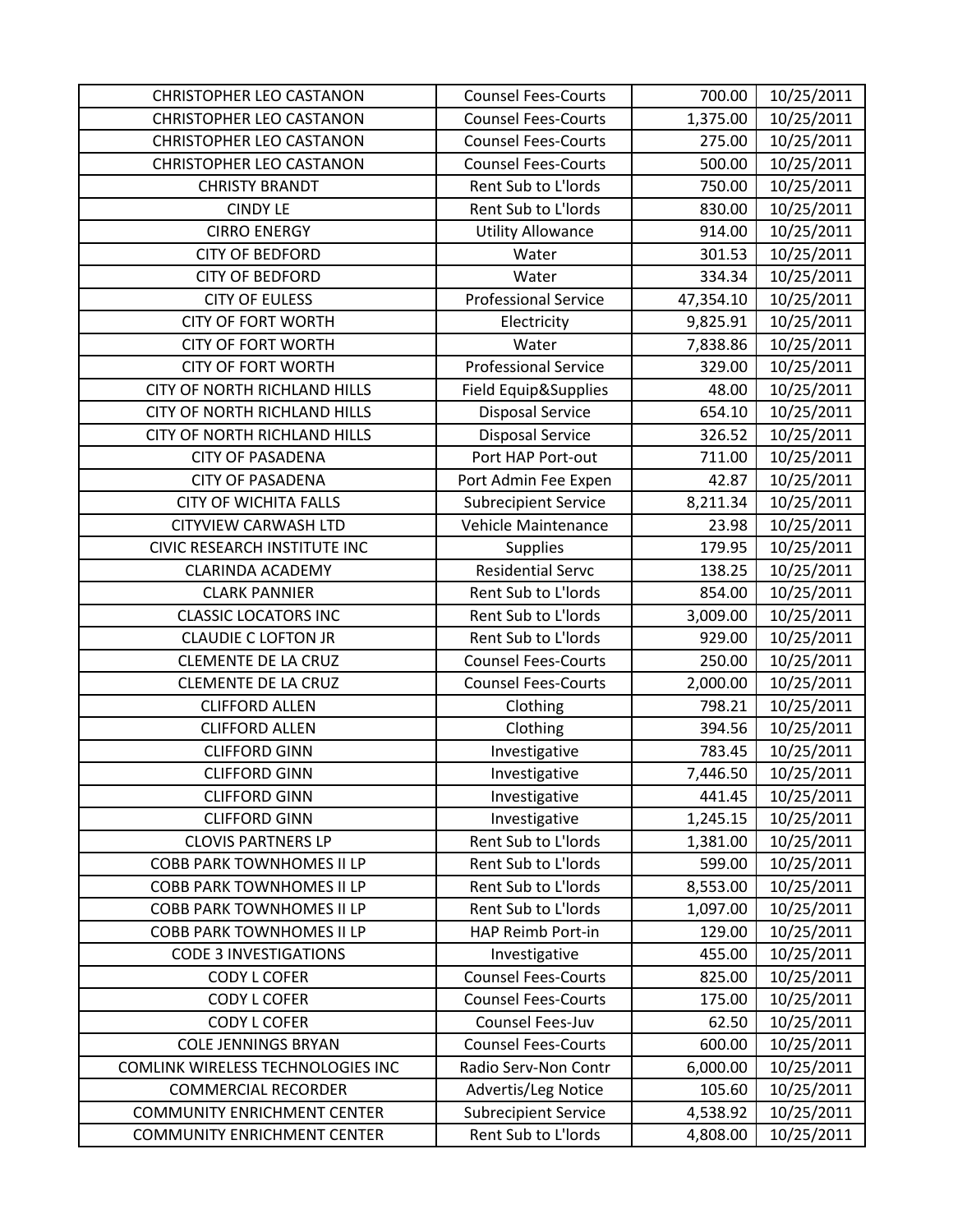| <b>CHRISTOPHER LEO CASTANON</b>     | <b>Counsel Fees-Courts</b>  | 700.00    | 10/25/2011 |
|-------------------------------------|-----------------------------|-----------|------------|
| <b>CHRISTOPHER LEO CASTANON</b>     | <b>Counsel Fees-Courts</b>  | 1,375.00  | 10/25/2011 |
| <b>CHRISTOPHER LEO CASTANON</b>     | <b>Counsel Fees-Courts</b>  | 275.00    | 10/25/2011 |
| <b>CHRISTOPHER LEO CASTANON</b>     | <b>Counsel Fees-Courts</b>  | 500.00    | 10/25/2011 |
| <b>CHRISTY BRANDT</b>               | Rent Sub to L'Iords         | 750.00    | 10/25/2011 |
| <b>CINDY LE</b>                     | Rent Sub to L'Iords         | 830.00    | 10/25/2011 |
| <b>CIRRO ENERGY</b>                 | <b>Utility Allowance</b>    | 914.00    | 10/25/2011 |
| <b>CITY OF BEDFORD</b>              | Water                       | 301.53    | 10/25/2011 |
| <b>CITY OF BEDFORD</b>              | Water                       | 334.34    | 10/25/2011 |
| <b>CITY OF EULESS</b>               | <b>Professional Service</b> | 47,354.10 | 10/25/2011 |
| <b>CITY OF FORT WORTH</b>           | Electricity                 | 9,825.91  | 10/25/2011 |
| <b>CITY OF FORT WORTH</b>           | Water                       | 7,838.86  | 10/25/2011 |
| <b>CITY OF FORT WORTH</b>           | <b>Professional Service</b> | 329.00    | 10/25/2011 |
| <b>CITY OF NORTH RICHLAND HILLS</b> | Field Equip&Supplies        | 48.00     | 10/25/2011 |
| <b>CITY OF NORTH RICHLAND HILLS</b> | <b>Disposal Service</b>     | 654.10    | 10/25/2011 |
| CITY OF NORTH RICHLAND HILLS        | <b>Disposal Service</b>     | 326.52    | 10/25/2011 |
| <b>CITY OF PASADENA</b>             | Port HAP Port-out           | 711.00    | 10/25/2011 |
| <b>CITY OF PASADENA</b>             | Port Admin Fee Expen        | 42.87     | 10/25/2011 |
| <b>CITY OF WICHITA FALLS</b>        | <b>Subrecipient Service</b> | 8,211.34  | 10/25/2011 |
| <b>CITYVIEW CARWASH LTD</b>         | Vehicle Maintenance         | 23.98     | 10/25/2011 |
| CIVIC RESEARCH INSTITUTE INC        | Supplies                    | 179.95    | 10/25/2011 |
| <b>CLARINDA ACADEMY</b>             | <b>Residential Servc</b>    | 138.25    | 10/25/2011 |
| <b>CLARK PANNIER</b>                | Rent Sub to L'Iords         | 854.00    | 10/25/2011 |
| <b>CLASSIC LOCATORS INC</b>         | Rent Sub to L'Iords         | 3,009.00  | 10/25/2011 |
| <b>CLAUDIE C LOFTON JR</b>          | Rent Sub to L'Iords         | 929.00    | 10/25/2011 |
| <b>CLEMENTE DE LA CRUZ</b>          | <b>Counsel Fees-Courts</b>  | 250.00    | 10/25/2011 |
| <b>CLEMENTE DE LA CRUZ</b>          | <b>Counsel Fees-Courts</b>  | 2,000.00  | 10/25/2011 |
| <b>CLIFFORD ALLEN</b>               | Clothing                    | 798.21    | 10/25/2011 |
| <b>CLIFFORD ALLEN</b>               | Clothing                    | 394.56    | 10/25/2011 |
| <b>CLIFFORD GINN</b>                | Investigative               | 783.45    | 10/25/2011 |
| <b>CLIFFORD GINN</b>                | Investigative               | 7,446.50  | 10/25/2011 |
| <b>CLIFFORD GINN</b>                | Investigative               | 441.45    | 10/25/2011 |
| <b>CLIFFORD GINN</b>                | Investigative               | 1,245.15  | 10/25/2011 |
| <b>CLOVIS PARTNERS LP</b>           | Rent Sub to L'Iords         | 1,381.00  | 10/25/2011 |
| <b>COBB PARK TOWNHOMES II LP</b>    | Rent Sub to L'Iords         | 599.00    | 10/25/2011 |
| <b>COBB PARK TOWNHOMES II LP</b>    | Rent Sub to L'Iords         | 8,553.00  | 10/25/2011 |
| <b>COBB PARK TOWNHOMES II LP</b>    | Rent Sub to L'Iords         | 1,097.00  | 10/25/2011 |
| <b>COBB PARK TOWNHOMES II LP</b>    | HAP Reimb Port-in           | 129.00    | 10/25/2011 |
| <b>CODE 3 INVESTIGATIONS</b>        | Investigative               | 455.00    | 10/25/2011 |
| <b>CODY L COFER</b>                 | <b>Counsel Fees-Courts</b>  | 825.00    | 10/25/2011 |
| <b>CODY L COFER</b>                 | <b>Counsel Fees-Courts</b>  | 175.00    | 10/25/2011 |
| <b>CODY L COFER</b>                 | Counsel Fees-Juv            | 62.50     | 10/25/2011 |
| <b>COLE JENNINGS BRYAN</b>          | <b>Counsel Fees-Courts</b>  | 600.00    | 10/25/2011 |
| COMLINK WIRELESS TECHNOLOGIES INC   | Radio Serv-Non Contr        | 6,000.00  | 10/25/2011 |
| <b>COMMERCIAL RECORDER</b>          | Advertis/Leg Notice         | 105.60    | 10/25/2011 |
| <b>COMMUNITY ENRICHMENT CENTER</b>  | <b>Subrecipient Service</b> | 4,538.92  | 10/25/2011 |
| <b>COMMUNITY ENRICHMENT CENTER</b>  | Rent Sub to L'Iords         | 4,808.00  | 10/25/2011 |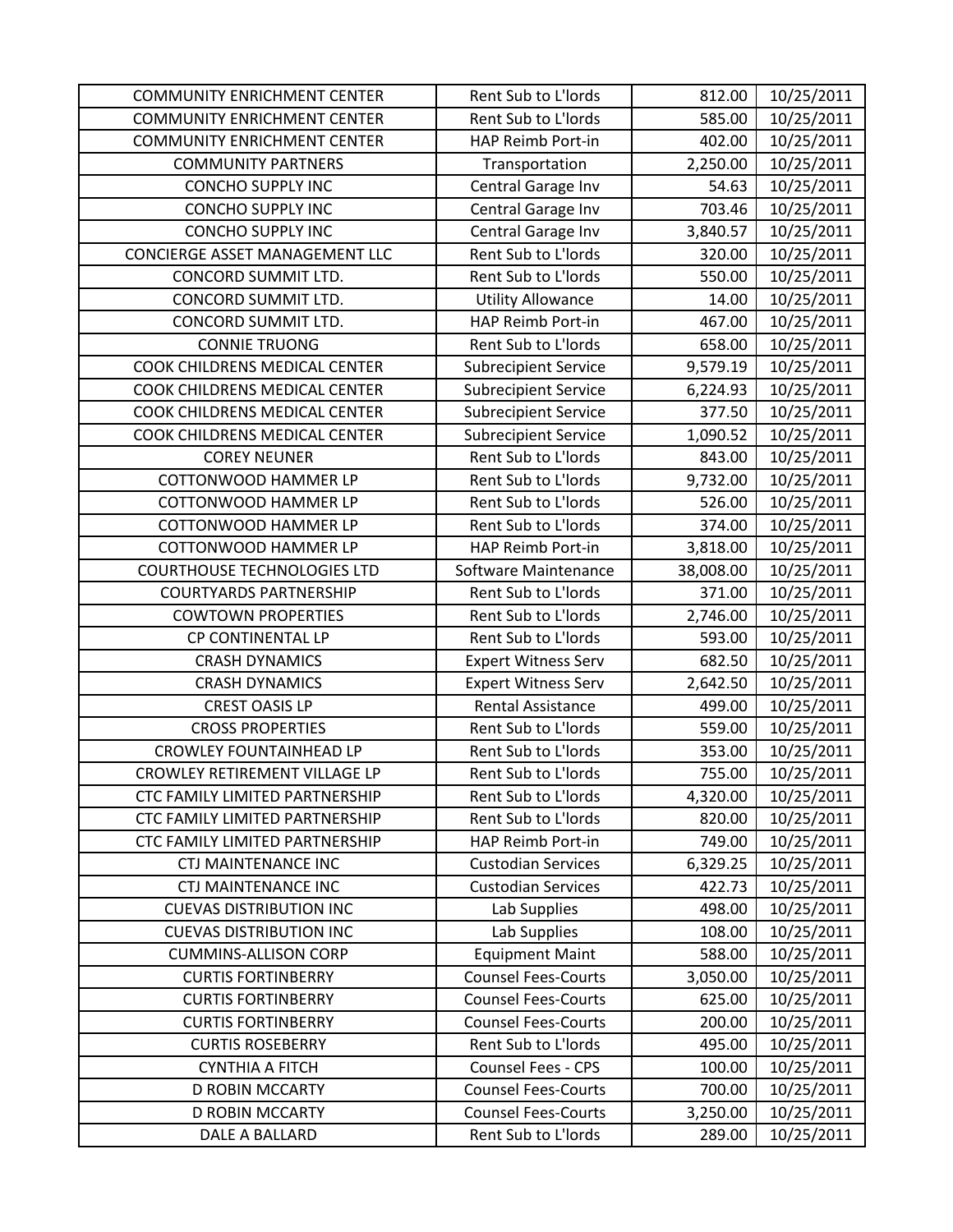| <b>COMMUNITY ENRICHMENT CENTER</b> | Rent Sub to L'Iords         | 812.00    | 10/25/2011 |
|------------------------------------|-----------------------------|-----------|------------|
| <b>COMMUNITY ENRICHMENT CENTER</b> | Rent Sub to L'Iords         | 585.00    | 10/25/2011 |
| <b>COMMUNITY ENRICHMENT CENTER</b> | HAP Reimb Port-in           | 402.00    | 10/25/2011 |
| <b>COMMUNITY PARTNERS</b>          | Transportation              | 2,250.00  | 10/25/2011 |
| <b>CONCHO SUPPLY INC</b>           | Central Garage Inv          | 54.63     | 10/25/2011 |
| <b>CONCHO SUPPLY INC</b>           | Central Garage Inv          | 703.46    | 10/25/2011 |
| <b>CONCHO SUPPLY INC</b>           | Central Garage Inv          | 3,840.57  | 10/25/2011 |
| CONCIERGE ASSET MANAGEMENT LLC     | Rent Sub to L'Iords         | 320.00    | 10/25/2011 |
| <b>CONCORD SUMMIT LTD.</b>         | Rent Sub to L'Iords         | 550.00    | 10/25/2011 |
| CONCORD SUMMIT LTD.                | <b>Utility Allowance</b>    | 14.00     | 10/25/2011 |
| CONCORD SUMMIT LTD.                | HAP Reimb Port-in           | 467.00    | 10/25/2011 |
| <b>CONNIE TRUONG</b>               | Rent Sub to L'Iords         | 658.00    | 10/25/2011 |
| COOK CHILDRENS MEDICAL CENTER      | <b>Subrecipient Service</b> | 9,579.19  | 10/25/2011 |
| COOK CHILDRENS MEDICAL CENTER      | <b>Subrecipient Service</b> | 6,224.93  | 10/25/2011 |
| COOK CHILDRENS MEDICAL CENTER      | <b>Subrecipient Service</b> | 377.50    | 10/25/2011 |
| COOK CHILDRENS MEDICAL CENTER      | <b>Subrecipient Service</b> | 1,090.52  | 10/25/2011 |
| <b>COREY NEUNER</b>                | Rent Sub to L'Iords         | 843.00    | 10/25/2011 |
| <b>COTTONWOOD HAMMER LP</b>        | Rent Sub to L'Iords         | 9,732.00  | 10/25/2011 |
| <b>COTTONWOOD HAMMER LP</b>        | Rent Sub to L'Iords         | 526.00    | 10/25/2011 |
| <b>COTTONWOOD HAMMER LP</b>        | Rent Sub to L'Iords         | 374.00    | 10/25/2011 |
| <b>COTTONWOOD HAMMER LP</b>        | HAP Reimb Port-in           | 3,818.00  | 10/25/2011 |
| <b>COURTHOUSE TECHNOLOGIES LTD</b> | Software Maintenance        | 38,008.00 | 10/25/2011 |
| <b>COURTYARDS PARTNERSHIP</b>      | Rent Sub to L'Iords         | 371.00    | 10/25/2011 |
| <b>COWTOWN PROPERTIES</b>          | Rent Sub to L'Iords         | 2,746.00  | 10/25/2011 |
| CP CONTINENTAL LP                  | Rent Sub to L'Iords         | 593.00    | 10/25/2011 |
| <b>CRASH DYNAMICS</b>              | <b>Expert Witness Serv</b>  | 682.50    | 10/25/2011 |
| <b>CRASH DYNAMICS</b>              | <b>Expert Witness Serv</b>  | 2,642.50  | 10/25/2011 |
| <b>CREST OASIS LP</b>              | <b>Rental Assistance</b>    | 499.00    | 10/25/2011 |
| <b>CROSS PROPERTIES</b>            | Rent Sub to L'Iords         | 559.00    | 10/25/2011 |
| <b>CROWLEY FOUNTAINHEAD LP</b>     | Rent Sub to L'Iords         | 353.00    | 10/25/2011 |
| CROWLEY RETIREMENT VILLAGE LP      | Rent Sub to L'Iords         | 755.00    | 10/25/2011 |
| CTC FAMILY LIMITED PARTNERSHIP     | Rent Sub to L'Iords         | 4,320.00  | 10/25/2011 |
| CTC FAMILY LIMITED PARTNERSHIP     | Rent Sub to L'Iords         | 820.00    | 10/25/2011 |
| CTC FAMILY LIMITED PARTNERSHIP     | HAP Reimb Port-in           | 749.00    | 10/25/2011 |
| <b>CTJ MAINTENANCE INC</b>         | <b>Custodian Services</b>   | 6,329.25  | 10/25/2011 |
| <b>CTJ MAINTENANCE INC</b>         | <b>Custodian Services</b>   | 422.73    | 10/25/2011 |
| <b>CUEVAS DISTRIBUTION INC</b>     | Lab Supplies                | 498.00    | 10/25/2011 |
| <b>CUEVAS DISTRIBUTION INC</b>     | Lab Supplies                | 108.00    | 10/25/2011 |
| <b>CUMMINS-ALLISON CORP</b>        | <b>Equipment Maint</b>      | 588.00    | 10/25/2011 |
| <b>CURTIS FORTINBERRY</b>          | <b>Counsel Fees-Courts</b>  | 3,050.00  | 10/25/2011 |
| <b>CURTIS FORTINBERRY</b>          | <b>Counsel Fees-Courts</b>  | 625.00    | 10/25/2011 |
| <b>CURTIS FORTINBERRY</b>          | <b>Counsel Fees-Courts</b>  | 200.00    | 10/25/2011 |
| <b>CURTIS ROSEBERRY</b>            | Rent Sub to L'Iords         | 495.00    | 10/25/2011 |
| <b>CYNTHIA A FITCH</b>             | <b>Counsel Fees - CPS</b>   | 100.00    | 10/25/2011 |
| <b>D ROBIN MCCARTY</b>             | <b>Counsel Fees-Courts</b>  | 700.00    | 10/25/2011 |
| <b>D ROBIN MCCARTY</b>             | <b>Counsel Fees-Courts</b>  | 3,250.00  | 10/25/2011 |
| DALE A BALLARD                     | Rent Sub to L'Iords         | 289.00    | 10/25/2011 |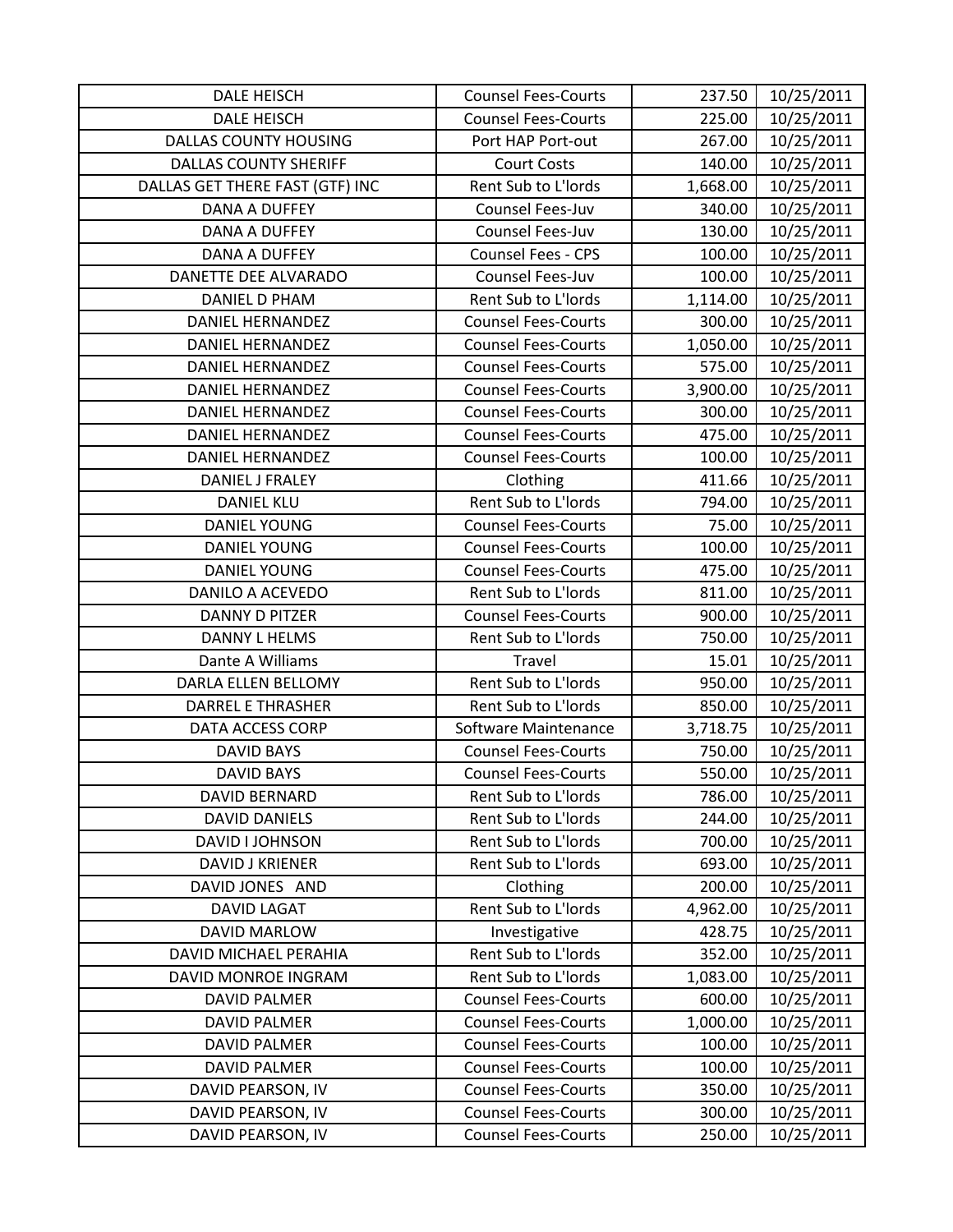| DALE HEISCH                     | <b>Counsel Fees-Courts</b> | 237.50   | 10/25/2011 |
|---------------------------------|----------------------------|----------|------------|
| <b>DALE HEISCH</b>              | <b>Counsel Fees-Courts</b> | 225.00   | 10/25/2011 |
| <b>DALLAS COUNTY HOUSING</b>    | Port HAP Port-out          | 267.00   | 10/25/2011 |
| <b>DALLAS COUNTY SHERIFF</b>    | <b>Court Costs</b>         | 140.00   | 10/25/2011 |
| DALLAS GET THERE FAST (GTF) INC | Rent Sub to L'Iords        | 1,668.00 | 10/25/2011 |
| <b>DANA A DUFFEY</b>            | Counsel Fees-Juv           | 340.00   | 10/25/2011 |
| <b>DANA A DUFFEY</b>            | Counsel Fees-Juv           | 130.00   | 10/25/2011 |
| <b>DANA A DUFFEY</b>            | <b>Counsel Fees - CPS</b>  | 100.00   | 10/25/2011 |
| DANETTE DEE ALVARADO            | Counsel Fees-Juv           | 100.00   | 10/25/2011 |
| <b>DANIEL D PHAM</b>            | Rent Sub to L'Iords        | 1,114.00 | 10/25/2011 |
| <b>DANIEL HERNANDEZ</b>         | <b>Counsel Fees-Courts</b> | 300.00   | 10/25/2011 |
| <b>DANIEL HERNANDEZ</b>         | <b>Counsel Fees-Courts</b> | 1,050.00 | 10/25/2011 |
| <b>DANIEL HERNANDEZ</b>         | <b>Counsel Fees-Courts</b> | 575.00   | 10/25/2011 |
| <b>DANIEL HERNANDEZ</b>         | <b>Counsel Fees-Courts</b> | 3,900.00 | 10/25/2011 |
| <b>DANIEL HERNANDEZ</b>         | <b>Counsel Fees-Courts</b> | 300.00   | 10/25/2011 |
| <b>DANIEL HERNANDEZ</b>         | <b>Counsel Fees-Courts</b> | 475.00   | 10/25/2011 |
| <b>DANIEL HERNANDEZ</b>         | <b>Counsel Fees-Courts</b> | 100.00   | 10/25/2011 |
| <b>DANIEL J FRALEY</b>          | Clothing                   | 411.66   | 10/25/2011 |
| <b>DANIEL KLU</b>               | Rent Sub to L'Iords        | 794.00   | 10/25/2011 |
| <b>DANIEL YOUNG</b>             | <b>Counsel Fees-Courts</b> | 75.00    | 10/25/2011 |
| <b>DANIEL YOUNG</b>             | <b>Counsel Fees-Courts</b> | 100.00   | 10/25/2011 |
| <b>DANIEL YOUNG</b>             | <b>Counsel Fees-Courts</b> | 475.00   | 10/25/2011 |
| DANILO A ACEVEDO                | Rent Sub to L'Iords        | 811.00   | 10/25/2011 |
| <b>DANNY D PITZER</b>           | <b>Counsel Fees-Courts</b> | 900.00   | 10/25/2011 |
| <b>DANNY L HELMS</b>            | Rent Sub to L'Iords        | 750.00   | 10/25/2011 |
| Dante A Williams                | Travel                     | 15.01    | 10/25/2011 |
| DARLA ELLEN BELLOMY             | Rent Sub to L'Iords        | 950.00   | 10/25/2011 |
| <b>DARREL E THRASHER</b>        | Rent Sub to L'Iords        | 850.00   | 10/25/2011 |
| <b>DATA ACCESS CORP</b>         | Software Maintenance       | 3,718.75 | 10/25/2011 |
| <b>DAVID BAYS</b>               | <b>Counsel Fees-Courts</b> | 750.00   | 10/25/2011 |
| <b>DAVID BAYS</b>               | <b>Counsel Fees-Courts</b> | 550.00   | 10/25/2011 |
| DAVID BERNARD                   | Rent Sub to L'Iords        | 786.00   | 10/25/2011 |
| <b>DAVID DANIELS</b>            | Rent Sub to L'Iords        | 244.00   | 10/25/2011 |
| DAVID I JOHNSON                 | Rent Sub to L'Iords        | 700.00   | 10/25/2011 |
| <b>DAVID J KRIENER</b>          | Rent Sub to L'Iords        | 693.00   | 10/25/2011 |
| DAVID JONES AND                 | Clothing                   | 200.00   | 10/25/2011 |
| <b>DAVID LAGAT</b>              | Rent Sub to L'Iords        | 4,962.00 | 10/25/2011 |
| DAVID MARLOW                    | Investigative              | 428.75   | 10/25/2011 |
| DAVID MICHAEL PERAHIA           | Rent Sub to L'Iords        | 352.00   | 10/25/2011 |
| DAVID MONROE INGRAM             | Rent Sub to L'Iords        | 1,083.00 | 10/25/2011 |
| <b>DAVID PALMER</b>             | <b>Counsel Fees-Courts</b> | 600.00   | 10/25/2011 |
| <b>DAVID PALMER</b>             | <b>Counsel Fees-Courts</b> | 1,000.00 | 10/25/2011 |
| <b>DAVID PALMER</b>             | <b>Counsel Fees-Courts</b> | 100.00   | 10/25/2011 |
| DAVID PALMER                    | <b>Counsel Fees-Courts</b> | 100.00   | 10/25/2011 |
| DAVID PEARSON, IV               | <b>Counsel Fees-Courts</b> | 350.00   | 10/25/2011 |
| DAVID PEARSON, IV               | <b>Counsel Fees-Courts</b> | 300.00   | 10/25/2011 |
| DAVID PEARSON, IV               | <b>Counsel Fees-Courts</b> | 250.00   | 10/25/2011 |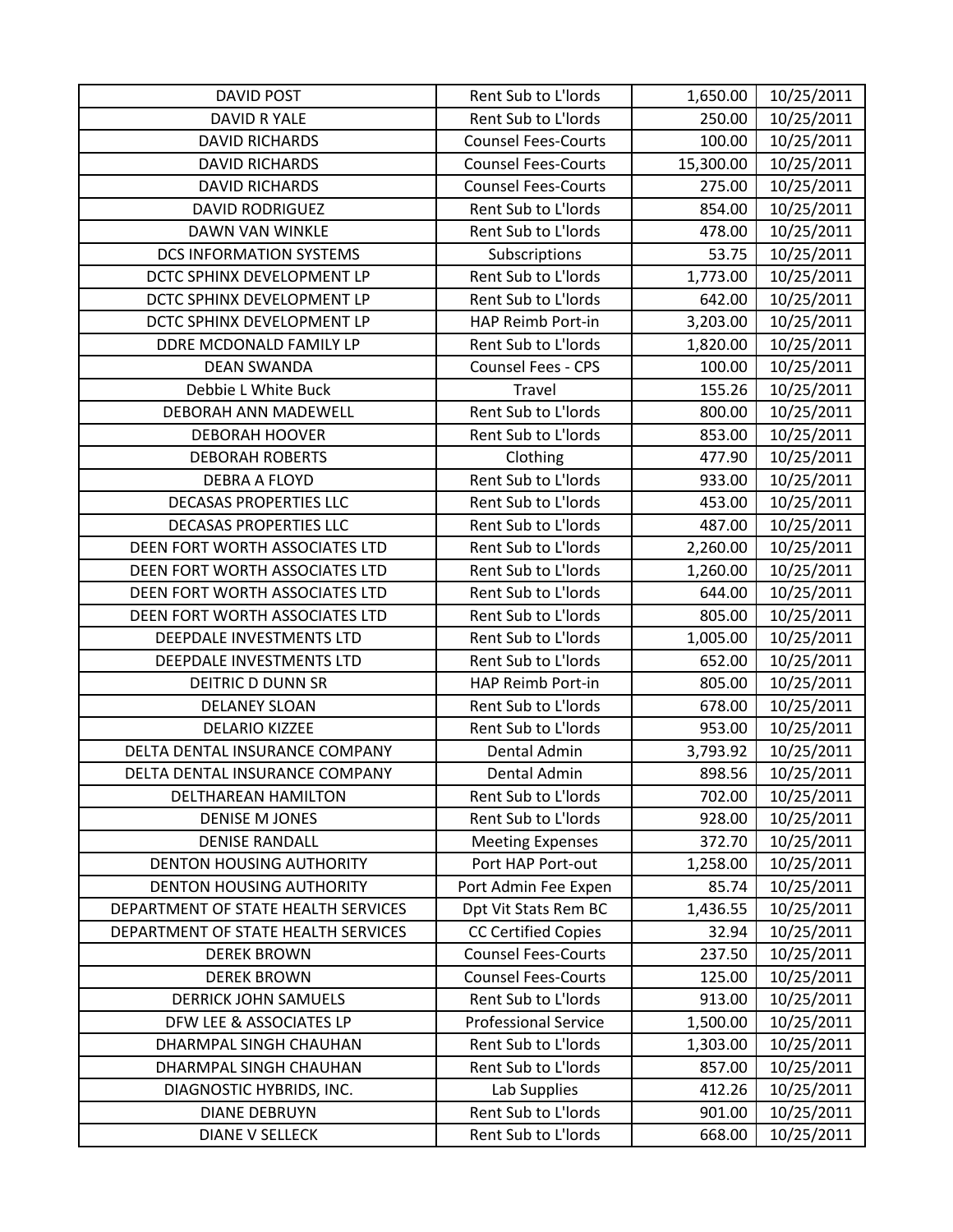| <b>DAVID POST</b>                   | Rent Sub to L'Iords         | 1,650.00  | 10/25/2011 |
|-------------------------------------|-----------------------------|-----------|------------|
| DAVID R YALE                        | Rent Sub to L'Iords         | 250.00    | 10/25/2011 |
| <b>DAVID RICHARDS</b>               | <b>Counsel Fees-Courts</b>  | 100.00    | 10/25/2011 |
| <b>DAVID RICHARDS</b>               | <b>Counsel Fees-Courts</b>  | 15,300.00 | 10/25/2011 |
| <b>DAVID RICHARDS</b>               | <b>Counsel Fees-Courts</b>  | 275.00    | 10/25/2011 |
| <b>DAVID RODRIGUEZ</b>              | Rent Sub to L'Iords         | 854.00    | 10/25/2011 |
| DAWN VAN WINKLE                     | Rent Sub to L'Iords         | 478.00    | 10/25/2011 |
| <b>DCS INFORMATION SYSTEMS</b>      | Subscriptions               | 53.75     | 10/25/2011 |
| DCTC SPHINX DEVELOPMENT LP          | Rent Sub to L'Iords         | 1,773.00  | 10/25/2011 |
| DCTC SPHINX DEVELOPMENT LP          | Rent Sub to L'Iords         | 642.00    | 10/25/2011 |
| DCTC SPHINX DEVELOPMENT LP          | HAP Reimb Port-in           | 3,203.00  | 10/25/2011 |
| DDRE MCDONALD FAMILY LP             | Rent Sub to L'Iords         | 1,820.00  | 10/25/2011 |
| <b>DEAN SWANDA</b>                  | Counsel Fees - CPS          | 100.00    | 10/25/2011 |
| Debbie L White Buck                 | Travel                      | 155.26    | 10/25/2011 |
| DEBORAH ANN MADEWELL                | Rent Sub to L'Iords         | 800.00    | 10/25/2011 |
| <b>DEBORAH HOOVER</b>               | Rent Sub to L'Iords         | 853.00    | 10/25/2011 |
| <b>DEBORAH ROBERTS</b>              | Clothing                    | 477.90    | 10/25/2011 |
| <b>DEBRA A FLOYD</b>                | Rent Sub to L'Iords         | 933.00    | 10/25/2011 |
| <b>DECASAS PROPERTIES LLC</b>       | Rent Sub to L'Iords         | 453.00    | 10/25/2011 |
| <b>DECASAS PROPERTIES LLC</b>       | Rent Sub to L'Iords         | 487.00    | 10/25/2011 |
| DEEN FORT WORTH ASSOCIATES LTD      | Rent Sub to L'Iords         | 2,260.00  | 10/25/2011 |
| DEEN FORT WORTH ASSOCIATES LTD      | Rent Sub to L'Iords         | 1,260.00  | 10/25/2011 |
| DEEN FORT WORTH ASSOCIATES LTD      | Rent Sub to L'Iords         | 644.00    | 10/25/2011 |
| DEEN FORT WORTH ASSOCIATES LTD      | Rent Sub to L'Iords         | 805.00    | 10/25/2011 |
| DEEPDALE INVESTMENTS LTD            | Rent Sub to L'Iords         | 1,005.00  | 10/25/2011 |
| DEEPDALE INVESTMENTS LTD            | Rent Sub to L'Iords         | 652.00    | 10/25/2011 |
| <b>DEITRIC D DUNN SR</b>            | HAP Reimb Port-in           | 805.00    | 10/25/2011 |
| <b>DELANEY SLOAN</b>                | Rent Sub to L'Iords         | 678.00    | 10/25/2011 |
| <b>DELARIO KIZZEE</b>               | Rent Sub to L'Iords         | 953.00    | 10/25/2011 |
| DELTA DENTAL INSURANCE COMPANY      | Dental Admin                | 3,793.92  | 10/25/2011 |
| DELTA DENTAL INSURANCE COMPANY      | Dental Admin                | 898.56    | 10/25/2011 |
| DELTHAREAN HAMILTON                 | Rent Sub to L'Iords         | 702.00    | 10/25/2011 |
| <b>DENISE M JONES</b>               | Rent Sub to L'Iords         | 928.00    | 10/25/2011 |
| <b>DENISE RANDALL</b>               | <b>Meeting Expenses</b>     | 372.70    | 10/25/2011 |
| <b>DENTON HOUSING AUTHORITY</b>     | Port HAP Port-out           | 1,258.00  | 10/25/2011 |
| <b>DENTON HOUSING AUTHORITY</b>     | Port Admin Fee Expen        | 85.74     | 10/25/2011 |
| DEPARTMENT OF STATE HEALTH SERVICES | Dpt Vit Stats Rem BC        | 1,436.55  | 10/25/2011 |
| DEPARTMENT OF STATE HEALTH SERVICES | <b>CC Certified Copies</b>  | 32.94     | 10/25/2011 |
| <b>DEREK BROWN</b>                  | <b>Counsel Fees-Courts</b>  | 237.50    | 10/25/2011 |
| <b>DEREK BROWN</b>                  | <b>Counsel Fees-Courts</b>  | 125.00    | 10/25/2011 |
| <b>DERRICK JOHN SAMUELS</b>         | Rent Sub to L'Iords         | 913.00    | 10/25/2011 |
| DFW LEE & ASSOCIATES LP             | <b>Professional Service</b> | 1,500.00  | 10/25/2011 |
| DHARMPAL SINGH CHAUHAN              | Rent Sub to L'Iords         | 1,303.00  | 10/25/2011 |
| DHARMPAL SINGH CHAUHAN              | Rent Sub to L'Iords         | 857.00    | 10/25/2011 |
| DIAGNOSTIC HYBRIDS, INC.            | Lab Supplies                | 412.26    | 10/25/2011 |
| <b>DIANE DEBRUYN</b>                | Rent Sub to L'Iords         | 901.00    | 10/25/2011 |
| <b>DIANE V SELLECK</b>              | Rent Sub to L'Iords         | 668.00    | 10/25/2011 |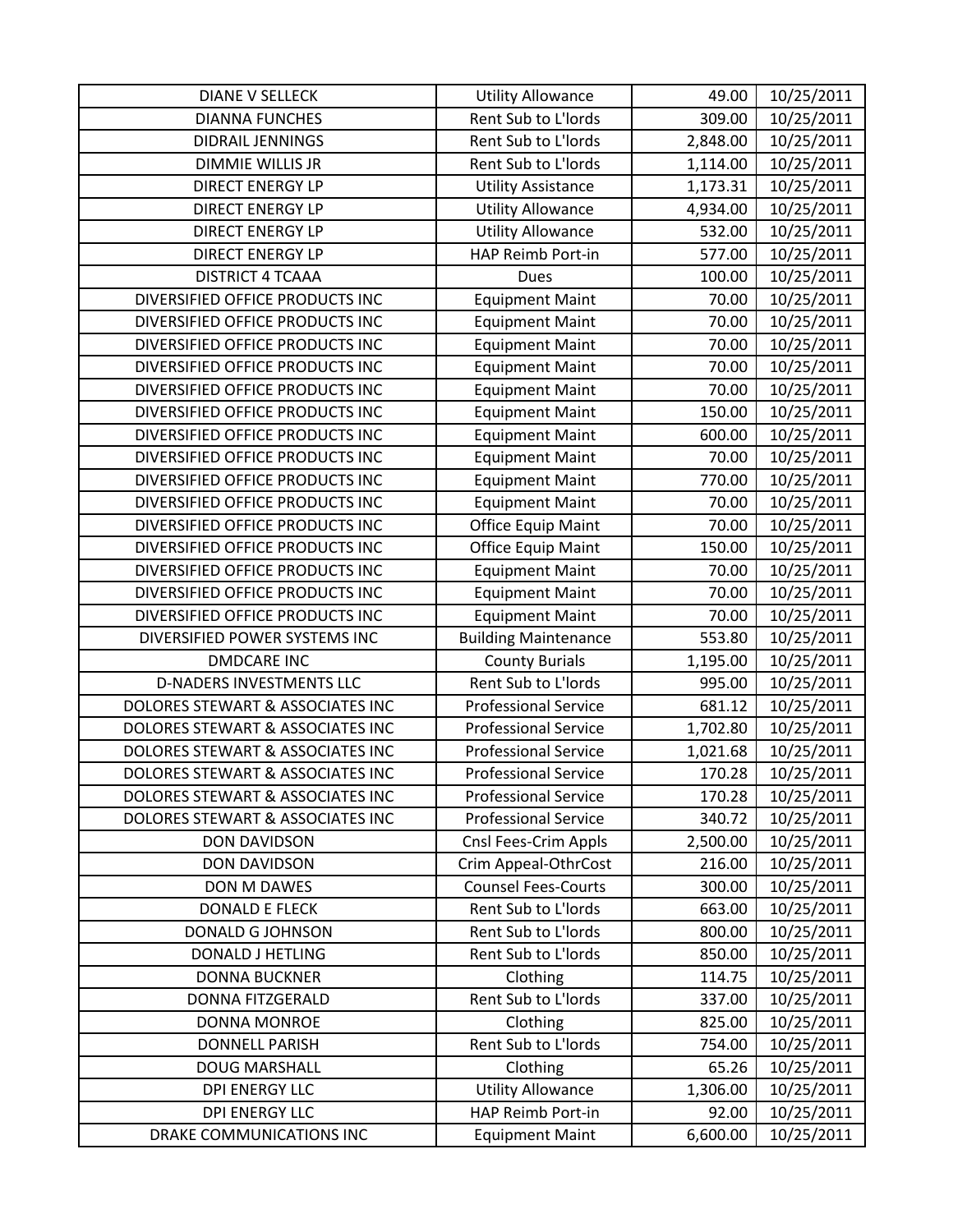| <b>DIANE V SELLECK</b>           | <b>Utility Allowance</b>    | 49.00    | 10/25/2011 |
|----------------------------------|-----------------------------|----------|------------|
| <b>DIANNA FUNCHES</b>            | Rent Sub to L'Iords         | 309.00   | 10/25/2011 |
| <b>DIDRAIL JENNINGS</b>          | Rent Sub to L'Iords         | 2,848.00 | 10/25/2011 |
| <b>DIMMIE WILLIS JR</b>          | Rent Sub to L'Iords         | 1,114.00 | 10/25/2011 |
| <b>DIRECT ENERGY LP</b>          | <b>Utility Assistance</b>   | 1,173.31 | 10/25/2011 |
| <b>DIRECT ENERGY LP</b>          | <b>Utility Allowance</b>    | 4,934.00 | 10/25/2011 |
| <b>DIRECT ENERGY LP</b>          | <b>Utility Allowance</b>    | 532.00   | 10/25/2011 |
| <b>DIRECT ENERGY LP</b>          | HAP Reimb Port-in           | 577.00   | 10/25/2011 |
| <b>DISTRICT 4 TCAAA</b>          | Dues                        | 100.00   | 10/25/2011 |
| DIVERSIFIED OFFICE PRODUCTS INC  | <b>Equipment Maint</b>      | 70.00    | 10/25/2011 |
| DIVERSIFIED OFFICE PRODUCTS INC  | <b>Equipment Maint</b>      | 70.00    | 10/25/2011 |
| DIVERSIFIED OFFICE PRODUCTS INC  | <b>Equipment Maint</b>      | 70.00    | 10/25/2011 |
| DIVERSIFIED OFFICE PRODUCTS INC  | <b>Equipment Maint</b>      | 70.00    | 10/25/2011 |
| DIVERSIFIED OFFICE PRODUCTS INC  | <b>Equipment Maint</b>      | 70.00    | 10/25/2011 |
| DIVERSIFIED OFFICE PRODUCTS INC  | <b>Equipment Maint</b>      | 150.00   | 10/25/2011 |
| DIVERSIFIED OFFICE PRODUCTS INC  | <b>Equipment Maint</b>      | 600.00   | 10/25/2011 |
| DIVERSIFIED OFFICE PRODUCTS INC  | <b>Equipment Maint</b>      | 70.00    | 10/25/2011 |
| DIVERSIFIED OFFICE PRODUCTS INC  | <b>Equipment Maint</b>      | 770.00   | 10/25/2011 |
| DIVERSIFIED OFFICE PRODUCTS INC  | <b>Equipment Maint</b>      | 70.00    | 10/25/2011 |
| DIVERSIFIED OFFICE PRODUCTS INC  | <b>Office Equip Maint</b>   | 70.00    | 10/25/2011 |
| DIVERSIFIED OFFICE PRODUCTS INC  | <b>Office Equip Maint</b>   | 150.00   | 10/25/2011 |
| DIVERSIFIED OFFICE PRODUCTS INC  | <b>Equipment Maint</b>      | 70.00    | 10/25/2011 |
| DIVERSIFIED OFFICE PRODUCTS INC  | <b>Equipment Maint</b>      | 70.00    | 10/25/2011 |
| DIVERSIFIED OFFICE PRODUCTS INC  | <b>Equipment Maint</b>      | 70.00    | 10/25/2011 |
| DIVERSIFIED POWER SYSTEMS INC    | <b>Building Maintenance</b> | 553.80   | 10/25/2011 |
| <b>DMDCARE INC</b>               | <b>County Burials</b>       | 1,195.00 | 10/25/2011 |
| D-NADERS INVESTMENTS LLC         | Rent Sub to L'Iords         | 995.00   | 10/25/2011 |
| DOLORES STEWART & ASSOCIATES INC | <b>Professional Service</b> | 681.12   | 10/25/2011 |
| DOLORES STEWART & ASSOCIATES INC | <b>Professional Service</b> | 1,702.80 | 10/25/2011 |
| DOLORES STEWART & ASSOCIATES INC | <b>Professional Service</b> | 1,021.68 | 10/25/2011 |
| DOLORES STEWART & ASSOCIATES INC | <b>Professional Service</b> | 170.28   | 10/25/2011 |
| DOLORES STEWART & ASSOCIATES INC | <b>Professional Service</b> | 170.28   | 10/25/2011 |
| DOLORES STEWART & ASSOCIATES INC | <b>Professional Service</b> | 340.72   | 10/25/2011 |
| DON DAVIDSON                     | Cnsl Fees-Crim Appls        | 2,500.00 | 10/25/2011 |
| <b>DON DAVIDSON</b>              | Crim Appeal-OthrCost        | 216.00   | 10/25/2011 |
| DON M DAWES                      | <b>Counsel Fees-Courts</b>  | 300.00   | 10/25/2011 |
| <b>DONALD E FLECK</b>            | Rent Sub to L'Iords         | 663.00   | 10/25/2011 |
| DONALD G JOHNSON                 | Rent Sub to L'Iords         | 800.00   | 10/25/2011 |
| <b>DONALD J HETLING</b>          | Rent Sub to L'Iords         | 850.00   | 10/25/2011 |
| <b>DONNA BUCKNER</b>             | Clothing                    | 114.75   | 10/25/2011 |
| DONNA FITZGERALD                 | Rent Sub to L'Iords         | 337.00   | 10/25/2011 |
| <b>DONNA MONROE</b>              | Clothing                    | 825.00   | 10/25/2011 |
| <b>DONNELL PARISH</b>            | Rent Sub to L'Iords         | 754.00   | 10/25/2011 |
| <b>DOUG MARSHALL</b>             | Clothing                    | 65.26    | 10/25/2011 |
| <b>DPI ENERGY LLC</b>            | <b>Utility Allowance</b>    | 1,306.00 | 10/25/2011 |
| <b>DPI ENERGY LLC</b>            | HAP Reimb Port-in           | 92.00    | 10/25/2011 |
| DRAKE COMMUNICATIONS INC         | <b>Equipment Maint</b>      | 6,600.00 | 10/25/2011 |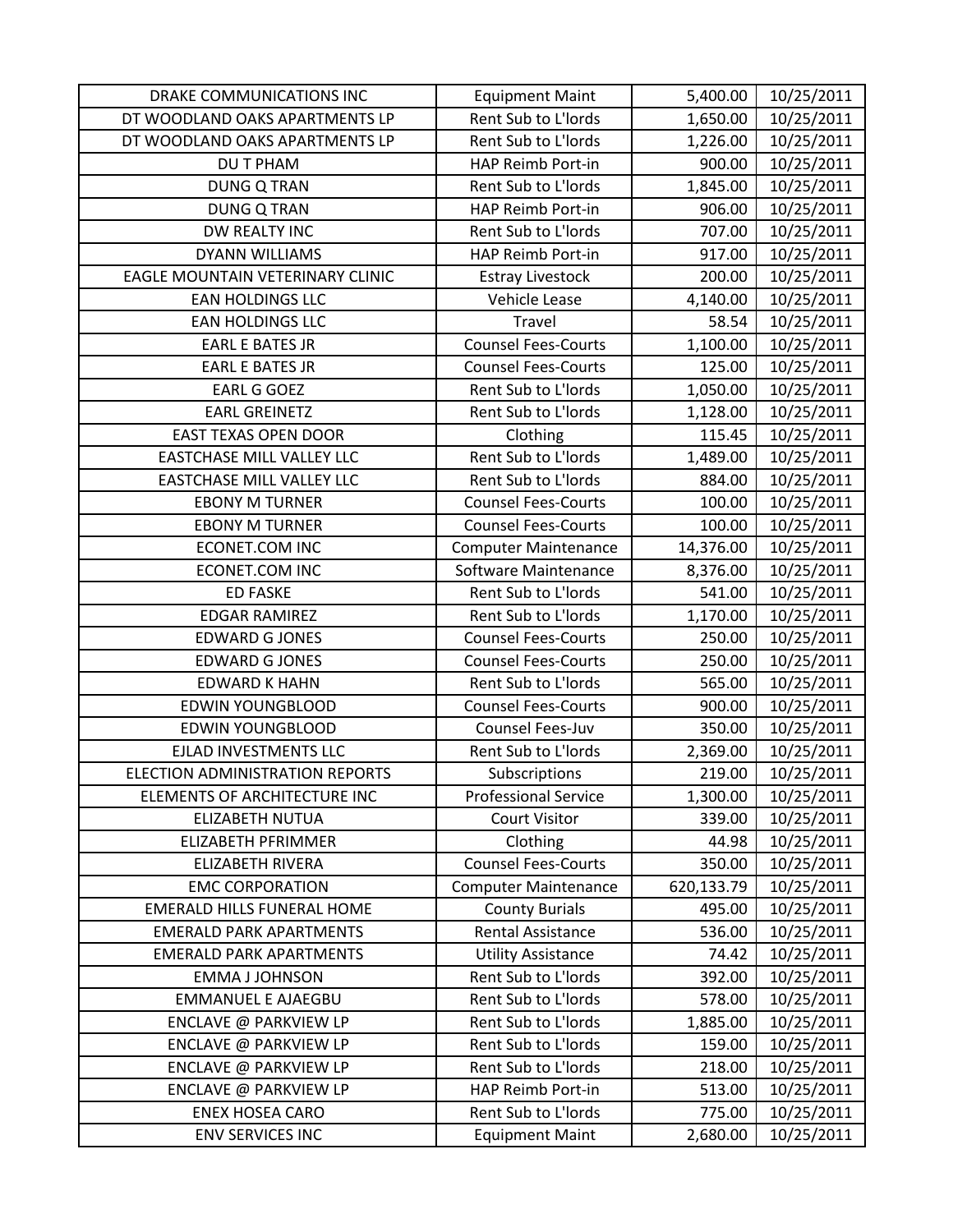| DRAKE COMMUNICATIONS INC          | <b>Equipment Maint</b>      | 5,400.00   | 10/25/2011 |
|-----------------------------------|-----------------------------|------------|------------|
| DT WOODLAND OAKS APARTMENTS LP    | Rent Sub to L'Iords         | 1,650.00   | 10/25/2011 |
| DT WOODLAND OAKS APARTMENTS LP    | Rent Sub to L'Iords         | 1,226.00   | 10/25/2011 |
| <b>DU T PHAM</b>                  | HAP Reimb Port-in           | 900.00     | 10/25/2011 |
| <b>DUNG Q TRAN</b>                | Rent Sub to L'Iords         | 1,845.00   | 10/25/2011 |
| <b>DUNG Q TRAN</b>                | HAP Reimb Port-in           | 906.00     | 10/25/2011 |
| DW REALTY INC                     | Rent Sub to L'Iords         | 707.00     | 10/25/2011 |
| <b>DYANN WILLIAMS</b>             | HAP Reimb Port-in           | 917.00     | 10/25/2011 |
| EAGLE MOUNTAIN VETERINARY CLINIC  | <b>Estray Livestock</b>     | 200.00     | 10/25/2011 |
| <b>EAN HOLDINGS LLC</b>           | Vehicle Lease               | 4,140.00   | 10/25/2011 |
| <b>EAN HOLDINGS LLC</b>           | Travel                      | 58.54      | 10/25/2011 |
| <b>EARL E BATES JR</b>            | <b>Counsel Fees-Courts</b>  | 1,100.00   | 10/25/2011 |
| <b>EARL E BATES JR</b>            | <b>Counsel Fees-Courts</b>  | 125.00     | 10/25/2011 |
| <b>EARL G GOEZ</b>                | Rent Sub to L'Iords         | 1,050.00   | 10/25/2011 |
| <b>EARL GREINETZ</b>              | Rent Sub to L'Iords         | 1,128.00   | 10/25/2011 |
| <b>EAST TEXAS OPEN DOOR</b>       | Clothing                    | 115.45     | 10/25/2011 |
| <b>EASTCHASE MILL VALLEY LLC</b>  | Rent Sub to L'Iords         | 1,489.00   | 10/25/2011 |
| <b>EASTCHASE MILL VALLEY LLC</b>  | Rent Sub to L'Iords         | 884.00     | 10/25/2011 |
| <b>EBONY M TURNER</b>             | <b>Counsel Fees-Courts</b>  | 100.00     | 10/25/2011 |
| <b>EBONY M TURNER</b>             | <b>Counsel Fees-Courts</b>  | 100.00     | 10/25/2011 |
| <b>ECONET.COM INC</b>             | <b>Computer Maintenance</b> | 14,376.00  | 10/25/2011 |
| <b>ECONET.COM INC</b>             | Software Maintenance        | 8,376.00   | 10/25/2011 |
| <b>ED FASKE</b>                   | Rent Sub to L'Iords         | 541.00     | 10/25/2011 |
| <b>EDGAR RAMIREZ</b>              | Rent Sub to L'Iords         | 1,170.00   | 10/25/2011 |
| <b>EDWARD G JONES</b>             | <b>Counsel Fees-Courts</b>  | 250.00     | 10/25/2011 |
| <b>EDWARD G JONES</b>             | <b>Counsel Fees-Courts</b>  | 250.00     | 10/25/2011 |
| <b>EDWARD K HAHN</b>              | Rent Sub to L'Iords         | 565.00     | 10/25/2011 |
| <b>EDWIN YOUNGBLOOD</b>           | <b>Counsel Fees-Courts</b>  | 900.00     | 10/25/2011 |
| <b>EDWIN YOUNGBLOOD</b>           | Counsel Fees-Juv            | 350.00     | 10/25/2011 |
| EJLAD INVESTMENTS LLC             | Rent Sub to L'Iords         | 2,369.00   | 10/25/2011 |
| ELECTION ADMINISTRATION REPORTS   | Subscriptions               | 219.00     | 10/25/2011 |
| ELEMENTS OF ARCHITECTURE INC      | <b>Professional Service</b> | 1,300.00   | 10/25/2011 |
| ELIZABETH NUTUA                   | <b>Court Visitor</b>        | 339.00     | 10/25/2011 |
| <b>ELIZABETH PFRIMMER</b>         | Clothing                    | 44.98      | 10/25/2011 |
| <b>ELIZABETH RIVERA</b>           | <b>Counsel Fees-Courts</b>  | 350.00     | 10/25/2011 |
| <b>EMC CORPORATION</b>            | <b>Computer Maintenance</b> | 620,133.79 | 10/25/2011 |
| <b>EMERALD HILLS FUNERAL HOME</b> | <b>County Burials</b>       | 495.00     | 10/25/2011 |
| <b>EMERALD PARK APARTMENTS</b>    | Rental Assistance           | 536.00     | 10/25/2011 |
| <b>EMERALD PARK APARTMENTS</b>    | <b>Utility Assistance</b>   | 74.42      | 10/25/2011 |
| <b>EMMA J JOHNSON</b>             | Rent Sub to L'Iords         | 392.00     | 10/25/2011 |
| <b>EMMANUEL E AJAEGBU</b>         | Rent Sub to L'Iords         | 578.00     | 10/25/2011 |
| ENCLAVE @ PARKVIEW LP             | Rent Sub to L'Iords         | 1,885.00   | 10/25/2011 |
| ENCLAVE @ PARKVIEW LP             | Rent Sub to L'Iords         | 159.00     | 10/25/2011 |
| ENCLAVE @ PARKVIEW LP             | Rent Sub to L'Iords         | 218.00     | 10/25/2011 |
| ENCLAVE @ PARKVIEW LP             | HAP Reimb Port-in           | 513.00     | 10/25/2011 |
| <b>ENEX HOSEA CARO</b>            | Rent Sub to L'Iords         | 775.00     | 10/25/2011 |
| ENV SERVICES INC                  | <b>Equipment Maint</b>      | 2,680.00   | 10/25/2011 |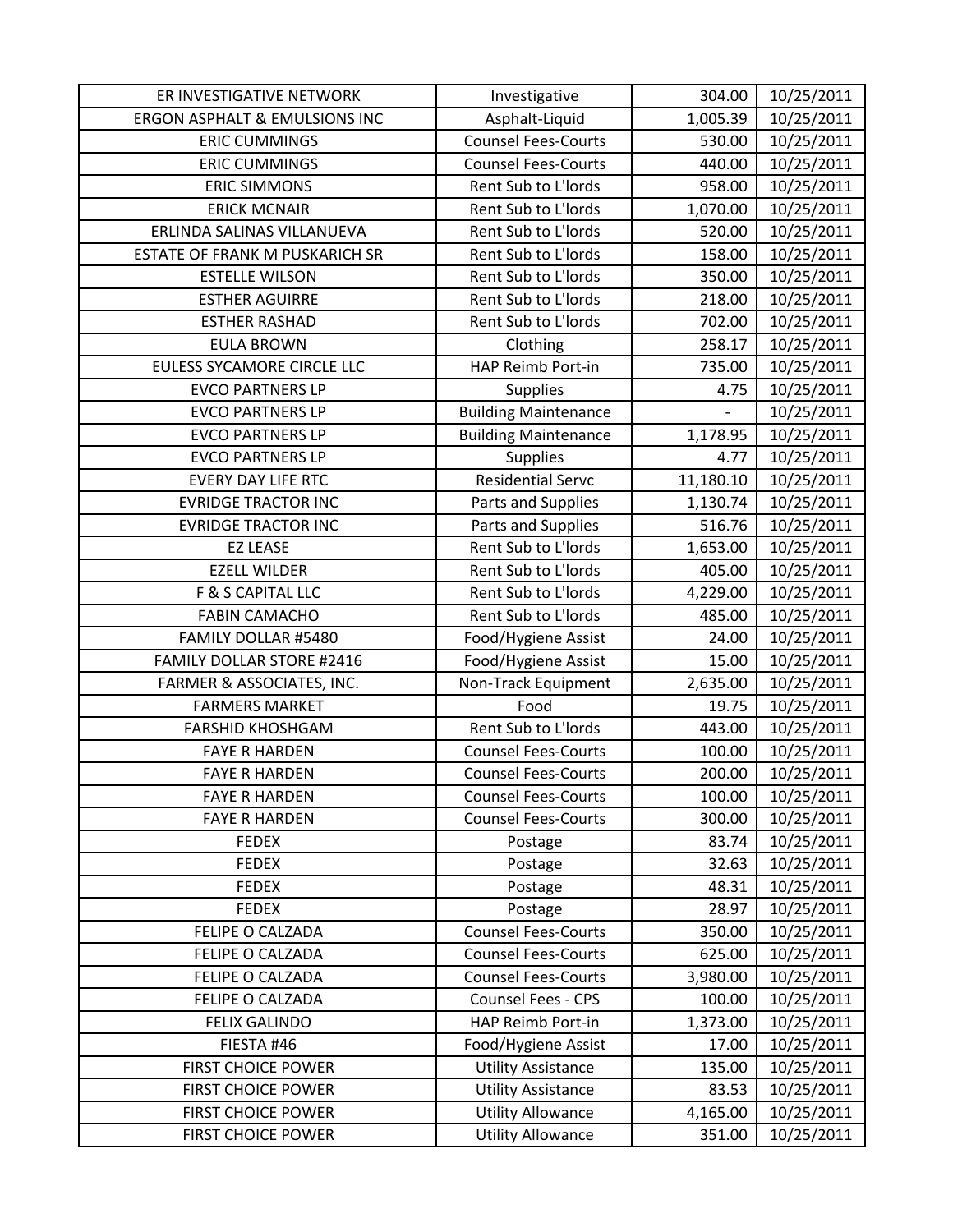| ER INVESTIGATIVE NETWORK                 | Investigative               | 304.00    | 10/25/2011 |
|------------------------------------------|-----------------------------|-----------|------------|
| <b>ERGON ASPHALT &amp; EMULSIONS INC</b> | Asphalt-Liquid              | 1,005.39  | 10/25/2011 |
| <b>ERIC CUMMINGS</b>                     | <b>Counsel Fees-Courts</b>  | 530.00    | 10/25/2011 |
| <b>ERIC CUMMINGS</b>                     | <b>Counsel Fees-Courts</b>  | 440.00    | 10/25/2011 |
| <b>ERIC SIMMONS</b>                      | Rent Sub to L'Iords         | 958.00    | 10/25/2011 |
| <b>ERICK MCNAIR</b>                      | Rent Sub to L'Iords         | 1,070.00  | 10/25/2011 |
| ERLINDA SALINAS VILLANUEVA               | Rent Sub to L'Iords         | 520.00    | 10/25/2011 |
| ESTATE OF FRANK M PUSKARICH SR           | Rent Sub to L'Iords         | 158.00    | 10/25/2011 |
| <b>ESTELLE WILSON</b>                    | Rent Sub to L'Iords         | 350.00    | 10/25/2011 |
| <b>ESTHER AGUIRRE</b>                    | Rent Sub to L'Iords         | 218.00    | 10/25/2011 |
| <b>ESTHER RASHAD</b>                     | Rent Sub to L'Iords         | 702.00    | 10/25/2011 |
| <b>EULA BROWN</b>                        | Clothing                    | 258.17    | 10/25/2011 |
| EULESS SYCAMORE CIRCLE LLC               | HAP Reimb Port-in           | 735.00    | 10/25/2011 |
| <b>EVCO PARTNERS LP</b>                  | <b>Supplies</b>             | 4.75      | 10/25/2011 |
| <b>EVCO PARTNERS LP</b>                  | <b>Building Maintenance</b> |           | 10/25/2011 |
| <b>EVCO PARTNERS LP</b>                  | <b>Building Maintenance</b> | 1,178.95  | 10/25/2011 |
| <b>EVCO PARTNERS LP</b>                  | <b>Supplies</b>             | 4.77      | 10/25/2011 |
| <b>EVERY DAY LIFE RTC</b>                | <b>Residential Servc</b>    | 11,180.10 | 10/25/2011 |
| <b>EVRIDGE TRACTOR INC</b>               | Parts and Supplies          | 1,130.74  | 10/25/2011 |
| <b>EVRIDGE TRACTOR INC</b>               | Parts and Supplies          | 516.76    | 10/25/2011 |
| <b>EZ LEASE</b>                          | Rent Sub to L'Iords         | 1,653.00  | 10/25/2011 |
| <b>EZELL WILDER</b>                      | Rent Sub to L'Iords         | 405.00    | 10/25/2011 |
| F & S CAPITAL LLC                        | Rent Sub to L'Iords         | 4,229.00  | 10/25/2011 |
| <b>FABIN CAMACHO</b>                     | Rent Sub to L'Iords         | 485.00    | 10/25/2011 |
| FAMILY DOLLAR #5480                      | Food/Hygiene Assist         | 24.00     | 10/25/2011 |
| <b>FAMILY DOLLAR STORE #2416</b>         | Food/Hygiene Assist         | 15.00     | 10/25/2011 |
| FARMER & ASSOCIATES, INC.                | Non-Track Equipment         | 2,635.00  | 10/25/2011 |
| <b>FARMERS MARKET</b>                    | Food                        | 19.75     | 10/25/2011 |
| <b>FARSHID KHOSHGAM</b>                  | Rent Sub to L'Iords         | 443.00    | 10/25/2011 |
| <b>FAYE R HARDEN</b>                     | <b>Counsel Fees-Courts</b>  | 100.00    | 10/25/2011 |
| <b>FAYE R HARDEN</b>                     | <b>Counsel Fees-Courts</b>  | 200.00    | 10/25/2011 |
| <b>FAYE R HARDEN</b>                     | <b>Counsel Fees-Courts</b>  | 100.00    | 10/25/2011 |
| <b>FAYE R HARDEN</b>                     | <b>Counsel Fees-Courts</b>  | 300.00    | 10/25/2011 |
| <b>FEDEX</b>                             | Postage                     | 83.74     | 10/25/2011 |
| <b>FEDEX</b>                             | Postage                     | 32.63     | 10/25/2011 |
| <b>FEDEX</b>                             | Postage                     | 48.31     | 10/25/2011 |
| <b>FEDEX</b>                             | Postage                     | 28.97     | 10/25/2011 |
| FELIPE O CALZADA                         | <b>Counsel Fees-Courts</b>  | 350.00    | 10/25/2011 |
| FELIPE O CALZADA                         | <b>Counsel Fees-Courts</b>  | 625.00    | 10/25/2011 |
| FELIPE O CALZADA                         | <b>Counsel Fees-Courts</b>  | 3,980.00  | 10/25/2011 |
| FELIPE O CALZADA                         | Counsel Fees - CPS          | 100.00    | 10/25/2011 |
| <b>FELIX GALINDO</b>                     | HAP Reimb Port-in           | 1,373.00  | 10/25/2011 |
| FIESTA #46                               | Food/Hygiene Assist         | 17.00     | 10/25/2011 |
| <b>FIRST CHOICE POWER</b>                | <b>Utility Assistance</b>   | 135.00    | 10/25/2011 |
| <b>FIRST CHOICE POWER</b>                | <b>Utility Assistance</b>   | 83.53     | 10/25/2011 |
| <b>FIRST CHOICE POWER</b>                | <b>Utility Allowance</b>    | 4,165.00  | 10/25/2011 |
| <b>FIRST CHOICE POWER</b>                | <b>Utility Allowance</b>    | 351.00    | 10/25/2011 |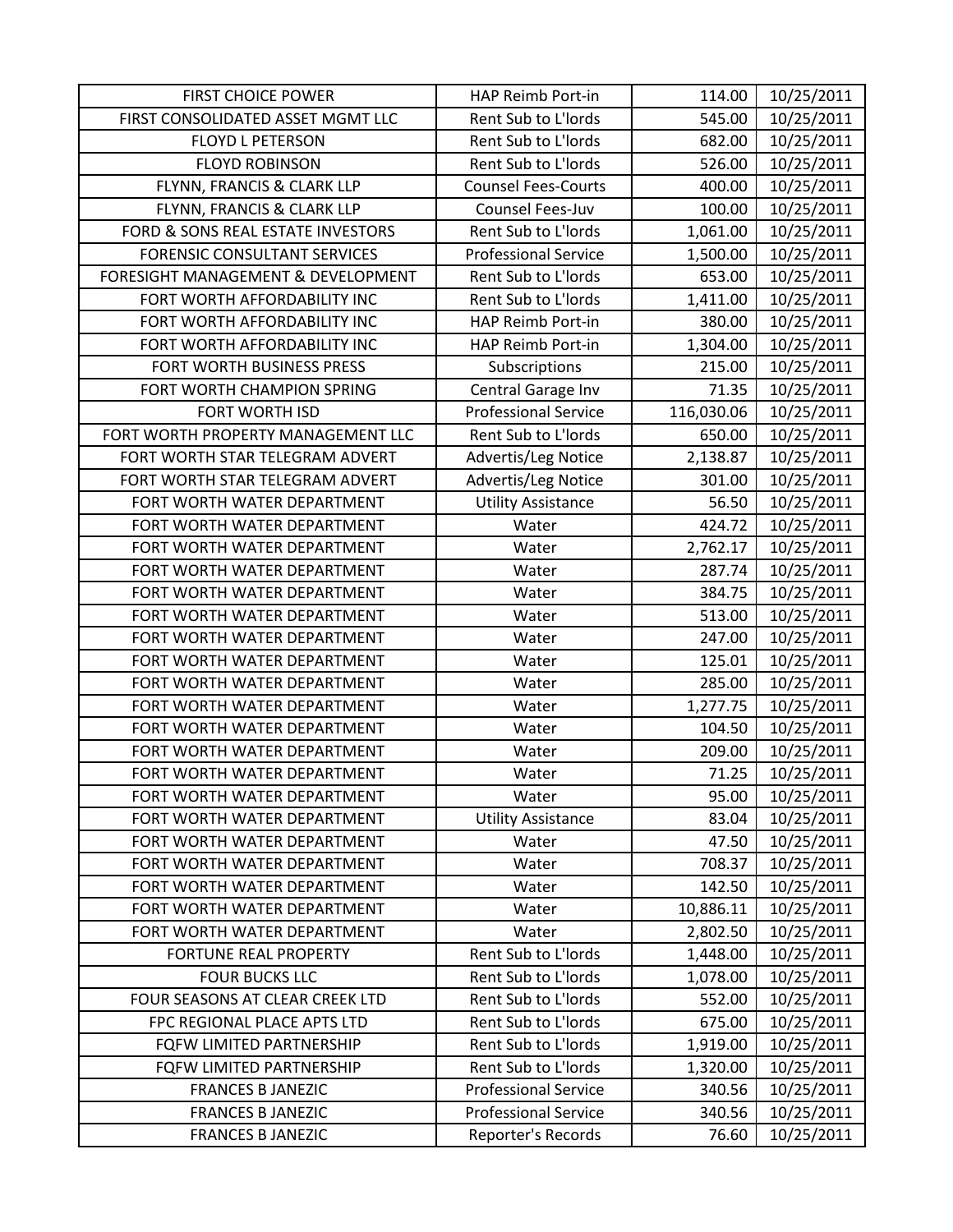| <b>FIRST CHOICE POWER</b>           | HAP Reimb Port-in           | 114.00     | 10/25/2011 |
|-------------------------------------|-----------------------------|------------|------------|
| FIRST CONSOLIDATED ASSET MGMT LLC   | Rent Sub to L'Iords         | 545.00     | 10/25/2011 |
| <b>FLOYD L PETERSON</b>             | Rent Sub to L'Iords         | 682.00     | 10/25/2011 |
| <b>FLOYD ROBINSON</b>               | Rent Sub to L'Iords         | 526.00     | 10/25/2011 |
| FLYNN, FRANCIS & CLARK LLP          | <b>Counsel Fees-Courts</b>  | 400.00     | 10/25/2011 |
| FLYNN, FRANCIS & CLARK LLP          | Counsel Fees-Juv            | 100.00     | 10/25/2011 |
| FORD & SONS REAL ESTATE INVESTORS   | Rent Sub to L'Iords         | 1,061.00   | 10/25/2011 |
| <b>FORENSIC CONSULTANT SERVICES</b> | <b>Professional Service</b> | 1,500.00   | 10/25/2011 |
| FORESIGHT MANAGEMENT & DEVELOPMENT  | Rent Sub to L'Iords         | 653.00     | 10/25/2011 |
| FORT WORTH AFFORDABILITY INC        | Rent Sub to L'Iords         | 1,411.00   | 10/25/2011 |
| FORT WORTH AFFORDABILITY INC        | HAP Reimb Port-in           | 380.00     | 10/25/2011 |
| FORT WORTH AFFORDABILITY INC        | HAP Reimb Port-in           | 1,304.00   | 10/25/2011 |
| FORT WORTH BUSINESS PRESS           | Subscriptions               | 215.00     | 10/25/2011 |
| FORT WORTH CHAMPION SPRING          | Central Garage Inv          | 71.35      | 10/25/2011 |
| <b>FORT WORTH ISD</b>               | <b>Professional Service</b> | 116,030.06 | 10/25/2011 |
| FORT WORTH PROPERTY MANAGEMENT LLC  | Rent Sub to L'Iords         | 650.00     | 10/25/2011 |
| FORT WORTH STAR TELEGRAM ADVERT     | Advertis/Leg Notice         | 2,138.87   | 10/25/2011 |
| FORT WORTH STAR TELEGRAM ADVERT     | Advertis/Leg Notice         | 301.00     | 10/25/2011 |
| FORT WORTH WATER DEPARTMENT         | <b>Utility Assistance</b>   | 56.50      | 10/25/2011 |
| FORT WORTH WATER DEPARTMENT         | Water                       | 424.72     | 10/25/2011 |
| FORT WORTH WATER DEPARTMENT         | Water                       | 2,762.17   | 10/25/2011 |
| FORT WORTH WATER DEPARTMENT         | Water                       | 287.74     | 10/25/2011 |
| FORT WORTH WATER DEPARTMENT         | Water                       | 384.75     | 10/25/2011 |
| FORT WORTH WATER DEPARTMENT         | Water                       | 513.00     | 10/25/2011 |
| FORT WORTH WATER DEPARTMENT         | Water                       | 247.00     | 10/25/2011 |
| FORT WORTH WATER DEPARTMENT         | Water                       | 125.01     | 10/25/2011 |
| FORT WORTH WATER DEPARTMENT         | Water                       | 285.00     | 10/25/2011 |
| FORT WORTH WATER DEPARTMENT         | Water                       | 1,277.75   | 10/25/2011 |
| FORT WORTH WATER DEPARTMENT         | Water                       | 104.50     | 10/25/2011 |
| FORT WORTH WATER DEPARTMENT         | Water                       | 209.00     | 10/25/2011 |
| FORT WORTH WATER DEPARTMENT         | Water                       | 71.25      | 10/25/2011 |
| FORT WORTH WATER DEPARTMENT         | Water                       | 95.00      | 10/25/2011 |
| FORT WORTH WATER DEPARTMENT         | <b>Utility Assistance</b>   | 83.04      | 10/25/2011 |
| FORT WORTH WATER DEPARTMENT         | Water                       | 47.50      | 10/25/2011 |
| FORT WORTH WATER DEPARTMENT         | Water                       | 708.37     | 10/25/2011 |
| FORT WORTH WATER DEPARTMENT         | Water                       | 142.50     | 10/25/2011 |
| FORT WORTH WATER DEPARTMENT         | Water                       | 10,886.11  | 10/25/2011 |
| FORT WORTH WATER DEPARTMENT         | Water                       | 2,802.50   | 10/25/2011 |
| <b>FORTUNE REAL PROPERTY</b>        | Rent Sub to L'Iords         | 1,448.00   | 10/25/2011 |
| <b>FOUR BUCKS LLC</b>               | Rent Sub to L'Iords         | 1,078.00   | 10/25/2011 |
| FOUR SEASONS AT CLEAR CREEK LTD     | Rent Sub to L'Iords         | 552.00     | 10/25/2011 |
| FPC REGIONAL PLACE APTS LTD         | Rent Sub to L'Iords         | 675.00     | 10/25/2011 |
| FQFW LIMITED PARTNERSHIP            | Rent Sub to L'Iords         | 1,919.00   | 10/25/2011 |
| FQFW LIMITED PARTNERSHIP            | Rent Sub to L'Iords         | 1,320.00   | 10/25/2011 |
| <b>FRANCES B JANEZIC</b>            | <b>Professional Service</b> | 340.56     | 10/25/2011 |
| <b>FRANCES B JANEZIC</b>            | <b>Professional Service</b> | 340.56     | 10/25/2011 |
| <b>FRANCES B JANEZIC</b>            | Reporter's Records          | 76.60      | 10/25/2011 |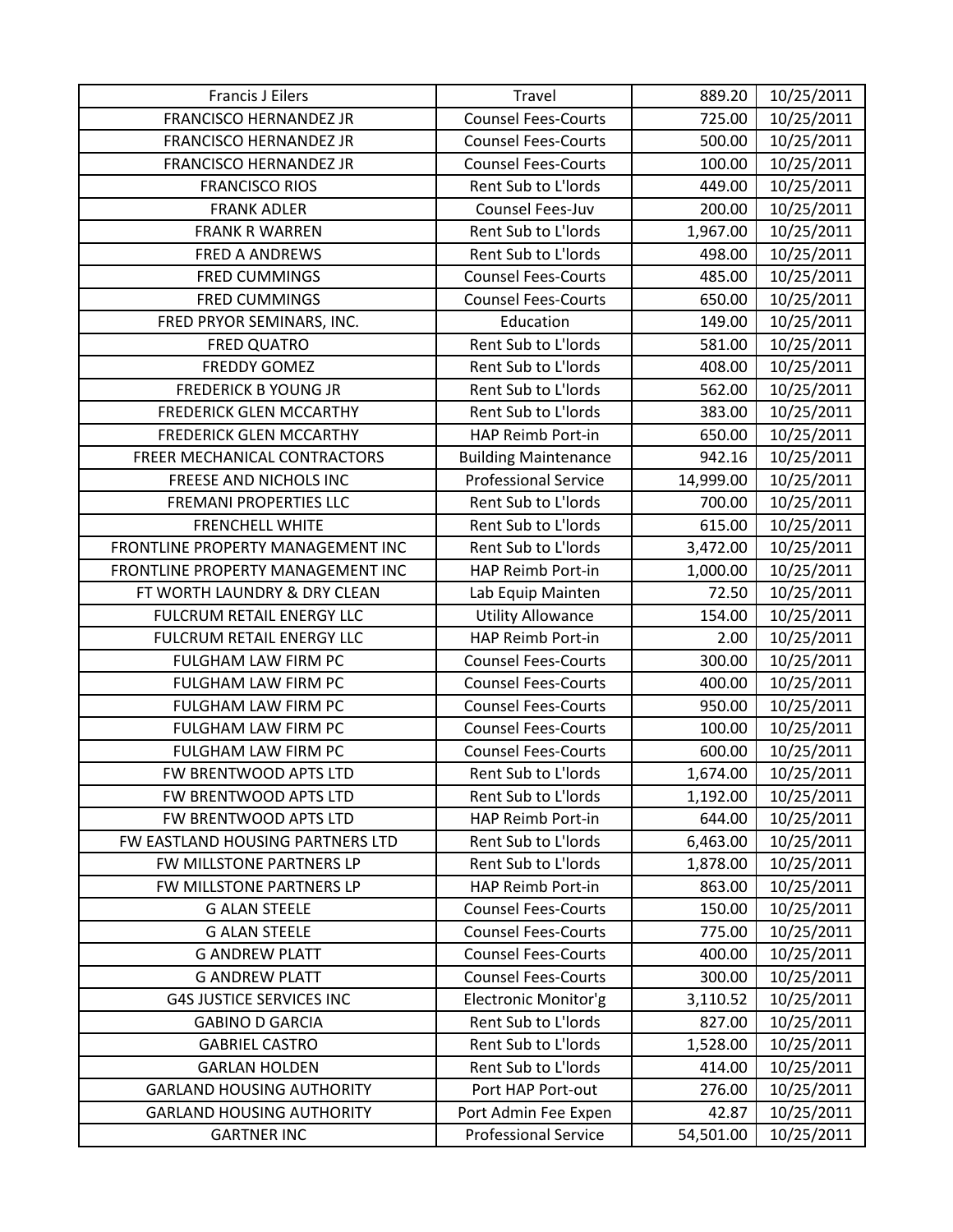| <b>Francis J Eilers</b>           | Travel                      | 889.20    | 10/25/2011 |
|-----------------------------------|-----------------------------|-----------|------------|
| <b>FRANCISCO HERNANDEZ JR</b>     | <b>Counsel Fees-Courts</b>  | 725.00    | 10/25/2011 |
| FRANCISCO HERNANDEZ JR            | <b>Counsel Fees-Courts</b>  | 500.00    | 10/25/2011 |
| <b>FRANCISCO HERNANDEZ JR</b>     | <b>Counsel Fees-Courts</b>  | 100.00    | 10/25/2011 |
| <b>FRANCISCO RIOS</b>             | Rent Sub to L'Iords         | 449.00    | 10/25/2011 |
| <b>FRANK ADLER</b>                | Counsel Fees-Juv            | 200.00    | 10/25/2011 |
| <b>FRANK R WARREN</b>             | Rent Sub to L'Iords         | 1,967.00  | 10/25/2011 |
| FRED A ANDREWS                    | Rent Sub to L'Iords         | 498.00    | 10/25/2011 |
| <b>FRED CUMMINGS</b>              | <b>Counsel Fees-Courts</b>  | 485.00    | 10/25/2011 |
| <b>FRED CUMMINGS</b>              | <b>Counsel Fees-Courts</b>  | 650.00    | 10/25/2011 |
| FRED PRYOR SEMINARS, INC.         | Education                   | 149.00    | 10/25/2011 |
| <b>FRED QUATRO</b>                | Rent Sub to L'Iords         | 581.00    | 10/25/2011 |
| <b>FREDDY GOMEZ</b>               | Rent Sub to L'Iords         | 408.00    | 10/25/2011 |
| <b>FREDERICK B YOUNG JR</b>       | Rent Sub to L'Iords         | 562.00    | 10/25/2011 |
| <b>FREDERICK GLEN MCCARTHY</b>    | Rent Sub to L'Iords         | 383.00    | 10/25/2011 |
| FREDERICK GLEN MCCARTHY           | HAP Reimb Port-in           | 650.00    | 10/25/2011 |
| FREER MECHANICAL CONTRACTORS      | <b>Building Maintenance</b> | 942.16    | 10/25/2011 |
| FREESE AND NICHOLS INC            | <b>Professional Service</b> | 14,999.00 | 10/25/2011 |
| <b>FREMANI PROPERTIES LLC</b>     | Rent Sub to L'Iords         | 700.00    | 10/25/2011 |
| <b>FRENCHELL WHITE</b>            | Rent Sub to L'Iords         | 615.00    | 10/25/2011 |
| FRONTLINE PROPERTY MANAGEMENT INC | Rent Sub to L'Iords         | 3,472.00  | 10/25/2011 |
| FRONTLINE PROPERTY MANAGEMENT INC | HAP Reimb Port-in           | 1,000.00  | 10/25/2011 |
| FT WORTH LAUNDRY & DRY CLEAN      | Lab Equip Mainten           | 72.50     | 10/25/2011 |
| FULCRUM RETAIL ENERGY LLC         | <b>Utility Allowance</b>    | 154.00    | 10/25/2011 |
| FULCRUM RETAIL ENERGY LLC         | HAP Reimb Port-in           | 2.00      | 10/25/2011 |
| FULGHAM LAW FIRM PC               | <b>Counsel Fees-Courts</b>  | 300.00    | 10/25/2011 |
| FULGHAM LAW FIRM PC               | <b>Counsel Fees-Courts</b>  | 400.00    | 10/25/2011 |
| FULGHAM LAW FIRM PC               | <b>Counsel Fees-Courts</b>  | 950.00    | 10/25/2011 |
| FULGHAM LAW FIRM PC               | <b>Counsel Fees-Courts</b>  | 100.00    | 10/25/2011 |
| FULGHAM LAW FIRM PC               | <b>Counsel Fees-Courts</b>  | 600.00    | 10/25/2011 |
| FW BRENTWOOD APTS LTD             | Rent Sub to L'Iords         | 1,674.00  | 10/25/2011 |
| FW BRENTWOOD APTS LTD             | Rent Sub to L'Iords         | 1,192.00  | 10/25/2011 |
| FW BRENTWOOD APTS LTD             | HAP Reimb Port-in           | 644.00    | 10/25/2011 |
| FW EASTLAND HOUSING PARTNERS LTD  | Rent Sub to L'Iords         | 6,463.00  | 10/25/2011 |
| FW MILLSTONE PARTNERS LP          | Rent Sub to L'Iords         | 1,878.00  | 10/25/2011 |
| FW MILLSTONE PARTNERS LP          | HAP Reimb Port-in           | 863.00    | 10/25/2011 |
| <b>G ALAN STEELE</b>              | <b>Counsel Fees-Courts</b>  | 150.00    | 10/25/2011 |
| <b>G ALAN STEELE</b>              | <b>Counsel Fees-Courts</b>  | 775.00    | 10/25/2011 |
| <b>G ANDREW PLATT</b>             | <b>Counsel Fees-Courts</b>  | 400.00    | 10/25/2011 |
| <b>G ANDREW PLATT</b>             | <b>Counsel Fees-Courts</b>  | 300.00    | 10/25/2011 |
| <b>G4S JUSTICE SERVICES INC</b>   | Electronic Monitor'g        | 3,110.52  | 10/25/2011 |
| <b>GABINO D GARCIA</b>            | Rent Sub to L'Iords         | 827.00    | 10/25/2011 |
| <b>GABRIEL CASTRO</b>             | Rent Sub to L'Iords         | 1,528.00  | 10/25/2011 |
| <b>GARLAN HOLDEN</b>              | Rent Sub to L'Iords         | 414.00    | 10/25/2011 |
| <b>GARLAND HOUSING AUTHORITY</b>  | Port HAP Port-out           | 276.00    | 10/25/2011 |
| <b>GARLAND HOUSING AUTHORITY</b>  | Port Admin Fee Expen        | 42.87     | 10/25/2011 |
| <b>GARTNER INC</b>                | <b>Professional Service</b> | 54,501.00 | 10/25/2011 |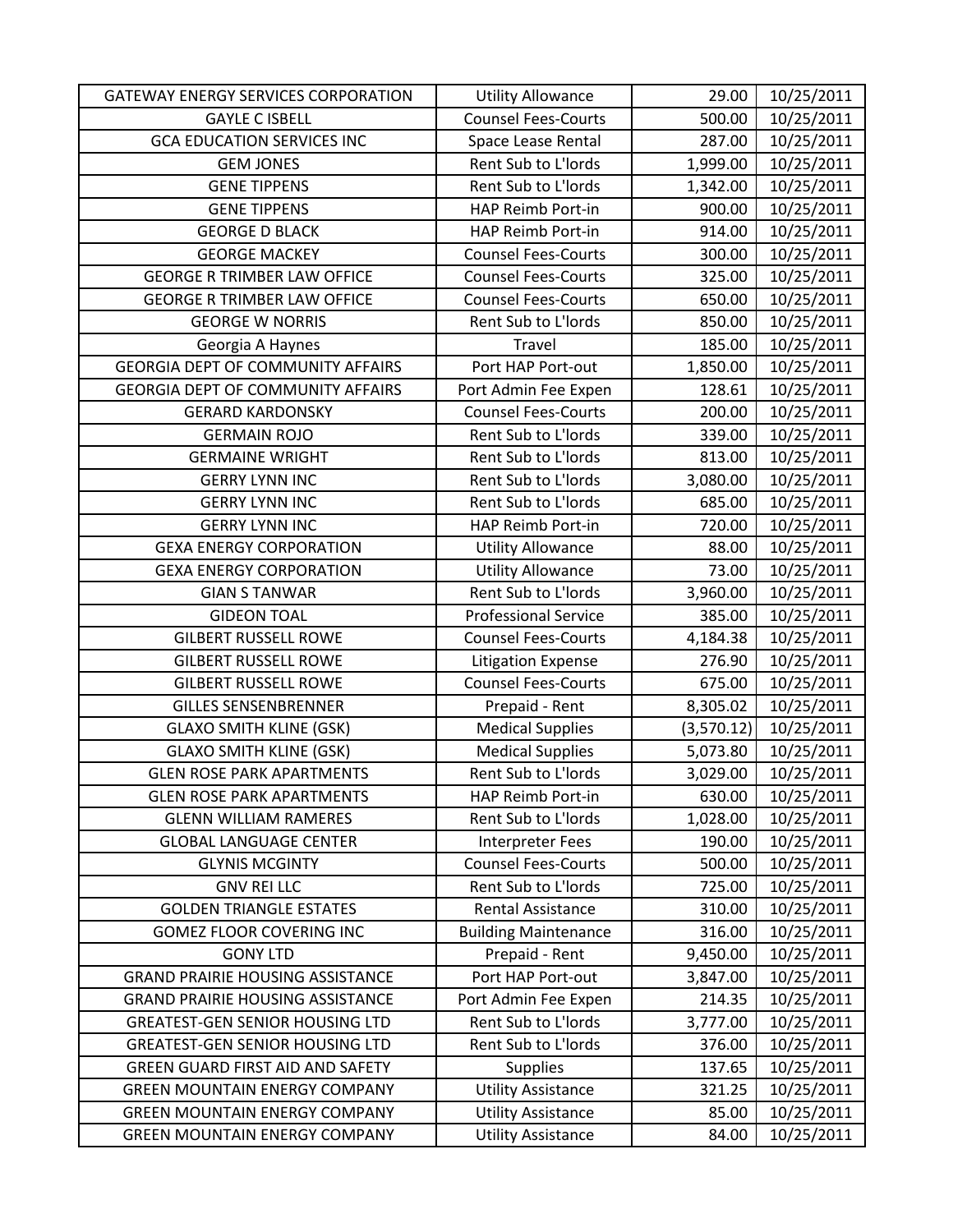| <b>GATEWAY ENERGY SERVICES CORPORATION</b> | <b>Utility Allowance</b>    | 29.00      | 10/25/2011 |
|--------------------------------------------|-----------------------------|------------|------------|
| <b>GAYLE C ISBELL</b>                      | <b>Counsel Fees-Courts</b>  | 500.00     | 10/25/2011 |
| <b>GCA EDUCATION SERVICES INC</b>          | Space Lease Rental          | 287.00     | 10/25/2011 |
| <b>GEM JONES</b>                           | Rent Sub to L'Iords         | 1,999.00   | 10/25/2011 |
| <b>GENE TIPPENS</b>                        | Rent Sub to L'Iords         | 1,342.00   | 10/25/2011 |
| <b>GENE TIPPENS</b>                        | HAP Reimb Port-in           | 900.00     | 10/25/2011 |
| <b>GEORGE D BLACK</b>                      | HAP Reimb Port-in           | 914.00     | 10/25/2011 |
| <b>GEORGE MACKEY</b>                       | <b>Counsel Fees-Courts</b>  | 300.00     | 10/25/2011 |
| <b>GEORGE R TRIMBER LAW OFFICE</b>         | <b>Counsel Fees-Courts</b>  | 325.00     | 10/25/2011 |
| <b>GEORGE R TRIMBER LAW OFFICE</b>         | <b>Counsel Fees-Courts</b>  | 650.00     | 10/25/2011 |
| <b>GEORGE W NORRIS</b>                     | Rent Sub to L'Iords         | 850.00     | 10/25/2011 |
| Georgia A Haynes                           | Travel                      | 185.00     | 10/25/2011 |
| <b>GEORGIA DEPT OF COMMUNITY AFFAIRS</b>   | Port HAP Port-out           | 1,850.00   | 10/25/2011 |
| <b>GEORGIA DEPT OF COMMUNITY AFFAIRS</b>   | Port Admin Fee Expen        | 128.61     | 10/25/2011 |
| <b>GERARD KARDONSKY</b>                    | <b>Counsel Fees-Courts</b>  | 200.00     | 10/25/2011 |
| <b>GERMAIN ROJO</b>                        | Rent Sub to L'Iords         | 339.00     | 10/25/2011 |
| <b>GERMAINE WRIGHT</b>                     | Rent Sub to L'Iords         | 813.00     | 10/25/2011 |
| <b>GERRY LYNN INC</b>                      | Rent Sub to L'Iords         | 3,080.00   | 10/25/2011 |
| <b>GERRY LYNN INC</b>                      | Rent Sub to L'Iords         | 685.00     | 10/25/2011 |
| <b>GERRY LYNN INC</b>                      | HAP Reimb Port-in           | 720.00     | 10/25/2011 |
| <b>GEXA ENERGY CORPORATION</b>             | <b>Utility Allowance</b>    | 88.00      | 10/25/2011 |
| <b>GEXA ENERGY CORPORATION</b>             | <b>Utility Allowance</b>    | 73.00      | 10/25/2011 |
| <b>GIAN S TANWAR</b>                       | Rent Sub to L'Iords         | 3,960.00   | 10/25/2011 |
| <b>GIDEON TOAL</b>                         | <b>Professional Service</b> | 385.00     | 10/25/2011 |
| <b>GILBERT RUSSELL ROWE</b>                | <b>Counsel Fees-Courts</b>  | 4,184.38   | 10/25/2011 |
| <b>GILBERT RUSSELL ROWE</b>                | <b>Litigation Expense</b>   | 276.90     | 10/25/2011 |
| <b>GILBERT RUSSELL ROWE</b>                | <b>Counsel Fees-Courts</b>  | 675.00     | 10/25/2011 |
| <b>GILLES SENSENBRENNER</b>                | Prepaid - Rent              | 8,305.02   | 10/25/2011 |
| <b>GLAXO SMITH KLINE (GSK)</b>             | <b>Medical Supplies</b>     | (3,570.12) | 10/25/2011 |
| <b>GLAXO SMITH KLINE (GSK)</b>             | <b>Medical Supplies</b>     | 5,073.80   | 10/25/2011 |
| <b>GLEN ROSE PARK APARTMENTS</b>           | Rent Sub to L'Iords         | 3,029.00   | 10/25/2011 |
| <b>GLEN ROSE PARK APARTMENTS</b>           | HAP Reimb Port-in           | 630.00     | 10/25/2011 |
| <b>GLENN WILLIAM RAMERES</b>               | Rent Sub to L'Iords         | 1,028.00   | 10/25/2011 |
| <b>GLOBAL LANGUAGE CENTER</b>              | Interpreter Fees            | 190.00     | 10/25/2011 |
| <b>GLYNIS MCGINTY</b>                      | <b>Counsel Fees-Courts</b>  | 500.00     | 10/25/2011 |
| <b>GNV REI LLC</b>                         | Rent Sub to L'Iords         | 725.00     | 10/25/2011 |
| <b>GOLDEN TRIANGLE ESTATES</b>             | Rental Assistance           | 310.00     | 10/25/2011 |
| <b>GOMEZ FLOOR COVERING INC</b>            | <b>Building Maintenance</b> | 316.00     | 10/25/2011 |
| <b>GONY LTD</b>                            | Prepaid - Rent              | 9,450.00   | 10/25/2011 |
| <b>GRAND PRAIRIE HOUSING ASSISTANCE</b>    | Port HAP Port-out           | 3,847.00   | 10/25/2011 |
| <b>GRAND PRAIRIE HOUSING ASSISTANCE</b>    | Port Admin Fee Expen        | 214.35     | 10/25/2011 |
| <b>GREATEST-GEN SENIOR HOUSING LTD</b>     | Rent Sub to L'Iords         | 3,777.00   | 10/25/2011 |
| <b>GREATEST-GEN SENIOR HOUSING LTD</b>     | Rent Sub to L'Iords         | 376.00     | 10/25/2011 |
| GREEN GUARD FIRST AID AND SAFETY           | <b>Supplies</b>             | 137.65     | 10/25/2011 |
| <b>GREEN MOUNTAIN ENERGY COMPANY</b>       | <b>Utility Assistance</b>   | 321.25     | 10/25/2011 |
| <b>GREEN MOUNTAIN ENERGY COMPANY</b>       | <b>Utility Assistance</b>   | 85.00      | 10/25/2011 |
| <b>GREEN MOUNTAIN ENERGY COMPANY</b>       | <b>Utility Assistance</b>   | 84.00      | 10/25/2011 |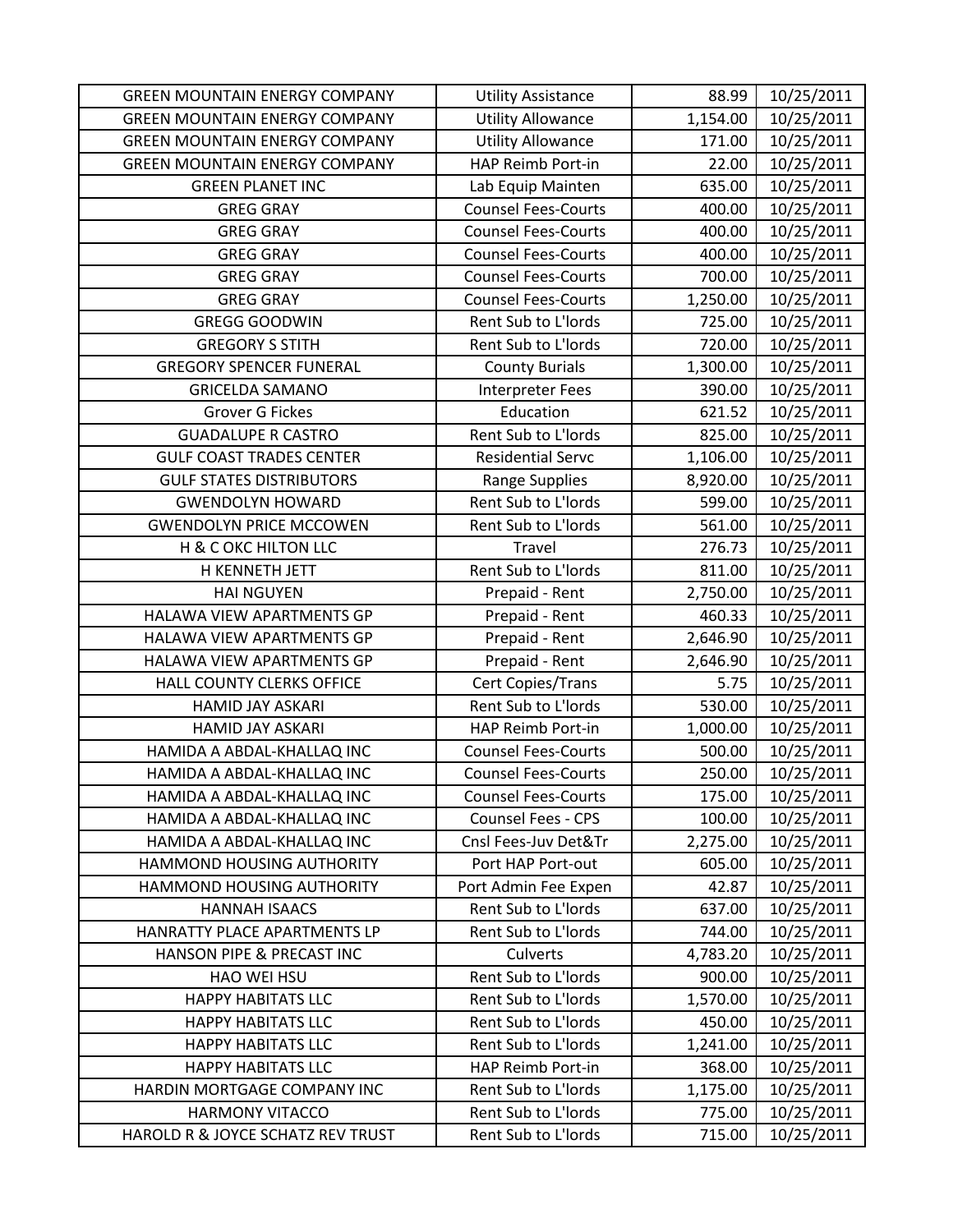| <b>GREEN MOUNTAIN ENERGY COMPANY</b> | <b>Utility Assistance</b>  | 88.99    | 10/25/2011 |
|--------------------------------------|----------------------------|----------|------------|
| <b>GREEN MOUNTAIN ENERGY COMPANY</b> | <b>Utility Allowance</b>   | 1,154.00 | 10/25/2011 |
| <b>GREEN MOUNTAIN ENERGY COMPANY</b> | <b>Utility Allowance</b>   | 171.00   | 10/25/2011 |
| <b>GREEN MOUNTAIN ENERGY COMPANY</b> | HAP Reimb Port-in          | 22.00    | 10/25/2011 |
| <b>GREEN PLANET INC</b>              | Lab Equip Mainten          | 635.00   | 10/25/2011 |
| <b>GREG GRAY</b>                     | <b>Counsel Fees-Courts</b> | 400.00   | 10/25/2011 |
| <b>GREG GRAY</b>                     | <b>Counsel Fees-Courts</b> | 400.00   | 10/25/2011 |
| <b>GREG GRAY</b>                     | <b>Counsel Fees-Courts</b> | 400.00   | 10/25/2011 |
| <b>GREG GRAY</b>                     | <b>Counsel Fees-Courts</b> | 700.00   | 10/25/2011 |
| <b>GREG GRAY</b>                     | <b>Counsel Fees-Courts</b> | 1,250.00 | 10/25/2011 |
| <b>GREGG GOODWIN</b>                 | Rent Sub to L'Iords        | 725.00   | 10/25/2011 |
| <b>GREGORY S STITH</b>               | Rent Sub to L'Iords        | 720.00   | 10/25/2011 |
| <b>GREGORY SPENCER FUNERAL</b>       | <b>County Burials</b>      | 1,300.00 | 10/25/2011 |
| <b>GRICELDA SAMANO</b>               | <b>Interpreter Fees</b>    | 390.00   | 10/25/2011 |
| <b>Grover G Fickes</b>               | Education                  | 621.52   | 10/25/2011 |
| <b>GUADALUPE R CASTRO</b>            | Rent Sub to L'Iords        | 825.00   | 10/25/2011 |
| <b>GULF COAST TRADES CENTER</b>      | <b>Residential Servc</b>   | 1,106.00 | 10/25/2011 |
| <b>GULF STATES DISTRIBUTORS</b>      | <b>Range Supplies</b>      | 8,920.00 | 10/25/2011 |
| <b>GWENDOLYN HOWARD</b>              | Rent Sub to L'Iords        | 599.00   | 10/25/2011 |
| <b>GWENDOLYN PRICE MCCOWEN</b>       | Rent Sub to L'Iords        | 561.00   | 10/25/2011 |
| H & C OKC HILTON LLC                 | Travel                     | 276.73   | 10/25/2011 |
| H KENNETH JETT                       | Rent Sub to L'Iords        | 811.00   | 10/25/2011 |
| <b>HAI NGUYEN</b>                    | Prepaid - Rent             | 2,750.00 | 10/25/2011 |
| HALAWA VIEW APARTMENTS GP            | Prepaid - Rent             | 460.33   | 10/25/2011 |
| HALAWA VIEW APARTMENTS GP            | Prepaid - Rent             | 2,646.90 | 10/25/2011 |
| HALAWA VIEW APARTMENTS GP            | Prepaid - Rent             | 2,646.90 | 10/25/2011 |
| HALL COUNTY CLERKS OFFICE            | Cert Copies/Trans          | 5.75     | 10/25/2011 |
| HAMID JAY ASKARI                     | Rent Sub to L'Iords        | 530.00   | 10/25/2011 |
| HAMID JAY ASKARI                     | HAP Reimb Port-in          | 1,000.00 | 10/25/2011 |
| HAMIDA A ABDAL-KHALLAQ INC           | <b>Counsel Fees-Courts</b> | 500.00   | 10/25/2011 |
| HAMIDA A ABDAL-KHALLAQ INC           | <b>Counsel Fees-Courts</b> | 250.00   | 10/25/2011 |
| HAMIDA A ABDAL-KHALLAQ INC           | <b>Counsel Fees-Courts</b> | 175.00   | 10/25/2011 |
| HAMIDA A ABDAL-KHALLAQ INC           | <b>Counsel Fees - CPS</b>  | 100.00   | 10/25/2011 |
| HAMIDA A ABDAL-KHALLAQ INC           | Cnsl Fees-Juv Det&Tr       | 2,275.00 | 10/25/2011 |
| HAMMOND HOUSING AUTHORITY            | Port HAP Port-out          | 605.00   | 10/25/2011 |
| <b>HAMMOND HOUSING AUTHORITY</b>     | Port Admin Fee Expen       | 42.87    | 10/25/2011 |
| <b>HANNAH ISAACS</b>                 | Rent Sub to L'Iords        | 637.00   | 10/25/2011 |
| HANRATTY PLACE APARTMENTS LP         | Rent Sub to L'Iords        | 744.00   | 10/25/2011 |
| HANSON PIPE & PRECAST INC            | Culverts                   | 4,783.20 | 10/25/2011 |
| HAO WEI HSU                          | Rent Sub to L'Iords        | 900.00   | 10/25/2011 |
| <b>HAPPY HABITATS LLC</b>            | Rent Sub to L'Iords        | 1,570.00 | 10/25/2011 |
| <b>HAPPY HABITATS LLC</b>            | Rent Sub to L'Iords        | 450.00   | 10/25/2011 |
| <b>HAPPY HABITATS LLC</b>            | Rent Sub to L'Iords        | 1,241.00 | 10/25/2011 |
| <b>HAPPY HABITATS LLC</b>            | HAP Reimb Port-in          | 368.00   | 10/25/2011 |
| HARDIN MORTGAGE COMPANY INC          | Rent Sub to L'Iords        | 1,175.00 | 10/25/2011 |
| <b>HARMONY VITACCO</b>               | Rent Sub to L'Iords        | 775.00   | 10/25/2011 |
| HAROLD R & JOYCE SCHATZ REV TRUST    | Rent Sub to L'Iords        | 715.00   | 10/25/2011 |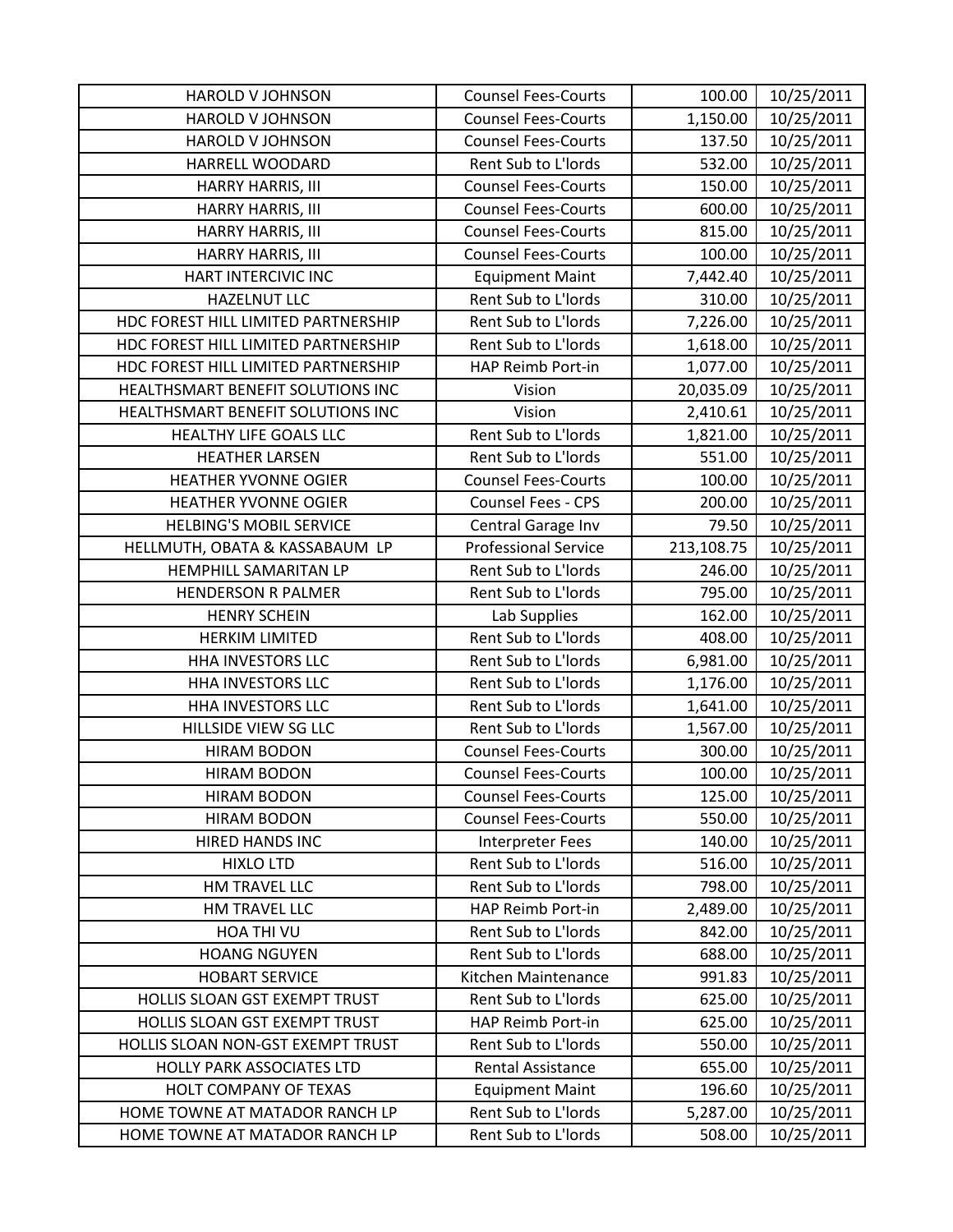| <b>HAROLD V JOHNSON</b>             | <b>Counsel Fees-Courts</b>  | 100.00     | 10/25/2011 |
|-------------------------------------|-----------------------------|------------|------------|
| HAROLD V JOHNSON                    | <b>Counsel Fees-Courts</b>  | 1,150.00   | 10/25/2011 |
| HAROLD V JOHNSON                    | <b>Counsel Fees-Courts</b>  | 137.50     | 10/25/2011 |
| HARRELL WOODARD                     | Rent Sub to L'Iords         | 532.00     | 10/25/2011 |
| HARRY HARRIS, III                   | <b>Counsel Fees-Courts</b>  | 150.00     | 10/25/2011 |
| HARRY HARRIS, III                   | <b>Counsel Fees-Courts</b>  | 600.00     | 10/25/2011 |
| HARRY HARRIS, III                   | <b>Counsel Fees-Courts</b>  | 815.00     | 10/25/2011 |
| HARRY HARRIS, III                   | <b>Counsel Fees-Courts</b>  | 100.00     | 10/25/2011 |
| HART INTERCIVIC INC                 | <b>Equipment Maint</b>      | 7,442.40   | 10/25/2011 |
| <b>HAZELNUT LLC</b>                 | Rent Sub to L'Iords         | 310.00     | 10/25/2011 |
| HDC FOREST HILL LIMITED PARTNERSHIP | Rent Sub to L'Iords         | 7,226.00   | 10/25/2011 |
| HDC FOREST HILL LIMITED PARTNERSHIP | Rent Sub to L'Iords         | 1,618.00   | 10/25/2011 |
| HDC FOREST HILL LIMITED PARTNERSHIP | HAP Reimb Port-in           | 1,077.00   | 10/25/2011 |
| HEALTHSMART BENEFIT SOLUTIONS INC   | Vision                      | 20,035.09  | 10/25/2011 |
| HEALTHSMART BENEFIT SOLUTIONS INC   | Vision                      | 2,410.61   | 10/25/2011 |
| HEALTHY LIFE GOALS LLC              | Rent Sub to L'Iords         | 1,821.00   | 10/25/2011 |
| <b>HEATHER LARSEN</b>               | Rent Sub to L'Iords         | 551.00     | 10/25/2011 |
| <b>HEATHER YVONNE OGIER</b>         | <b>Counsel Fees-Courts</b>  | 100.00     | 10/25/2011 |
| <b>HEATHER YVONNE OGIER</b>         | Counsel Fees - CPS          | 200.00     | 10/25/2011 |
| <b>HELBING'S MOBIL SERVICE</b>      | Central Garage Inv          | 79.50      | 10/25/2011 |
| HELLMUTH, OBATA & KASSABAUM LP      | <b>Professional Service</b> | 213,108.75 | 10/25/2011 |
| HEMPHILL SAMARITAN LP               | Rent Sub to L'Iords         | 246.00     | 10/25/2011 |
| <b>HENDERSON R PALMER</b>           | Rent Sub to L'Iords         | 795.00     | 10/25/2011 |
| <b>HENRY SCHEIN</b>                 | Lab Supplies                | 162.00     | 10/25/2011 |
| <b>HERKIM LIMITED</b>               | Rent Sub to L'Iords         | 408.00     | 10/25/2011 |
| HHA INVESTORS LLC                   | Rent Sub to L'Iords         | 6,981.00   | 10/25/2011 |
| <b>HHA INVESTORS LLC</b>            | Rent Sub to L'Iords         | 1,176.00   | 10/25/2011 |
| HHA INVESTORS LLC                   | Rent Sub to L'Iords         | 1,641.00   | 10/25/2011 |
| HILLSIDE VIEW SG LLC                | Rent Sub to L'Iords         | 1,567.00   | 10/25/2011 |
| <b>HIRAM BODON</b>                  | <b>Counsel Fees-Courts</b>  | 300.00     | 10/25/2011 |
| <b>HIRAM BODON</b>                  | <b>Counsel Fees-Courts</b>  | 100.00     | 10/25/2011 |
| <b>HIRAM BODON</b>                  | <b>Counsel Fees-Courts</b>  | 125.00     | 10/25/2011 |
| <b>HIRAM BODON</b>                  | <b>Counsel Fees-Courts</b>  | 550.00     | 10/25/2011 |
| HIRED HANDS INC                     | <b>Interpreter Fees</b>     | 140.00     | 10/25/2011 |
| <b>HIXLO LTD</b>                    | Rent Sub to L'Iords         | 516.00     | 10/25/2011 |
| HM TRAVEL LLC                       | Rent Sub to L'Iords         | 798.00     | 10/25/2011 |
| HM TRAVEL LLC                       | HAP Reimb Port-in           | 2,489.00   | 10/25/2011 |
| HOA THI VU                          | Rent Sub to L'Iords         | 842.00     | 10/25/2011 |
| <b>HOANG NGUYEN</b>                 | Rent Sub to L'Iords         | 688.00     | 10/25/2011 |
| <b>HOBART SERVICE</b>               | Kitchen Maintenance         | 991.83     | 10/25/2011 |
| HOLLIS SLOAN GST EXEMPT TRUST       | Rent Sub to L'Iords         | 625.00     | 10/25/2011 |
| HOLLIS SLOAN GST EXEMPT TRUST       | HAP Reimb Port-in           | 625.00     | 10/25/2011 |
| HOLLIS SLOAN NON-GST EXEMPT TRUST   | Rent Sub to L'Iords         | 550.00     | 10/25/2011 |
| HOLLY PARK ASSOCIATES LTD           | <b>Rental Assistance</b>    | 655.00     | 10/25/2011 |
| HOLT COMPANY OF TEXAS               | <b>Equipment Maint</b>      | 196.60     | 10/25/2011 |
| HOME TOWNE AT MATADOR RANCH LP      | Rent Sub to L'Iords         | 5,287.00   | 10/25/2011 |
| HOME TOWNE AT MATADOR RANCH LP      | Rent Sub to L'Iords         | 508.00     | 10/25/2011 |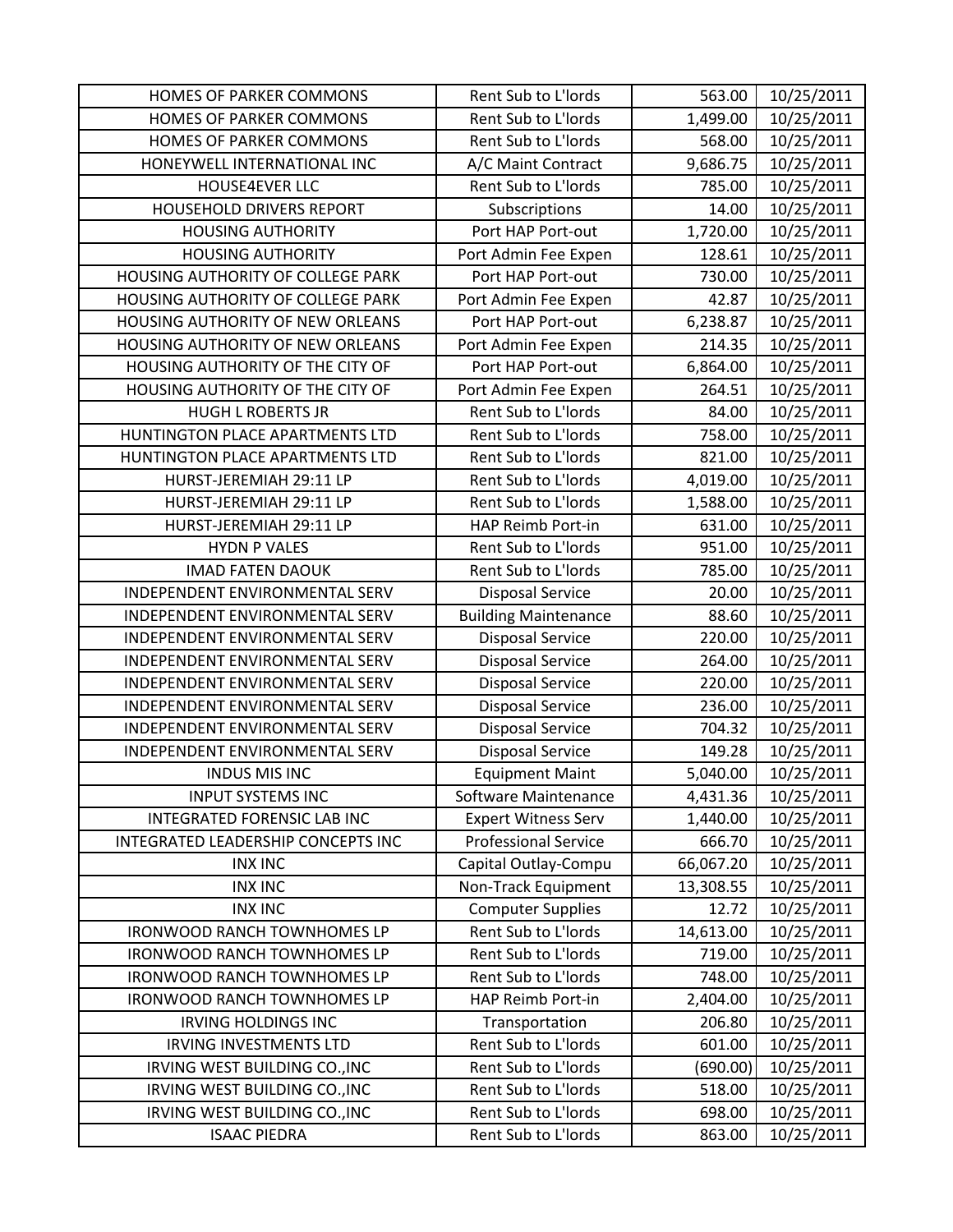| HOMES OF PARKER COMMONS            | Rent Sub to L'Iords         | 563.00    | 10/25/2011 |
|------------------------------------|-----------------------------|-----------|------------|
| HOMES OF PARKER COMMONS            | Rent Sub to L'Iords         | 1,499.00  | 10/25/2011 |
| HOMES OF PARKER COMMONS            | Rent Sub to L'Iords         | 568.00    | 10/25/2011 |
| HONEYWELL INTERNATIONAL INC        | A/C Maint Contract          | 9,686.75  | 10/25/2011 |
| HOUSE4EVER LLC                     | Rent Sub to L'Iords         | 785.00    | 10/25/2011 |
| HOUSEHOLD DRIVERS REPORT           | Subscriptions               | 14.00     | 10/25/2011 |
| <b>HOUSING AUTHORITY</b>           | Port HAP Port-out           | 1,720.00  | 10/25/2011 |
| <b>HOUSING AUTHORITY</b>           | Port Admin Fee Expen        | 128.61    | 10/25/2011 |
| HOUSING AUTHORITY OF COLLEGE PARK  | Port HAP Port-out           | 730.00    | 10/25/2011 |
| HOUSING AUTHORITY OF COLLEGE PARK  | Port Admin Fee Expen        | 42.87     | 10/25/2011 |
| HOUSING AUTHORITY OF NEW ORLEANS   | Port HAP Port-out           | 6,238.87  | 10/25/2011 |
| HOUSING AUTHORITY OF NEW ORLEANS   | Port Admin Fee Expen        | 214.35    | 10/25/2011 |
| HOUSING AUTHORITY OF THE CITY OF   | Port HAP Port-out           | 6,864.00  | 10/25/2011 |
| HOUSING AUTHORITY OF THE CITY OF   | Port Admin Fee Expen        | 264.51    | 10/25/2011 |
| <b>HUGH L ROBERTS JR</b>           | Rent Sub to L'Iords         | 84.00     | 10/25/2011 |
| HUNTINGTON PLACE APARTMENTS LTD    | Rent Sub to L'Iords         | 758.00    | 10/25/2011 |
| HUNTINGTON PLACE APARTMENTS LTD    | Rent Sub to L'Iords         | 821.00    | 10/25/2011 |
| HURST-JEREMIAH 29:11 LP            | Rent Sub to L'Iords         | 4,019.00  | 10/25/2011 |
| HURST-JEREMIAH 29:11 LP            | Rent Sub to L'Iords         | 1,588.00  | 10/25/2011 |
| HURST-JEREMIAH 29:11 LP            | HAP Reimb Port-in           | 631.00    | 10/25/2011 |
| <b>HYDN P VALES</b>                | Rent Sub to L'Iords         | 951.00    | 10/25/2011 |
| <b>IMAD FATEN DAOUK</b>            | Rent Sub to L'Iords         | 785.00    | 10/25/2011 |
| INDEPENDENT ENVIRONMENTAL SERV     | <b>Disposal Service</b>     | 20.00     | 10/25/2011 |
| INDEPENDENT ENVIRONMENTAL SERV     | <b>Building Maintenance</b> | 88.60     | 10/25/2011 |
| INDEPENDENT ENVIRONMENTAL SERV     | <b>Disposal Service</b>     | 220.00    | 10/25/2011 |
| INDEPENDENT ENVIRONMENTAL SERV     | <b>Disposal Service</b>     | 264.00    | 10/25/2011 |
| INDEPENDENT ENVIRONMENTAL SERV     | <b>Disposal Service</b>     | 220.00    | 10/25/2011 |
| INDEPENDENT ENVIRONMENTAL SERV     | <b>Disposal Service</b>     | 236.00    | 10/25/2011 |
| INDEPENDENT ENVIRONMENTAL SERV     | <b>Disposal Service</b>     | 704.32    | 10/25/2011 |
| INDEPENDENT ENVIRONMENTAL SERV     | <b>Disposal Service</b>     | 149.28    | 10/25/2011 |
| <b>INDUS MIS INC</b>               | <b>Equipment Maint</b>      | 5,040.00  | 10/25/2011 |
| <b>INPUT SYSTEMS INC</b>           | Software Maintenance        | 4,431.36  | 10/25/2011 |
| INTEGRATED FORENSIC LAB INC        | <b>Expert Witness Serv</b>  | 1,440.00  | 10/25/2011 |
| INTEGRATED LEADERSHIP CONCEPTS INC | <b>Professional Service</b> | 666.70    | 10/25/2011 |
| <b>INX INC</b>                     | Capital Outlay-Compu        | 66,067.20 | 10/25/2011 |
| <b>INX INC</b>                     | Non-Track Equipment         | 13,308.55 | 10/25/2011 |
| <b>INX INC</b>                     | <b>Computer Supplies</b>    | 12.72     | 10/25/2011 |
| <b>IRONWOOD RANCH TOWNHOMES LP</b> | Rent Sub to L'Iords         | 14,613.00 | 10/25/2011 |
| <b>IRONWOOD RANCH TOWNHOMES LP</b> | Rent Sub to L'Iords         | 719.00    | 10/25/2011 |
| <b>IRONWOOD RANCH TOWNHOMES LP</b> | Rent Sub to L'Iords         | 748.00    | 10/25/2011 |
| <b>IRONWOOD RANCH TOWNHOMES LP</b> | HAP Reimb Port-in           | 2,404.00  | 10/25/2011 |
| <b>IRVING HOLDINGS INC</b>         | Transportation              | 206.80    | 10/25/2011 |
| <b>IRVING INVESTMENTS LTD</b>      | Rent Sub to L'Iords         | 601.00    | 10/25/2011 |
| IRVING WEST BUILDING CO., INC      | Rent Sub to L'Iords         | (690.00)  | 10/25/2011 |
| IRVING WEST BUILDING CO., INC      | Rent Sub to L'Iords         | 518.00    | 10/25/2011 |
| IRVING WEST BUILDING CO., INC      | Rent Sub to L'Iords         | 698.00    | 10/25/2011 |
| <b>ISAAC PIEDRA</b>                | Rent Sub to L'Iords         | 863.00    | 10/25/2011 |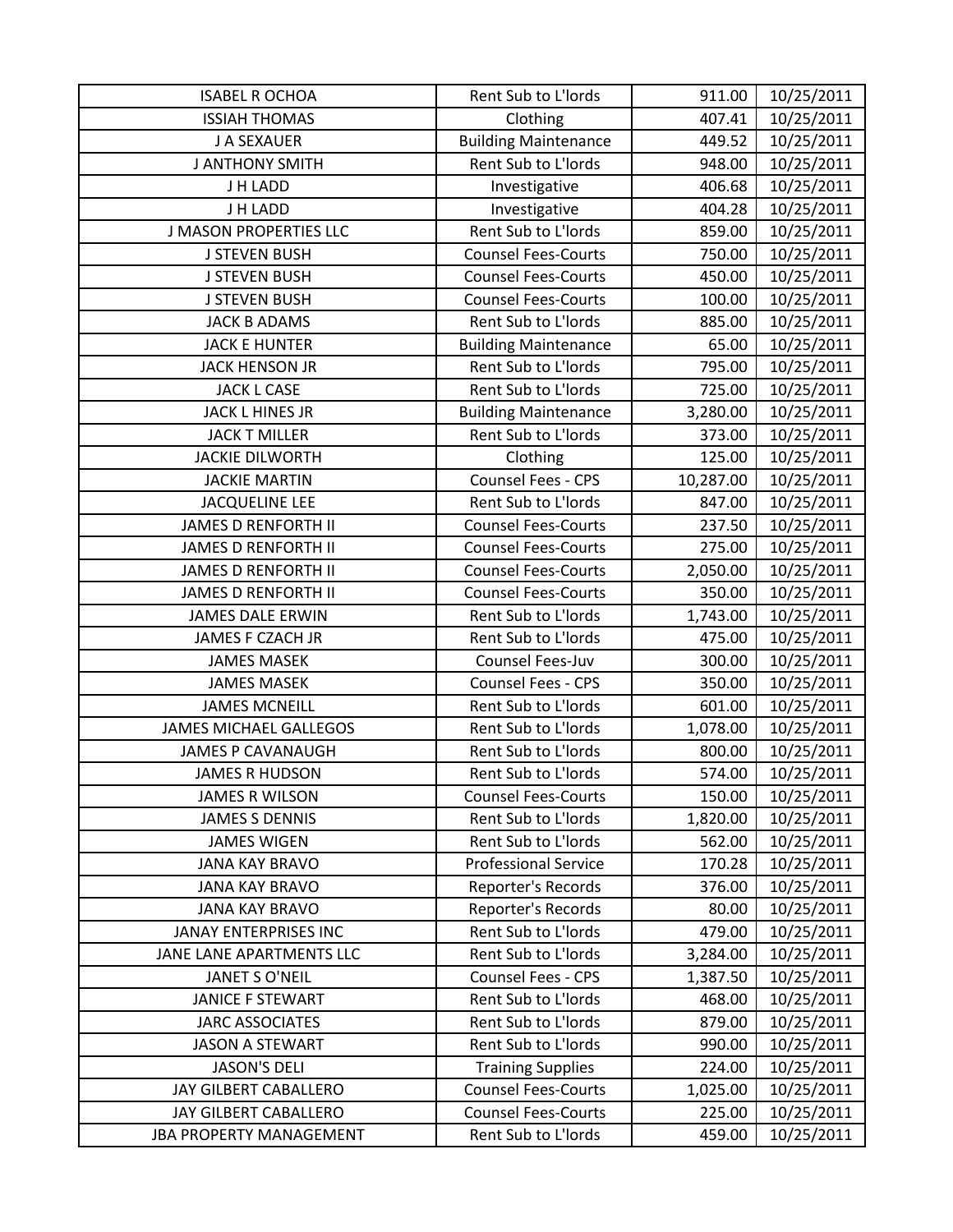| <b>ISABEL R OCHOA</b>          | Rent Sub to L'Iords         | 911.00    | 10/25/2011 |
|--------------------------------|-----------------------------|-----------|------------|
| <b>ISSIAH THOMAS</b>           | Clothing                    | 407.41    | 10/25/2011 |
| J A SEXAUER                    | <b>Building Maintenance</b> | 449.52    | 10/25/2011 |
| <b>J ANTHONY SMITH</b>         | Rent Sub to L'Iords         | 948.00    | 10/25/2011 |
| J H LADD                       | Investigative               | 406.68    | 10/25/2011 |
| J H LADD                       | Investigative               | 404.28    | 10/25/2011 |
| <b>J MASON PROPERTIES LLC</b>  | Rent Sub to L'Iords         | 859.00    | 10/25/2011 |
| <b>J STEVEN BUSH</b>           | <b>Counsel Fees-Courts</b>  | 750.00    | 10/25/2011 |
| <b>J STEVEN BUSH</b>           | <b>Counsel Fees-Courts</b>  | 450.00    | 10/25/2011 |
| <b>J STEVEN BUSH</b>           | <b>Counsel Fees-Courts</b>  | 100.00    | 10/25/2011 |
| <b>JACK B ADAMS</b>            | Rent Sub to L'Iords         | 885.00    | 10/25/2011 |
| <b>JACK E HUNTER</b>           | <b>Building Maintenance</b> | 65.00     | 10/25/2011 |
| <b>JACK HENSON JR</b>          | Rent Sub to L'Iords         | 795.00    | 10/25/2011 |
| <b>JACK L CASE</b>             | Rent Sub to L'Iords         | 725.00    | 10/25/2011 |
| <b>JACK L HINES JR</b>         | <b>Building Maintenance</b> | 3,280.00  | 10/25/2011 |
| <b>JACK T MILLER</b>           | Rent Sub to L'Iords         | 373.00    | 10/25/2011 |
| <b>JACKIE DILWORTH</b>         | Clothing                    | 125.00    | 10/25/2011 |
| <b>JACKIE MARTIN</b>           | Counsel Fees - CPS          | 10,287.00 | 10/25/2011 |
| <b>JACQUELINE LEE</b>          | Rent Sub to L'Iords         | 847.00    | 10/25/2011 |
| <b>JAMES D RENFORTH II</b>     | <b>Counsel Fees-Courts</b>  | 237.50    | 10/25/2011 |
| <b>JAMES D RENFORTH II</b>     | <b>Counsel Fees-Courts</b>  | 275.00    | 10/25/2011 |
| <b>JAMES D RENFORTH II</b>     | <b>Counsel Fees-Courts</b>  | 2,050.00  | 10/25/2011 |
| <b>JAMES D RENFORTH II</b>     | <b>Counsel Fees-Courts</b>  | 350.00    | 10/25/2011 |
| <b>JAMES DALE ERWIN</b>        | Rent Sub to L'Iords         | 1,743.00  | 10/25/2011 |
| JAMES F CZACH JR               | Rent Sub to L'Iords         | 475.00    | 10/25/2011 |
| <b>JAMES MASEK</b>             | Counsel Fees-Juv            | 300.00    | 10/25/2011 |
| <b>JAMES MASEK</b>             | Counsel Fees - CPS          | 350.00    | 10/25/2011 |
| <b>JAMES MCNEILL</b>           | Rent Sub to L'Iords         | 601.00    | 10/25/2011 |
| <b>JAMES MICHAEL GALLEGOS</b>  | Rent Sub to L'Iords         | 1,078.00  | 10/25/2011 |
| <b>JAMES P CAVANAUGH</b>       | Rent Sub to L'Iords         | 800.00    | 10/25/2011 |
| <b>JAMES R HUDSON</b>          | Rent Sub to L'Iords         | 574.00    | 10/25/2011 |
| <b>JAMES R WILSON</b>          | <b>Counsel Fees-Courts</b>  | 150.00    | 10/25/2011 |
| <b>JAMES S DENNIS</b>          | Rent Sub to L'Iords         | 1,820.00  | 10/25/2011 |
| <b>JAMES WIGEN</b>             | Rent Sub to L'Iords         | 562.00    | 10/25/2011 |
| <b>JANA KAY BRAVO</b>          | <b>Professional Service</b> | 170.28    | 10/25/2011 |
| <b>JANA KAY BRAVO</b>          | Reporter's Records          | 376.00    | 10/25/2011 |
| <b>JANA KAY BRAVO</b>          | Reporter's Records          | 80.00     | 10/25/2011 |
| <b>JANAY ENTERPRISES INC</b>   | Rent Sub to L'Iords         | 479.00    | 10/25/2011 |
| JANE LANE APARTMENTS LLC       | Rent Sub to L'Iords         | 3,284.00  | 10/25/2011 |
| JANET S O'NEIL                 | <b>Counsel Fees - CPS</b>   | 1,387.50  | 10/25/2011 |
| JANICE F STEWART               | Rent Sub to L'Iords         | 468.00    | 10/25/2011 |
| <b>JARC ASSOCIATES</b>         | Rent Sub to L'Iords         | 879.00    | 10/25/2011 |
| <b>JASON A STEWART</b>         | Rent Sub to L'Iords         | 990.00    | 10/25/2011 |
| <b>JASON'S DELI</b>            | <b>Training Supplies</b>    | 224.00    | 10/25/2011 |
| JAY GILBERT CABALLERO          | <b>Counsel Fees-Courts</b>  | 1,025.00  | 10/25/2011 |
| JAY GILBERT CABALLERO          | <b>Counsel Fees-Courts</b>  | 225.00    | 10/25/2011 |
| <b>JBA PROPERTY MANAGEMENT</b> | Rent Sub to L'Iords         | 459.00    | 10/25/2011 |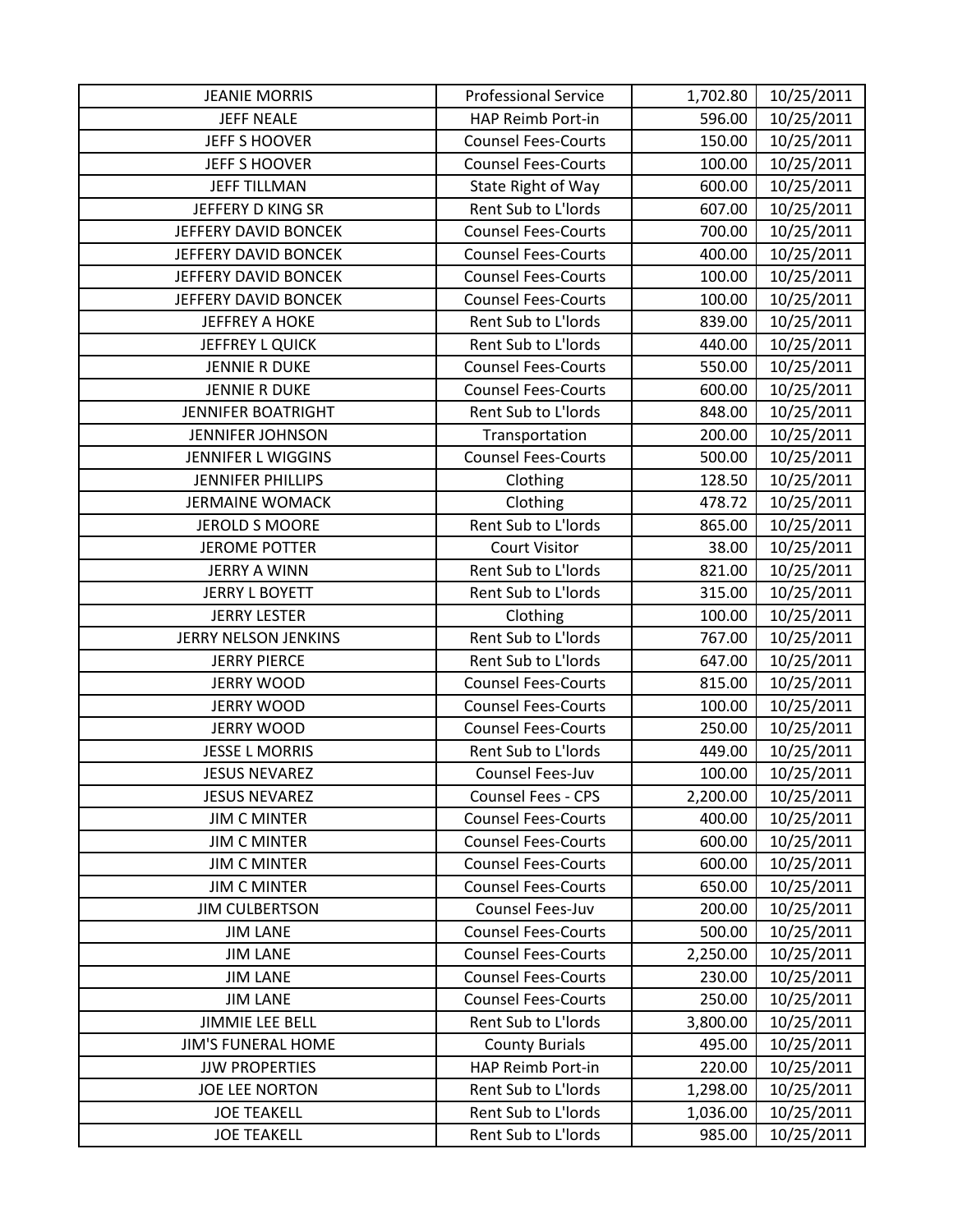| <b>JEANIE MORRIS</b>      | <b>Professional Service</b> | 1,702.80 | 10/25/2011 |
|---------------------------|-----------------------------|----------|------------|
| <b>JEFF NEALE</b>         | HAP Reimb Port-in           | 596.00   | 10/25/2011 |
| JEFF S HOOVER             | <b>Counsel Fees-Courts</b>  | 150.00   | 10/25/2011 |
| <b>JEFF S HOOVER</b>      | <b>Counsel Fees-Courts</b>  | 100.00   | 10/25/2011 |
| <b>JEFF TILLMAN</b>       | State Right of Way          | 600.00   | 10/25/2011 |
| JEFFERY D KING SR         | Rent Sub to L'Iords         | 607.00   | 10/25/2011 |
| JEFFERY DAVID BONCEK      | <b>Counsel Fees-Courts</b>  | 700.00   | 10/25/2011 |
| JEFFERY DAVID BONCEK      | <b>Counsel Fees-Courts</b>  | 400.00   | 10/25/2011 |
| JEFFERY DAVID BONCEK      | <b>Counsel Fees-Courts</b>  | 100.00   | 10/25/2011 |
| JEFFERY DAVID BONCEK      | <b>Counsel Fees-Courts</b>  | 100.00   | 10/25/2011 |
| <b>JEFFREY A HOKE</b>     | Rent Sub to L'Iords         | 839.00   | 10/25/2011 |
| JEFFREY L QUICK           | Rent Sub to L'Iords         | 440.00   | 10/25/2011 |
| <b>JENNIE R DUKE</b>      | <b>Counsel Fees-Courts</b>  | 550.00   | 10/25/2011 |
| <b>JENNIE R DUKE</b>      | <b>Counsel Fees-Courts</b>  | 600.00   | 10/25/2011 |
| <b>JENNIFER BOATRIGHT</b> | Rent Sub to L'Iords         | 848.00   | 10/25/2011 |
| <b>JENNIFER JOHNSON</b>   | Transportation              | 200.00   | 10/25/2011 |
| <b>JENNIFER L WIGGINS</b> | <b>Counsel Fees-Courts</b>  | 500.00   | 10/25/2011 |
| <b>JENNIFER PHILLIPS</b>  | Clothing                    | 128.50   | 10/25/2011 |
| <b>JERMAINE WOMACK</b>    | Clothing                    | 478.72   | 10/25/2011 |
| <b>JEROLD S MOORE</b>     | Rent Sub to L'Iords         | 865.00   | 10/25/2011 |
| <b>JEROME POTTER</b>      | <b>Court Visitor</b>        | 38.00    | 10/25/2011 |
| <b>JERRY A WINN</b>       | Rent Sub to L'Iords         | 821.00   | 10/25/2011 |
| <b>JERRY L BOYETT</b>     | Rent Sub to L'Iords         | 315.00   | 10/25/2011 |
| <b>JERRY LESTER</b>       | Clothing                    | 100.00   | 10/25/2011 |
| JERRY NELSON JENKINS      | Rent Sub to L'Iords         | 767.00   | 10/25/2011 |
| <b>JERRY PIERCE</b>       | Rent Sub to L'Iords         | 647.00   | 10/25/2011 |
| <b>JERRY WOOD</b>         | <b>Counsel Fees-Courts</b>  | 815.00   | 10/25/2011 |
| <b>JERRY WOOD</b>         | <b>Counsel Fees-Courts</b>  | 100.00   | 10/25/2011 |
| <b>JERRY WOOD</b>         | <b>Counsel Fees-Courts</b>  | 250.00   | 10/25/2011 |
| <b>JESSE L MORRIS</b>     | Rent Sub to L'Iords         | 449.00   | 10/25/2011 |
| <b>JESUS NEVAREZ</b>      | Counsel Fees-Juv            | 100.00   | 10/25/2011 |
| <b>JESUS NEVAREZ</b>      | <b>Counsel Fees - CPS</b>   | 2,200.00 | 10/25/2011 |
| <b>JIM C MINTER</b>       | <b>Counsel Fees-Courts</b>  | 400.00   | 10/25/2011 |
| <b>JIM C MINTER</b>       | <b>Counsel Fees-Courts</b>  | 600.00   | 10/25/2011 |
| <b>JIM C MINTER</b>       | <b>Counsel Fees-Courts</b>  | 600.00   | 10/25/2011 |
| <b>JIM C MINTER</b>       | <b>Counsel Fees-Courts</b>  | 650.00   | 10/25/2011 |
| <b>JIM CULBERTSON</b>     | Counsel Fees-Juv            | 200.00   | 10/25/2011 |
| <b>JIM LANE</b>           | <b>Counsel Fees-Courts</b>  | 500.00   | 10/25/2011 |
| <b>JIM LANE</b>           | <b>Counsel Fees-Courts</b>  | 2,250.00 | 10/25/2011 |
| <b>JIM LANE</b>           | <b>Counsel Fees-Courts</b>  | 230.00   | 10/25/2011 |
| <b>JIM LANE</b>           | <b>Counsel Fees-Courts</b>  | 250.00   | 10/25/2011 |
| <b>JIMMIE LEE BELL</b>    | Rent Sub to L'Iords         | 3,800.00 | 10/25/2011 |
| <b>JIM'S FUNERAL HOME</b> | <b>County Burials</b>       | 495.00   | 10/25/2011 |
| <b>JJW PROPERTIES</b>     | HAP Reimb Port-in           | 220.00   | 10/25/2011 |
| JOE LEE NORTON            | Rent Sub to L'Iords         | 1,298.00 | 10/25/2011 |
| <b>JOE TEAKELL</b>        | Rent Sub to L'Iords         | 1,036.00 | 10/25/2011 |
| <b>JOE TEAKELL</b>        | Rent Sub to L'Iords         | 985.00   | 10/25/2011 |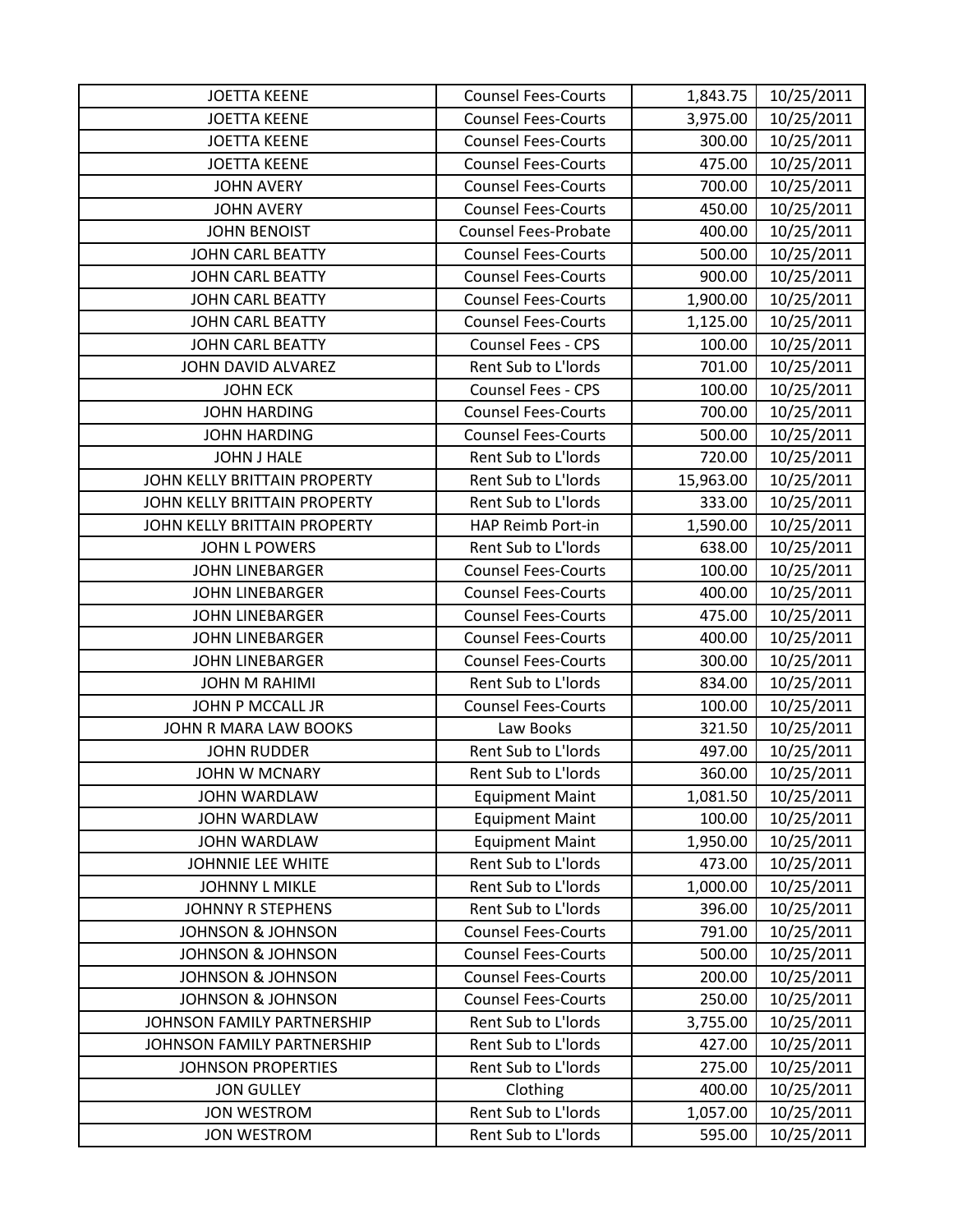| <b>JOETTA KEENE</b>          | <b>Counsel Fees-Courts</b>  | 1,843.75  | 10/25/2011 |
|------------------------------|-----------------------------|-----------|------------|
| <b>JOETTA KEENE</b>          | <b>Counsel Fees-Courts</b>  | 3,975.00  | 10/25/2011 |
| <b>JOETTA KEENE</b>          | <b>Counsel Fees-Courts</b>  | 300.00    | 10/25/2011 |
| <b>JOETTA KEENE</b>          | <b>Counsel Fees-Courts</b>  | 475.00    | 10/25/2011 |
| <b>JOHN AVERY</b>            | <b>Counsel Fees-Courts</b>  | 700.00    | 10/25/2011 |
| <b>JOHN AVERY</b>            | <b>Counsel Fees-Courts</b>  | 450.00    | 10/25/2011 |
| <b>JOHN BENOIST</b>          | <b>Counsel Fees-Probate</b> | 400.00    | 10/25/2011 |
| <b>JOHN CARL BEATTY</b>      | <b>Counsel Fees-Courts</b>  | 500.00    | 10/25/2011 |
| <b>JOHN CARL BEATTY</b>      | <b>Counsel Fees-Courts</b>  | 900.00    | 10/25/2011 |
| <b>JOHN CARL BEATTY</b>      | <b>Counsel Fees-Courts</b>  | 1,900.00  | 10/25/2011 |
| <b>JOHN CARL BEATTY</b>      | <b>Counsel Fees-Courts</b>  | 1,125.00  | 10/25/2011 |
| <b>JOHN CARL BEATTY</b>      | Counsel Fees - CPS          | 100.00    | 10/25/2011 |
| JOHN DAVID ALVAREZ           | Rent Sub to L'Iords         | 701.00    | 10/25/2011 |
| <b>JOHN ECK</b>              | <b>Counsel Fees - CPS</b>   | 100.00    | 10/25/2011 |
| <b>JOHN HARDING</b>          | <b>Counsel Fees-Courts</b>  | 700.00    | 10/25/2011 |
| <b>JOHN HARDING</b>          | <b>Counsel Fees-Courts</b>  | 500.00    | 10/25/2011 |
| <b>JOHN J HALE</b>           | Rent Sub to L'Iords         | 720.00    | 10/25/2011 |
| JOHN KELLY BRITTAIN PROPERTY | Rent Sub to L'Iords         | 15,963.00 | 10/25/2011 |
| JOHN KELLY BRITTAIN PROPERTY | Rent Sub to L'Iords         | 333.00    | 10/25/2011 |
| JOHN KELLY BRITTAIN PROPERTY | HAP Reimb Port-in           | 1,590.00  | 10/25/2011 |
| <b>JOHN L POWERS</b>         | Rent Sub to L'Iords         | 638.00    | 10/25/2011 |
| <b>JOHN LINEBARGER</b>       | <b>Counsel Fees-Courts</b>  | 100.00    | 10/25/2011 |
| <b>JOHN LINEBARGER</b>       | <b>Counsel Fees-Courts</b>  | 400.00    | 10/25/2011 |
| <b>JOHN LINEBARGER</b>       | <b>Counsel Fees-Courts</b>  | 475.00    | 10/25/2011 |
| <b>JOHN LINEBARGER</b>       | <b>Counsel Fees-Courts</b>  | 400.00    | 10/25/2011 |
| <b>JOHN LINEBARGER</b>       | <b>Counsel Fees-Courts</b>  | 300.00    | 10/25/2011 |
| <b>JOHN M RAHIMI</b>         | Rent Sub to L'Iords         | 834.00    | 10/25/2011 |
| JOHN P MCCALL JR             | <b>Counsel Fees-Courts</b>  | 100.00    | 10/25/2011 |
| JOHN R MARA LAW BOOKS        | Law Books                   | 321.50    | 10/25/2011 |
| <b>JOHN RUDDER</b>           | Rent Sub to L'Iords         | 497.00    | 10/25/2011 |
| <b>JOHN W MCNARY</b>         | Rent Sub to L'Iords         | 360.00    | 10/25/2011 |
| <b>JOHN WARDLAW</b>          | <b>Equipment Maint</b>      | 1,081.50  | 10/25/2011 |
| JOHN WARDLAW                 | <b>Equipment Maint</b>      | 100.00    | 10/25/2011 |
| <b>JOHN WARDLAW</b>          | <b>Equipment Maint</b>      | 1,950.00  | 10/25/2011 |
| <b>JOHNNIE LEE WHITE</b>     | Rent Sub to L'Iords         | 473.00    | 10/25/2011 |
| <b>JOHNNY L MIKLE</b>        | Rent Sub to L'Iords         | 1,000.00  | 10/25/2011 |
| <b>JOHNNY R STEPHENS</b>     | Rent Sub to L'Iords         | 396.00    | 10/25/2011 |
| <b>JOHNSON &amp; JOHNSON</b> | <b>Counsel Fees-Courts</b>  | 791.00    | 10/25/2011 |
| <b>JOHNSON &amp; JOHNSON</b> | <b>Counsel Fees-Courts</b>  | 500.00    | 10/25/2011 |
| <b>JOHNSON &amp; JOHNSON</b> | <b>Counsel Fees-Courts</b>  | 200.00    | 10/25/2011 |
| <b>JOHNSON &amp; JOHNSON</b> | <b>Counsel Fees-Courts</b>  | 250.00    | 10/25/2011 |
| JOHNSON FAMILY PARTNERSHIP   | Rent Sub to L'Iords         | 3,755.00  | 10/25/2011 |
| JOHNSON FAMILY PARTNERSHIP   | Rent Sub to L'Iords         | 427.00    | 10/25/2011 |
| <b>JOHNSON PROPERTIES</b>    | Rent Sub to L'Iords         | 275.00    | 10/25/2011 |
| <b>JON GULLEY</b>            | Clothing                    | 400.00    | 10/25/2011 |
| <b>JON WESTROM</b>           | Rent Sub to L'Iords         | 1,057.00  | 10/25/2011 |
| <b>JON WESTROM</b>           | Rent Sub to L'Iords         | 595.00    | 10/25/2011 |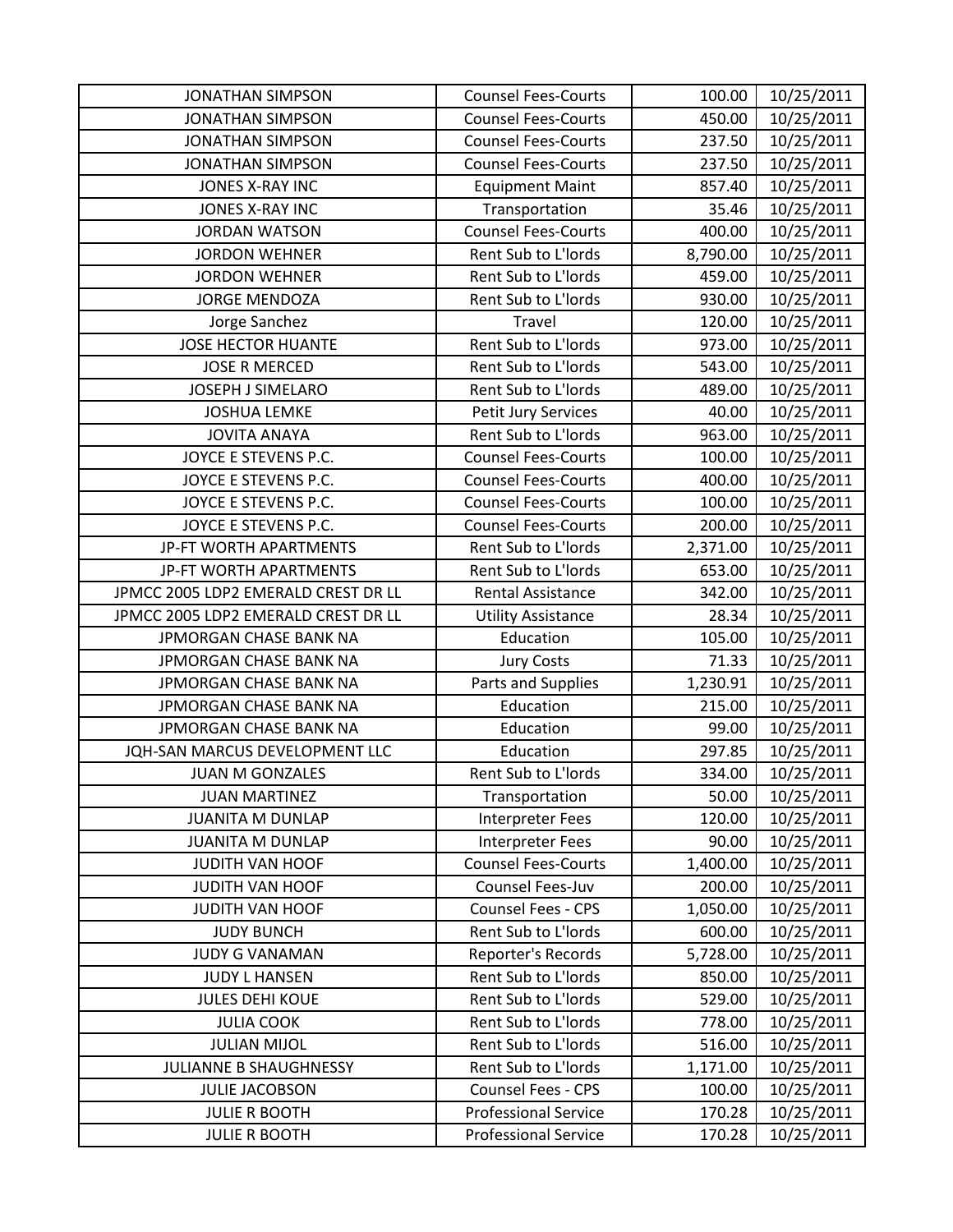| <b>JONATHAN SIMPSON</b>             | <b>Counsel Fees-Courts</b>  | 100.00   | 10/25/2011 |
|-------------------------------------|-----------------------------|----------|------------|
| <b>JONATHAN SIMPSON</b>             | <b>Counsel Fees-Courts</b>  | 450.00   | 10/25/2011 |
| <b>JONATHAN SIMPSON</b>             | <b>Counsel Fees-Courts</b>  | 237.50   | 10/25/2011 |
| <b>JONATHAN SIMPSON</b>             | <b>Counsel Fees-Courts</b>  | 237.50   | 10/25/2011 |
| <b>JONES X-RAY INC</b>              | <b>Equipment Maint</b>      | 857.40   | 10/25/2011 |
| JONES X-RAY INC                     | Transportation              | 35.46    | 10/25/2011 |
| <b>JORDAN WATSON</b>                | <b>Counsel Fees-Courts</b>  | 400.00   | 10/25/2011 |
| <b>JORDON WEHNER</b>                | Rent Sub to L'Iords         | 8,790.00 | 10/25/2011 |
| <b>JORDON WEHNER</b>                | Rent Sub to L'Iords         | 459.00   | 10/25/2011 |
| <b>JORGE MENDOZA</b>                | Rent Sub to L'Iords         | 930.00   | 10/25/2011 |
| Jorge Sanchez                       | Travel                      | 120.00   | 10/25/2011 |
| <b>JOSE HECTOR HUANTE</b>           | Rent Sub to L'Iords         | 973.00   | 10/25/2011 |
| <b>JOSE R MERCED</b>                | Rent Sub to L'Iords         | 543.00   | 10/25/2011 |
| JOSEPH J SIMELARO                   | Rent Sub to L'Iords         | 489.00   | 10/25/2011 |
| <b>JOSHUA LEMKE</b>                 | Petit Jury Services         | 40.00    | 10/25/2011 |
| <b>JOVITA ANAYA</b>                 | Rent Sub to L'Iords         | 963.00   | 10/25/2011 |
| JOYCE E STEVENS P.C.                | <b>Counsel Fees-Courts</b>  | 100.00   | 10/25/2011 |
| JOYCE E STEVENS P.C.                | <b>Counsel Fees-Courts</b>  | 400.00   | 10/25/2011 |
| JOYCE E STEVENS P.C.                | <b>Counsel Fees-Courts</b>  | 100.00   | 10/25/2011 |
| JOYCE E STEVENS P.C.                | <b>Counsel Fees-Courts</b>  | 200.00   | 10/25/2011 |
| JP-FT WORTH APARTMENTS              | Rent Sub to L'Iords         | 2,371.00 | 10/25/2011 |
| JP-FT WORTH APARTMENTS              | Rent Sub to L'Iords         | 653.00   | 10/25/2011 |
| JPMCC 2005 LDP2 EMERALD CREST DR LL | <b>Rental Assistance</b>    | 342.00   | 10/25/2011 |
| JPMCC 2005 LDP2 EMERALD CREST DR LL | <b>Utility Assistance</b>   | 28.34    | 10/25/2011 |
| JPMORGAN CHASE BANK NA              | Education                   | 105.00   | 10/25/2011 |
| JPMORGAN CHASE BANK NA              | <b>Jury Costs</b>           | 71.33    | 10/25/2011 |
| JPMORGAN CHASE BANK NA              | Parts and Supplies          | 1,230.91 | 10/25/2011 |
| JPMORGAN CHASE BANK NA              | Education                   | 215.00   | 10/25/2011 |
| JPMORGAN CHASE BANK NA              | Education                   | 99.00    | 10/25/2011 |
| JQH-SAN MARCUS DEVELOPMENT LLC      | Education                   | 297.85   | 10/25/2011 |
| <b>JUAN M GONZALES</b>              | Rent Sub to L'Iords         | 334.00   | 10/25/2011 |
| <b>JUAN MARTINEZ</b>                | Transportation              | 50.00    | 10/25/2011 |
| <b>JUANITA M DUNLAP</b>             | Interpreter Fees            | 120.00   | 10/25/2011 |
| <b>JUANITA M DUNLAP</b>             | <b>Interpreter Fees</b>     | 90.00    | 10/25/2011 |
| JUDITH VAN HOOF                     | <b>Counsel Fees-Courts</b>  | 1,400.00 | 10/25/2011 |
| JUDITH VAN HOOF                     | Counsel Fees-Juv            | 200.00   | 10/25/2011 |
| <b>JUDITH VAN HOOF</b>              | <b>Counsel Fees - CPS</b>   | 1,050.00 | 10/25/2011 |
| <b>JUDY BUNCH</b>                   | Rent Sub to L'Iords         | 600.00   | 10/25/2011 |
| <b>JUDY G VANAMAN</b>               | Reporter's Records          | 5,728.00 | 10/25/2011 |
| <b>JUDY L HANSEN</b>                | Rent Sub to L'Iords         | 850.00   | 10/25/2011 |
| <b>JULES DEHI KOUE</b>              | Rent Sub to L'Iords         | 529.00   | 10/25/2011 |
| <b>JULIA COOK</b>                   | Rent Sub to L'Iords         | 778.00   | 10/25/2011 |
| <b>JULIAN MIJOL</b>                 | Rent Sub to L'Iords         | 516.00   | 10/25/2011 |
| JULIANNE B SHAUGHNESSY              | Rent Sub to L'Iords         | 1,171.00 | 10/25/2011 |
| <b>JULIE JACOBSON</b>               | Counsel Fees - CPS          | 100.00   | 10/25/2011 |
| <b>JULIE R BOOTH</b>                | <b>Professional Service</b> | 170.28   | 10/25/2011 |
| <b>JULIE R BOOTH</b>                | <b>Professional Service</b> | 170.28   | 10/25/2011 |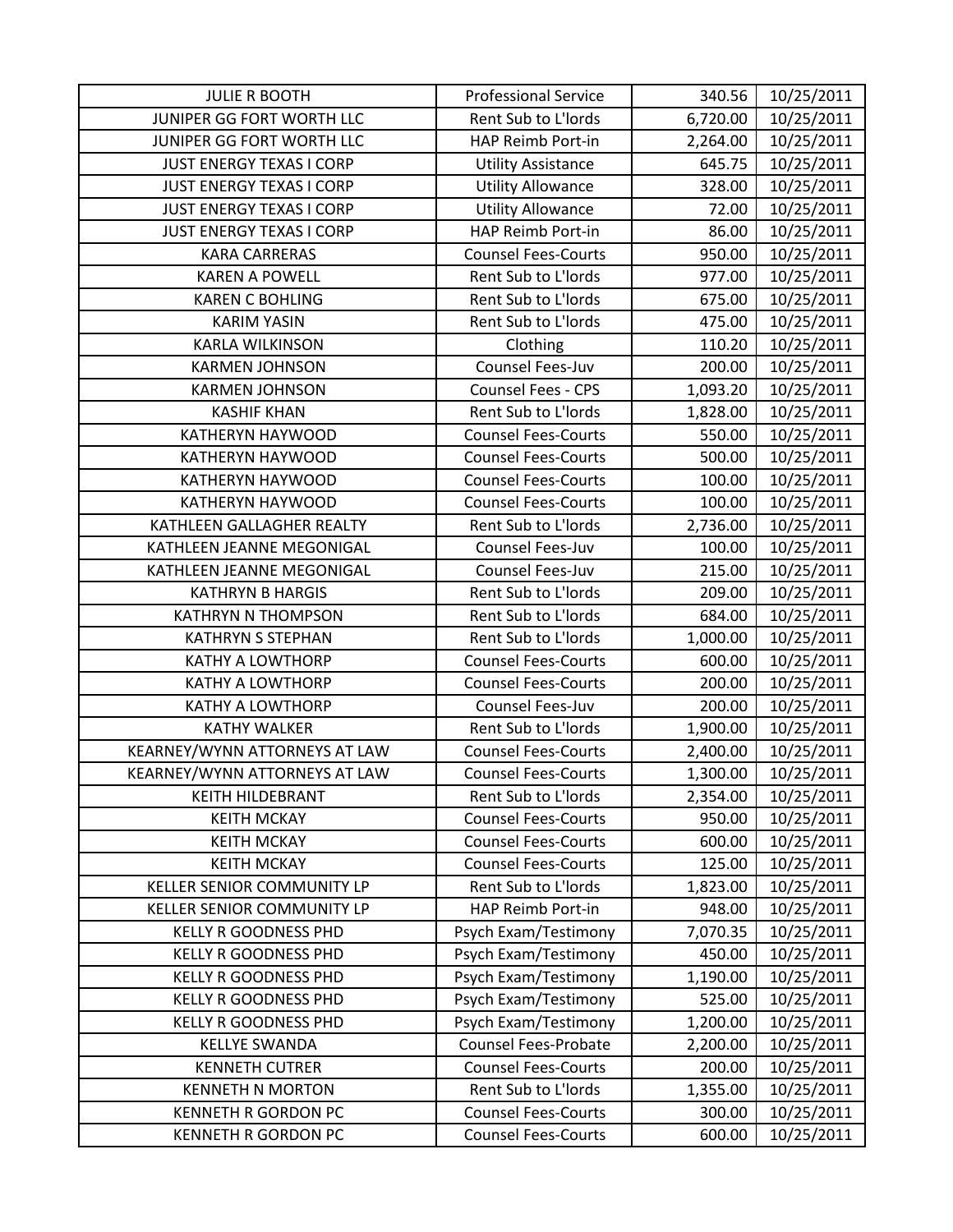| <b>JULIE R BOOTH</b>            | <b>Professional Service</b> | 340.56   | 10/25/2011 |
|---------------------------------|-----------------------------|----------|------------|
| JUNIPER GG FORT WORTH LLC       | Rent Sub to L'Iords         | 6,720.00 | 10/25/2011 |
| JUNIPER GG FORT WORTH LLC       | HAP Reimb Port-in           | 2,264.00 | 10/25/2011 |
| <b>JUST ENERGY TEXAS I CORP</b> | <b>Utility Assistance</b>   | 645.75   | 10/25/2011 |
| JUST ENERGY TEXAS I CORP        | <b>Utility Allowance</b>    | 328.00   | 10/25/2011 |
| <b>JUST ENERGY TEXAS I CORP</b> | <b>Utility Allowance</b>    | 72.00    | 10/25/2011 |
| <b>JUST ENERGY TEXAS I CORP</b> | HAP Reimb Port-in           | 86.00    | 10/25/2011 |
| <b>KARA CARRERAS</b>            | <b>Counsel Fees-Courts</b>  | 950.00   | 10/25/2011 |
| <b>KAREN A POWELL</b>           | Rent Sub to L'Iords         | 977.00   | 10/25/2011 |
| <b>KAREN C BOHLING</b>          | Rent Sub to L'Iords         | 675.00   | 10/25/2011 |
| <b>KARIM YASIN</b>              | Rent Sub to L'Iords         | 475.00   | 10/25/2011 |
| <b>KARLA WILKINSON</b>          | Clothing                    | 110.20   | 10/25/2011 |
| <b>KARMEN JOHNSON</b>           | Counsel Fees-Juv            | 200.00   | 10/25/2011 |
| <b>KARMEN JOHNSON</b>           | <b>Counsel Fees - CPS</b>   | 1,093.20 | 10/25/2011 |
| <b>KASHIF KHAN</b>              | Rent Sub to L'Iords         | 1,828.00 | 10/25/2011 |
| <b>KATHERYN HAYWOOD</b>         | <b>Counsel Fees-Courts</b>  | 550.00   | 10/25/2011 |
| KATHERYN HAYWOOD                | <b>Counsel Fees-Courts</b>  | 500.00   | 10/25/2011 |
| KATHERYN HAYWOOD                | <b>Counsel Fees-Courts</b>  | 100.00   | 10/25/2011 |
| KATHERYN HAYWOOD                | <b>Counsel Fees-Courts</b>  | 100.00   | 10/25/2011 |
| KATHLEEN GALLAGHER REALTY       | Rent Sub to L'Iords         | 2,736.00 | 10/25/2011 |
| KATHLEEN JEANNE MEGONIGAL       | Counsel Fees-Juv            | 100.00   | 10/25/2011 |
| KATHLEEN JEANNE MEGONIGAL       | Counsel Fees-Juv            | 215.00   | 10/25/2011 |
| <b>KATHRYN B HARGIS</b>         | Rent Sub to L'Iords         | 209.00   | 10/25/2011 |
| <b>KATHRYN N THOMPSON</b>       | Rent Sub to L'Iords         | 684.00   | 10/25/2011 |
| <b>KATHRYN S STEPHAN</b>        | Rent Sub to L'Iords         | 1,000.00 | 10/25/2011 |
| <b>KATHY A LOWTHORP</b>         | <b>Counsel Fees-Courts</b>  | 600.00   | 10/25/2011 |
| <b>KATHY A LOWTHORP</b>         | <b>Counsel Fees-Courts</b>  | 200.00   | 10/25/2011 |
| <b>KATHY A LOWTHORP</b>         | Counsel Fees-Juv            | 200.00   | 10/25/2011 |
| <b>KATHY WALKER</b>             | Rent Sub to L'Iords         | 1,900.00 | 10/25/2011 |
| KEARNEY/WYNN ATTORNEYS AT LAW   | <b>Counsel Fees-Courts</b>  | 2,400.00 | 10/25/2011 |
| KEARNEY/WYNN ATTORNEYS AT LAW   | <b>Counsel Fees-Courts</b>  | 1,300.00 | 10/25/2011 |
| KEITH HILDEBRANT                | Rent Sub to L'Iords         | 2,354.00 | 10/25/2011 |
| <b>KEITH MCKAY</b>              | <b>Counsel Fees-Courts</b>  | 950.00   | 10/25/2011 |
| <b>KEITH MCKAY</b>              | <b>Counsel Fees-Courts</b>  | 600.00   | 10/25/2011 |
| <b>KEITH MCKAY</b>              | <b>Counsel Fees-Courts</b>  | 125.00   | 10/25/2011 |
| KELLER SENIOR COMMUNITY LP      | Rent Sub to L'Iords         | 1,823.00 | 10/25/2011 |
| KELLER SENIOR COMMUNITY LP      | HAP Reimb Port-in           | 948.00   | 10/25/2011 |
| <b>KELLY R GOODNESS PHD</b>     | Psych Exam/Testimony        | 7,070.35 | 10/25/2011 |
| <b>KELLY R GOODNESS PHD</b>     | Psych Exam/Testimony        | 450.00   | 10/25/2011 |
| <b>KELLY R GOODNESS PHD</b>     | Psych Exam/Testimony        | 1,190.00 | 10/25/2011 |
| <b>KELLY R GOODNESS PHD</b>     | Psych Exam/Testimony        | 525.00   | 10/25/2011 |
| <b>KELLY R GOODNESS PHD</b>     | Psych Exam/Testimony        | 1,200.00 | 10/25/2011 |
| <b>KELLYE SWANDA</b>            | <b>Counsel Fees-Probate</b> | 2,200.00 | 10/25/2011 |
| <b>KENNETH CUTRER</b>           | <b>Counsel Fees-Courts</b>  | 200.00   | 10/25/2011 |
| <b>KENNETH N MORTON</b>         | Rent Sub to L'Iords         | 1,355.00 | 10/25/2011 |
| <b>KENNETH R GORDON PC</b>      | <b>Counsel Fees-Courts</b>  | 300.00   | 10/25/2011 |
| <b>KENNETH R GORDON PC</b>      | <b>Counsel Fees-Courts</b>  | 600.00   | 10/25/2011 |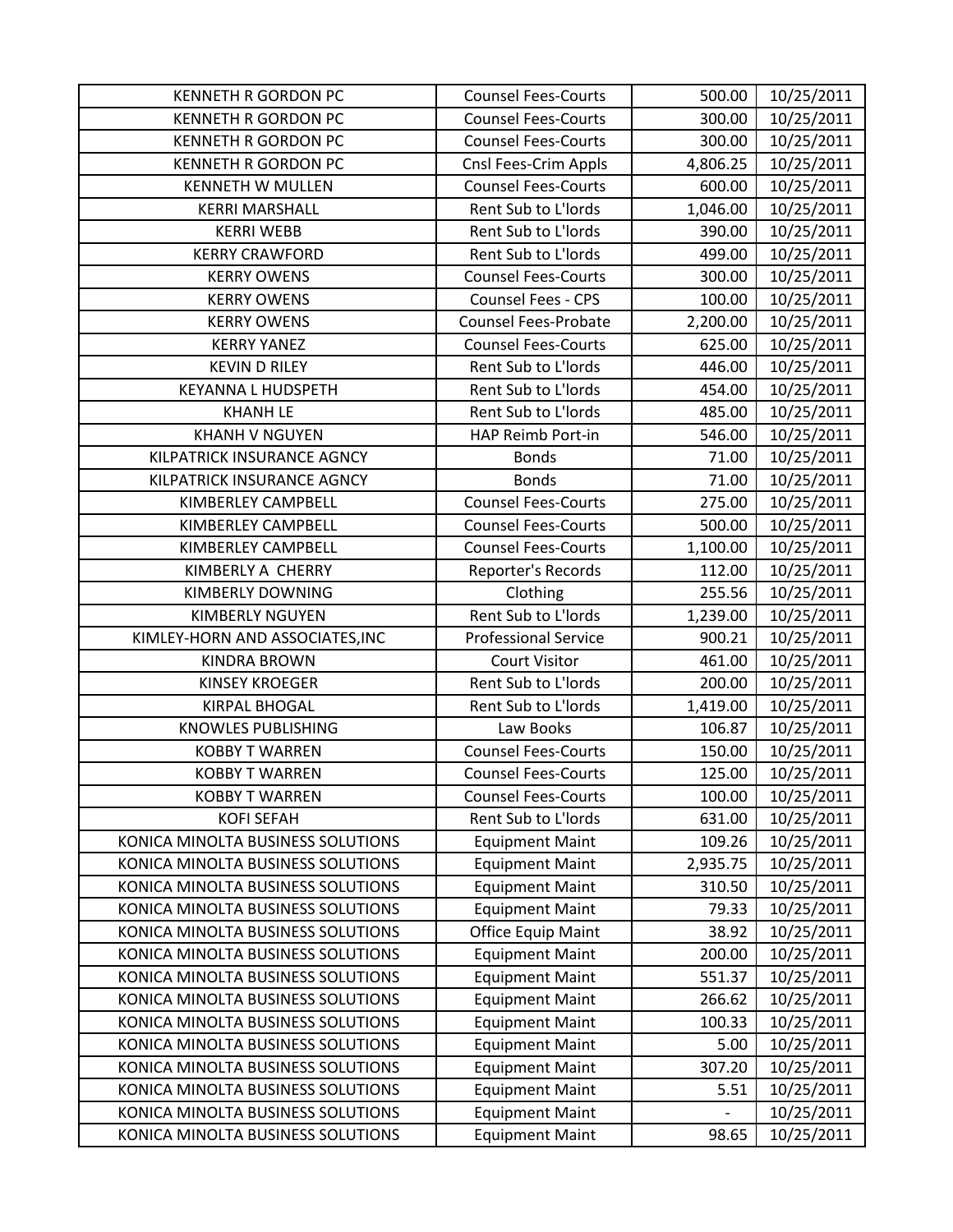| <b>KENNETH R GORDON PC</b>                                             | <b>Counsel Fees-Courts</b>                       | 500.00         | 10/25/2011               |
|------------------------------------------------------------------------|--------------------------------------------------|----------------|--------------------------|
| <b>KENNETH R GORDON PC</b>                                             | <b>Counsel Fees-Courts</b>                       | 300.00         | 10/25/2011               |
| <b>KENNETH R GORDON PC</b>                                             | <b>Counsel Fees-Courts</b>                       | 300.00         | 10/25/2011               |
| <b>KENNETH R GORDON PC</b>                                             | Cnsl Fees-Crim Appls                             | 4,806.25       | 10/25/2011               |
| <b>KENNETH W MULLEN</b>                                                | <b>Counsel Fees-Courts</b>                       | 600.00         | 10/25/2011               |
| <b>KERRI MARSHALL</b>                                                  | Rent Sub to L'Iords                              | 1,046.00       | 10/25/2011               |
| <b>KERRI WEBB</b>                                                      | Rent Sub to L'Iords                              | 390.00         | 10/25/2011               |
| <b>KERRY CRAWFORD</b>                                                  | Rent Sub to L'Iords                              | 499.00         | 10/25/2011               |
| <b>KERRY OWENS</b>                                                     | <b>Counsel Fees-Courts</b>                       | 300.00         | 10/25/2011               |
| <b>KERRY OWENS</b>                                                     | <b>Counsel Fees - CPS</b>                        | 100.00         | 10/25/2011               |
| <b>KERRY OWENS</b>                                                     | <b>Counsel Fees-Probate</b>                      | 2,200.00       | 10/25/2011               |
| <b>KERRY YANEZ</b>                                                     | <b>Counsel Fees-Courts</b>                       | 625.00         | 10/25/2011               |
| <b>KEVIN D RILEY</b>                                                   | Rent Sub to L'Iords                              | 446.00         | 10/25/2011               |
| <b>KEYANNA L HUDSPETH</b>                                              | Rent Sub to L'Iords                              | 454.00         | 10/25/2011               |
| <b>KHANH LE</b>                                                        | Rent Sub to L'Iords                              | 485.00         | 10/25/2011               |
| <b>KHANH V NGUYEN</b>                                                  | HAP Reimb Port-in                                | 546.00         | 10/25/2011               |
| KILPATRICK INSURANCE AGNCY                                             | <b>Bonds</b>                                     | 71.00          | 10/25/2011               |
| KILPATRICK INSURANCE AGNCY                                             | <b>Bonds</b>                                     | 71.00          | 10/25/2011               |
| KIMBERLEY CAMPBELL                                                     | <b>Counsel Fees-Courts</b>                       | 275.00         | 10/25/2011               |
| KIMBERLEY CAMPBELL                                                     | <b>Counsel Fees-Courts</b>                       | 500.00         | 10/25/2011               |
| KIMBERLEY CAMPBELL                                                     | <b>Counsel Fees-Courts</b>                       | 1,100.00       | 10/25/2011               |
| KIMBERLY A CHERRY                                                      | Reporter's Records                               | 112.00         | 10/25/2011               |
| <b>KIMBERLY DOWNING</b>                                                | Clothing                                         | 255.56         | 10/25/2011               |
| <b>KIMBERLY NGUYEN</b>                                                 | Rent Sub to L'Iords                              | 1,239.00       | 10/25/2011               |
| KIMLEY-HORN AND ASSOCIATES, INC                                        | <b>Professional Service</b>                      | 900.21         | 10/25/2011               |
| <b>KINDRA BROWN</b>                                                    | <b>Court Visitor</b>                             | 461.00         | 10/25/2011               |
| <b>KINSEY KROEGER</b>                                                  | Rent Sub to L'Iords                              | 200.00         | 10/25/2011               |
| <b>KIRPAL BHOGAL</b>                                                   | Rent Sub to L'Iords                              | 1,419.00       | 10/25/2011               |
| <b>KNOWLES PUBLISHING</b>                                              | Law Books                                        | 106.87         | 10/25/2011               |
| <b>KOBBY T WARREN</b>                                                  | <b>Counsel Fees-Courts</b>                       | 150.00         | 10/25/2011               |
| <b>KOBBY T WARREN</b>                                                  | <b>Counsel Fees-Courts</b>                       | 125.00         | 10/25/2011               |
| <b>KOBBY T WARREN</b>                                                  | <b>Counsel Fees-Courts</b>                       | 100.00         | 10/25/2011               |
| <b>KOFI SEFAH</b>                                                      | Rent Sub to L'Iords                              | 631.00         | 10/25/2011               |
| KONICA MINOLTA BUSINESS SOLUTIONS                                      | <b>Equipment Maint</b>                           | 109.26         | 10/25/2011               |
| KONICA MINOLTA BUSINESS SOLUTIONS                                      | <b>Equipment Maint</b>                           | 2,935.75       | 10/25/2011               |
| KONICA MINOLTA BUSINESS SOLUTIONS                                      | <b>Equipment Maint</b>                           | 310.50         | 10/25/2011               |
| KONICA MINOLTA BUSINESS SOLUTIONS                                      | <b>Equipment Maint</b>                           | 79.33          | 10/25/2011               |
| KONICA MINOLTA BUSINESS SOLUTIONS                                      | <b>Office Equip Maint</b>                        | 38.92          | 10/25/2011               |
| KONICA MINOLTA BUSINESS SOLUTIONS                                      | <b>Equipment Maint</b>                           | 200.00         | 10/25/2011               |
| KONICA MINOLTA BUSINESS SOLUTIONS                                      | <b>Equipment Maint</b>                           | 551.37         | 10/25/2011               |
| KONICA MINOLTA BUSINESS SOLUTIONS                                      | <b>Equipment Maint</b>                           | 266.62         | 10/25/2011               |
| KONICA MINOLTA BUSINESS SOLUTIONS                                      | <b>Equipment Maint</b>                           | 100.33         | 10/25/2011               |
| KONICA MINOLTA BUSINESS SOLUTIONS<br>KONICA MINOLTA BUSINESS SOLUTIONS | <b>Equipment Maint</b><br><b>Equipment Maint</b> | 5.00<br>307.20 | 10/25/2011<br>10/25/2011 |
| KONICA MINOLTA BUSINESS SOLUTIONS                                      | <b>Equipment Maint</b>                           | 5.51           | 10/25/2011               |
| KONICA MINOLTA BUSINESS SOLUTIONS                                      | <b>Equipment Maint</b>                           |                | 10/25/2011               |
| KONICA MINOLTA BUSINESS SOLUTIONS                                      |                                                  | 98.65          | 10/25/2011               |
|                                                                        | <b>Equipment Maint</b>                           |                |                          |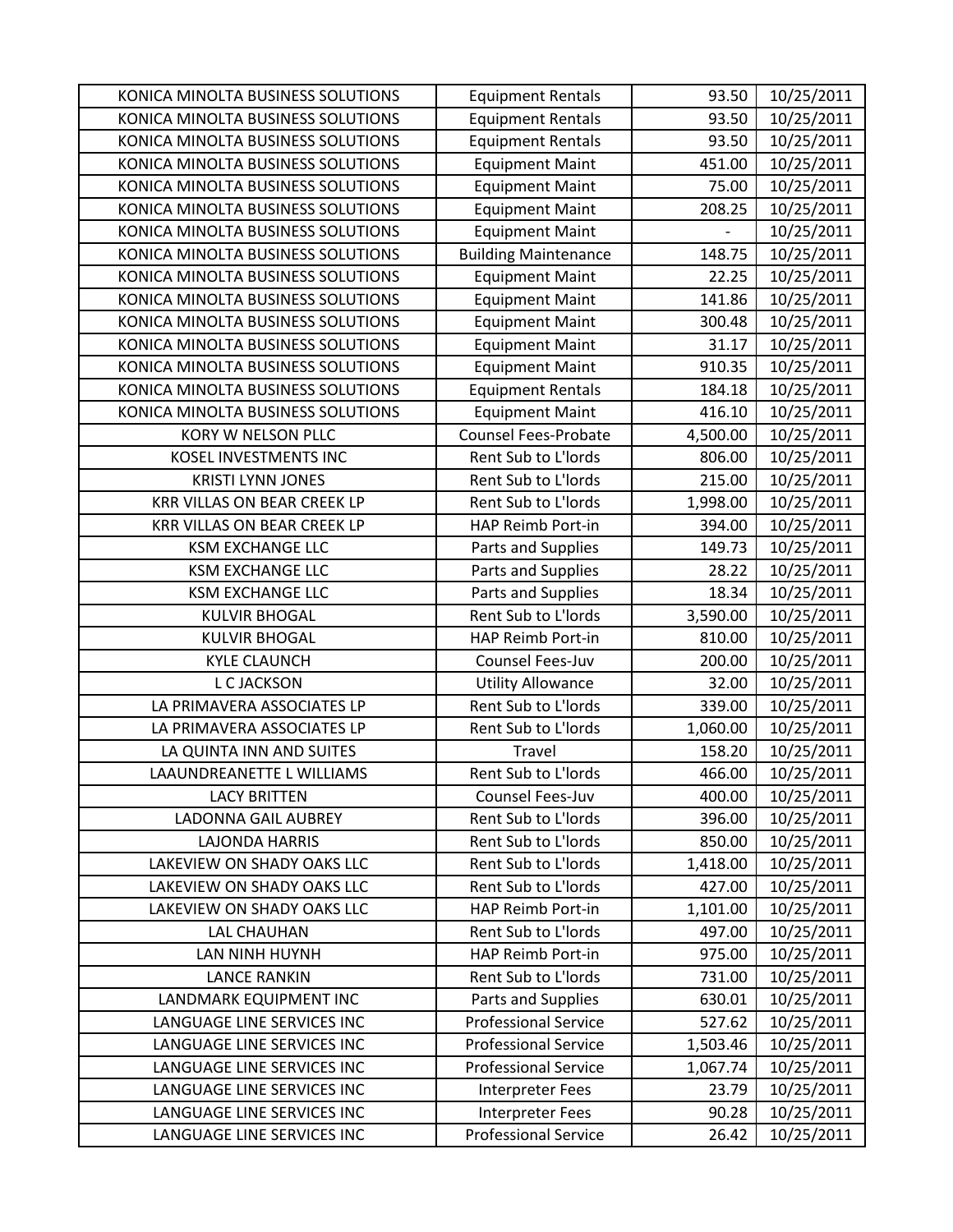| KONICA MINOLTA BUSINESS SOLUTIONS  | <b>Equipment Rentals</b>    | 93.50    | 10/25/2011 |
|------------------------------------|-----------------------------|----------|------------|
| KONICA MINOLTA BUSINESS SOLUTIONS  | <b>Equipment Rentals</b>    | 93.50    | 10/25/2011 |
| KONICA MINOLTA BUSINESS SOLUTIONS  | <b>Equipment Rentals</b>    | 93.50    | 10/25/2011 |
| KONICA MINOLTA BUSINESS SOLUTIONS  | <b>Equipment Maint</b>      | 451.00   | 10/25/2011 |
| KONICA MINOLTA BUSINESS SOLUTIONS  | <b>Equipment Maint</b>      | 75.00    | 10/25/2011 |
| KONICA MINOLTA BUSINESS SOLUTIONS  | <b>Equipment Maint</b>      | 208.25   | 10/25/2011 |
| KONICA MINOLTA BUSINESS SOLUTIONS  | <b>Equipment Maint</b>      |          | 10/25/2011 |
| KONICA MINOLTA BUSINESS SOLUTIONS  | <b>Building Maintenance</b> | 148.75   | 10/25/2011 |
| KONICA MINOLTA BUSINESS SOLUTIONS  | <b>Equipment Maint</b>      | 22.25    | 10/25/2011 |
| KONICA MINOLTA BUSINESS SOLUTIONS  | <b>Equipment Maint</b>      | 141.86   | 10/25/2011 |
| KONICA MINOLTA BUSINESS SOLUTIONS  | <b>Equipment Maint</b>      | 300.48   | 10/25/2011 |
| KONICA MINOLTA BUSINESS SOLUTIONS  | <b>Equipment Maint</b>      | 31.17    | 10/25/2011 |
| KONICA MINOLTA BUSINESS SOLUTIONS  | <b>Equipment Maint</b>      | 910.35   | 10/25/2011 |
| KONICA MINOLTA BUSINESS SOLUTIONS  | <b>Equipment Rentals</b>    | 184.18   | 10/25/2011 |
| KONICA MINOLTA BUSINESS SOLUTIONS  | <b>Equipment Maint</b>      | 416.10   | 10/25/2011 |
| KORY W NELSON PLLC                 | <b>Counsel Fees-Probate</b> | 4,500.00 | 10/25/2011 |
| <b>KOSEL INVESTMENTS INC</b>       | Rent Sub to L'Iords         | 806.00   | 10/25/2011 |
| <b>KRISTI LYNN JONES</b>           | Rent Sub to L'Iords         | 215.00   | 10/25/2011 |
| <b>KRR VILLAS ON BEAR CREEK LP</b> | Rent Sub to L'Iords         | 1,998.00 | 10/25/2011 |
| <b>KRR VILLAS ON BEAR CREEK LP</b> | HAP Reimb Port-in           | 394.00   | 10/25/2011 |
| <b>KSM EXCHANGE LLC</b>            | Parts and Supplies          | 149.73   | 10/25/2011 |
| <b>KSM EXCHANGE LLC</b>            | Parts and Supplies          | 28.22    | 10/25/2011 |
| <b>KSM EXCHANGE LLC</b>            | Parts and Supplies          | 18.34    | 10/25/2011 |
| <b>KULVIR BHOGAL</b>               | Rent Sub to L'Iords         | 3,590.00 | 10/25/2011 |
| <b>KULVIR BHOGAL</b>               | HAP Reimb Port-in           | 810.00   | 10/25/2011 |
| <b>KYLE CLAUNCH</b>                | Counsel Fees-Juv            | 200.00   | 10/25/2011 |
| <b>L C JACKSON</b>                 | <b>Utility Allowance</b>    | 32.00    | 10/25/2011 |
| LA PRIMAVERA ASSOCIATES LP         | Rent Sub to L'Iords         | 339.00   | 10/25/2011 |
| LA PRIMAVERA ASSOCIATES LP         | Rent Sub to L'Iords         | 1,060.00 | 10/25/2011 |
| LA QUINTA INN AND SUITES           | <b>Travel</b>               | 158.20   | 10/25/2011 |
| LAAUNDREANETTE L WILLIAMS          | Rent Sub to L'Iords         | 466.00   | 10/25/2011 |
| <b>LACY BRITTEN</b>                | Counsel Fees-Juv            | 400.00   | 10/25/2011 |
| <b>LADONNA GAIL AUBREY</b>         | Rent Sub to L'Iords         | 396.00   | 10/25/2011 |
| <b>LAJONDA HARRIS</b>              | Rent Sub to L'Iords         | 850.00   | 10/25/2011 |
| LAKEVIEW ON SHADY OAKS LLC         | Rent Sub to L'Iords         | 1,418.00 | 10/25/2011 |
| LAKEVIEW ON SHADY OAKS LLC         | Rent Sub to L'Iords         | 427.00   | 10/25/2011 |
| LAKEVIEW ON SHADY OAKS LLC         | HAP Reimb Port-in           | 1,101.00 | 10/25/2011 |
| LAL CHAUHAN                        | Rent Sub to L'Iords         | 497.00   | 10/25/2011 |
| LAN NINH HUYNH                     | HAP Reimb Port-in           | 975.00   | 10/25/2011 |
| <b>LANCE RANKIN</b>                | Rent Sub to L'Iords         | 731.00   | 10/25/2011 |
| LANDMARK EQUIPMENT INC             | Parts and Supplies          | 630.01   | 10/25/2011 |
| LANGUAGE LINE SERVICES INC         | <b>Professional Service</b> | 527.62   | 10/25/2011 |
| LANGUAGE LINE SERVICES INC         | <b>Professional Service</b> | 1,503.46 | 10/25/2011 |
| LANGUAGE LINE SERVICES INC         | <b>Professional Service</b> | 1,067.74 | 10/25/2011 |
| LANGUAGE LINE SERVICES INC         | Interpreter Fees            | 23.79    | 10/25/2011 |
| LANGUAGE LINE SERVICES INC         | Interpreter Fees            | 90.28    | 10/25/2011 |
| LANGUAGE LINE SERVICES INC         | <b>Professional Service</b> | 26.42    | 10/25/2011 |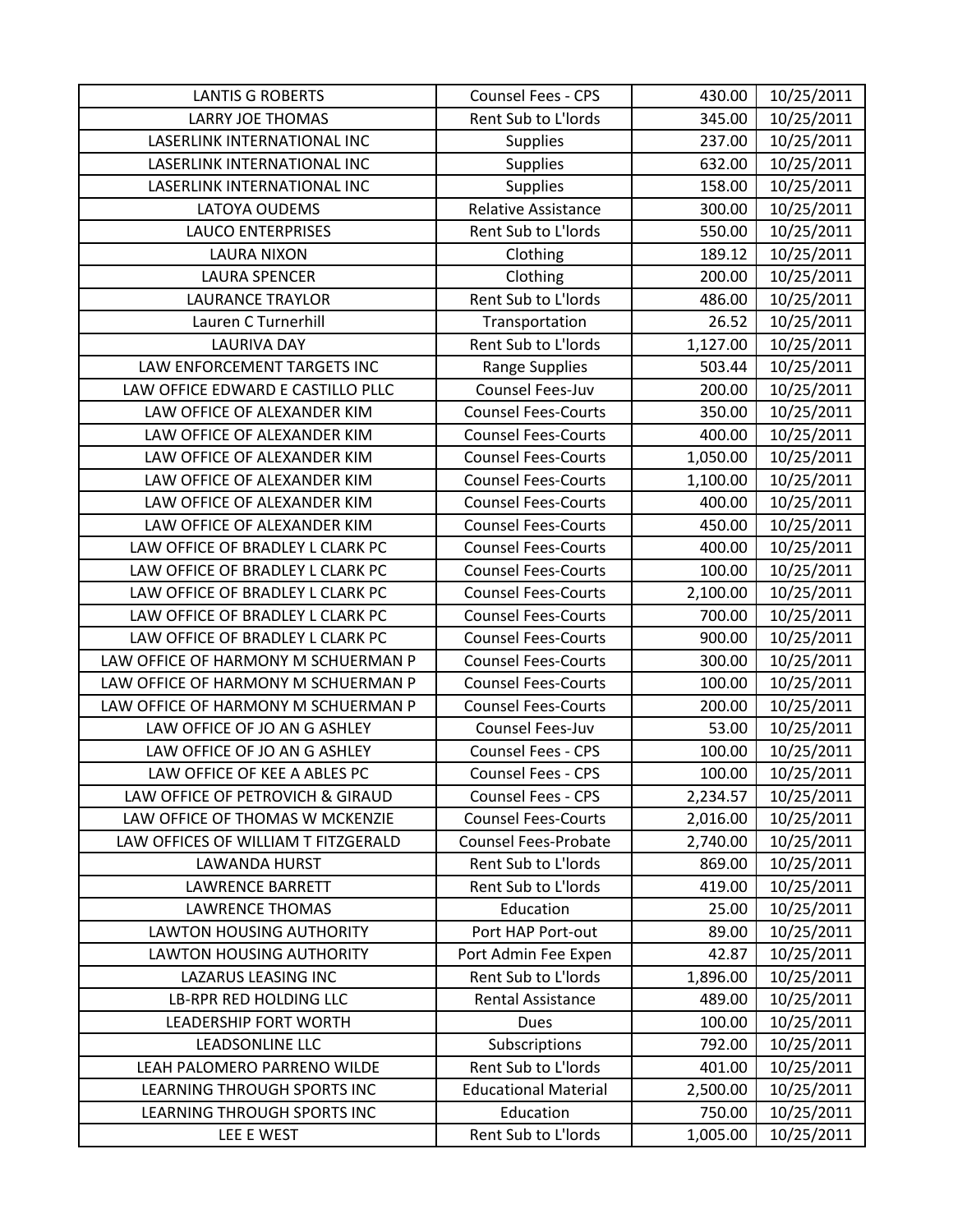| <b>LANTIS G ROBERTS</b>                        | Counsel Fees - CPS                          | 430.00           | 10/25/2011               |
|------------------------------------------------|---------------------------------------------|------------------|--------------------------|
| <b>LARRY JOE THOMAS</b>                        | Rent Sub to L'Iords                         | 345.00           | 10/25/2011               |
| LASERLINK INTERNATIONAL INC                    | <b>Supplies</b>                             | 237.00           | 10/25/2011               |
| LASERLINK INTERNATIONAL INC                    | <b>Supplies</b>                             | 632.00           | 10/25/2011               |
| LASERLINK INTERNATIONAL INC                    | <b>Supplies</b>                             | 158.00           | 10/25/2011               |
| LATOYA OUDEMS                                  | <b>Relative Assistance</b>                  | 300.00           | 10/25/2011               |
| <b>LAUCO ENTERPRISES</b>                       | Rent Sub to L'Iords                         | 550.00           | 10/25/2011               |
| <b>LAURA NIXON</b>                             | Clothing                                    | 189.12           | 10/25/2011               |
| <b>LAURA SPENCER</b>                           | Clothing                                    | 200.00           | 10/25/2011               |
| <b>LAURANCE TRAYLOR</b>                        | Rent Sub to L'Iords                         | 486.00           | 10/25/2011               |
| Lauren C Turnerhill                            | Transportation                              | 26.52            | 10/25/2011               |
| <b>LAURIVA DAY</b>                             | Rent Sub to L'Iords                         | 1,127.00         | 10/25/2011               |
| LAW ENFORCEMENT TARGETS INC                    | Range Supplies                              | 503.44           | 10/25/2011               |
| LAW OFFICE EDWARD E CASTILLO PLLC              | Counsel Fees-Juv                            | 200.00           | 10/25/2011               |
| LAW OFFICE OF ALEXANDER KIM                    | <b>Counsel Fees-Courts</b>                  | 350.00           | 10/25/2011               |
| LAW OFFICE OF ALEXANDER KIM                    | <b>Counsel Fees-Courts</b>                  | 400.00           | 10/25/2011               |
| LAW OFFICE OF ALEXANDER KIM                    | <b>Counsel Fees-Courts</b>                  | 1,050.00         | 10/25/2011               |
| LAW OFFICE OF ALEXANDER KIM                    | <b>Counsel Fees-Courts</b>                  | 1,100.00         | 10/25/2011               |
| LAW OFFICE OF ALEXANDER KIM                    | <b>Counsel Fees-Courts</b>                  | 400.00           | 10/25/2011               |
| LAW OFFICE OF ALEXANDER KIM                    | <b>Counsel Fees-Courts</b>                  | 450.00           | 10/25/2011               |
| LAW OFFICE OF BRADLEY L CLARK PC               | <b>Counsel Fees-Courts</b>                  | 400.00           | 10/25/2011               |
| LAW OFFICE OF BRADLEY L CLARK PC               | <b>Counsel Fees-Courts</b>                  | 100.00           | 10/25/2011               |
| LAW OFFICE OF BRADLEY L CLARK PC               | <b>Counsel Fees-Courts</b>                  | 2,100.00         | 10/25/2011               |
| LAW OFFICE OF BRADLEY L CLARK PC               | <b>Counsel Fees-Courts</b>                  | 700.00           | 10/25/2011               |
| LAW OFFICE OF BRADLEY L CLARK PC               | <b>Counsel Fees-Courts</b>                  | 900.00           | 10/25/2011               |
| LAW OFFICE OF HARMONY M SCHUERMAN P            | <b>Counsel Fees-Courts</b>                  | 300.00           | 10/25/2011               |
| LAW OFFICE OF HARMONY M SCHUERMAN P            | <b>Counsel Fees-Courts</b>                  | 100.00           | 10/25/2011               |
| LAW OFFICE OF HARMONY M SCHUERMAN P            | <b>Counsel Fees-Courts</b>                  | 200.00           | 10/25/2011               |
| LAW OFFICE OF JO AN G ASHLEY                   | Counsel Fees-Juv                            | 53.00            | 10/25/2011               |
| LAW OFFICE OF JO AN G ASHLEY                   | Counsel Fees - CPS                          | 100.00           | 10/25/2011               |
| LAW OFFICE OF KEE A ABLES PC                   | <b>Counsel Fees - CPS</b>                   | 100.00           | 10/25/2011               |
| LAW OFFICE OF PETROVICH & GIRAUD               | <b>Counsel Fees - CPS</b>                   | 2,234.57         | 10/25/2011               |
| LAW OFFICE OF THOMAS W MCKENZIE                | <b>Counsel Fees-Courts</b>                  | 2,016.00         | 10/25/2011               |
| LAW OFFICES OF WILLIAM T FITZGERALD            | <b>Counsel Fees-Probate</b>                 | 2,740.00         | 10/25/2011               |
| <b>LAWANDA HURST</b>                           | Rent Sub to L'Iords                         | 869.00           | 10/25/2011               |
| <b>LAWRENCE BARRETT</b>                        | Rent Sub to L'Iords                         | 419.00           | 10/25/2011               |
| <b>LAWRENCE THOMAS</b>                         | Education                                   | 25.00            | 10/25/2011               |
| <b>LAWTON HOUSING AUTHORITY</b>                | Port HAP Port-out                           | 89.00            | 10/25/2011               |
| <b>LAWTON HOUSING AUTHORITY</b>                | Port Admin Fee Expen<br>Rent Sub to L'Iords | 42.87            | 10/25/2011               |
| LAZARUS LEASING INC<br>LB-RPR RED HOLDING LLC  | <b>Rental Assistance</b>                    | 1,896.00         | 10/25/2011<br>10/25/2011 |
| <b>LEADERSHIP FORT WORTH</b>                   | <b>Dues</b>                                 | 489.00<br>100.00 | 10/25/2011               |
|                                                |                                             |                  |                          |
| LEADSONLINE LLC<br>LEAH PALOMERO PARRENO WILDE | Subscriptions<br>Rent Sub to L'Iords        | 792.00<br>401.00 | 10/25/2011<br>10/25/2011 |
| LEARNING THROUGH SPORTS INC                    | <b>Educational Material</b>                 | 2,500.00         | 10/25/2011               |
| LEARNING THROUGH SPORTS INC                    | Education                                   | 750.00           | 10/25/2011               |
| LEE E WEST                                     | Rent Sub to L'Iords                         | 1,005.00         | 10/25/2011               |
|                                                |                                             |                  |                          |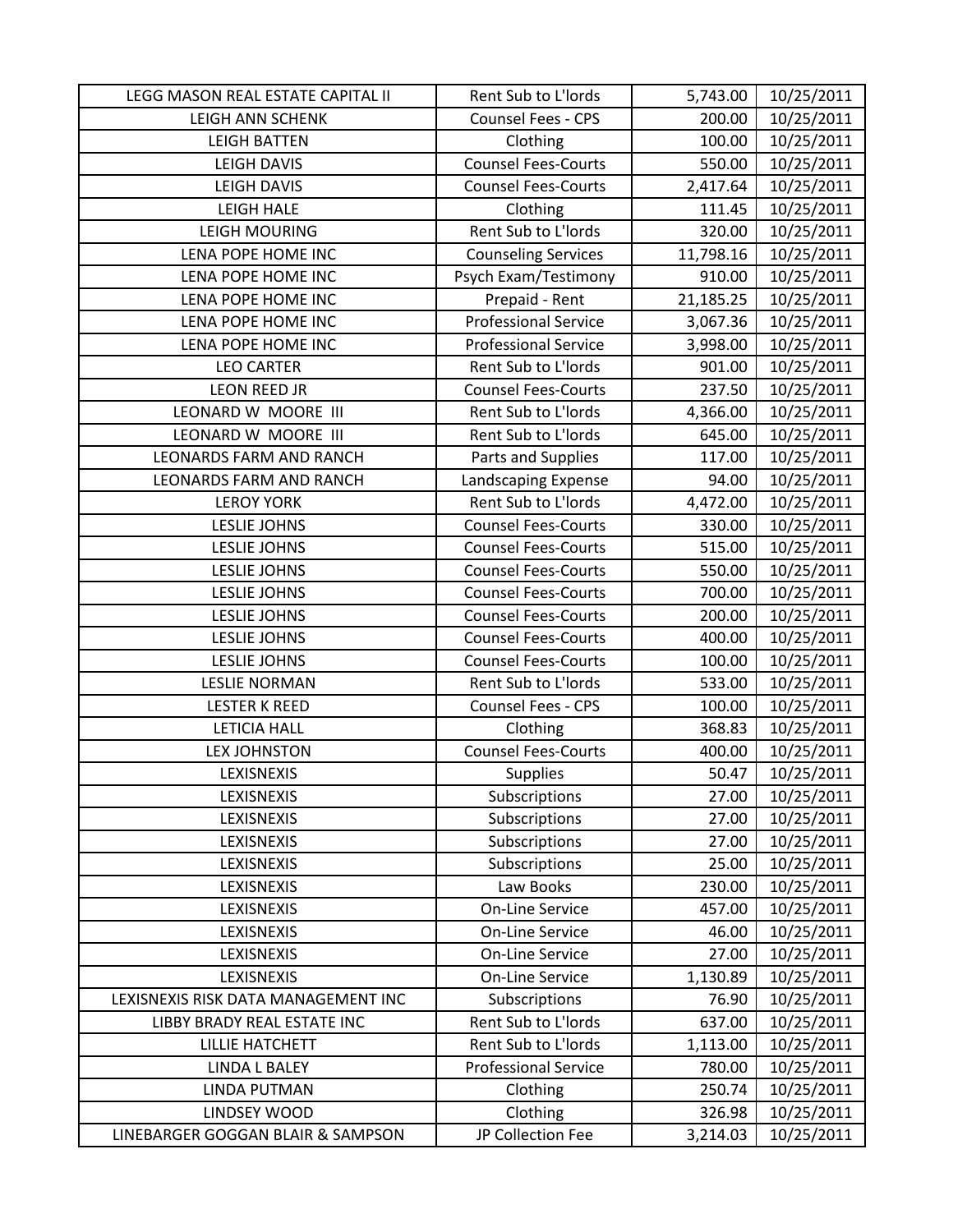| LEGG MASON REAL ESTATE CAPITAL II   | Rent Sub to L'Iords         | 5,743.00  | 10/25/2011 |
|-------------------------------------|-----------------------------|-----------|------------|
| LEIGH ANN SCHENK                    | Counsel Fees - CPS          | 200.00    | 10/25/2011 |
| <b>LEIGH BATTEN</b>                 | Clothing                    | 100.00    | 10/25/2011 |
| <b>LEIGH DAVIS</b>                  | <b>Counsel Fees-Courts</b>  | 550.00    | 10/25/2011 |
| <b>LEIGH DAVIS</b>                  | <b>Counsel Fees-Courts</b>  | 2,417.64  | 10/25/2011 |
| <b>LEIGH HALE</b>                   | Clothing                    | 111.45    | 10/25/2011 |
| <b>LEIGH MOURING</b>                | Rent Sub to L'Iords         | 320.00    | 10/25/2011 |
| LENA POPE HOME INC                  | <b>Counseling Services</b>  | 11,798.16 | 10/25/2011 |
| LENA POPE HOME INC                  | Psych Exam/Testimony        | 910.00    | 10/25/2011 |
| LENA POPE HOME INC                  | Prepaid - Rent              | 21,185.25 | 10/25/2011 |
| LENA POPE HOME INC                  | <b>Professional Service</b> | 3,067.36  | 10/25/2011 |
| LENA POPE HOME INC                  | <b>Professional Service</b> | 3,998.00  | 10/25/2011 |
| <b>LEO CARTER</b>                   | Rent Sub to L'Iords         | 901.00    | 10/25/2011 |
| <b>LEON REED JR</b>                 | <b>Counsel Fees-Courts</b>  | 237.50    | 10/25/2011 |
| LEONARD W MOORE III                 | Rent Sub to L'Iords         | 4,366.00  | 10/25/2011 |
| LEONARD W MOORE III                 | Rent Sub to L'Iords         | 645.00    | 10/25/2011 |
| <b>LEONARDS FARM AND RANCH</b>      | Parts and Supplies          | 117.00    | 10/25/2011 |
| <b>LEONARDS FARM AND RANCH</b>      | Landscaping Expense         | 94.00     | 10/25/2011 |
| <b>LEROY YORK</b>                   | Rent Sub to L'Iords         | 4,472.00  | 10/25/2011 |
| <b>LESLIE JOHNS</b>                 | <b>Counsel Fees-Courts</b>  | 330.00    | 10/25/2011 |
| <b>LESLIE JOHNS</b>                 | <b>Counsel Fees-Courts</b>  | 515.00    | 10/25/2011 |
| <b>LESLIE JOHNS</b>                 | <b>Counsel Fees-Courts</b>  | 550.00    | 10/25/2011 |
| <b>LESLIE JOHNS</b>                 | <b>Counsel Fees-Courts</b>  | 700.00    | 10/25/2011 |
| <b>LESLIE JOHNS</b>                 | <b>Counsel Fees-Courts</b>  | 200.00    | 10/25/2011 |
| <b>LESLIE JOHNS</b>                 | <b>Counsel Fees-Courts</b>  | 400.00    | 10/25/2011 |
| <b>LESLIE JOHNS</b>                 | <b>Counsel Fees-Courts</b>  | 100.00    | 10/25/2011 |
| <b>LESLIE NORMAN</b>                | Rent Sub to L'Iords         | 533.00    | 10/25/2011 |
| <b>LESTER K REED</b>                | Counsel Fees - CPS          | 100.00    | 10/25/2011 |
| <b>LETICIA HALL</b>                 | Clothing                    | 368.83    | 10/25/2011 |
| <b>LEX JOHNSTON</b>                 | <b>Counsel Fees-Courts</b>  | 400.00    | 10/25/2011 |
| LEXISNEXIS                          | Supplies                    | 50.47     | 10/25/2011 |
| LEXISNEXIS                          | Subscriptions               | 27.00     | 10/25/2011 |
| LEXISNEXIS                          | Subscriptions               | 27.00     | 10/25/2011 |
| LEXISNEXIS                          | Subscriptions               | 27.00     | 10/25/2011 |
| LEXISNEXIS                          | Subscriptions               | 25.00     | 10/25/2011 |
| LEXISNEXIS                          | Law Books                   | 230.00    | 10/25/2011 |
| LEXISNEXIS                          | <b>On-Line Service</b>      | 457.00    | 10/25/2011 |
| LEXISNEXIS                          | <b>On-Line Service</b>      | 46.00     | 10/25/2011 |
| LEXISNEXIS                          | <b>On-Line Service</b>      | 27.00     | 10/25/2011 |
| LEXISNEXIS                          | <b>On-Line Service</b>      | 1,130.89  | 10/25/2011 |
| LEXISNEXIS RISK DATA MANAGEMENT INC | Subscriptions               | 76.90     | 10/25/2011 |
| LIBBY BRADY REAL ESTATE INC         | Rent Sub to L'Iords         | 637.00    | 10/25/2011 |
| <b>LILLIE HATCHETT</b>              | Rent Sub to L'Iords         | 1,113.00  | 10/25/2011 |
| <b>LINDA L BALEY</b>                | <b>Professional Service</b> | 780.00    | 10/25/2011 |
| <b>LINDA PUTMAN</b>                 | Clothing                    | 250.74    | 10/25/2011 |
| LINDSEY WOOD                        | Clothing                    | 326.98    | 10/25/2011 |
| LINEBARGER GOGGAN BLAIR & SAMPSON   | JP Collection Fee           | 3,214.03  | 10/25/2011 |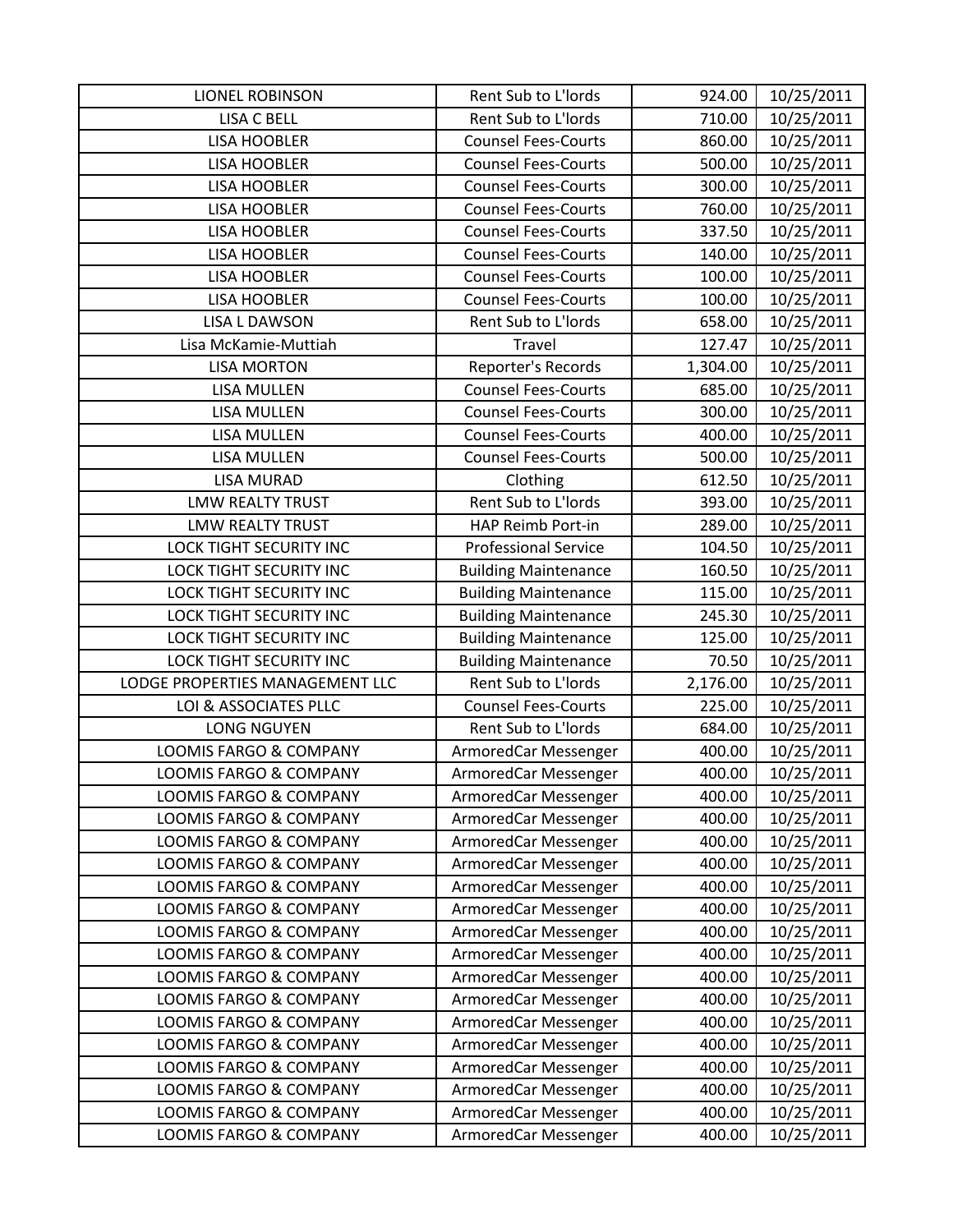| <b>LIONEL ROBINSON</b>            | Rent Sub to L'Iords         | 924.00   | 10/25/2011 |
|-----------------------------------|-----------------------------|----------|------------|
| <b>LISA C BELL</b>                | Rent Sub to L'Iords         | 710.00   | 10/25/2011 |
| <b>LISA HOOBLER</b>               | <b>Counsel Fees-Courts</b>  | 860.00   | 10/25/2011 |
| <b>LISA HOOBLER</b>               | <b>Counsel Fees-Courts</b>  | 500.00   | 10/25/2011 |
| <b>LISA HOOBLER</b>               | <b>Counsel Fees-Courts</b>  | 300.00   | 10/25/2011 |
| <b>LISA HOOBLER</b>               | <b>Counsel Fees-Courts</b>  | 760.00   | 10/25/2011 |
| <b>LISA HOOBLER</b>               | <b>Counsel Fees-Courts</b>  | 337.50   | 10/25/2011 |
| <b>LISA HOOBLER</b>               | <b>Counsel Fees-Courts</b>  | 140.00   | 10/25/2011 |
| <b>LISA HOOBLER</b>               | <b>Counsel Fees-Courts</b>  | 100.00   | 10/25/2011 |
| <b>LISA HOOBLER</b>               | <b>Counsel Fees-Courts</b>  | 100.00   | 10/25/2011 |
| <b>LISA L DAWSON</b>              | Rent Sub to L'Iords         | 658.00   | 10/25/2011 |
| Lisa McKamie-Muttiah              | Travel                      | 127.47   | 10/25/2011 |
| <b>LISA MORTON</b>                | Reporter's Records          | 1,304.00 | 10/25/2011 |
| <b>LISA MULLEN</b>                | <b>Counsel Fees-Courts</b>  | 685.00   | 10/25/2011 |
| <b>LISA MULLEN</b>                | <b>Counsel Fees-Courts</b>  | 300.00   | 10/25/2011 |
| <b>LISA MULLEN</b>                | <b>Counsel Fees-Courts</b>  | 400.00   | 10/25/2011 |
| <b>LISA MULLEN</b>                | <b>Counsel Fees-Courts</b>  | 500.00   | 10/25/2011 |
| <b>LISA MURAD</b>                 | Clothing                    | 612.50   | 10/25/2011 |
| <b>LMW REALTY TRUST</b>           | Rent Sub to L'Iords         | 393.00   | 10/25/2011 |
| <b>LMW REALTY TRUST</b>           | HAP Reimb Port-in           | 289.00   | 10/25/2011 |
| <b>LOCK TIGHT SECURITY INC</b>    | <b>Professional Service</b> | 104.50   | 10/25/2011 |
| <b>LOCK TIGHT SECURITY INC</b>    | <b>Building Maintenance</b> | 160.50   | 10/25/2011 |
| LOCK TIGHT SECURITY INC           | <b>Building Maintenance</b> | 115.00   | 10/25/2011 |
| LOCK TIGHT SECURITY INC           | <b>Building Maintenance</b> | 245.30   | 10/25/2011 |
| LOCK TIGHT SECURITY INC           | <b>Building Maintenance</b> | 125.00   | 10/25/2011 |
| LOCK TIGHT SECURITY INC           | <b>Building Maintenance</b> | 70.50    | 10/25/2011 |
| LODGE PROPERTIES MANAGEMENT LLC   | Rent Sub to L'Iords         | 2,176.00 | 10/25/2011 |
| LOI & ASSOCIATES PLLC             | <b>Counsel Fees-Courts</b>  | 225.00   | 10/25/2011 |
| <b>LONG NGUYEN</b>                | Rent Sub to L'Iords         | 684.00   | 10/25/2011 |
| <b>LOOMIS FARGO &amp; COMPANY</b> | ArmoredCar Messenger        | 400.00   | 10/25/2011 |
| <b>LOOMIS FARGO &amp; COMPANY</b> | ArmoredCar Messenger        | 400.00   | 10/25/2011 |
| <b>LOOMIS FARGO &amp; COMPANY</b> | ArmoredCar Messenger        | 400.00   | 10/25/2011 |
| LOOMIS FARGO & COMPANY            | ArmoredCar Messenger        | 400.00   | 10/25/2011 |
| LOOMIS FARGO & COMPANY            | ArmoredCar Messenger        | 400.00   | 10/25/2011 |
| LOOMIS FARGO & COMPANY            | ArmoredCar Messenger        | 400.00   | 10/25/2011 |
| <b>LOOMIS FARGO &amp; COMPANY</b> | ArmoredCar Messenger        | 400.00   | 10/25/2011 |
| <b>LOOMIS FARGO &amp; COMPANY</b> | ArmoredCar Messenger        | 400.00   | 10/25/2011 |
| <b>LOOMIS FARGO &amp; COMPANY</b> | ArmoredCar Messenger        | 400.00   | 10/25/2011 |
| LOOMIS FARGO & COMPANY            | ArmoredCar Messenger        | 400.00   | 10/25/2011 |
| LOOMIS FARGO & COMPANY            | ArmoredCar Messenger        | 400.00   | 10/25/2011 |
| LOOMIS FARGO & COMPANY            | ArmoredCar Messenger        | 400.00   | 10/25/2011 |
| LOOMIS FARGO & COMPANY            | ArmoredCar Messenger        | 400.00   | 10/25/2011 |
| <b>LOOMIS FARGO &amp; COMPANY</b> | ArmoredCar Messenger        | 400.00   | 10/25/2011 |
| LOOMIS FARGO & COMPANY            | ArmoredCar Messenger        | 400.00   | 10/25/2011 |
| <b>LOOMIS FARGO &amp; COMPANY</b> | ArmoredCar Messenger        | 400.00   | 10/25/2011 |
| LOOMIS FARGO & COMPANY            | ArmoredCar Messenger        | 400.00   | 10/25/2011 |
| LOOMIS FARGO & COMPANY            | ArmoredCar Messenger        | 400.00   | 10/25/2011 |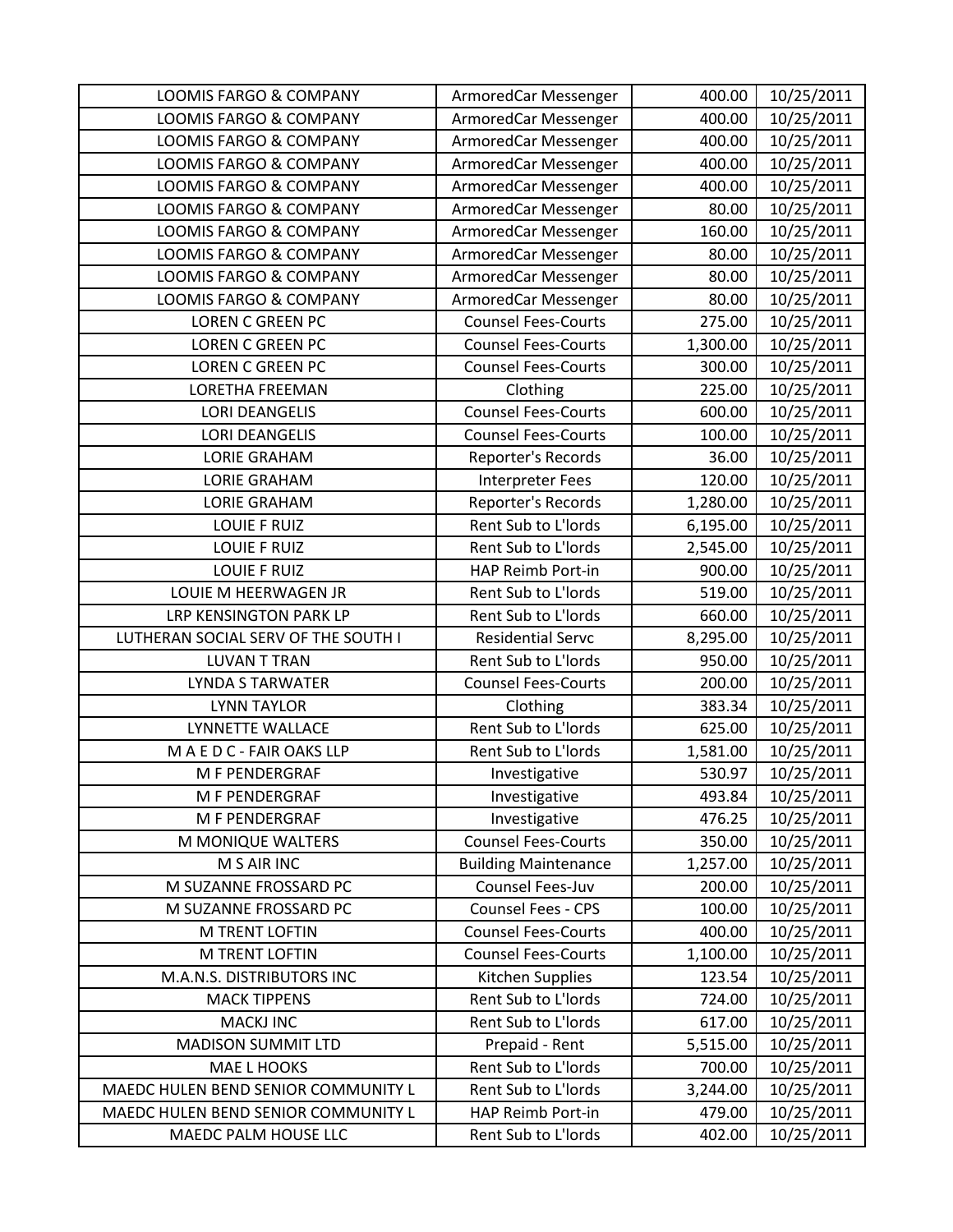| <b>LOOMIS FARGO &amp; COMPANY</b>   | ArmoredCar Messenger        | 400.00   | 10/25/2011 |
|-------------------------------------|-----------------------------|----------|------------|
| <b>LOOMIS FARGO &amp; COMPANY</b>   | ArmoredCar Messenger        | 400.00   | 10/25/2011 |
| LOOMIS FARGO & COMPANY              | ArmoredCar Messenger        | 400.00   | 10/25/2011 |
| <b>LOOMIS FARGO &amp; COMPANY</b>   | ArmoredCar Messenger        | 400.00   | 10/25/2011 |
| <b>LOOMIS FARGO &amp; COMPANY</b>   | ArmoredCar Messenger        | 400.00   | 10/25/2011 |
| <b>LOOMIS FARGO &amp; COMPANY</b>   | ArmoredCar Messenger        | 80.00    | 10/25/2011 |
| <b>LOOMIS FARGO &amp; COMPANY</b>   | ArmoredCar Messenger        | 160.00   | 10/25/2011 |
| <b>LOOMIS FARGO &amp; COMPANY</b>   | ArmoredCar Messenger        | 80.00    | 10/25/2011 |
| <b>LOOMIS FARGO &amp; COMPANY</b>   | ArmoredCar Messenger        | 80.00    | 10/25/2011 |
| <b>LOOMIS FARGO &amp; COMPANY</b>   | ArmoredCar Messenger        | 80.00    | 10/25/2011 |
| <b>LOREN C GREEN PC</b>             | <b>Counsel Fees-Courts</b>  | 275.00   | 10/25/2011 |
| <b>LOREN C GREEN PC</b>             | <b>Counsel Fees-Courts</b>  | 1,300.00 | 10/25/2011 |
| <b>LOREN C GREEN PC</b>             | <b>Counsel Fees-Courts</b>  | 300.00   | 10/25/2011 |
| <b>LORETHA FREEMAN</b>              | Clothing                    | 225.00   | 10/25/2011 |
| <b>LORI DEANGELIS</b>               | <b>Counsel Fees-Courts</b>  | 600.00   | 10/25/2011 |
| <b>LORI DEANGELIS</b>               | <b>Counsel Fees-Courts</b>  | 100.00   | 10/25/2011 |
| <b>LORIE GRAHAM</b>                 | Reporter's Records          | 36.00    | 10/25/2011 |
| <b>LORIE GRAHAM</b>                 | <b>Interpreter Fees</b>     | 120.00   | 10/25/2011 |
| <b>LORIE GRAHAM</b>                 | Reporter's Records          | 1,280.00 | 10/25/2011 |
| <b>LOUIE F RUIZ</b>                 | Rent Sub to L'Iords         | 6,195.00 | 10/25/2011 |
| <b>LOUIE F RUIZ</b>                 | Rent Sub to L'Iords         | 2,545.00 | 10/25/2011 |
| <b>LOUIE F RUIZ</b>                 | HAP Reimb Port-in           | 900.00   | 10/25/2011 |
| LOUIE M HEERWAGEN JR                | Rent Sub to L'Iords         | 519.00   | 10/25/2011 |
| LRP KENSINGTON PARK LP              | Rent Sub to L'Iords         | 660.00   | 10/25/2011 |
| LUTHERAN SOCIAL SERV OF THE SOUTH I | <b>Residential Servc</b>    | 8,295.00 | 10/25/2011 |
| <b>LUVAN T TRAN</b>                 | Rent Sub to L'Iords         | 950.00   | 10/25/2011 |
| <b>LYNDA S TARWATER</b>             | <b>Counsel Fees-Courts</b>  | 200.00   | 10/25/2011 |
| <b>LYNN TAYLOR</b>                  | Clothing                    | 383.34   | 10/25/2011 |
| LYNNETTE WALLACE                    | Rent Sub to L'Iords         | 625.00   | 10/25/2011 |
| MAEDC-FAIR OAKS LLP                 | Rent Sub to L'Iords         | 1,581.00 | 10/25/2011 |
| M F PENDERGRAF                      | Investigative               | 530.97   | 10/25/2011 |
| M F PENDERGRAF                      | Investigative               | 493.84   | 10/25/2011 |
| M F PENDERGRAF                      | Investigative               | 476.25   | 10/25/2011 |
| M MONIQUE WALTERS                   | <b>Counsel Fees-Courts</b>  | 350.00   | 10/25/2011 |
| M S AIR INC                         | <b>Building Maintenance</b> | 1,257.00 | 10/25/2011 |
| M SUZANNE FROSSARD PC               | Counsel Fees-Juv            | 200.00   | 10/25/2011 |
| M SUZANNE FROSSARD PC               | <b>Counsel Fees - CPS</b>   | 100.00   | 10/25/2011 |
| M TRENT LOFTIN                      | <b>Counsel Fees-Courts</b>  | 400.00   | 10/25/2011 |
| <b>M TRENT LOFTIN</b>               | <b>Counsel Fees-Courts</b>  | 1,100.00 | 10/25/2011 |
| M.A.N.S. DISTRIBUTORS INC           | Kitchen Supplies            | 123.54   | 10/25/2011 |
| <b>MACK TIPPENS</b>                 | Rent Sub to L'Iords         | 724.00   | 10/25/2011 |
| <b>MACKJ INC</b>                    | Rent Sub to L'Iords         | 617.00   | 10/25/2011 |
| <b>MADISON SUMMIT LTD</b>           | Prepaid - Rent              | 5,515.00 | 10/25/2011 |
| <b>MAE L HOOKS</b>                  | Rent Sub to L'Iords         | 700.00   | 10/25/2011 |
| MAEDC HULEN BEND SENIOR COMMUNITY L | Rent Sub to L'Iords         | 3,244.00 | 10/25/2011 |
| MAEDC HULEN BEND SENIOR COMMUNITY L | HAP Reimb Port-in           | 479.00   | 10/25/2011 |
| MAEDC PALM HOUSE LLC                | Rent Sub to L'Iords         | 402.00   | 10/25/2011 |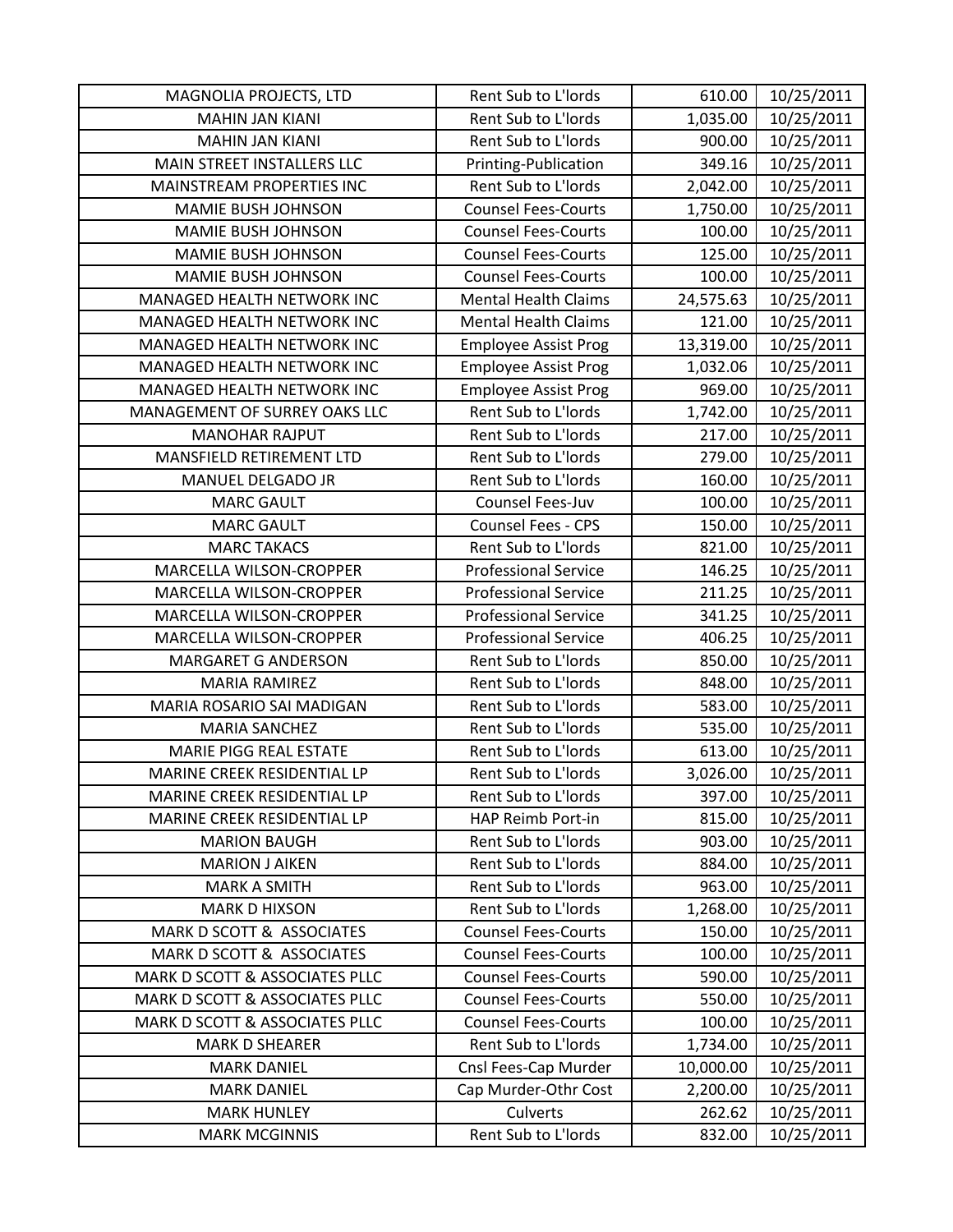| MAGNOLIA PROJECTS, LTD         | Rent Sub to L'Iords         | 610.00    | 10/25/2011 |
|--------------------------------|-----------------------------|-----------|------------|
| <b>MAHIN JAN KIANI</b>         | Rent Sub to L'Iords         | 1,035.00  | 10/25/2011 |
| <b>MAHIN JAN KIANI</b>         | Rent Sub to L'Iords         | 900.00    | 10/25/2011 |
| MAIN STREET INSTALLERS LLC     | Printing-Publication        | 349.16    | 10/25/2011 |
| MAINSTREAM PROPERTIES INC      | Rent Sub to L'Iords         | 2,042.00  | 10/25/2011 |
| <b>MAMIE BUSH JOHNSON</b>      | <b>Counsel Fees-Courts</b>  | 1,750.00  | 10/25/2011 |
| <b>MAMIE BUSH JOHNSON</b>      | <b>Counsel Fees-Courts</b>  | 100.00    | 10/25/2011 |
| <b>MAMIE BUSH JOHNSON</b>      | <b>Counsel Fees-Courts</b>  | 125.00    | 10/25/2011 |
| <b>MAMIE BUSH JOHNSON</b>      | <b>Counsel Fees-Courts</b>  | 100.00    | 10/25/2011 |
| MANAGED HEALTH NETWORK INC     | <b>Mental Health Claims</b> | 24,575.63 | 10/25/2011 |
| MANAGED HEALTH NETWORK INC     | <b>Mental Health Claims</b> | 121.00    | 10/25/2011 |
| MANAGED HEALTH NETWORK INC     | <b>Employee Assist Prog</b> | 13,319.00 | 10/25/2011 |
| MANAGED HEALTH NETWORK INC     | <b>Employee Assist Prog</b> | 1,032.06  | 10/25/2011 |
| MANAGED HEALTH NETWORK INC     | <b>Employee Assist Prog</b> | 969.00    | 10/25/2011 |
| MANAGEMENT OF SURREY OAKS LLC  | Rent Sub to L'Iords         | 1,742.00  | 10/25/2011 |
| <b>MANOHAR RAJPUT</b>          | Rent Sub to L'Iords         | 217.00    | 10/25/2011 |
| MANSFIELD RETIREMENT LTD       | Rent Sub to L'Iords         | 279.00    | 10/25/2011 |
| MANUEL DELGADO JR              | Rent Sub to L'Iords         | 160.00    | 10/25/2011 |
| <b>MARC GAULT</b>              | Counsel Fees-Juv            | 100.00    | 10/25/2011 |
| <b>MARC GAULT</b>              | Counsel Fees - CPS          | 150.00    | 10/25/2011 |
| <b>MARC TAKACS</b>             | Rent Sub to L'Iords         | 821.00    | 10/25/2011 |
| MARCELLA WILSON-CROPPER        | <b>Professional Service</b> | 146.25    | 10/25/2011 |
| MARCELLA WILSON-CROPPER        | <b>Professional Service</b> | 211.25    | 10/25/2011 |
| MARCELLA WILSON-CROPPER        | <b>Professional Service</b> | 341.25    | 10/25/2011 |
| MARCELLA WILSON-CROPPER        | <b>Professional Service</b> | 406.25    | 10/25/2011 |
| <b>MARGARET G ANDERSON</b>     | Rent Sub to L'Iords         | 850.00    | 10/25/2011 |
| <b>MARIA RAMIREZ</b>           | Rent Sub to L'Iords         | 848.00    | 10/25/2011 |
| MARIA ROSARIO SAI MADIGAN      | Rent Sub to L'Iords         | 583.00    | 10/25/2011 |
| <b>MARIA SANCHEZ</b>           | Rent Sub to L'Iords         | 535.00    | 10/25/2011 |
| MARIE PIGG REAL ESTATE         | Rent Sub to L'Iords         | 613.00    | 10/25/2011 |
| MARINE CREEK RESIDENTIAL LP    | Rent Sub to L'Iords         | 3,026.00  | 10/25/2011 |
| MARINE CREEK RESIDENTIAL LP    | Rent Sub to L'Iords         | 397.00    | 10/25/2011 |
| MARINE CREEK RESIDENTIAL LP    | HAP Reimb Port-in           | 815.00    | 10/25/2011 |
| <b>MARION BAUGH</b>            | Rent Sub to L'Iords         | 903.00    | 10/25/2011 |
| <b>MARION J AIKEN</b>          | Rent Sub to L'Iords         | 884.00    | 10/25/2011 |
| <b>MARK A SMITH</b>            | Rent Sub to L'Iords         | 963.00    | 10/25/2011 |
| <b>MARK D HIXSON</b>           | Rent Sub to L'Iords         | 1,268.00  | 10/25/2011 |
| MARK D SCOTT & ASSOCIATES      | <b>Counsel Fees-Courts</b>  | 150.00    | 10/25/2011 |
| MARK D SCOTT & ASSOCIATES      | <b>Counsel Fees-Courts</b>  | 100.00    | 10/25/2011 |
| MARK D SCOTT & ASSOCIATES PLLC | <b>Counsel Fees-Courts</b>  | 590.00    | 10/25/2011 |
| MARK D SCOTT & ASSOCIATES PLLC | <b>Counsel Fees-Courts</b>  | 550.00    | 10/25/2011 |
| MARK D SCOTT & ASSOCIATES PLLC | <b>Counsel Fees-Courts</b>  | 100.00    | 10/25/2011 |
| <b>MARK D SHEARER</b>          | Rent Sub to L'Iords         | 1,734.00  | 10/25/2011 |
| <b>MARK DANIEL</b>             | Cnsl Fees-Cap Murder        | 10,000.00 | 10/25/2011 |
| <b>MARK DANIEL</b>             | Cap Murder-Othr Cost        | 2,200.00  | 10/25/2011 |
| <b>MARK HUNLEY</b>             | Culverts                    | 262.62    | 10/25/2011 |
| <b>MARK MCGINNIS</b>           | Rent Sub to L'Iords         | 832.00    | 10/25/2011 |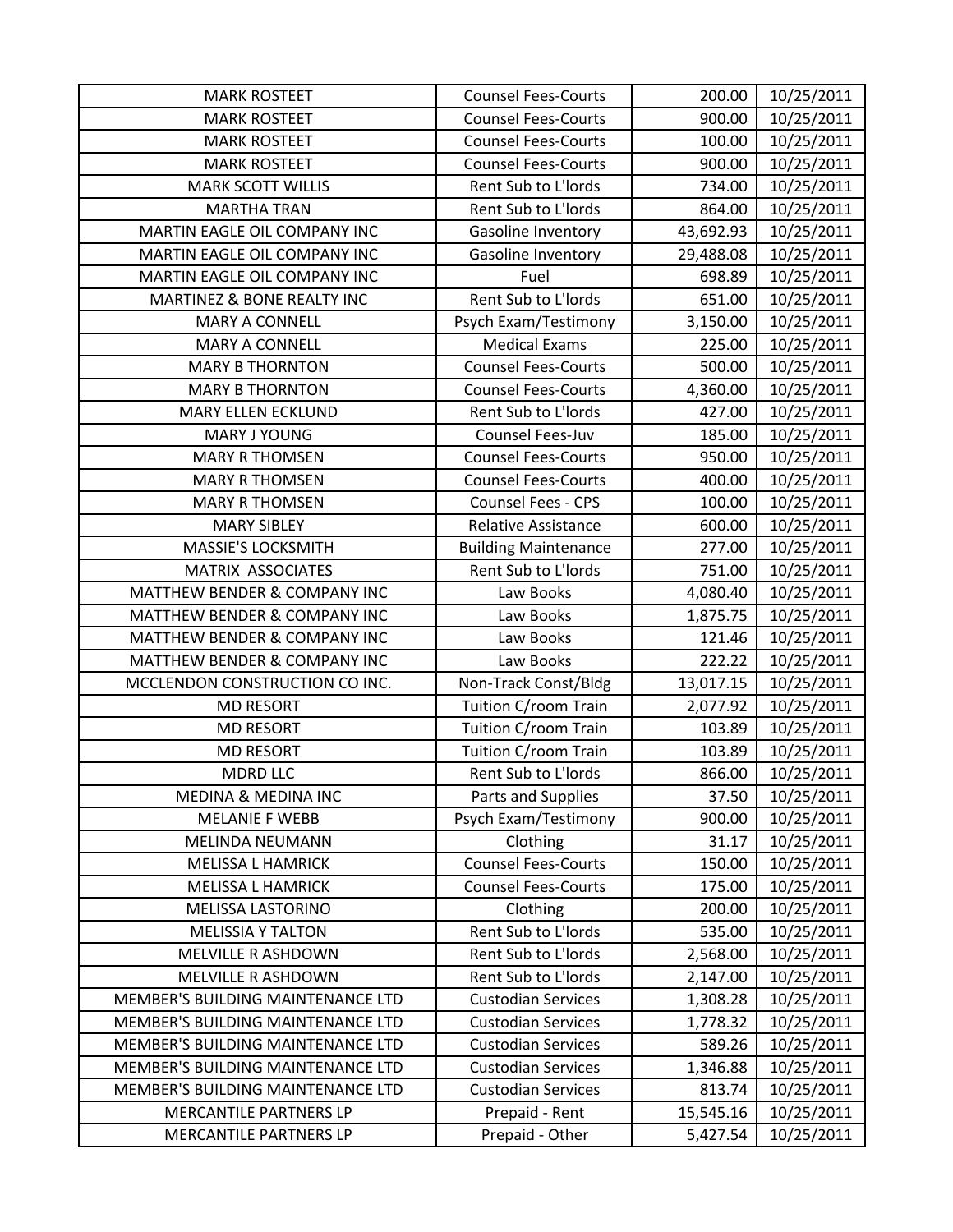| <b>MARK ROSTEET</b>               | <b>Counsel Fees-Courts</b>  | 200.00    | 10/25/2011 |
|-----------------------------------|-----------------------------|-----------|------------|
| <b>MARK ROSTEET</b>               | <b>Counsel Fees-Courts</b>  | 900.00    | 10/25/2011 |
| <b>MARK ROSTEET</b>               | <b>Counsel Fees-Courts</b>  | 100.00    | 10/25/2011 |
| <b>MARK ROSTEET</b>               | <b>Counsel Fees-Courts</b>  | 900.00    | 10/25/2011 |
| <b>MARK SCOTT WILLIS</b>          | Rent Sub to L'Iords         | 734.00    | 10/25/2011 |
| <b>MARTHA TRAN</b>                | Rent Sub to L'Iords         | 864.00    | 10/25/2011 |
| MARTIN EAGLE OIL COMPANY INC      | Gasoline Inventory          | 43,692.93 | 10/25/2011 |
| MARTIN EAGLE OIL COMPANY INC      | Gasoline Inventory          | 29,488.08 | 10/25/2011 |
| MARTIN EAGLE OIL COMPANY INC      | Fuel                        | 698.89    | 10/25/2011 |
| MARTINEZ & BONE REALTY INC        | Rent Sub to L'Iords         | 651.00    | 10/25/2011 |
| <b>MARY A CONNELL</b>             | Psych Exam/Testimony        | 3,150.00  | 10/25/2011 |
| <b>MARY A CONNELL</b>             | <b>Medical Exams</b>        | 225.00    | 10/25/2011 |
| <b>MARY B THORNTON</b>            | <b>Counsel Fees-Courts</b>  | 500.00    | 10/25/2011 |
| <b>MARY B THORNTON</b>            | <b>Counsel Fees-Courts</b>  | 4,360.00  | 10/25/2011 |
| <b>MARY ELLEN ECKLUND</b>         | Rent Sub to L'Iords         | 427.00    | 10/25/2011 |
| MARY J YOUNG                      | Counsel Fees-Juv            | 185.00    | 10/25/2011 |
| <b>MARY R THOMSEN</b>             | <b>Counsel Fees-Courts</b>  | 950.00    | 10/25/2011 |
| <b>MARY R THOMSEN</b>             | <b>Counsel Fees-Courts</b>  | 400.00    | 10/25/2011 |
| <b>MARY R THOMSEN</b>             | <b>Counsel Fees - CPS</b>   | 100.00    | 10/25/2011 |
| <b>MARY SIBLEY</b>                | <b>Relative Assistance</b>  | 600.00    | 10/25/2011 |
| MASSIE'S LOCKSMITH                | <b>Building Maintenance</b> | 277.00    | 10/25/2011 |
| MATRIX ASSOCIATES                 | Rent Sub to L'Iords         | 751.00    | 10/25/2011 |
| MATTHEW BENDER & COMPANY INC      | Law Books                   | 4,080.40  | 10/25/2011 |
| MATTHEW BENDER & COMPANY INC      | Law Books                   | 1,875.75  | 10/25/2011 |
| MATTHEW BENDER & COMPANY INC      | Law Books                   | 121.46    | 10/25/2011 |
| MATTHEW BENDER & COMPANY INC      | Law Books                   | 222.22    | 10/25/2011 |
| MCCLENDON CONSTRUCTION CO INC.    | Non-Track Const/Bldg        | 13,017.15 | 10/25/2011 |
| <b>MD RESORT</b>                  | Tuition C/room Train        | 2,077.92  | 10/25/2011 |
| <b>MD RESORT</b>                  | Tuition C/room Train        | 103.89    | 10/25/2011 |
| <b>MD RESORT</b>                  | Tuition C/room Train        | 103.89    | 10/25/2011 |
| <b>MDRD LLC</b>                   | Rent Sub to L'Iords         | 866.00    | 10/25/2011 |
| <b>MEDINA &amp; MEDINA INC</b>    | Parts and Supplies          | 37.50     | 10/25/2011 |
| <b>MELANIE F WEBB</b>             | Psych Exam/Testimony        | 900.00    | 10/25/2011 |
| MELINDA NEUMANN                   | Clothing                    | 31.17     | 10/25/2011 |
| <b>MELISSA L HAMRICK</b>          | <b>Counsel Fees-Courts</b>  | 150.00    | 10/25/2011 |
| <b>MELISSA L HAMRICK</b>          | <b>Counsel Fees-Courts</b>  | 175.00    | 10/25/2011 |
| <b>MELISSA LASTORINO</b>          | Clothing                    | 200.00    | 10/25/2011 |
| <b>MELISSIA Y TALTON</b>          | Rent Sub to L'Iords         | 535.00    | 10/25/2011 |
| MELVILLE R ASHDOWN                | Rent Sub to L'Iords         | 2,568.00  | 10/25/2011 |
| <b>MELVILLE R ASHDOWN</b>         | Rent Sub to L'Iords         | 2,147.00  | 10/25/2011 |
| MEMBER'S BUILDING MAINTENANCE LTD | <b>Custodian Services</b>   | 1,308.28  | 10/25/2011 |
| MEMBER'S BUILDING MAINTENANCE LTD | <b>Custodian Services</b>   | 1,778.32  | 10/25/2011 |
| MEMBER'S BUILDING MAINTENANCE LTD | <b>Custodian Services</b>   | 589.26    | 10/25/2011 |
| MEMBER'S BUILDING MAINTENANCE LTD | <b>Custodian Services</b>   | 1,346.88  | 10/25/2011 |
| MEMBER'S BUILDING MAINTENANCE LTD | <b>Custodian Services</b>   | 813.74    | 10/25/2011 |
| MERCANTILE PARTNERS LP            | Prepaid - Rent              | 15,545.16 | 10/25/2011 |
| MERCANTILE PARTNERS LP            | Prepaid - Other             | 5,427.54  | 10/25/2011 |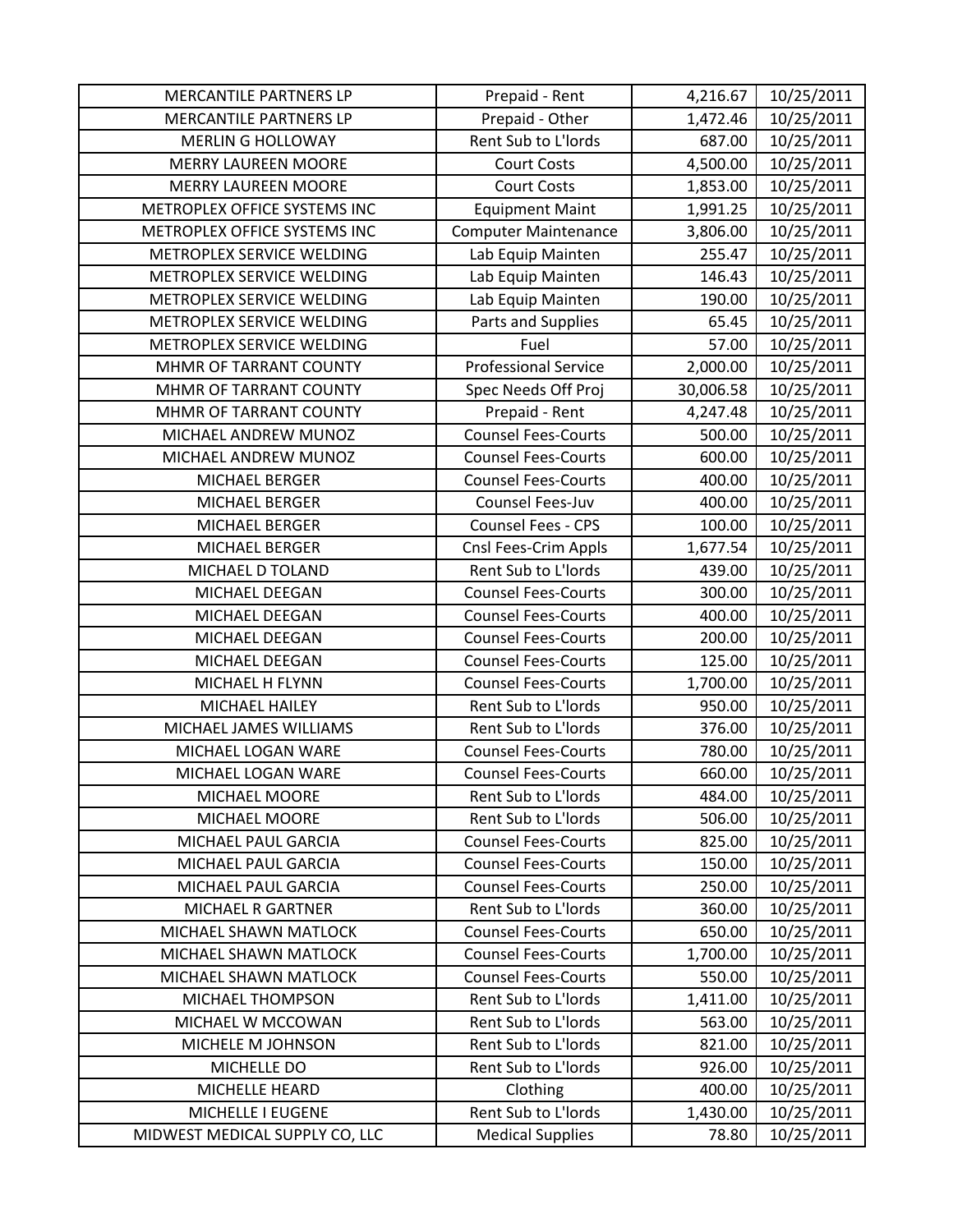| MERCANTILE PARTNERS LP         | Prepaid - Rent              | 4,216.67  | 10/25/2011 |
|--------------------------------|-----------------------------|-----------|------------|
| MERCANTILE PARTNERS LP         | Prepaid - Other             | 1,472.46  | 10/25/2011 |
| <b>MERLIN G HOLLOWAY</b>       | Rent Sub to L'Iords         | 687.00    | 10/25/2011 |
| <b>MERRY LAUREEN MOORE</b>     | <b>Court Costs</b>          | 4,500.00  | 10/25/2011 |
| <b>MERRY LAUREEN MOORE</b>     | <b>Court Costs</b>          | 1,853.00  | 10/25/2011 |
| METROPLEX OFFICE SYSTEMS INC   | <b>Equipment Maint</b>      | 1,991.25  | 10/25/2011 |
| METROPLEX OFFICE SYSTEMS INC   | <b>Computer Maintenance</b> | 3,806.00  | 10/25/2011 |
| METROPLEX SERVICE WELDING      | Lab Equip Mainten           | 255.47    | 10/25/2011 |
| METROPLEX SERVICE WELDING      | Lab Equip Mainten           | 146.43    | 10/25/2011 |
| METROPLEX SERVICE WELDING      | Lab Equip Mainten           | 190.00    | 10/25/2011 |
| METROPLEX SERVICE WELDING      | Parts and Supplies          | 65.45     | 10/25/2011 |
| METROPLEX SERVICE WELDING      | Fuel                        | 57.00     | 10/25/2011 |
| MHMR OF TARRANT COUNTY         | <b>Professional Service</b> | 2,000.00  | 10/25/2011 |
| MHMR OF TARRANT COUNTY         | Spec Needs Off Proj         | 30,006.58 | 10/25/2011 |
| MHMR OF TARRANT COUNTY         | Prepaid - Rent              | 4,247.48  | 10/25/2011 |
| MICHAEL ANDREW MUNOZ           | <b>Counsel Fees-Courts</b>  | 500.00    | 10/25/2011 |
| MICHAEL ANDREW MUNOZ           | <b>Counsel Fees-Courts</b>  | 600.00    | 10/25/2011 |
| <b>MICHAEL BERGER</b>          | <b>Counsel Fees-Courts</b>  | 400.00    | 10/25/2011 |
| MICHAEL BERGER                 | Counsel Fees-Juv            | 400.00    | 10/25/2011 |
| MICHAEL BERGER                 | Counsel Fees - CPS          | 100.00    | 10/25/2011 |
| MICHAEL BERGER                 | Cnsl Fees-Crim Appls        | 1,677.54  | 10/25/2011 |
| MICHAEL D TOLAND               | Rent Sub to L'Iords         | 439.00    | 10/25/2011 |
| MICHAEL DEEGAN                 | <b>Counsel Fees-Courts</b>  | 300.00    | 10/25/2011 |
| MICHAEL DEEGAN                 | <b>Counsel Fees-Courts</b>  | 400.00    | 10/25/2011 |
| MICHAEL DEEGAN                 | <b>Counsel Fees-Courts</b>  | 200.00    | 10/25/2011 |
| MICHAEL DEEGAN                 | <b>Counsel Fees-Courts</b>  | 125.00    | 10/25/2011 |
| MICHAEL H FLYNN                | <b>Counsel Fees-Courts</b>  | 1,700.00  | 10/25/2011 |
| MICHAEL HAILEY                 | Rent Sub to L'Iords         | 950.00    | 10/25/2011 |
| MICHAEL JAMES WILLIAMS         | Rent Sub to L'Iords         | 376.00    | 10/25/2011 |
| MICHAEL LOGAN WARE             | <b>Counsel Fees-Courts</b>  | 780.00    | 10/25/2011 |
| MICHAEL LOGAN WARE             | <b>Counsel Fees-Courts</b>  | 660.00    | 10/25/2011 |
| MICHAEL MOORE                  | Rent Sub to L'Iords         | 484.00    | 10/25/2011 |
| MICHAEL MOORE                  | Rent Sub to L'Iords         | 506.00    | 10/25/2011 |
| MICHAEL PAUL GARCIA            | <b>Counsel Fees-Courts</b>  | 825.00    | 10/25/2011 |
| MICHAEL PAUL GARCIA            | <b>Counsel Fees-Courts</b>  | 150.00    | 10/25/2011 |
| MICHAEL PAUL GARCIA            | <b>Counsel Fees-Courts</b>  | 250.00    | 10/25/2011 |
| <b>MICHAEL R GARTNER</b>       | Rent Sub to L'Iords         | 360.00    | 10/25/2011 |
| MICHAEL SHAWN MATLOCK          | <b>Counsel Fees-Courts</b>  | 650.00    | 10/25/2011 |
| MICHAEL SHAWN MATLOCK          | <b>Counsel Fees-Courts</b>  | 1,700.00  | 10/25/2011 |
| MICHAEL SHAWN MATLOCK          | <b>Counsel Fees-Courts</b>  | 550.00    | 10/25/2011 |
| MICHAEL THOMPSON               | Rent Sub to L'Iords         | 1,411.00  | 10/25/2011 |
| MICHAEL W MCCOWAN              | Rent Sub to L'Iords         | 563.00    | 10/25/2011 |
| MICHELE M JOHNSON              | Rent Sub to L'Iords         | 821.00    | 10/25/2011 |
| MICHELLE DO                    | Rent Sub to L'Iords         | 926.00    | 10/25/2011 |
| MICHELLE HEARD                 | Clothing                    | 400.00    | 10/25/2011 |
| MICHELLE I EUGENE              | Rent Sub to L'Iords         | 1,430.00  | 10/25/2011 |
| MIDWEST MEDICAL SUPPLY CO, LLC | <b>Medical Supplies</b>     | 78.80     | 10/25/2011 |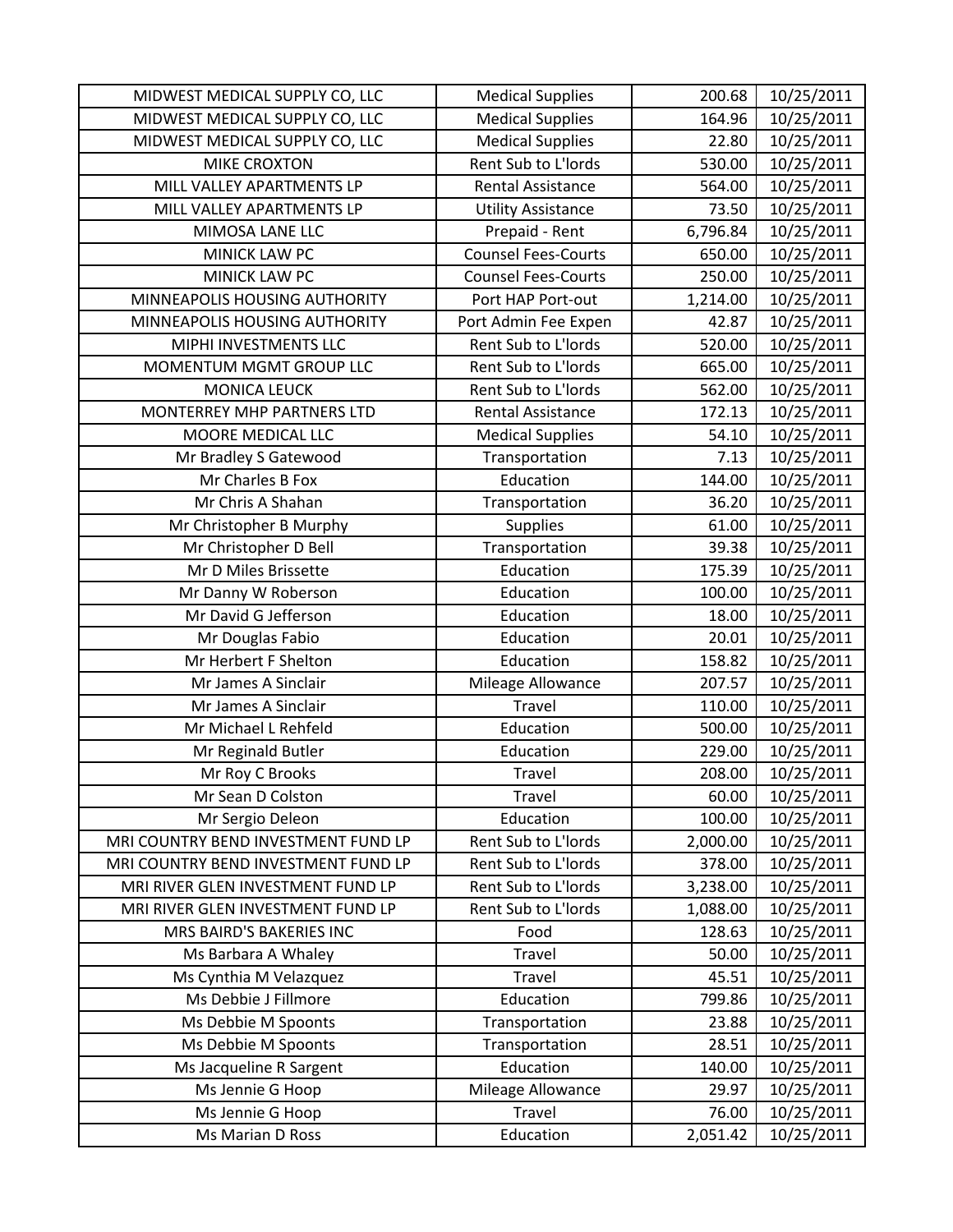| MIDWEST MEDICAL SUPPLY CO, LLC      | <b>Medical Supplies</b>    | 200.68   | 10/25/2011 |
|-------------------------------------|----------------------------|----------|------------|
| MIDWEST MEDICAL SUPPLY CO, LLC      | <b>Medical Supplies</b>    | 164.96   | 10/25/2011 |
| MIDWEST MEDICAL SUPPLY CO, LLC      | <b>Medical Supplies</b>    | 22.80    | 10/25/2011 |
| <b>MIKE CROXTON</b>                 | Rent Sub to L'Iords        | 530.00   | 10/25/2011 |
| MILL VALLEY APARTMENTS LP           | <b>Rental Assistance</b>   | 564.00   | 10/25/2011 |
| MILL VALLEY APARTMENTS LP           | <b>Utility Assistance</b>  | 73.50    | 10/25/2011 |
| MIMOSA LANE LLC                     | Prepaid - Rent             | 6,796.84 | 10/25/2011 |
| MINICK LAW PC                       | <b>Counsel Fees-Courts</b> | 650.00   | 10/25/2011 |
| MINICK LAW PC                       | <b>Counsel Fees-Courts</b> | 250.00   | 10/25/2011 |
| MINNEAPOLIS HOUSING AUTHORITY       | Port HAP Port-out          | 1,214.00 | 10/25/2011 |
| MINNEAPOLIS HOUSING AUTHORITY       | Port Admin Fee Expen       | 42.87    | 10/25/2011 |
| MIPHI INVESTMENTS LLC               | Rent Sub to L'Iords        | 520.00   | 10/25/2011 |
| MOMENTUM MGMT GROUP LLC             | Rent Sub to L'Iords        | 665.00   | 10/25/2011 |
| <b>MONICA LEUCK</b>                 | Rent Sub to L'Iords        | 562.00   | 10/25/2011 |
| <b>MONTERREY MHP PARTNERS LTD</b>   | <b>Rental Assistance</b>   | 172.13   | 10/25/2011 |
| MOORE MEDICAL LLC                   | <b>Medical Supplies</b>    | 54.10    | 10/25/2011 |
| Mr Bradley S Gatewood               | Transportation             | 7.13     | 10/25/2011 |
| Mr Charles B Fox                    | Education                  | 144.00   | 10/25/2011 |
| Mr Chris A Shahan                   | Transportation             | 36.20    | 10/25/2011 |
| Mr Christopher B Murphy             | <b>Supplies</b>            | 61.00    | 10/25/2011 |
| Mr Christopher D Bell               | Transportation             | 39.38    | 10/25/2011 |
| Mr D Miles Brissette                | Education                  | 175.39   | 10/25/2011 |
| Mr Danny W Roberson                 | Education                  | 100.00   | 10/25/2011 |
| Mr David G Jefferson                | Education                  | 18.00    | 10/25/2011 |
| Mr Douglas Fabio                    | Education                  | 20.01    | 10/25/2011 |
| Mr Herbert F Shelton                | Education                  | 158.82   | 10/25/2011 |
| Mr James A Sinclair                 | Mileage Allowance          | 207.57   | 10/25/2011 |
| Mr James A Sinclair                 | Travel                     | 110.00   | 10/25/2011 |
| Mr Michael L Rehfeld                | Education                  | 500.00   | 10/25/2011 |
| Mr Reginald Butler                  | Education                  | 229.00   | 10/25/2011 |
| Mr Roy C Brooks                     | Travel                     | 208.00   | 10/25/2011 |
| Mr Sean D Colston                   | Travel                     | 60.00    | 10/25/2011 |
| Mr Sergio Deleon                    | Education                  | 100.00   | 10/25/2011 |
| MRI COUNTRY BEND INVESTMENT FUND LP | Rent Sub to L'Iords        | 2,000.00 | 10/25/2011 |
| MRI COUNTRY BEND INVESTMENT FUND LP | Rent Sub to L'Iords        | 378.00   | 10/25/2011 |
| MRI RIVER GLEN INVESTMENT FUND LP   | Rent Sub to L'Iords        | 3,238.00 | 10/25/2011 |
| MRI RIVER GLEN INVESTMENT FUND LP   | Rent Sub to L'Iords        | 1,088.00 | 10/25/2011 |
| MRS BAIRD'S BAKERIES INC            | Food                       | 128.63   | 10/25/2011 |
| Ms Barbara A Whaley                 | Travel                     | 50.00    | 10/25/2011 |
| Ms Cynthia M Velazquez              | Travel                     | 45.51    | 10/25/2011 |
| Ms Debbie J Fillmore                | Education                  | 799.86   | 10/25/2011 |
| Ms Debbie M Spoonts                 | Transportation             | 23.88    | 10/25/2011 |
| Ms Debbie M Spoonts                 | Transportation             | 28.51    | 10/25/2011 |
| Ms Jacqueline R Sargent             | Education                  | 140.00   | 10/25/2011 |
| Ms Jennie G Hoop                    | Mileage Allowance          | 29.97    | 10/25/2011 |
| Ms Jennie G Hoop                    | Travel                     | 76.00    | 10/25/2011 |
| Ms Marian D Ross                    | Education                  | 2,051.42 | 10/25/2011 |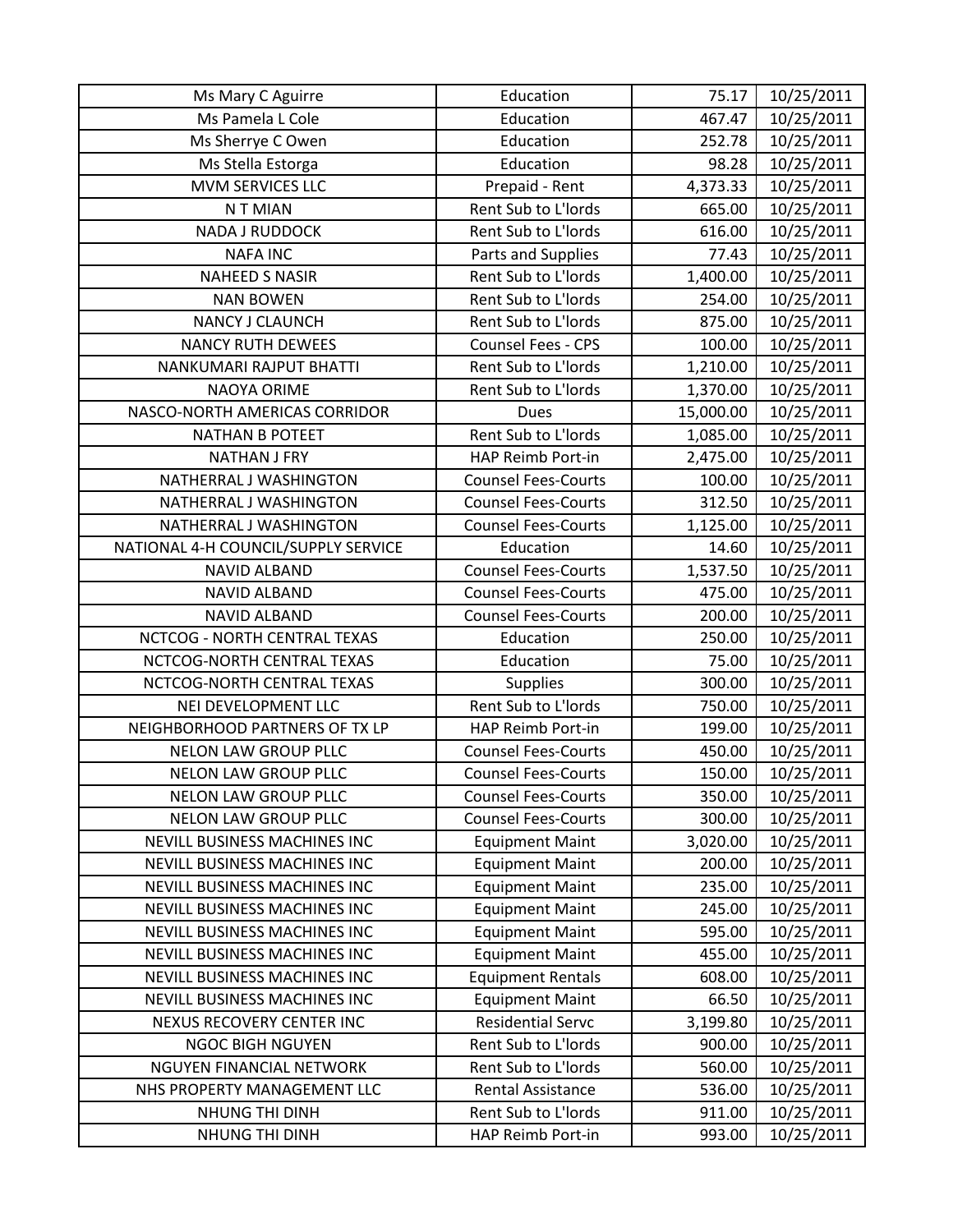| Ms Mary C Aguirre                   | Education                  | 75.17     | 10/25/2011 |
|-------------------------------------|----------------------------|-----------|------------|
| Ms Pamela L Cole                    | Education                  | 467.47    | 10/25/2011 |
| Ms Sherrye C Owen                   | Education                  | 252.78    | 10/25/2011 |
| Ms Stella Estorga                   | Education                  | 98.28     | 10/25/2011 |
| MVM SERVICES LLC                    | Prepaid - Rent             | 4,373.33  | 10/25/2011 |
| N T MIAN                            | Rent Sub to L'Iords        | 665.00    | 10/25/2011 |
| <b>NADA J RUDDOCK</b>               | Rent Sub to L'Iords        | 616.00    | 10/25/2011 |
| <b>NAFA INC</b>                     | Parts and Supplies         | 77.43     | 10/25/2011 |
| <b>NAHEED S NASIR</b>               | Rent Sub to L'Iords        | 1,400.00  | 10/25/2011 |
| <b>NAN BOWEN</b>                    | Rent Sub to L'Iords        | 254.00    | 10/25/2011 |
| NANCY J CLAUNCH                     | Rent Sub to L'Iords        | 875.00    | 10/25/2011 |
| <b>NANCY RUTH DEWEES</b>            | Counsel Fees - CPS         | 100.00    | 10/25/2011 |
| NANKUMARI RAJPUT BHATTI             | Rent Sub to L'Iords        | 1,210.00  | 10/25/2011 |
| <b>NAOYA ORIME</b>                  | Rent Sub to L'Iords        | 1,370.00  | 10/25/2011 |
| NASCO-NORTH AMERICAS CORRIDOR       | <b>Dues</b>                | 15,000.00 | 10/25/2011 |
| <b>NATHAN B POTEET</b>              | Rent Sub to L'Iords        | 1,085.00  | 10/25/2011 |
| <b>NATHAN J FRY</b>                 | HAP Reimb Port-in          | 2,475.00  | 10/25/2011 |
| NATHERRAL J WASHINGTON              | <b>Counsel Fees-Courts</b> | 100.00    | 10/25/2011 |
| NATHERRAL J WASHINGTON              | <b>Counsel Fees-Courts</b> | 312.50    | 10/25/2011 |
| NATHERRAL J WASHINGTON              | <b>Counsel Fees-Courts</b> | 1,125.00  | 10/25/2011 |
| NATIONAL 4-H COUNCIL/SUPPLY SERVICE | Education                  | 14.60     | 10/25/2011 |
| <b>NAVID ALBAND</b>                 | <b>Counsel Fees-Courts</b> | 1,537.50  | 10/25/2011 |
| <b>NAVID ALBAND</b>                 | <b>Counsel Fees-Courts</b> | 475.00    | 10/25/2011 |
| <b>NAVID ALBAND</b>                 | <b>Counsel Fees-Courts</b> | 200.00    | 10/25/2011 |
| NCTCOG - NORTH CENTRAL TEXAS        | Education                  | 250.00    | 10/25/2011 |
| NCTCOG-NORTH CENTRAL TEXAS          | Education                  | 75.00     | 10/25/2011 |
| NCTCOG-NORTH CENTRAL TEXAS          | <b>Supplies</b>            | 300.00    | 10/25/2011 |
| NEI DEVELOPMENT LLC                 | Rent Sub to L'Iords        | 750.00    | 10/25/2011 |
| NEIGHBORHOOD PARTNERS OF TX LP      | HAP Reimb Port-in          | 199.00    | 10/25/2011 |
| NELON LAW GROUP PLLC                | <b>Counsel Fees-Courts</b> | 450.00    | 10/25/2011 |
| <b>NELON LAW GROUP PLLC</b>         | <b>Counsel Fees-Courts</b> | 150.00    | 10/25/2011 |
| <b>NELON LAW GROUP PLLC</b>         | <b>Counsel Fees-Courts</b> | 350.00    | 10/25/2011 |
| <b>NELON LAW GROUP PLLC</b>         | <b>Counsel Fees-Courts</b> | 300.00    | 10/25/2011 |
| NEVILL BUSINESS MACHINES INC        | <b>Equipment Maint</b>     | 3,020.00  | 10/25/2011 |
| <b>NEVILL BUSINESS MACHINES INC</b> | <b>Equipment Maint</b>     | 200.00    | 10/25/2011 |
| <b>NEVILL BUSINESS MACHINES INC</b> | <b>Equipment Maint</b>     | 235.00    | 10/25/2011 |
| NEVILL BUSINESS MACHINES INC        | <b>Equipment Maint</b>     | 245.00    | 10/25/2011 |
| NEVILL BUSINESS MACHINES INC        | <b>Equipment Maint</b>     | 595.00    | 10/25/2011 |
| NEVILL BUSINESS MACHINES INC        | <b>Equipment Maint</b>     | 455.00    | 10/25/2011 |
| NEVILL BUSINESS MACHINES INC        | <b>Equipment Rentals</b>   | 608.00    | 10/25/2011 |
| NEVILL BUSINESS MACHINES INC        | <b>Equipment Maint</b>     | 66.50     | 10/25/2011 |
| NEXUS RECOVERY CENTER INC           | <b>Residential Servc</b>   | 3,199.80  | 10/25/2011 |
| <b>NGOC BIGH NGUYEN</b>             | Rent Sub to L'Iords        | 900.00    | 10/25/2011 |
| NGUYEN FINANCIAL NETWORK            | Rent Sub to L'Iords        | 560.00    | 10/25/2011 |
| NHS PROPERTY MANAGEMENT LLC         | <b>Rental Assistance</b>   | 536.00    | 10/25/2011 |
| NHUNG THI DINH                      | Rent Sub to L'Iords        | 911.00    | 10/25/2011 |
| NHUNG THI DINH                      | HAP Reimb Port-in          | 993.00    | 10/25/2011 |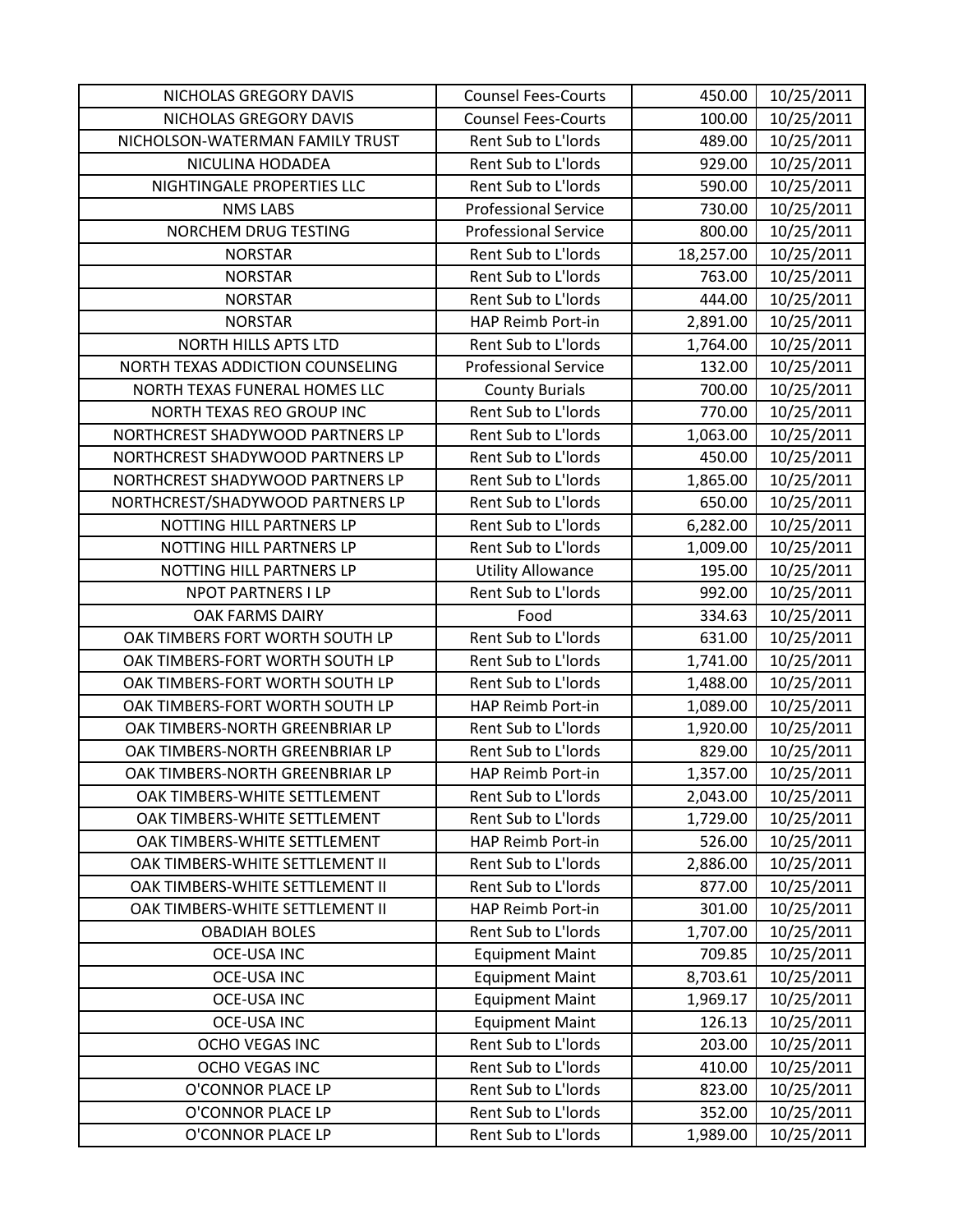| NICHOLAS GREGORY DAVIS           | <b>Counsel Fees-Courts</b>  | 450.00    | 10/25/2011 |
|----------------------------------|-----------------------------|-----------|------------|
| NICHOLAS GREGORY DAVIS           | <b>Counsel Fees-Courts</b>  | 100.00    | 10/25/2011 |
| NICHOLSON-WATERMAN FAMILY TRUST  | Rent Sub to L'Iords         | 489.00    | 10/25/2011 |
| NICULINA HODADEA                 | Rent Sub to L'Iords         | 929.00    | 10/25/2011 |
| NIGHTINGALE PROPERTIES LLC       | Rent Sub to L'Iords         | 590.00    | 10/25/2011 |
| <b>NMS LABS</b>                  | <b>Professional Service</b> | 730.00    | 10/25/2011 |
| NORCHEM DRUG TESTING             | <b>Professional Service</b> | 800.00    | 10/25/2011 |
| <b>NORSTAR</b>                   | Rent Sub to L'Iords         | 18,257.00 | 10/25/2011 |
| <b>NORSTAR</b>                   | Rent Sub to L'Iords         | 763.00    | 10/25/2011 |
| <b>NORSTAR</b>                   | Rent Sub to L'Iords         | 444.00    | 10/25/2011 |
| <b>NORSTAR</b>                   | HAP Reimb Port-in           | 2,891.00  | 10/25/2011 |
| <b>NORTH HILLS APTS LTD</b>      | Rent Sub to L'Iords         | 1,764.00  | 10/25/2011 |
| NORTH TEXAS ADDICTION COUNSELING | <b>Professional Service</b> | 132.00    | 10/25/2011 |
| NORTH TEXAS FUNERAL HOMES LLC    | <b>County Burials</b>       | 700.00    | 10/25/2011 |
| NORTH TEXAS REO GROUP INC        | Rent Sub to L'Iords         | 770.00    | 10/25/2011 |
| NORTHCREST SHADYWOOD PARTNERS LP | Rent Sub to L'Iords         | 1,063.00  | 10/25/2011 |
| NORTHCREST SHADYWOOD PARTNERS LP | Rent Sub to L'Iords         | 450.00    | 10/25/2011 |
| NORTHCREST SHADYWOOD PARTNERS LP | Rent Sub to L'Iords         | 1,865.00  | 10/25/2011 |
| NORTHCREST/SHADYWOOD PARTNERS LP | Rent Sub to L'Iords         | 650.00    | 10/25/2011 |
| NOTTING HILL PARTNERS LP         | Rent Sub to L'Iords         | 6,282.00  | 10/25/2011 |
| NOTTING HILL PARTNERS LP         | Rent Sub to L'Iords         | 1,009.00  | 10/25/2011 |
| NOTTING HILL PARTNERS LP         | <b>Utility Allowance</b>    | 195.00    | 10/25/2011 |
| <b>NPOT PARTNERS I LP</b>        | Rent Sub to L'Iords         | 992.00    | 10/25/2011 |
| OAK FARMS DAIRY                  | Food                        | 334.63    | 10/25/2011 |
| OAK TIMBERS FORT WORTH SOUTH LP  | Rent Sub to L'Iords         | 631.00    | 10/25/2011 |
| OAK TIMBERS-FORT WORTH SOUTH LP  | Rent Sub to L'Iords         | 1,741.00  | 10/25/2011 |
| OAK TIMBERS-FORT WORTH SOUTH LP  | Rent Sub to L'Iords         | 1,488.00  | 10/25/2011 |
| OAK TIMBERS-FORT WORTH SOUTH LP  | HAP Reimb Port-in           | 1,089.00  | 10/25/2011 |
| OAK TIMBERS-NORTH GREENBRIAR LP  | Rent Sub to L'Iords         | 1,920.00  | 10/25/2011 |
| OAK TIMBERS-NORTH GREENBRIAR LP  | Rent Sub to L'Iords         | 829.00    | 10/25/2011 |
| OAK TIMBERS-NORTH GREENBRIAR LP  | HAP Reimb Port-in           | 1,357.00  | 10/25/2011 |
| OAK TIMBERS-WHITE SETTLEMENT     | Rent Sub to L'Iords         | 2,043.00  | 10/25/2011 |
| OAK TIMBERS-WHITE SETTLEMENT     | Rent Sub to L'Iords         | 1,729.00  | 10/25/2011 |
| OAK TIMBERS-WHITE SETTLEMENT     | HAP Reimb Port-in           | 526.00    | 10/25/2011 |
| OAK TIMBERS-WHITE SETTLEMENT II  | Rent Sub to L'Iords         | 2,886.00  | 10/25/2011 |
| OAK TIMBERS-WHITE SETTLEMENT II  | Rent Sub to L'Iords         | 877.00    | 10/25/2011 |
| OAK TIMBERS-WHITE SETTLEMENT II  | HAP Reimb Port-in           | 301.00    | 10/25/2011 |
| <b>OBADIAH BOLES</b>             | Rent Sub to L'Iords         | 1,707.00  | 10/25/2011 |
| <b>OCE-USA INC</b>               | <b>Equipment Maint</b>      | 709.85    | 10/25/2011 |
| <b>OCE-USA INC</b>               | <b>Equipment Maint</b>      | 8,703.61  | 10/25/2011 |
| <b>OCE-USA INC</b>               | <b>Equipment Maint</b>      | 1,969.17  | 10/25/2011 |
| <b>OCE-USA INC</b>               | <b>Equipment Maint</b>      | 126.13    | 10/25/2011 |
| OCHO VEGAS INC                   | Rent Sub to L'Iords         | 203.00    | 10/25/2011 |
| OCHO VEGAS INC                   | Rent Sub to L'Iords         | 410.00    | 10/25/2011 |
| O'CONNOR PLACE LP                | Rent Sub to L'Iords         | 823.00    | 10/25/2011 |
| O'CONNOR PLACE LP                | Rent Sub to L'Iords         | 352.00    | 10/25/2011 |
| O'CONNOR PLACE LP                | Rent Sub to L'Iords         | 1,989.00  | 10/25/2011 |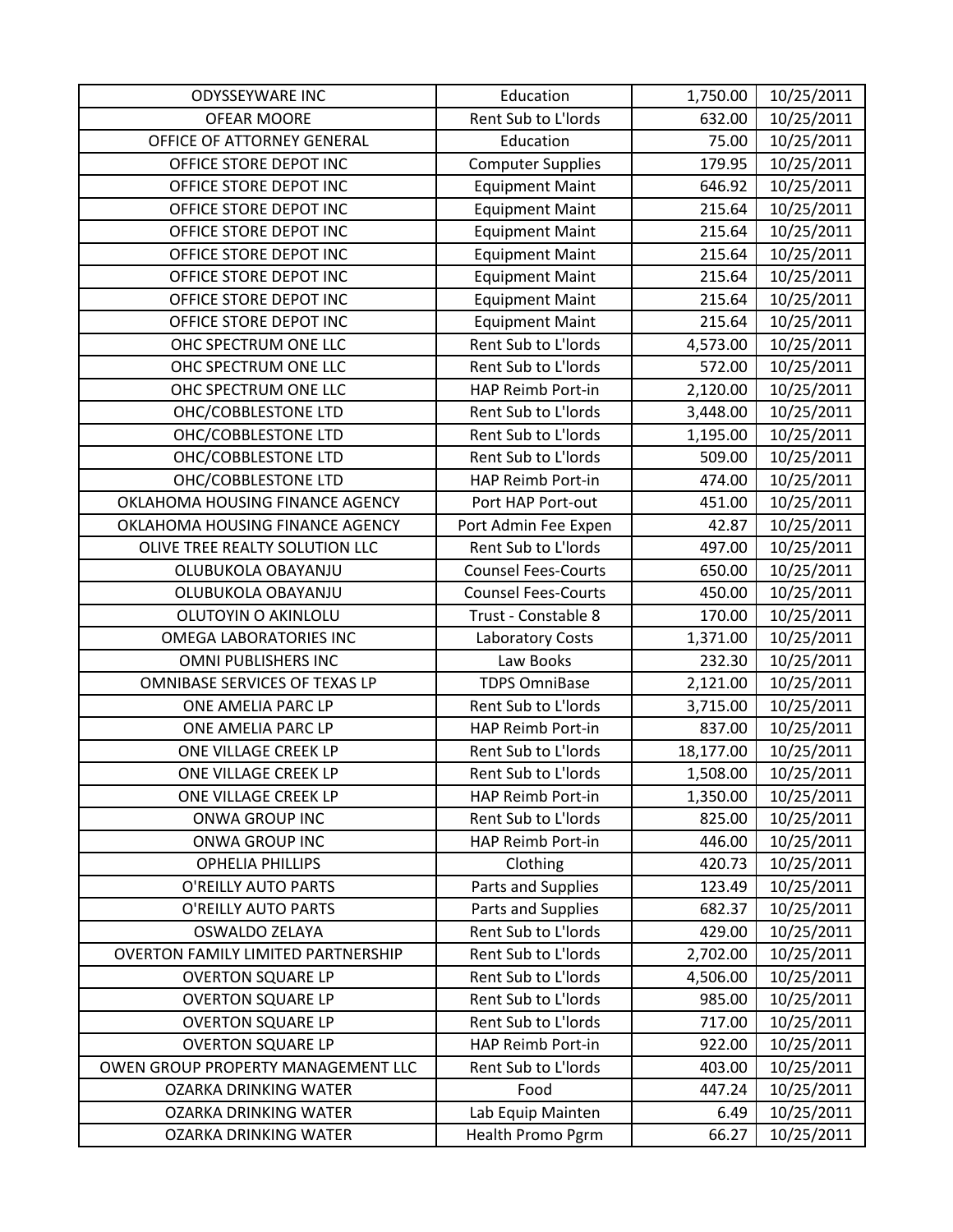| <b>ODYSSEYWARE INC</b>                    | Education                  | 1,750.00  | 10/25/2011 |
|-------------------------------------------|----------------------------|-----------|------------|
| <b>OFEAR MOORE</b>                        | Rent Sub to L'Iords        | 632.00    | 10/25/2011 |
| OFFICE OF ATTORNEY GENERAL                | Education                  | 75.00     | 10/25/2011 |
| OFFICE STORE DEPOT INC                    | <b>Computer Supplies</b>   | 179.95    | 10/25/2011 |
| OFFICE STORE DEPOT INC                    | <b>Equipment Maint</b>     | 646.92    | 10/25/2011 |
| OFFICE STORE DEPOT INC                    | <b>Equipment Maint</b>     | 215.64    | 10/25/2011 |
| OFFICE STORE DEPOT INC                    | <b>Equipment Maint</b>     | 215.64    | 10/25/2011 |
| OFFICE STORE DEPOT INC                    | <b>Equipment Maint</b>     | 215.64    | 10/25/2011 |
| OFFICE STORE DEPOT INC                    | <b>Equipment Maint</b>     | 215.64    | 10/25/2011 |
| OFFICE STORE DEPOT INC                    | <b>Equipment Maint</b>     | 215.64    | 10/25/2011 |
| OFFICE STORE DEPOT INC                    | <b>Equipment Maint</b>     | 215.64    | 10/25/2011 |
| OHC SPECTRUM ONE LLC                      | Rent Sub to L'Iords        | 4,573.00  | 10/25/2011 |
| OHC SPECTRUM ONE LLC                      | Rent Sub to L'Iords        | 572.00    | 10/25/2011 |
| OHC SPECTRUM ONE LLC                      | HAP Reimb Port-in          | 2,120.00  | 10/25/2011 |
| OHC/COBBLESTONE LTD                       | Rent Sub to L'Iords        | 3,448.00  | 10/25/2011 |
| OHC/COBBLESTONE LTD                       | Rent Sub to L'Iords        | 1,195.00  | 10/25/2011 |
| OHC/COBBLESTONE LTD                       | Rent Sub to L'Iords        | 509.00    | 10/25/2011 |
| OHC/COBBLESTONE LTD                       | HAP Reimb Port-in          | 474.00    | 10/25/2011 |
| OKLAHOMA HOUSING FINANCE AGENCY           | Port HAP Port-out          | 451.00    | 10/25/2011 |
| OKLAHOMA HOUSING FINANCE AGENCY           | Port Admin Fee Expen       | 42.87     | 10/25/2011 |
| OLIVE TREE REALTY SOLUTION LLC            | Rent Sub to L'Iords        | 497.00    | 10/25/2011 |
| OLUBUKOLA OBAYANJU                        | <b>Counsel Fees-Courts</b> | 650.00    | 10/25/2011 |
| OLUBUKOLA OBAYANJU                        | <b>Counsel Fees-Courts</b> | 450.00    | 10/25/2011 |
| OLUTOYIN O AKINLOLU                       | Trust - Constable 8        | 170.00    | 10/25/2011 |
| <b>OMEGA LABORATORIES INC</b>             | Laboratory Costs           | 1,371.00  | 10/25/2011 |
| OMNI PUBLISHERS INC                       | Law Books                  | 232.30    | 10/25/2011 |
| OMNIBASE SERVICES OF TEXAS LP             | <b>TDPS OmniBase</b>       | 2,121.00  | 10/25/2011 |
| ONE AMELIA PARC LP                        | Rent Sub to L'Iords        | 3,715.00  | 10/25/2011 |
| ONE AMELIA PARC LP                        | HAP Reimb Port-in          | 837.00    | 10/25/2011 |
| ONE VILLAGE CREEK LP                      | Rent Sub to L'Iords        | 18,177.00 | 10/25/2011 |
| ONE VILLAGE CREEK LP                      | Rent Sub to L'Iords        | 1,508.00  | 10/25/2011 |
| ONE VILLAGE CREEK LP                      | HAP Reimb Port-in          | 1,350.00  | 10/25/2011 |
| ONWA GROUP INC                            | Rent Sub to L'Iords        | 825.00    | 10/25/2011 |
| ONWA GROUP INC                            | HAP Reimb Port-in          | 446.00    | 10/25/2011 |
| <b>OPHELIA PHILLIPS</b>                   | Clothing                   | 420.73    | 10/25/2011 |
| O'REILLY AUTO PARTS                       | Parts and Supplies         | 123.49    | 10/25/2011 |
| O'REILLY AUTO PARTS                       | Parts and Supplies         | 682.37    | 10/25/2011 |
| OSWALDO ZELAYA                            | Rent Sub to L'Iords        | 429.00    | 10/25/2011 |
| <b>OVERTON FAMILY LIMITED PARTNERSHIP</b> | Rent Sub to L'Iords        | 2,702.00  | 10/25/2011 |
| <b>OVERTON SQUARE LP</b>                  | Rent Sub to L'Iords        | 4,506.00  | 10/25/2011 |
| <b>OVERTON SQUARE LP</b>                  | Rent Sub to L'Iords        | 985.00    | 10/25/2011 |
| <b>OVERTON SQUARE LP</b>                  | Rent Sub to L'Iords        | 717.00    | 10/25/2011 |
| <b>OVERTON SQUARE LP</b>                  | HAP Reimb Port-in          | 922.00    | 10/25/2011 |
| OWEN GROUP PROPERTY MANAGEMENT LLC        | Rent Sub to L'Iords        | 403.00    | 10/25/2011 |
| <b>OZARKA DRINKING WATER</b>              | Food                       | 447.24    | 10/25/2011 |
| OZARKA DRINKING WATER                     | Lab Equip Mainten          | 6.49      | 10/25/2011 |
| <b>OZARKA DRINKING WATER</b>              | Health Promo Pgrm          | 66.27     | 10/25/2011 |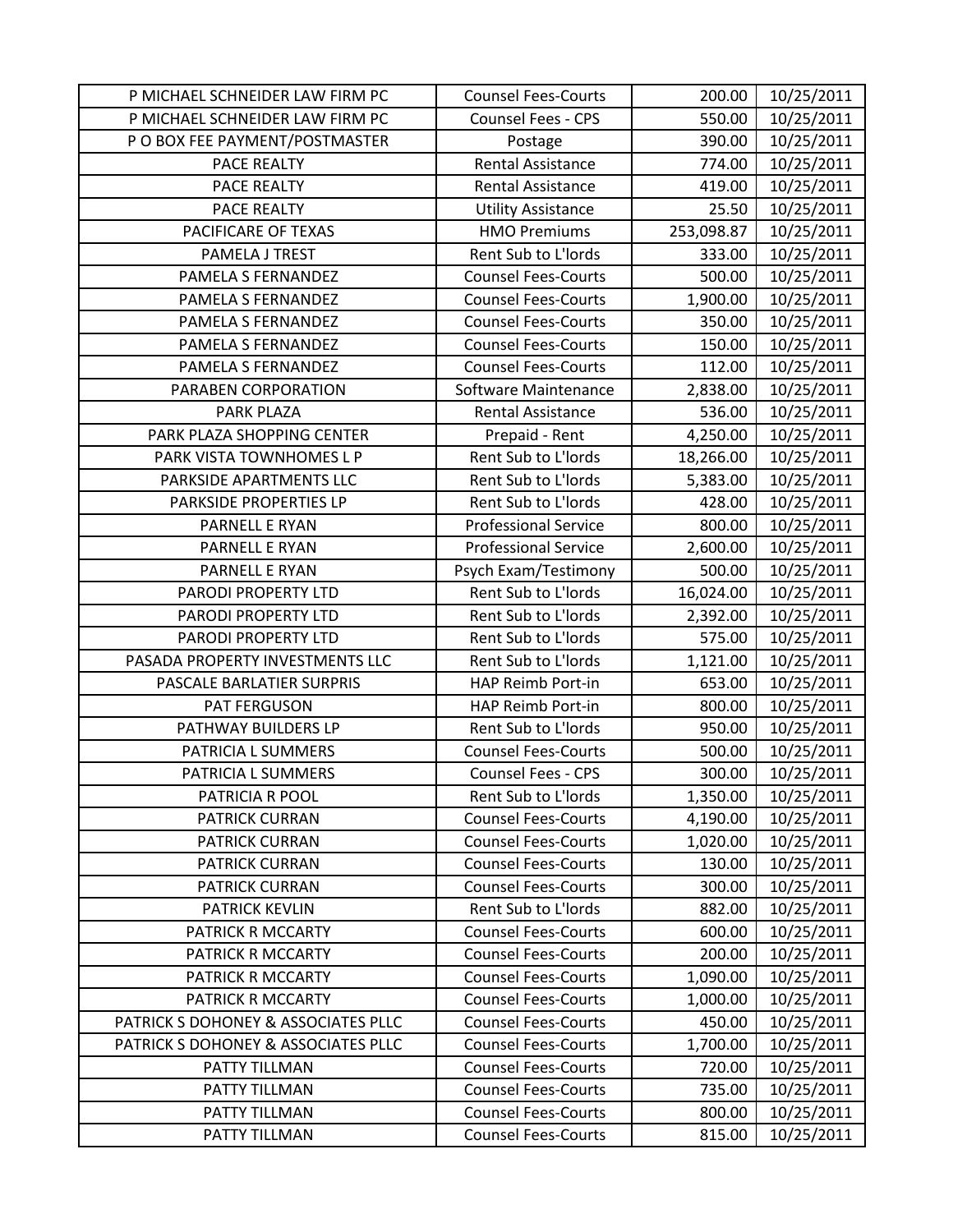| P MICHAEL SCHNEIDER LAW FIRM PC     | <b>Counsel Fees-Courts</b>  | 200.00     | 10/25/2011 |
|-------------------------------------|-----------------------------|------------|------------|
| P MICHAEL SCHNEIDER LAW FIRM PC     | Counsel Fees - CPS          | 550.00     | 10/25/2011 |
| P O BOX FEE PAYMENT/POSTMASTER      | Postage                     | 390.00     | 10/25/2011 |
| PACE REALTY                         | <b>Rental Assistance</b>    | 774.00     | 10/25/2011 |
| PACE REALTY                         | Rental Assistance           | 419.00     | 10/25/2011 |
| PACE REALTY                         | <b>Utility Assistance</b>   | 25.50      | 10/25/2011 |
| PACIFICARE OF TEXAS                 | <b>HMO Premiums</b>         | 253,098.87 | 10/25/2011 |
| PAMELA J TREST                      | Rent Sub to L'Iords         | 333.00     | 10/25/2011 |
| PAMELA S FERNANDEZ                  | <b>Counsel Fees-Courts</b>  | 500.00     | 10/25/2011 |
| PAMELA S FERNANDEZ                  | <b>Counsel Fees-Courts</b>  | 1,900.00   | 10/25/2011 |
| PAMELA S FERNANDEZ                  | <b>Counsel Fees-Courts</b>  | 350.00     | 10/25/2011 |
| PAMELA S FERNANDEZ                  | <b>Counsel Fees-Courts</b>  | 150.00     | 10/25/2011 |
| PAMELA S FERNANDEZ                  | <b>Counsel Fees-Courts</b>  | 112.00     | 10/25/2011 |
| PARABEN CORPORATION                 | Software Maintenance        | 2,838.00   | 10/25/2011 |
| PARK PLAZA                          | <b>Rental Assistance</b>    | 536.00     | 10/25/2011 |
| PARK PLAZA SHOPPING CENTER          | Prepaid - Rent              | 4,250.00   | 10/25/2011 |
| PARK VISTA TOWNHOMES L P            | Rent Sub to L'Iords         | 18,266.00  | 10/25/2011 |
| PARKSIDE APARTMENTS LLC             | Rent Sub to L'Iords         | 5,383.00   | 10/25/2011 |
| PARKSIDE PROPERTIES LP              | Rent Sub to L'Iords         | 428.00     | 10/25/2011 |
| PARNELL E RYAN                      | <b>Professional Service</b> | 800.00     | 10/25/2011 |
| PARNELL E RYAN                      | <b>Professional Service</b> | 2,600.00   | 10/25/2011 |
| PARNELL E RYAN                      | Psych Exam/Testimony        | 500.00     | 10/25/2011 |
| PARODI PROPERTY LTD                 | Rent Sub to L'Iords         | 16,024.00  | 10/25/2011 |
| PARODI PROPERTY LTD                 | Rent Sub to L'Iords         | 2,392.00   | 10/25/2011 |
| PARODI PROPERTY LTD                 | Rent Sub to L'Iords         | 575.00     | 10/25/2011 |
| PASADA PROPERTY INVESTMENTS LLC     | Rent Sub to L'Iords         | 1,121.00   | 10/25/2011 |
| PASCALE BARLATIER SURPRIS           | HAP Reimb Port-in           | 653.00     | 10/25/2011 |
| PAT FERGUSON                        | HAP Reimb Port-in           | 800.00     | 10/25/2011 |
| PATHWAY BUILDERS LP                 | Rent Sub to L'Iords         | 950.00     | 10/25/2011 |
| PATRICIA L SUMMERS                  | <b>Counsel Fees-Courts</b>  | 500.00     | 10/25/2011 |
| PATRICIA L SUMMERS                  | <b>Counsel Fees - CPS</b>   | 300.00     | 10/25/2011 |
| PATRICIA R POOL                     | Rent Sub to L'Iords         | 1,350.00   | 10/25/2011 |
| <b>PATRICK CURRAN</b>               | <b>Counsel Fees-Courts</b>  | 4,190.00   | 10/25/2011 |
| <b>PATRICK CURRAN</b>               | <b>Counsel Fees-Courts</b>  | 1,020.00   | 10/25/2011 |
| PATRICK CURRAN                      | <b>Counsel Fees-Courts</b>  | 130.00     | 10/25/2011 |
| <b>PATRICK CURRAN</b>               | <b>Counsel Fees-Courts</b>  | 300.00     | 10/25/2011 |
| <b>PATRICK KEVLIN</b>               | Rent Sub to L'Iords         | 882.00     | 10/25/2011 |
| PATRICK R MCCARTY                   | <b>Counsel Fees-Courts</b>  | 600.00     | 10/25/2011 |
| PATRICK R MCCARTY                   | <b>Counsel Fees-Courts</b>  | 200.00     | 10/25/2011 |
| PATRICK R MCCARTY                   | <b>Counsel Fees-Courts</b>  | 1,090.00   | 10/25/2011 |
| PATRICK R MCCARTY                   | <b>Counsel Fees-Courts</b>  | 1,000.00   | 10/25/2011 |
| PATRICK S DOHONEY & ASSOCIATES PLLC | <b>Counsel Fees-Courts</b>  | 450.00     | 10/25/2011 |
| PATRICK S DOHONEY & ASSOCIATES PLLC | <b>Counsel Fees-Courts</b>  | 1,700.00   | 10/25/2011 |
| PATTY TILLMAN                       | <b>Counsel Fees-Courts</b>  | 720.00     | 10/25/2011 |
| PATTY TILLMAN                       | <b>Counsel Fees-Courts</b>  | 735.00     | 10/25/2011 |
| PATTY TILLMAN                       | <b>Counsel Fees-Courts</b>  | 800.00     | 10/25/2011 |
| PATTY TILLMAN                       | <b>Counsel Fees-Courts</b>  | 815.00     | 10/25/2011 |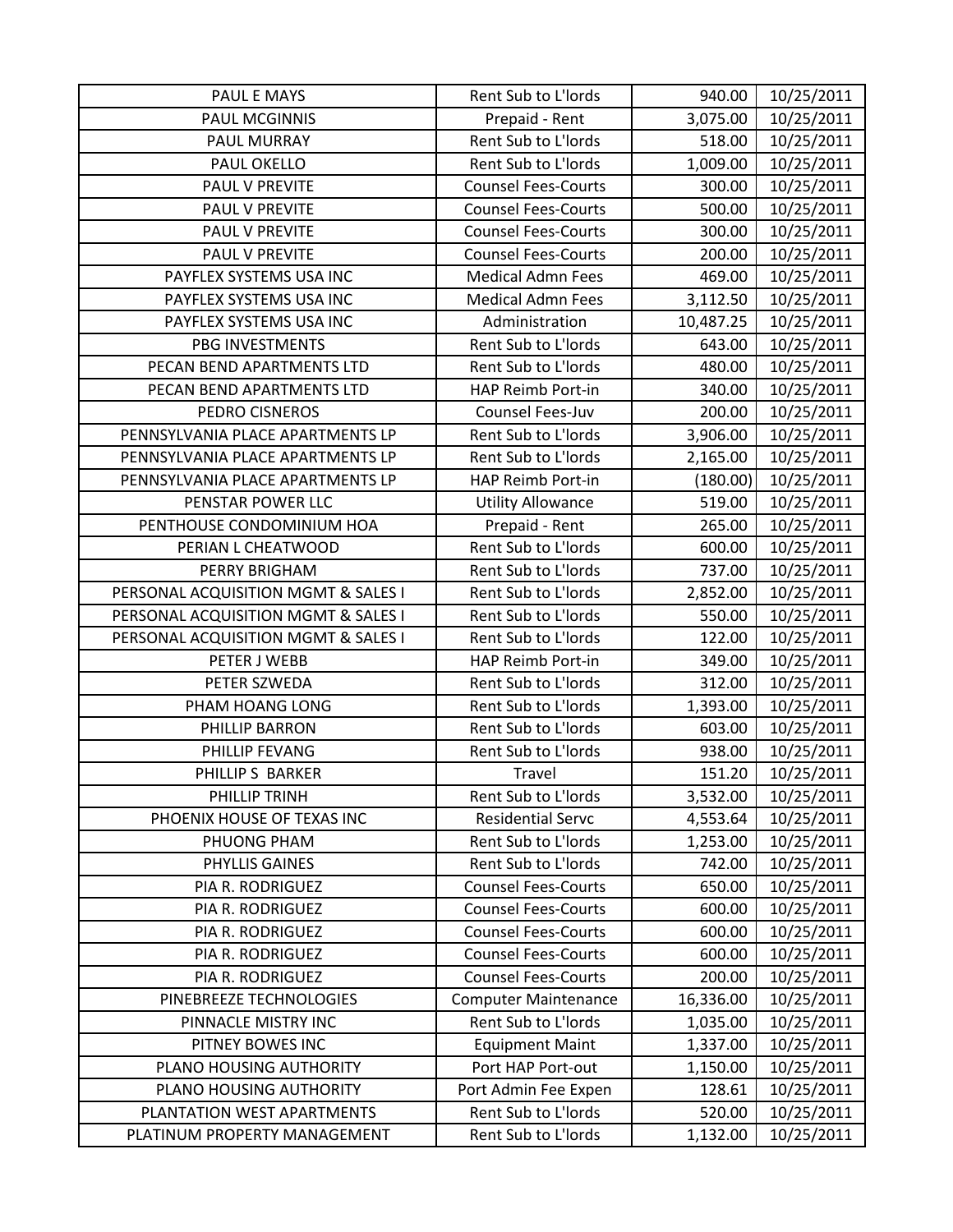| PAUL E MAYS                         | Rent Sub to L'Iords         | 940.00    | 10/25/2011 |
|-------------------------------------|-----------------------------|-----------|------------|
| <b>PAUL MCGINNIS</b>                | Prepaid - Rent              | 3,075.00  | 10/25/2011 |
| PAUL MURRAY                         | Rent Sub to L'Iords         | 518.00    | 10/25/2011 |
| PAUL OKELLO                         | Rent Sub to L'Iords         | 1,009.00  | 10/25/2011 |
| <b>PAUL V PREVITE</b>               | <b>Counsel Fees-Courts</b>  | 300.00    | 10/25/2011 |
| PAUL V PREVITE                      | <b>Counsel Fees-Courts</b>  | 500.00    | 10/25/2011 |
| PAUL V PREVITE                      | <b>Counsel Fees-Courts</b>  | 300.00    | 10/25/2011 |
| <b>PAUL V PREVITE</b>               | <b>Counsel Fees-Courts</b>  | 200.00    | 10/25/2011 |
| PAYFLEX SYSTEMS USA INC             | <b>Medical Admn Fees</b>    | 469.00    | 10/25/2011 |
| PAYFLEX SYSTEMS USA INC             | <b>Medical Admn Fees</b>    | 3,112.50  | 10/25/2011 |
| PAYFLEX SYSTEMS USA INC             | Administration              | 10,487.25 | 10/25/2011 |
| PBG INVESTMENTS                     | Rent Sub to L'Iords         | 643.00    | 10/25/2011 |
| PECAN BEND APARTMENTS LTD           | Rent Sub to L'Iords         | 480.00    | 10/25/2011 |
| PECAN BEND APARTMENTS LTD           | HAP Reimb Port-in           | 340.00    | 10/25/2011 |
| PEDRO CISNEROS                      | Counsel Fees-Juv            | 200.00    | 10/25/2011 |
| PENNSYLVANIA PLACE APARTMENTS LP    | Rent Sub to L'Iords         | 3,906.00  | 10/25/2011 |
| PENNSYLVANIA PLACE APARTMENTS LP    | Rent Sub to L'Iords         | 2,165.00  | 10/25/2011 |
| PENNSYLVANIA PLACE APARTMENTS LP    | HAP Reimb Port-in           | (180.00)  | 10/25/2011 |
| PENSTAR POWER LLC                   | <b>Utility Allowance</b>    | 519.00    | 10/25/2011 |
| PENTHOUSE CONDOMINIUM HOA           | Prepaid - Rent              | 265.00    | 10/25/2011 |
| PERIAN L CHEATWOOD                  | Rent Sub to L'Iords         | 600.00    | 10/25/2011 |
| PERRY BRIGHAM                       | Rent Sub to L'Iords         | 737.00    | 10/25/2011 |
| PERSONAL ACQUISITION MGMT & SALES I | Rent Sub to L'Iords         | 2,852.00  | 10/25/2011 |
| PERSONAL ACQUISITION MGMT & SALES I | Rent Sub to L'Iords         | 550.00    | 10/25/2011 |
| PERSONAL ACQUISITION MGMT & SALES I | Rent Sub to L'Iords         | 122.00    | 10/25/2011 |
| PETER J WEBB                        | HAP Reimb Port-in           | 349.00    | 10/25/2011 |
| PETER SZWEDA                        | Rent Sub to L'Iords         | 312.00    | 10/25/2011 |
| PHAM HOANG LONG                     | Rent Sub to L'Iords         | 1,393.00  | 10/25/2011 |
| PHILLIP BARRON                      | Rent Sub to L'Iords         | 603.00    | 10/25/2011 |
| PHILLIP FEVANG                      | Rent Sub to L'Iords         | 938.00    | 10/25/2011 |
| PHILLIP S BARKER                    | Travel                      | 151.20    | 10/25/2011 |
| PHILLIP TRINH                       | Rent Sub to L'Iords         | 3,532.00  | 10/25/2011 |
| PHOENIX HOUSE OF TEXAS INC          | <b>Residential Servc</b>    | 4,553.64  | 10/25/2011 |
| PHUONG PHAM                         | Rent Sub to L'Iords         | 1,253.00  | 10/25/2011 |
| PHYLLIS GAINES                      | Rent Sub to L'Iords         | 742.00    | 10/25/2011 |
| PIA R. RODRIGUEZ                    | <b>Counsel Fees-Courts</b>  | 650.00    | 10/25/2011 |
| PIA R. RODRIGUEZ                    | <b>Counsel Fees-Courts</b>  | 600.00    | 10/25/2011 |
| PIA R. RODRIGUEZ                    | <b>Counsel Fees-Courts</b>  | 600.00    | 10/25/2011 |
| PIA R. RODRIGUEZ                    | <b>Counsel Fees-Courts</b>  | 600.00    | 10/25/2011 |
| PIA R. RODRIGUEZ                    | <b>Counsel Fees-Courts</b>  | 200.00    | 10/25/2011 |
| PINEBREEZE TECHNOLOGIES             | <b>Computer Maintenance</b> | 16,336.00 | 10/25/2011 |
| PINNACLE MISTRY INC                 | Rent Sub to L'Iords         | 1,035.00  | 10/25/2011 |
| PITNEY BOWES INC                    | <b>Equipment Maint</b>      | 1,337.00  | 10/25/2011 |
| PLANO HOUSING AUTHORITY             | Port HAP Port-out           | 1,150.00  | 10/25/2011 |
| PLANO HOUSING AUTHORITY             | Port Admin Fee Expen        | 128.61    | 10/25/2011 |
| PLANTATION WEST APARTMENTS          | Rent Sub to L'Iords         | 520.00    | 10/25/2011 |
| PLATINUM PROPERTY MANAGEMENT        | Rent Sub to L'Iords         | 1,132.00  | 10/25/2011 |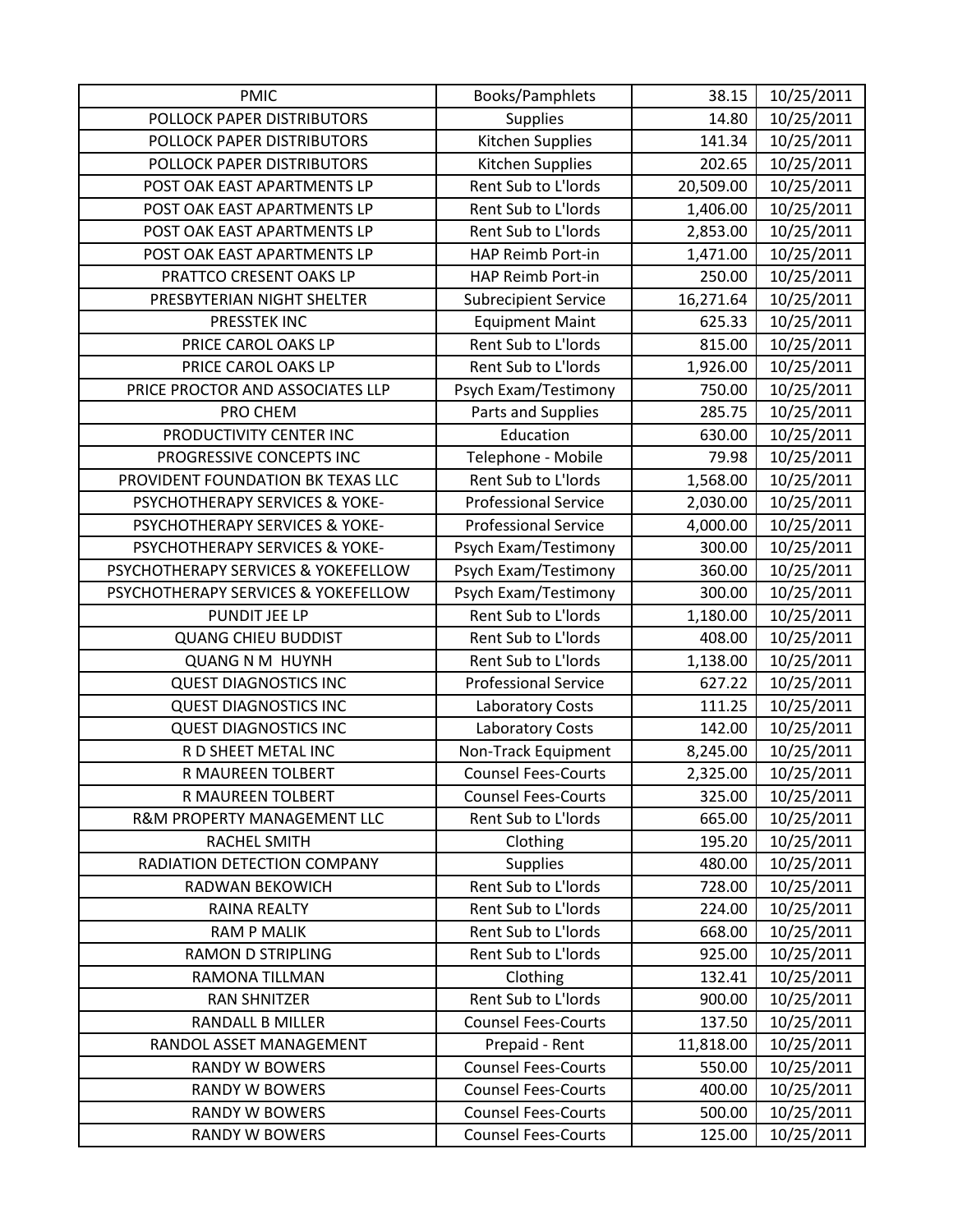| <b>PMIC</b>                         | Books/Pamphlets             | 38.15     | 10/25/2011 |
|-------------------------------------|-----------------------------|-----------|------------|
| POLLOCK PAPER DISTRIBUTORS          | <b>Supplies</b>             | 14.80     | 10/25/2011 |
| POLLOCK PAPER DISTRIBUTORS          | Kitchen Supplies            | 141.34    | 10/25/2011 |
| POLLOCK PAPER DISTRIBUTORS          | Kitchen Supplies            | 202.65    | 10/25/2011 |
| POST OAK EAST APARTMENTS LP         | Rent Sub to L'Iords         | 20,509.00 | 10/25/2011 |
| POST OAK EAST APARTMENTS LP         | Rent Sub to L'Iords         | 1,406.00  | 10/25/2011 |
| POST OAK EAST APARTMENTS LP         | Rent Sub to L'Iords         | 2,853.00  | 10/25/2011 |
| POST OAK EAST APARTMENTS LP         | HAP Reimb Port-in           | 1,471.00  | 10/25/2011 |
| PRATTCO CRESENT OAKS LP             | HAP Reimb Port-in           | 250.00    | 10/25/2011 |
| PRESBYTERIAN NIGHT SHELTER          | <b>Subrecipient Service</b> | 16,271.64 | 10/25/2011 |
| PRESSTEK INC                        | <b>Equipment Maint</b>      | 625.33    | 10/25/2011 |
| PRICE CAROL OAKS LP                 | Rent Sub to L'Iords         | 815.00    | 10/25/2011 |
| PRICE CAROL OAKS LP                 | Rent Sub to L'Iords         | 1,926.00  | 10/25/2011 |
| PRICE PROCTOR AND ASSOCIATES LLP    | Psych Exam/Testimony        | 750.00    | 10/25/2011 |
| PRO CHEM                            | Parts and Supplies          | 285.75    | 10/25/2011 |
| PRODUCTIVITY CENTER INC             | Education                   | 630.00    | 10/25/2011 |
| PROGRESSIVE CONCEPTS INC            | Telephone - Mobile          | 79.98     | 10/25/2011 |
| PROVIDENT FOUNDATION BK TEXAS LLC   | Rent Sub to L'Iords         | 1,568.00  | 10/25/2011 |
| PSYCHOTHERAPY SERVICES & YOKE-      | <b>Professional Service</b> | 2,030.00  | 10/25/2011 |
| PSYCHOTHERAPY SERVICES & YOKE-      | <b>Professional Service</b> | 4,000.00  | 10/25/2011 |
| PSYCHOTHERAPY SERVICES & YOKE-      | Psych Exam/Testimony        | 300.00    | 10/25/2011 |
| PSYCHOTHERAPY SERVICES & YOKEFELLOW | Psych Exam/Testimony        | 360.00    | 10/25/2011 |
| PSYCHOTHERAPY SERVICES & YOKEFELLOW | Psych Exam/Testimony        | 300.00    | 10/25/2011 |
| PUNDIT JEE LP                       | Rent Sub to L'Iords         | 1,180.00  | 10/25/2011 |
| <b>QUANG CHIEU BUDDIST</b>          | Rent Sub to L'Iords         | 408.00    | 10/25/2011 |
| <b>QUANG N M HUYNH</b>              | Rent Sub to L'Iords         | 1,138.00  | 10/25/2011 |
| <b>QUEST DIAGNOSTICS INC</b>        | <b>Professional Service</b> | 627.22    | 10/25/2011 |
| <b>QUEST DIAGNOSTICS INC</b>        | Laboratory Costs            | 111.25    | 10/25/2011 |
| <b>QUEST DIAGNOSTICS INC</b>        | Laboratory Costs            | 142.00    | 10/25/2011 |
| R D SHEET METAL INC                 | Non-Track Equipment         | 8,245.00  | 10/25/2011 |
| R MAUREEN TOLBERT                   | <b>Counsel Fees-Courts</b>  | 2,325.00  | 10/25/2011 |
| R MAUREEN TOLBERT                   | <b>Counsel Fees-Courts</b>  | 325.00    | 10/25/2011 |
| R&M PROPERTY MANAGEMENT LLC         | Rent Sub to L'Iords         | 665.00    | 10/25/2011 |
| <b>RACHEL SMITH</b>                 | Clothing                    | 195.20    | 10/25/2011 |
| RADIATION DETECTION COMPANY         | <b>Supplies</b>             | 480.00    | 10/25/2011 |
| RADWAN BEKOWICH                     | Rent Sub to L'Iords         | 728.00    | 10/25/2011 |
| <b>RAINA REALTY</b>                 | Rent Sub to L'Iords         | 224.00    | 10/25/2011 |
| <b>RAM P MALIK</b>                  | Rent Sub to L'Iords         | 668.00    | 10/25/2011 |
| <b>RAMON D STRIPLING</b>            | Rent Sub to L'Iords         | 925.00    | 10/25/2011 |
| RAMONA TILLMAN                      | Clothing                    | 132.41    | 10/25/2011 |
| <b>RAN SHNITZER</b>                 | Rent Sub to L'Iords         | 900.00    | 10/25/2011 |
| RANDALL B MILLER                    | <b>Counsel Fees-Courts</b>  | 137.50    | 10/25/2011 |
| RANDOL ASSET MANAGEMENT             | Prepaid - Rent              | 11,818.00 | 10/25/2011 |
| <b>RANDY W BOWERS</b>               | <b>Counsel Fees-Courts</b>  | 550.00    | 10/25/2011 |
| <b>RANDY W BOWERS</b>               | <b>Counsel Fees-Courts</b>  | 400.00    | 10/25/2011 |
| <b>RANDY W BOWERS</b>               | <b>Counsel Fees-Courts</b>  | 500.00    | 10/25/2011 |
| RANDY W BOWERS                      | <b>Counsel Fees-Courts</b>  | 125.00    | 10/25/2011 |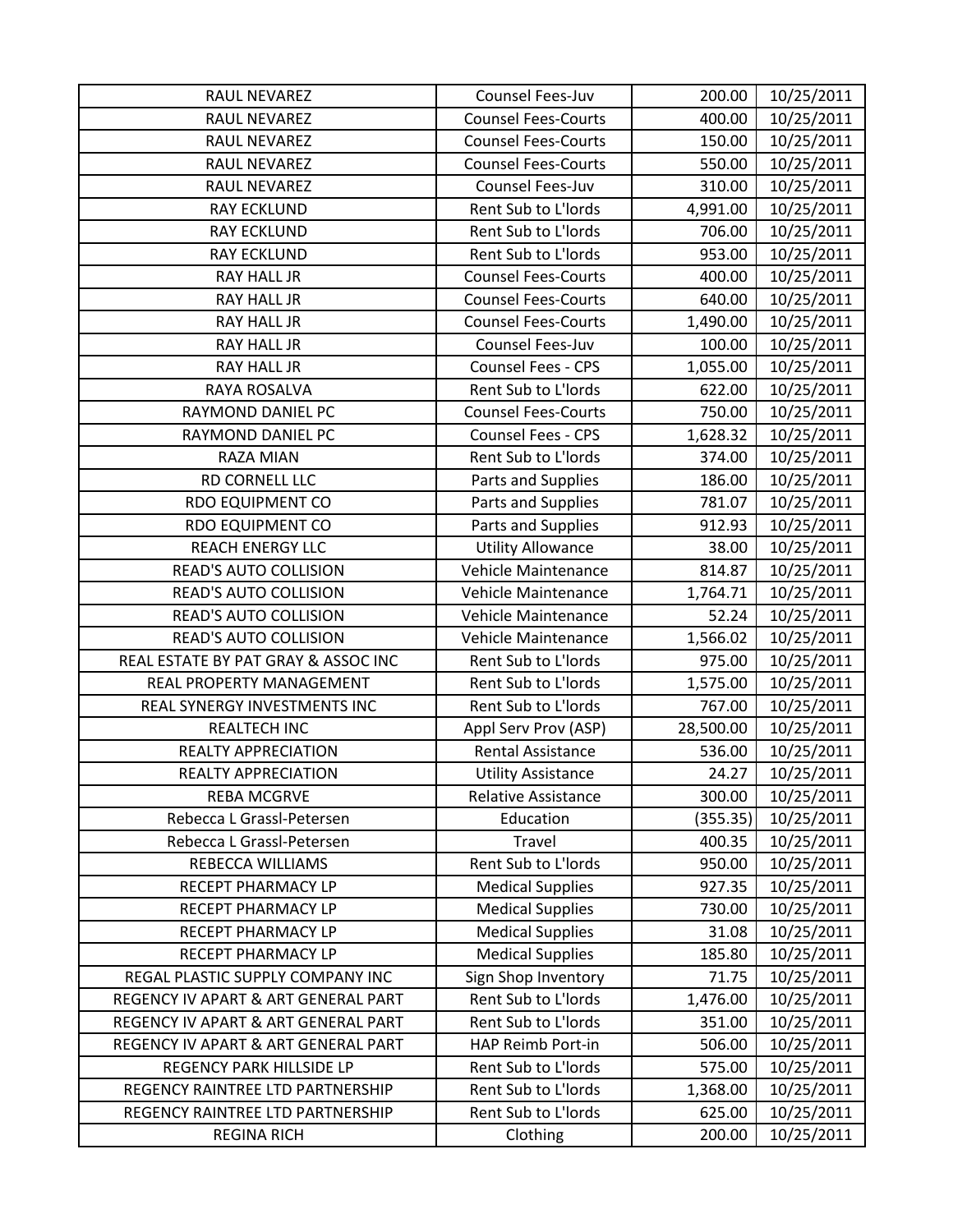| RAUL NEVAREZ                        | Counsel Fees-Juv           | 200.00    | 10/25/2011 |
|-------------------------------------|----------------------------|-----------|------------|
| RAUL NEVAREZ                        | <b>Counsel Fees-Courts</b> | 400.00    | 10/25/2011 |
| RAUL NEVAREZ                        | <b>Counsel Fees-Courts</b> | 150.00    | 10/25/2011 |
| RAUL NEVAREZ                        | <b>Counsel Fees-Courts</b> | 550.00    | 10/25/2011 |
| RAUL NEVAREZ                        | Counsel Fees-Juv           | 310.00    | 10/25/2011 |
| <b>RAY ECKLUND</b>                  | Rent Sub to L'Iords        | 4,991.00  | 10/25/2011 |
| <b>RAY ECKLUND</b>                  | Rent Sub to L'Iords        | 706.00    | 10/25/2011 |
| <b>RAY ECKLUND</b>                  | Rent Sub to L'Iords        | 953.00    | 10/25/2011 |
| <b>RAY HALL JR</b>                  | <b>Counsel Fees-Courts</b> | 400.00    | 10/25/2011 |
| <b>RAY HALL JR</b>                  | <b>Counsel Fees-Courts</b> | 640.00    | 10/25/2011 |
| RAY HALL JR                         | <b>Counsel Fees-Courts</b> | 1,490.00  | 10/25/2011 |
| RAY HALL JR                         | Counsel Fees-Juv           | 100.00    | 10/25/2011 |
| <b>RAY HALL JR</b>                  | <b>Counsel Fees - CPS</b>  | 1,055.00  | 10/25/2011 |
| RAYA ROSALVA                        | Rent Sub to L'Iords        | 622.00    | 10/25/2011 |
| RAYMOND DANIEL PC                   | <b>Counsel Fees-Courts</b> | 750.00    | 10/25/2011 |
| RAYMOND DANIEL PC                   | Counsel Fees - CPS         | 1,628.32  | 10/25/2011 |
| <b>RAZA MIAN</b>                    | Rent Sub to L'Iords        | 374.00    | 10/25/2011 |
| RD CORNELL LLC                      | Parts and Supplies         | 186.00    | 10/25/2011 |
| <b>RDO EQUIPMENT CO</b>             | Parts and Supplies         | 781.07    | 10/25/2011 |
| <b>RDO EQUIPMENT CO</b>             | Parts and Supplies         | 912.93    | 10/25/2011 |
| REACH ENERGY LLC                    | <b>Utility Allowance</b>   | 38.00     | 10/25/2011 |
| <b>READ'S AUTO COLLISION</b>        | Vehicle Maintenance        | 814.87    | 10/25/2011 |
| <b>READ'S AUTO COLLISION</b>        | Vehicle Maintenance        | 1,764.71  | 10/25/2011 |
| <b>READ'S AUTO COLLISION</b>        | Vehicle Maintenance        | 52.24     | 10/25/2011 |
| <b>READ'S AUTO COLLISION</b>        | Vehicle Maintenance        | 1,566.02  | 10/25/2011 |
| REAL ESTATE BY PAT GRAY & ASSOC INC | Rent Sub to L'Iords        | 975.00    | 10/25/2011 |
| REAL PROPERTY MANAGEMENT            | Rent Sub to L'Iords        | 1,575.00  | 10/25/2011 |
| REAL SYNERGY INVESTMENTS INC        | Rent Sub to L'Iords        | 767.00    | 10/25/2011 |
| <b>REALTECH INC</b>                 | Appl Serv Prov (ASP)       | 28,500.00 | 10/25/2011 |
| <b>REALTY APPRECIATION</b>          | <b>Rental Assistance</b>   | 536.00    | 10/25/2011 |
| <b>REALTY APPRECIATION</b>          | <b>Utility Assistance</b>  | 24.27     | 10/25/2011 |
| <b>REBA MCGRVE</b>                  | <b>Relative Assistance</b> | 300.00    | 10/25/2011 |
| Rebecca L Grassl-Petersen           | Education                  | (355.35)  | 10/25/2011 |
| Rebecca L Grassl-Petersen           | Travel                     | 400.35    | 10/25/2011 |
| REBECCA WILLIAMS                    | Rent Sub to L'Iords        | 950.00    | 10/25/2011 |
| RECEPT PHARMACY LP                  | <b>Medical Supplies</b>    | 927.35    | 10/25/2011 |
| RECEPT PHARMACY LP                  | <b>Medical Supplies</b>    | 730.00    | 10/25/2011 |
| RECEPT PHARMACY LP                  | <b>Medical Supplies</b>    | 31.08     | 10/25/2011 |
| RECEPT PHARMACY LP                  | <b>Medical Supplies</b>    | 185.80    | 10/25/2011 |
| REGAL PLASTIC SUPPLY COMPANY INC    | Sign Shop Inventory        | 71.75     | 10/25/2011 |
| REGENCY IV APART & ART GENERAL PART | Rent Sub to L'Iords        | 1,476.00  | 10/25/2011 |
| REGENCY IV APART & ART GENERAL PART | Rent Sub to L'Iords        | 351.00    | 10/25/2011 |
| REGENCY IV APART & ART GENERAL PART | HAP Reimb Port-in          | 506.00    | 10/25/2011 |
| REGENCY PARK HILLSIDE LP            | Rent Sub to L'Iords        | 575.00    | 10/25/2011 |
| REGENCY RAINTREE LTD PARTNERSHIP    | Rent Sub to L'Iords        | 1,368.00  | 10/25/2011 |
| REGENCY RAINTREE LTD PARTNERSHIP    | Rent Sub to L'Iords        | 625.00    | 10/25/2011 |
| <b>REGINA RICH</b>                  | Clothing                   | 200.00    | 10/25/2011 |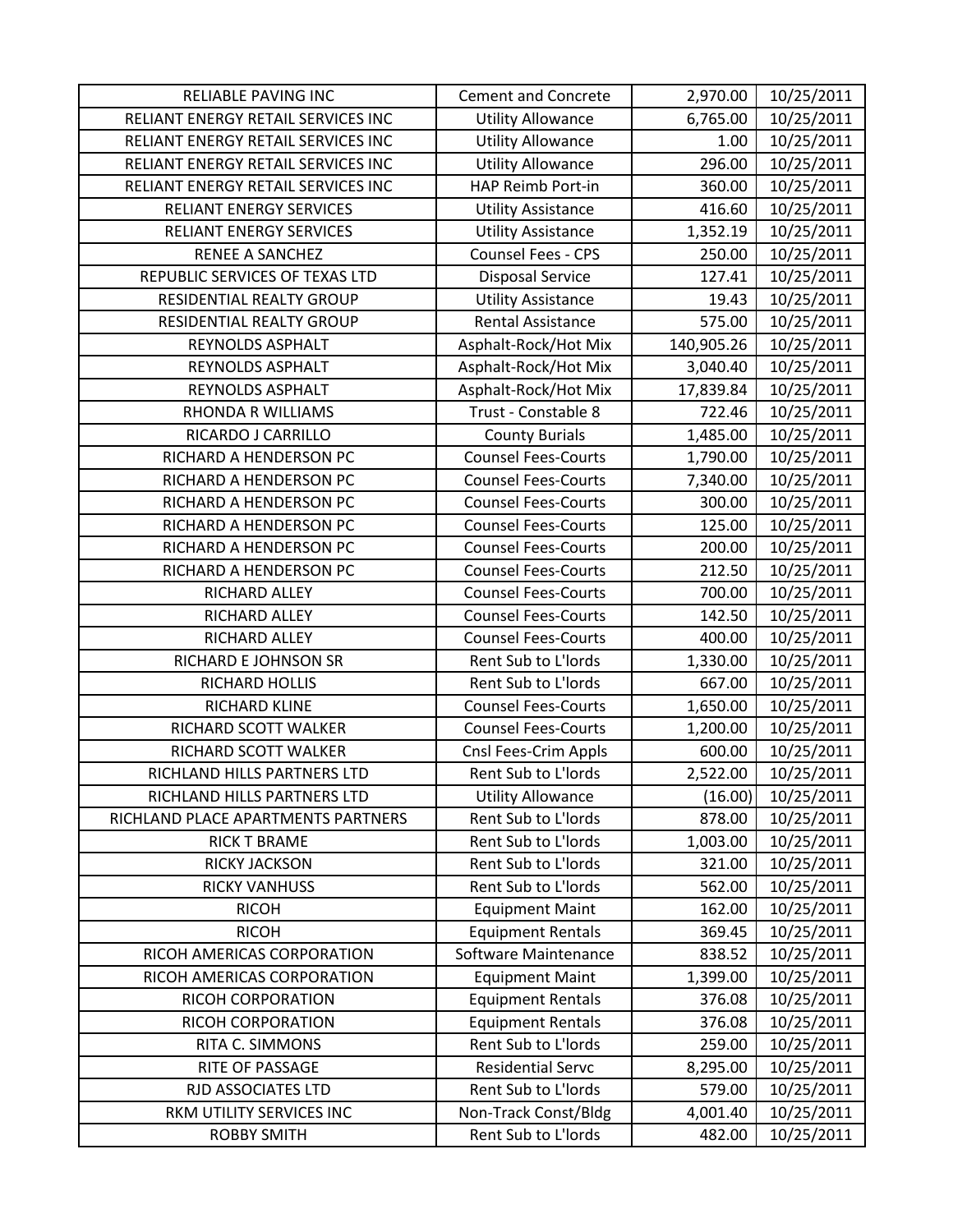| <b>RELIABLE PAVING INC</b>         | <b>Cement and Concrete</b> | 2,970.00   | 10/25/2011 |
|------------------------------------|----------------------------|------------|------------|
| RELIANT ENERGY RETAIL SERVICES INC | <b>Utility Allowance</b>   | 6,765.00   | 10/25/2011 |
| RELIANT ENERGY RETAIL SERVICES INC | <b>Utility Allowance</b>   | 1.00       | 10/25/2011 |
| RELIANT ENERGY RETAIL SERVICES INC | <b>Utility Allowance</b>   | 296.00     | 10/25/2011 |
| RELIANT ENERGY RETAIL SERVICES INC | HAP Reimb Port-in          | 360.00     | 10/25/2011 |
| <b>RELIANT ENERGY SERVICES</b>     | <b>Utility Assistance</b>  | 416.60     | 10/25/2011 |
| <b>RELIANT ENERGY SERVICES</b>     | <b>Utility Assistance</b>  | 1,352.19   | 10/25/2011 |
| RENEE A SANCHEZ                    | <b>Counsel Fees - CPS</b>  | 250.00     | 10/25/2011 |
| REPUBLIC SERVICES OF TEXAS LTD     | <b>Disposal Service</b>    | 127.41     | 10/25/2011 |
| RESIDENTIAL REALTY GROUP           | <b>Utility Assistance</b>  | 19.43      | 10/25/2011 |
| RESIDENTIAL REALTY GROUP           | <b>Rental Assistance</b>   | 575.00     | 10/25/2011 |
| REYNOLDS ASPHALT                   | Asphalt-Rock/Hot Mix       | 140,905.26 | 10/25/2011 |
| REYNOLDS ASPHALT                   | Asphalt-Rock/Hot Mix       | 3,040.40   | 10/25/2011 |
| REYNOLDS ASPHALT                   | Asphalt-Rock/Hot Mix       | 17,839.84  | 10/25/2011 |
| <b>RHONDA R WILLIAMS</b>           | Trust - Constable 8        | 722.46     | 10/25/2011 |
| RICARDO J CARRILLO                 | <b>County Burials</b>      | 1,485.00   | 10/25/2011 |
| RICHARD A HENDERSON PC             | <b>Counsel Fees-Courts</b> | 1,790.00   | 10/25/2011 |
| RICHARD A HENDERSON PC             | <b>Counsel Fees-Courts</b> | 7,340.00   | 10/25/2011 |
| RICHARD A HENDERSON PC             | <b>Counsel Fees-Courts</b> | 300.00     | 10/25/2011 |
| RICHARD A HENDERSON PC             | <b>Counsel Fees-Courts</b> | 125.00     | 10/25/2011 |
| RICHARD A HENDERSON PC             | <b>Counsel Fees-Courts</b> | 200.00     | 10/25/2011 |
| RICHARD A HENDERSON PC             | <b>Counsel Fees-Courts</b> | 212.50     | 10/25/2011 |
| RICHARD ALLEY                      | <b>Counsel Fees-Courts</b> | 700.00     | 10/25/2011 |
| RICHARD ALLEY                      | <b>Counsel Fees-Courts</b> | 142.50     | 10/25/2011 |
| RICHARD ALLEY                      | <b>Counsel Fees-Courts</b> | 400.00     | 10/25/2011 |
| RICHARD E JOHNSON SR               | Rent Sub to L'Iords        | 1,330.00   | 10/25/2011 |
| RICHARD HOLLIS                     | Rent Sub to L'Iords        | 667.00     | 10/25/2011 |
| RICHARD KLINE                      | <b>Counsel Fees-Courts</b> | 1,650.00   | 10/25/2011 |
| RICHARD SCOTT WALKER               | <b>Counsel Fees-Courts</b> | 1,200.00   | 10/25/2011 |
| RICHARD SCOTT WALKER               | Cnsl Fees-Crim Appls       | 600.00     | 10/25/2011 |
| RICHLAND HILLS PARTNERS LTD        | Rent Sub to L'Iords        | 2,522.00   | 10/25/2011 |
| RICHLAND HILLS PARTNERS LTD        | <b>Utility Allowance</b>   | (16.00)    | 10/25/2011 |
| RICHLAND PLACE APARTMENTS PARTNERS | Rent Sub to L'Iords        | 878.00     | 10/25/2011 |
| <b>RICK T BRAME</b>                | Rent Sub to L'Iords        | 1,003.00   | 10/25/2011 |
| RICKY JACKSON                      | Rent Sub to L'Iords        | 321.00     | 10/25/2011 |
| <b>RICKY VANHUSS</b>               | Rent Sub to L'Iords        | 562.00     | 10/25/2011 |
| <b>RICOH</b>                       | <b>Equipment Maint</b>     | 162.00     | 10/25/2011 |
| <b>RICOH</b>                       | <b>Equipment Rentals</b>   | 369.45     | 10/25/2011 |
| RICOH AMERICAS CORPORATION         | Software Maintenance       | 838.52     | 10/25/2011 |
| RICOH AMERICAS CORPORATION         | <b>Equipment Maint</b>     | 1,399.00   | 10/25/2011 |
| RICOH CORPORATION                  | <b>Equipment Rentals</b>   | 376.08     | 10/25/2011 |
| RICOH CORPORATION                  | <b>Equipment Rentals</b>   | 376.08     | 10/25/2011 |
| RITA C. SIMMONS                    | Rent Sub to L'Iords        | 259.00     | 10/25/2011 |
| RITE OF PASSAGE                    | <b>Residential Servc</b>   | 8,295.00   | 10/25/2011 |
| RJD ASSOCIATES LTD                 | Rent Sub to L'Iords        | 579.00     | 10/25/2011 |
| RKM UTILITY SERVICES INC           | Non-Track Const/Bldg       | 4,001.40   | 10/25/2011 |
| <b>ROBBY SMITH</b>                 | Rent Sub to L'Iords        | 482.00     | 10/25/2011 |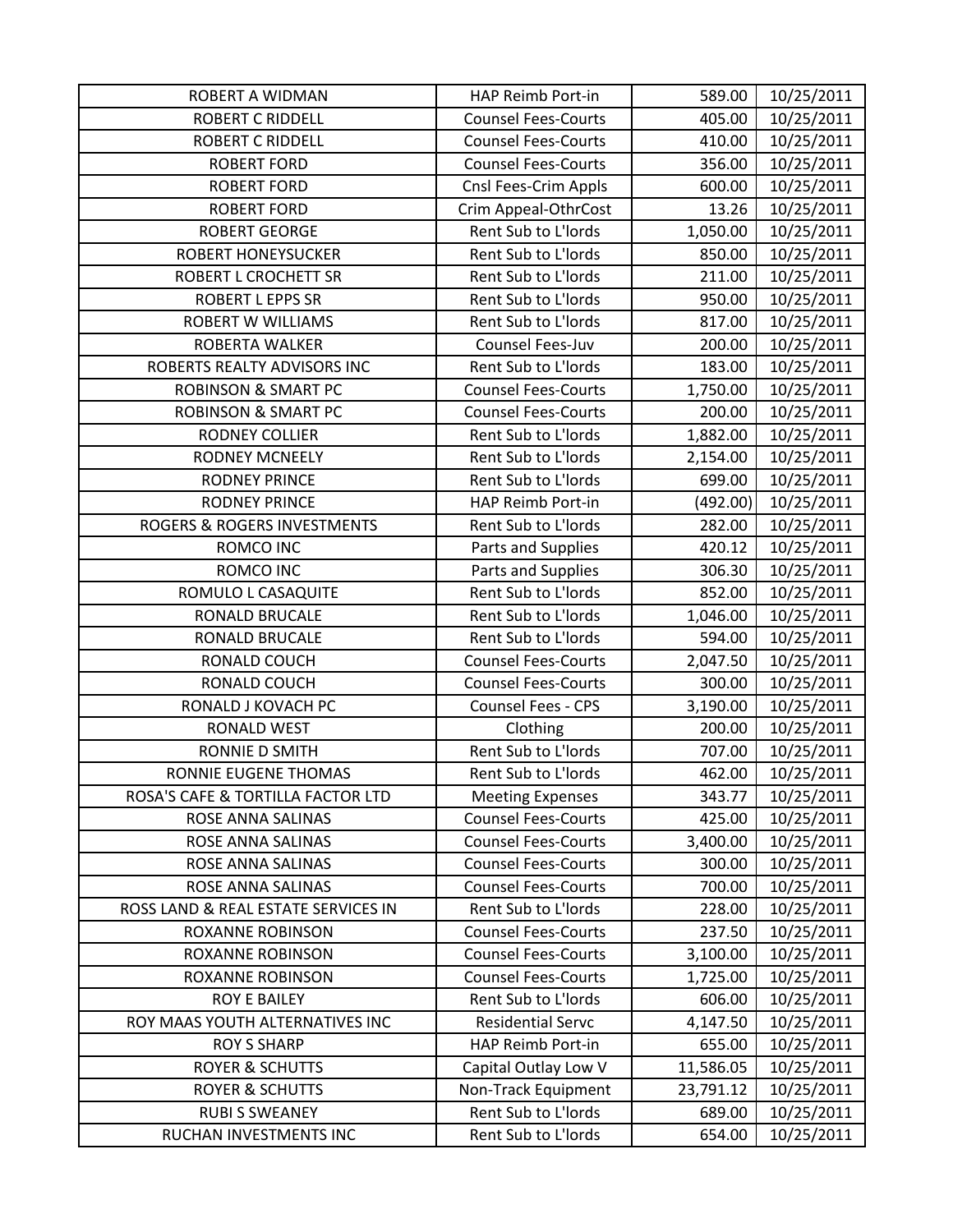| <b>ROBERT A WIDMAN</b>              | HAP Reimb Port-in          | 589.00    | 10/25/2011 |
|-------------------------------------|----------------------------|-----------|------------|
| <b>ROBERT C RIDDELL</b>             | <b>Counsel Fees-Courts</b> | 405.00    | 10/25/2011 |
| <b>ROBERT C RIDDELL</b>             | <b>Counsel Fees-Courts</b> | 410.00    | 10/25/2011 |
| <b>ROBERT FORD</b>                  | <b>Counsel Fees-Courts</b> | 356.00    | 10/25/2011 |
| <b>ROBERT FORD</b>                  | Cnsl Fees-Crim Appls       | 600.00    | 10/25/2011 |
| <b>ROBERT FORD</b>                  | Crim Appeal-OthrCost       | 13.26     | 10/25/2011 |
| <b>ROBERT GEORGE</b>                | Rent Sub to L'Iords        | 1,050.00  | 10/25/2011 |
| <b>ROBERT HONEYSUCKER</b>           | Rent Sub to L'Iords        | 850.00    | 10/25/2011 |
| ROBERT L CROCHETT SR                | Rent Sub to L'Iords        | 211.00    | 10/25/2011 |
| <b>ROBERT L EPPS SR</b>             | Rent Sub to L'Iords        | 950.00    | 10/25/2011 |
| <b>ROBERT W WILLIAMS</b>            | Rent Sub to L'Iords        | 817.00    | 10/25/2011 |
| ROBERTA WALKER                      | Counsel Fees-Juv           | 200.00    | 10/25/2011 |
| ROBERTS REALTY ADVISORS INC         | Rent Sub to L'Iords        | 183.00    | 10/25/2011 |
| <b>ROBINSON &amp; SMART PC</b>      | <b>Counsel Fees-Courts</b> | 1,750.00  | 10/25/2011 |
| <b>ROBINSON &amp; SMART PC</b>      | <b>Counsel Fees-Courts</b> | 200.00    | 10/25/2011 |
| RODNEY COLLIER                      | Rent Sub to L'Iords        | 1,882.00  | 10/25/2011 |
| <b>RODNEY MCNEELY</b>               | Rent Sub to L'Iords        | 2,154.00  | 10/25/2011 |
| <b>RODNEY PRINCE</b>                | Rent Sub to L'Iords        | 699.00    | 10/25/2011 |
| <b>RODNEY PRINCE</b>                | HAP Reimb Port-in          | (492.00)  | 10/25/2011 |
| ROGERS & ROGERS INVESTMENTS         | Rent Sub to L'Iords        | 282.00    | 10/25/2011 |
| ROMCO INC                           | Parts and Supplies         | 420.12    | 10/25/2011 |
| ROMCO INC                           | Parts and Supplies         | 306.30    | 10/25/2011 |
| ROMULO L CASAQUITE                  | Rent Sub to L'Iords        | 852.00    | 10/25/2011 |
| RONALD BRUCALE                      | Rent Sub to L'Iords        | 1,046.00  | 10/25/2011 |
| RONALD BRUCALE                      | Rent Sub to L'Iords        | 594.00    | 10/25/2011 |
| RONALD COUCH                        | <b>Counsel Fees-Courts</b> | 2,047.50  | 10/25/2011 |
| RONALD COUCH                        | <b>Counsel Fees-Courts</b> | 300.00    | 10/25/2011 |
| RONALD J KOVACH PC                  | Counsel Fees - CPS         | 3,190.00  | 10/25/2011 |
| <b>RONALD WEST</b>                  | Clothing                   | 200.00    | 10/25/2011 |
| <b>RONNIE D SMITH</b>               | Rent Sub to L'Iords        | 707.00    | 10/25/2011 |
| RONNIE EUGENE THOMAS                | Rent Sub to L'Iords        | 462.00    | 10/25/2011 |
| ROSA'S CAFE & TORTILLA FACTOR LTD   | <b>Meeting Expenses</b>    | 343.77    | 10/25/2011 |
| ROSE ANNA SALINAS                   | <b>Counsel Fees-Courts</b> | 425.00    | 10/25/2011 |
| ROSE ANNA SALINAS                   | <b>Counsel Fees-Courts</b> | 3,400.00  | 10/25/2011 |
| ROSE ANNA SALINAS                   | <b>Counsel Fees-Courts</b> | 300.00    | 10/25/2011 |
| ROSE ANNA SALINAS                   | <b>Counsel Fees-Courts</b> | 700.00    | 10/25/2011 |
| ROSS LAND & REAL ESTATE SERVICES IN | Rent Sub to L'Iords        | 228.00    | 10/25/2011 |
| <b>ROXANNE ROBINSON</b>             | <b>Counsel Fees-Courts</b> | 237.50    | 10/25/2011 |
| <b>ROXANNE ROBINSON</b>             | <b>Counsel Fees-Courts</b> | 3,100.00  | 10/25/2011 |
| <b>ROXANNE ROBINSON</b>             | <b>Counsel Fees-Courts</b> | 1,725.00  | 10/25/2011 |
| <b>ROY E BAILEY</b>                 | Rent Sub to L'Iords        | 606.00    | 10/25/2011 |
| ROY MAAS YOUTH ALTERNATIVES INC     | <b>Residential Servc</b>   | 4,147.50  | 10/25/2011 |
| <b>ROY S SHARP</b>                  | HAP Reimb Port-in          | 655.00    | 10/25/2011 |
| <b>ROYER &amp; SCHUTTS</b>          | Capital Outlay Low V       | 11,586.05 | 10/25/2011 |
| <b>ROYER &amp; SCHUTTS</b>          | Non-Track Equipment        | 23,791.12 | 10/25/2011 |
| <b>RUBI S SWEANEY</b>               | Rent Sub to L'Iords        | 689.00    | 10/25/2011 |
| RUCHAN INVESTMENTS INC              | Rent Sub to L'Iords        | 654.00    | 10/25/2011 |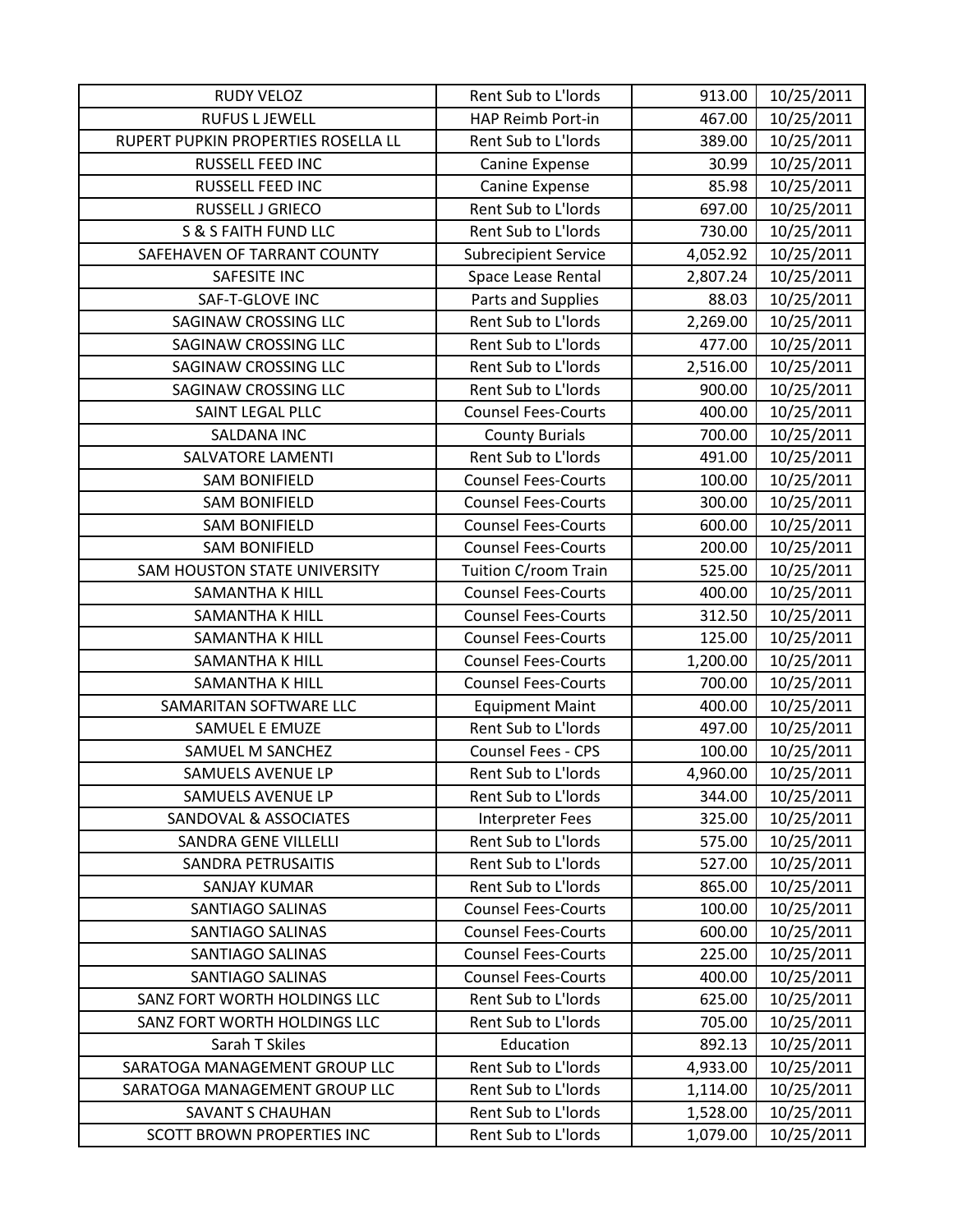| <b>RUDY VELOZ</b>                   | Rent Sub to L'Iords         | 913.00   | 10/25/2011 |
|-------------------------------------|-----------------------------|----------|------------|
| <b>RUFUS L JEWELL</b>               | HAP Reimb Port-in           | 467.00   | 10/25/2011 |
| RUPERT PUPKIN PROPERTIES ROSELLA LL | Rent Sub to L'Iords         | 389.00   | 10/25/2011 |
| RUSSELL FEED INC                    | Canine Expense              | 30.99    | 10/25/2011 |
| RUSSELL FEED INC                    | Canine Expense              | 85.98    | 10/25/2011 |
| RUSSELL J GRIECO                    | Rent Sub to L'Iords         | 697.00   | 10/25/2011 |
| <b>S &amp; S FAITH FUND LLC</b>     | Rent Sub to L'Iords         | 730.00   | 10/25/2011 |
| SAFEHAVEN OF TARRANT COUNTY         | <b>Subrecipient Service</b> | 4,052.92 | 10/25/2011 |
| <b>SAFESITE INC</b>                 | Space Lease Rental          | 2,807.24 | 10/25/2011 |
| SAF-T-GLOVE INC                     | Parts and Supplies          | 88.03    | 10/25/2011 |
| SAGINAW CROSSING LLC                | Rent Sub to L'Iords         | 2,269.00 | 10/25/2011 |
| SAGINAW CROSSING LLC                | Rent Sub to L'Iords         | 477.00   | 10/25/2011 |
| SAGINAW CROSSING LLC                | Rent Sub to L'Iords         | 2,516.00 | 10/25/2011 |
| <b>SAGINAW CROSSING LLC</b>         | Rent Sub to L'Iords         | 900.00   | 10/25/2011 |
| SAINT LEGAL PLLC                    | <b>Counsel Fees-Courts</b>  | 400.00   | 10/25/2011 |
| <b>SALDANA INC</b>                  | <b>County Burials</b>       | 700.00   | 10/25/2011 |
| <b>SALVATORE LAMENTI</b>            | Rent Sub to L'Iords         | 491.00   | 10/25/2011 |
| <b>SAM BONIFIELD</b>                | <b>Counsel Fees-Courts</b>  | 100.00   | 10/25/2011 |
| <b>SAM BONIFIELD</b>                | <b>Counsel Fees-Courts</b>  | 300.00   | 10/25/2011 |
| <b>SAM BONIFIELD</b>                | <b>Counsel Fees-Courts</b>  | 600.00   | 10/25/2011 |
| <b>SAM BONIFIELD</b>                | <b>Counsel Fees-Courts</b>  | 200.00   | 10/25/2011 |
| SAM HOUSTON STATE UNIVERSITY        | Tuition C/room Train        | 525.00   | 10/25/2011 |
| SAMANTHA K HILL                     | <b>Counsel Fees-Courts</b>  | 400.00   | 10/25/2011 |
| <b>SAMANTHA K HILL</b>              | <b>Counsel Fees-Courts</b>  | 312.50   | 10/25/2011 |
| <b>SAMANTHA K HILL</b>              | <b>Counsel Fees-Courts</b>  | 125.00   | 10/25/2011 |
| SAMANTHA K HILL                     | <b>Counsel Fees-Courts</b>  | 1,200.00 | 10/25/2011 |
| SAMANTHA K HILL                     | <b>Counsel Fees-Courts</b>  | 700.00   | 10/25/2011 |
| SAMARITAN SOFTWARE LLC              | <b>Equipment Maint</b>      | 400.00   | 10/25/2011 |
| SAMUEL E EMUZE                      | Rent Sub to L'Iords         | 497.00   | 10/25/2011 |
| SAMUEL M SANCHEZ                    | Counsel Fees - CPS          | 100.00   | 10/25/2011 |
| <b>SAMUELS AVENUE LP</b>            | Rent Sub to L'Iords         | 4,960.00 | 10/25/2011 |
| <b>SAMUELS AVENUE LP</b>            | Rent Sub to L'Iords         | 344.00   | 10/25/2011 |
| SANDOVAL & ASSOCIATES               | <b>Interpreter Fees</b>     | 325.00   | 10/25/2011 |
| <b>SANDRA GENE VILLELLI</b>         | Rent Sub to L'Iords         | 575.00   | 10/25/2011 |
| <b>SANDRA PETRUSAITIS</b>           | Rent Sub to L'Iords         | 527.00   | 10/25/2011 |
| <b>SANJAY KUMAR</b>                 | Rent Sub to L'Iords         | 865.00   | 10/25/2011 |
| SANTIAGO SALINAS                    | <b>Counsel Fees-Courts</b>  | 100.00   | 10/25/2011 |
| <b>SANTIAGO SALINAS</b>             | <b>Counsel Fees-Courts</b>  | 600.00   | 10/25/2011 |
| <b>SANTIAGO SALINAS</b>             | <b>Counsel Fees-Courts</b>  | 225.00   | 10/25/2011 |
| <b>SANTIAGO SALINAS</b>             | <b>Counsel Fees-Courts</b>  | 400.00   | 10/25/2011 |
| SANZ FORT WORTH HOLDINGS LLC        | Rent Sub to L'Iords         | 625.00   | 10/25/2011 |
| SANZ FORT WORTH HOLDINGS LLC        | Rent Sub to L'Iords         | 705.00   | 10/25/2011 |
| Sarah T Skiles                      | Education                   | 892.13   | 10/25/2011 |
| SARATOGA MANAGEMENT GROUP LLC       | Rent Sub to L'Iords         | 4,933.00 | 10/25/2011 |
| SARATOGA MANAGEMENT GROUP LLC       | Rent Sub to L'Iords         | 1,114.00 | 10/25/2011 |
| SAVANT S CHAUHAN                    | Rent Sub to L'Iords         | 1,528.00 | 10/25/2011 |
| <b>SCOTT BROWN PROPERTIES INC</b>   | Rent Sub to L'Iords         | 1,079.00 | 10/25/2011 |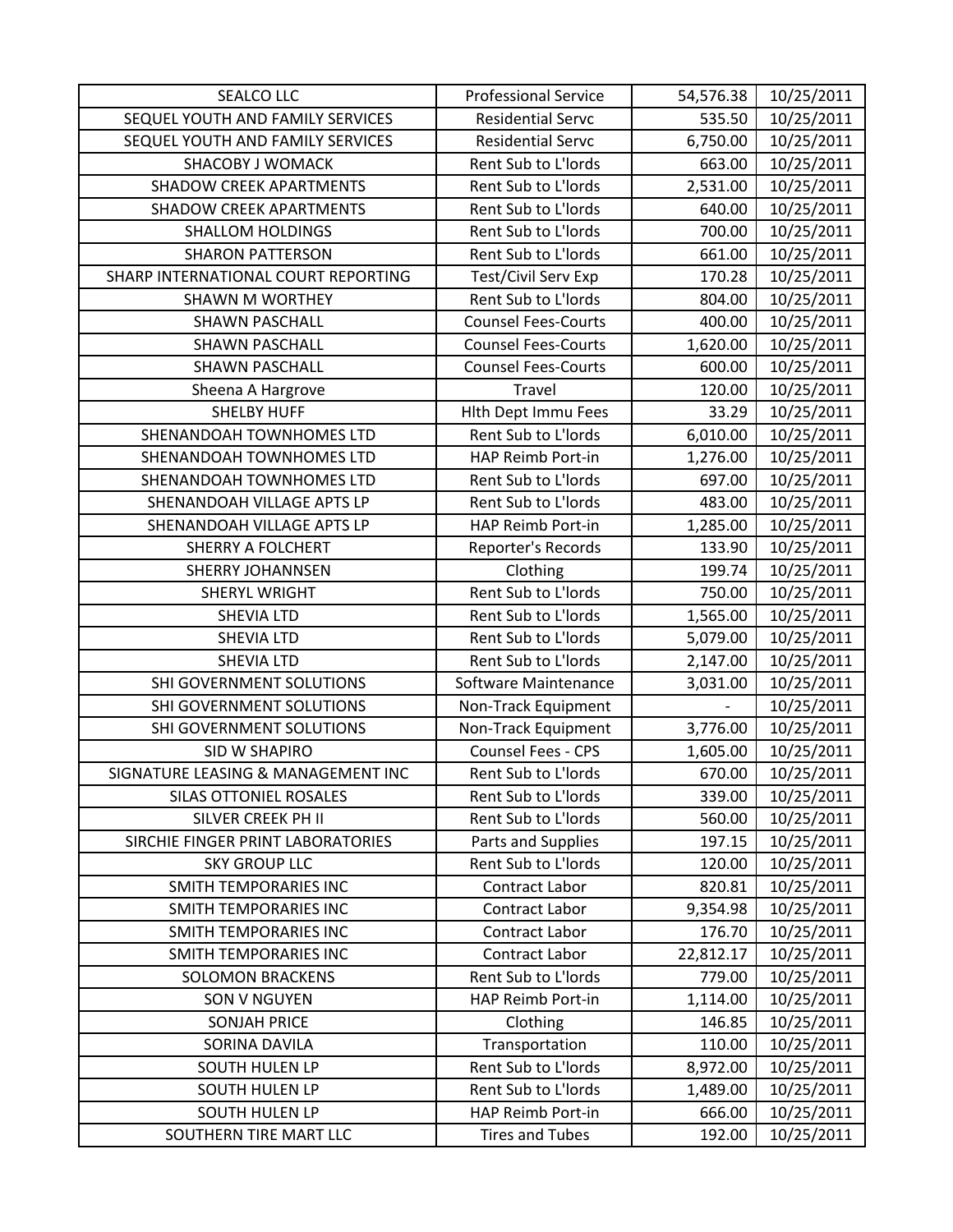| <b>SEALCO LLC</b>                   | <b>Professional Service</b> | 54,576.38 | 10/25/2011 |
|-------------------------------------|-----------------------------|-----------|------------|
| SEQUEL YOUTH AND FAMILY SERVICES    | <b>Residential Servc</b>    | 535.50    | 10/25/2011 |
| SEQUEL YOUTH AND FAMILY SERVICES    | <b>Residential Servc</b>    | 6,750.00  | 10/25/2011 |
| <b>SHACOBY J WOMACK</b>             | Rent Sub to L'Iords         | 663.00    | 10/25/2011 |
| <b>SHADOW CREEK APARTMENTS</b>      | Rent Sub to L'Iords         | 2,531.00  | 10/25/2011 |
| <b>SHADOW CREEK APARTMENTS</b>      | Rent Sub to L'Iords         | 640.00    | 10/25/2011 |
| <b>SHALLOM HOLDINGS</b>             | Rent Sub to L'Iords         | 700.00    | 10/25/2011 |
| <b>SHARON PATTERSON</b>             | Rent Sub to L'Iords         | 661.00    | 10/25/2011 |
| SHARP INTERNATIONAL COURT REPORTING | Test/Civil Serv Exp         | 170.28    | 10/25/2011 |
| <b>SHAWN M WORTHEY</b>              | Rent Sub to L'Iords         | 804.00    | 10/25/2011 |
| <b>SHAWN PASCHALL</b>               | <b>Counsel Fees-Courts</b>  | 400.00    | 10/25/2011 |
| <b>SHAWN PASCHALL</b>               | <b>Counsel Fees-Courts</b>  | 1,620.00  | 10/25/2011 |
| <b>SHAWN PASCHALL</b>               | <b>Counsel Fees-Courts</b>  | 600.00    | 10/25/2011 |
| Sheena A Hargrove                   | Travel                      | 120.00    | 10/25/2011 |
| <b>SHELBY HUFF</b>                  | Hith Dept Immu Fees         | 33.29     | 10/25/2011 |
| SHENANDOAH TOWNHOMES LTD            | Rent Sub to L'Iords         | 6,010.00  | 10/25/2011 |
| SHENANDOAH TOWNHOMES LTD            | HAP Reimb Port-in           | 1,276.00  | 10/25/2011 |
| SHENANDOAH TOWNHOMES LTD            | Rent Sub to L'Iords         | 697.00    | 10/25/2011 |
| SHENANDOAH VILLAGE APTS LP          | Rent Sub to L'Iords         | 483.00    | 10/25/2011 |
| SHENANDOAH VILLAGE APTS LP          | HAP Reimb Port-in           | 1,285.00  | 10/25/2011 |
| <b>SHERRY A FOLCHERT</b>            | Reporter's Records          | 133.90    | 10/25/2011 |
| <b>SHERRY JOHANNSEN</b>             | Clothing                    | 199.74    | 10/25/2011 |
| <b>SHERYL WRIGHT</b>                | Rent Sub to L'Iords         | 750.00    | 10/25/2011 |
| <b>SHEVIA LTD</b>                   | Rent Sub to L'Iords         | 1,565.00  | 10/25/2011 |
| <b>SHEVIA LTD</b>                   | Rent Sub to L'Iords         | 5,079.00  | 10/25/2011 |
| <b>SHEVIA LTD</b>                   | Rent Sub to L'Iords         | 2,147.00  | 10/25/2011 |
| SHI GOVERNMENT SOLUTIONS            | Software Maintenance        | 3,031.00  | 10/25/2011 |
| SHI GOVERNMENT SOLUTIONS            | Non-Track Equipment         |           | 10/25/2011 |
| SHI GOVERNMENT SOLUTIONS            | Non-Track Equipment         | 3,776.00  | 10/25/2011 |
| SID W SHAPIRO                       | Counsel Fees - CPS          | 1,605.00  | 10/25/2011 |
| SIGNATURE LEASING & MANAGEMENT INC  | Rent Sub to L'Iords         | 670.00    | 10/25/2011 |
| SILAS OTTONIEL ROSALES              | Rent Sub to L'Iords         | 339.00    | 10/25/2011 |
| SILVER CREEK PH II                  | Rent Sub to L'Iords         | 560.00    | 10/25/2011 |
| SIRCHIE FINGER PRINT LABORATORIES   | Parts and Supplies          | 197.15    | 10/25/2011 |
| <b>SKY GROUP LLC</b>                | Rent Sub to L'Iords         | 120.00    | 10/25/2011 |
| <b>SMITH TEMPORARIES INC</b>        | <b>Contract Labor</b>       | 820.81    | 10/25/2011 |
| SMITH TEMPORARIES INC               | <b>Contract Labor</b>       | 9,354.98  | 10/25/2011 |
| SMITH TEMPORARIES INC               | Contract Labor              | 176.70    | 10/25/2011 |
| <b>SMITH TEMPORARIES INC</b>        | <b>Contract Labor</b>       | 22,812.17 | 10/25/2011 |
| <b>SOLOMON BRACKENS</b>             | Rent Sub to L'Iords         | 779.00    | 10/25/2011 |
| <b>SON V NGUYEN</b>                 | HAP Reimb Port-in           | 1,114.00  | 10/25/2011 |
| <b>SONJAH PRICE</b>                 | Clothing                    | 146.85    | 10/25/2011 |
| SORINA DAVILA                       | Transportation              | 110.00    | 10/25/2011 |
| SOUTH HULEN LP                      | Rent Sub to L'Iords         | 8,972.00  | 10/25/2011 |
| <b>SOUTH HULEN LP</b>               | Rent Sub to L'Iords         | 1,489.00  | 10/25/2011 |
| SOUTH HULEN LP                      | HAP Reimb Port-in           | 666.00    | 10/25/2011 |
| SOUTHERN TIRE MART LLC              | <b>Tires and Tubes</b>      | 192.00    | 10/25/2011 |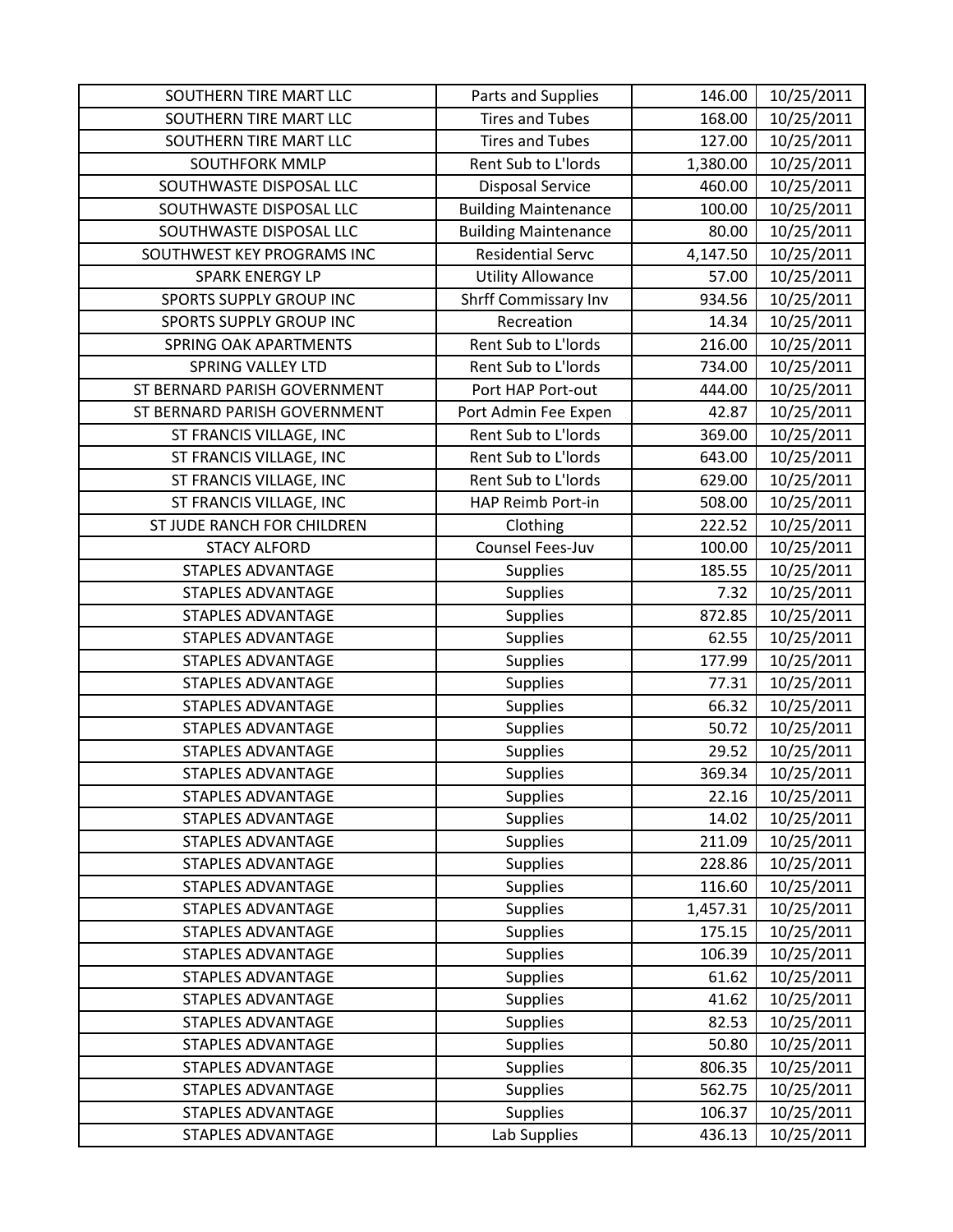| SOUTHERN TIRE MART LLC       | Parts and Supplies          | 146.00   | 10/25/2011 |
|------------------------------|-----------------------------|----------|------------|
| SOUTHERN TIRE MART LLC       | <b>Tires and Tubes</b>      | 168.00   | 10/25/2011 |
| SOUTHERN TIRE MART LLC       | <b>Tires and Tubes</b>      | 127.00   | 10/25/2011 |
| <b>SOUTHFORK MMLP</b>        | Rent Sub to L'Iords         | 1,380.00 | 10/25/2011 |
| SOUTHWASTE DISPOSAL LLC      | <b>Disposal Service</b>     | 460.00   | 10/25/2011 |
| SOUTHWASTE DISPOSAL LLC      | <b>Building Maintenance</b> | 100.00   | 10/25/2011 |
| SOUTHWASTE DISPOSAL LLC      | <b>Building Maintenance</b> | 80.00    | 10/25/2011 |
| SOUTHWEST KEY PROGRAMS INC   | <b>Residential Servc</b>    | 4,147.50 | 10/25/2011 |
| <b>SPARK ENERGY LP</b>       | <b>Utility Allowance</b>    | 57.00    | 10/25/2011 |
| SPORTS SUPPLY GROUP INC      | Shrff Commissary Inv        | 934.56   | 10/25/2011 |
| SPORTS SUPPLY GROUP INC      | Recreation                  | 14.34    | 10/25/2011 |
| SPRING OAK APARTMENTS        | Rent Sub to L'Iords         | 216.00   | 10/25/2011 |
| <b>SPRING VALLEY LTD</b>     | Rent Sub to L'Iords         | 734.00   | 10/25/2011 |
| ST BERNARD PARISH GOVERNMENT | Port HAP Port-out           | 444.00   | 10/25/2011 |
| ST BERNARD PARISH GOVERNMENT | Port Admin Fee Expen        | 42.87    | 10/25/2011 |
| ST FRANCIS VILLAGE, INC      | Rent Sub to L'Iords         | 369.00   | 10/25/2011 |
| ST FRANCIS VILLAGE, INC      | Rent Sub to L'Iords         | 643.00   | 10/25/2011 |
| ST FRANCIS VILLAGE, INC      | Rent Sub to L'Iords         | 629.00   | 10/25/2011 |
| ST FRANCIS VILLAGE, INC      | HAP Reimb Port-in           | 508.00   | 10/25/2011 |
| ST JUDE RANCH FOR CHILDREN   | Clothing                    | 222.52   | 10/25/2011 |
| <b>STACY ALFORD</b>          | Counsel Fees-Juv            | 100.00   | 10/25/2011 |
| <b>STAPLES ADVANTAGE</b>     | <b>Supplies</b>             | 185.55   | 10/25/2011 |
| <b>STAPLES ADVANTAGE</b>     | <b>Supplies</b>             | 7.32     | 10/25/2011 |
| <b>STAPLES ADVANTAGE</b>     | <b>Supplies</b>             | 872.85   | 10/25/2011 |
| <b>STAPLES ADVANTAGE</b>     | <b>Supplies</b>             | 62.55    | 10/25/2011 |
| <b>STAPLES ADVANTAGE</b>     | Supplies                    | 177.99   | 10/25/2011 |
| <b>STAPLES ADVANTAGE</b>     | <b>Supplies</b>             | 77.31    | 10/25/2011 |
| <b>STAPLES ADVANTAGE</b>     | <b>Supplies</b>             | 66.32    | 10/25/2011 |
| <b>STAPLES ADVANTAGE</b>     | <b>Supplies</b>             | 50.72    | 10/25/2011 |
| <b>STAPLES ADVANTAGE</b>     | <b>Supplies</b>             | 29.52    | 10/25/2011 |
| <b>STAPLES ADVANTAGE</b>     | <b>Supplies</b>             | 369.34   | 10/25/2011 |
| <b>STAPLES ADVANTAGE</b>     | <b>Supplies</b>             | 22.16    | 10/25/2011 |
| <b>STAPLES ADVANTAGE</b>     | <b>Supplies</b>             | 14.02    | 10/25/2011 |
| <b>STAPLES ADVANTAGE</b>     | <b>Supplies</b>             | 211.09   | 10/25/2011 |
| <b>STAPLES ADVANTAGE</b>     | <b>Supplies</b>             | 228.86   | 10/25/2011 |
| STAPLES ADVANTAGE            | <b>Supplies</b>             | 116.60   | 10/25/2011 |
| <b>STAPLES ADVANTAGE</b>     | Supplies                    | 1,457.31 | 10/25/2011 |
| <b>STAPLES ADVANTAGE</b>     | <b>Supplies</b>             | 175.15   | 10/25/2011 |
| <b>STAPLES ADVANTAGE</b>     | <b>Supplies</b>             | 106.39   | 10/25/2011 |
| <b>STAPLES ADVANTAGE</b>     | Supplies                    | 61.62    | 10/25/2011 |
| <b>STAPLES ADVANTAGE</b>     | <b>Supplies</b>             | 41.62    | 10/25/2011 |
| <b>STAPLES ADVANTAGE</b>     | <b>Supplies</b>             | 82.53    | 10/25/2011 |
| <b>STAPLES ADVANTAGE</b>     | <b>Supplies</b>             | 50.80    | 10/25/2011 |
| <b>STAPLES ADVANTAGE</b>     | <b>Supplies</b>             | 806.35   | 10/25/2011 |
| STAPLES ADVANTAGE            | <b>Supplies</b>             | 562.75   | 10/25/2011 |
| <b>STAPLES ADVANTAGE</b>     | <b>Supplies</b>             | 106.37   | 10/25/2011 |
| <b>STAPLES ADVANTAGE</b>     | Lab Supplies                | 436.13   | 10/25/2011 |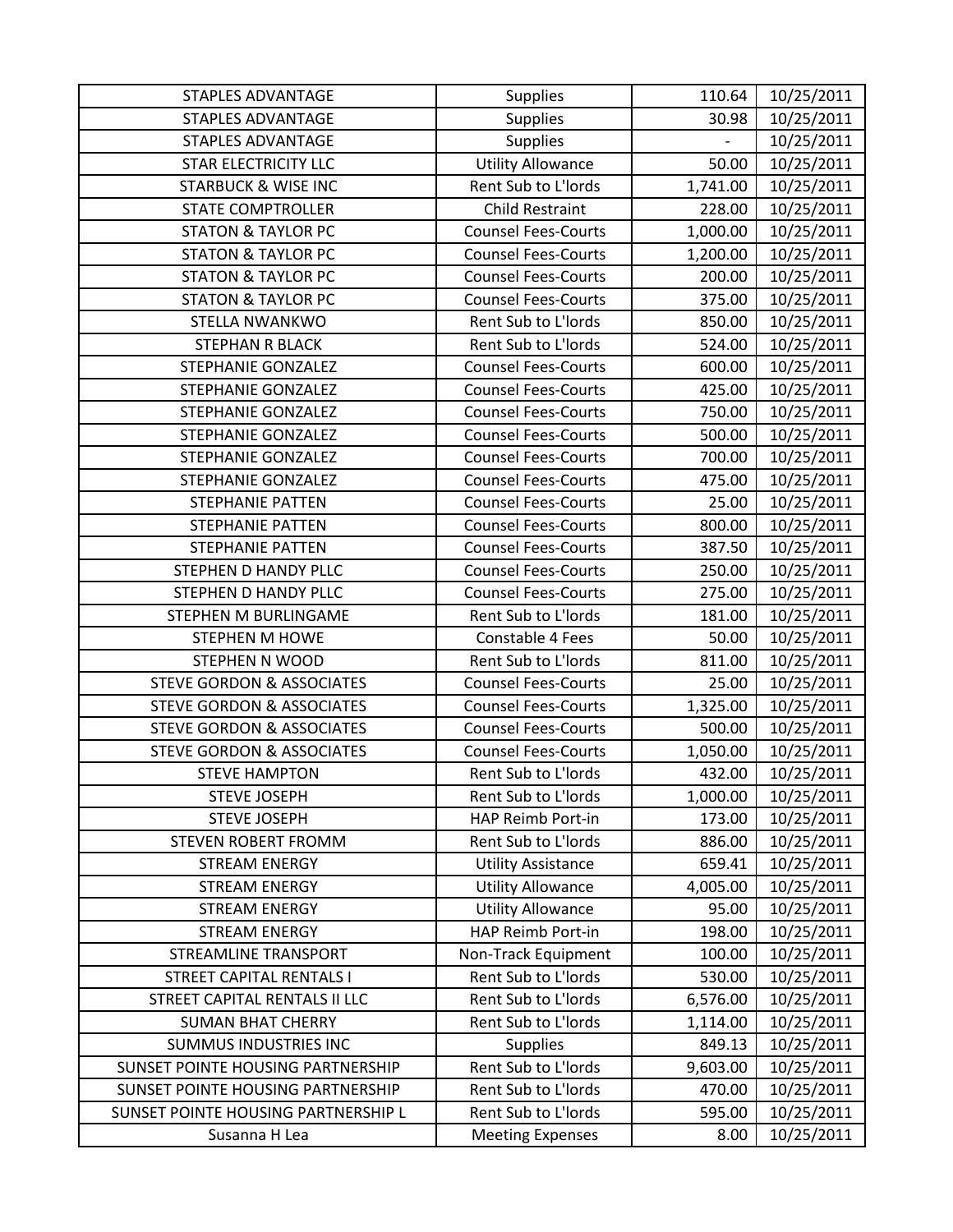| <b>STAPLES ADVANTAGE</b>             | <b>Supplies</b>            | 110.64   | 10/25/2011 |
|--------------------------------------|----------------------------|----------|------------|
| <b>STAPLES ADVANTAGE</b>             | <b>Supplies</b>            | 30.98    | 10/25/2011 |
| <b>STAPLES ADVANTAGE</b>             | <b>Supplies</b>            |          | 10/25/2011 |
| <b>STAR ELECTRICITY LLC</b>          | <b>Utility Allowance</b>   | 50.00    | 10/25/2011 |
| <b>STARBUCK &amp; WISE INC</b>       | Rent Sub to L'Iords        | 1,741.00 | 10/25/2011 |
| <b>STATE COMPTROLLER</b>             | <b>Child Restraint</b>     | 228.00   | 10/25/2011 |
| <b>STATON &amp; TAYLOR PC</b>        | <b>Counsel Fees-Courts</b> | 1,000.00 | 10/25/2011 |
| <b>STATON &amp; TAYLOR PC</b>        | <b>Counsel Fees-Courts</b> | 1,200.00 | 10/25/2011 |
| <b>STATON &amp; TAYLOR PC</b>        | <b>Counsel Fees-Courts</b> | 200.00   | 10/25/2011 |
| <b>STATON &amp; TAYLOR PC</b>        | <b>Counsel Fees-Courts</b> | 375.00   | 10/25/2011 |
| STELLA NWANKWO                       | Rent Sub to L'Iords        | 850.00   | 10/25/2011 |
| STEPHAN R BLACK                      | Rent Sub to L'Iords        | 524.00   | 10/25/2011 |
| STEPHANIE GONZALEZ                   | <b>Counsel Fees-Courts</b> | 600.00   | 10/25/2011 |
| <b>STEPHANIE GONZALEZ</b>            | <b>Counsel Fees-Courts</b> | 425.00   | 10/25/2011 |
| <b>STEPHANIE GONZALEZ</b>            | <b>Counsel Fees-Courts</b> | 750.00   | 10/25/2011 |
| STEPHANIE GONZALEZ                   | <b>Counsel Fees-Courts</b> | 500.00   | 10/25/2011 |
| STEPHANIE GONZALEZ                   | <b>Counsel Fees-Courts</b> | 700.00   | 10/25/2011 |
| <b>STEPHANIE GONZALEZ</b>            | <b>Counsel Fees-Courts</b> | 475.00   | 10/25/2011 |
| <b>STEPHANIE PATTEN</b>              | <b>Counsel Fees-Courts</b> | 25.00    | 10/25/2011 |
| STEPHANIE PATTEN                     | <b>Counsel Fees-Courts</b> | 800.00   | 10/25/2011 |
| <b>STEPHANIE PATTEN</b>              | <b>Counsel Fees-Courts</b> | 387.50   | 10/25/2011 |
| STEPHEN D HANDY PLLC                 | <b>Counsel Fees-Courts</b> | 250.00   | 10/25/2011 |
| STEPHEN D HANDY PLLC                 | <b>Counsel Fees-Courts</b> | 275.00   | 10/25/2011 |
| STEPHEN M BURLINGAME                 | Rent Sub to L'Iords        | 181.00   | 10/25/2011 |
| <b>STEPHEN M HOWE</b>                | Constable 4 Fees           | 50.00    | 10/25/2011 |
| STEPHEN N WOOD                       | Rent Sub to L'Iords        | 811.00   | 10/25/2011 |
| <b>STEVE GORDON &amp; ASSOCIATES</b> | <b>Counsel Fees-Courts</b> | 25.00    | 10/25/2011 |
| <b>STEVE GORDON &amp; ASSOCIATES</b> | <b>Counsel Fees-Courts</b> | 1,325.00 | 10/25/2011 |
| <b>STEVE GORDON &amp; ASSOCIATES</b> | <b>Counsel Fees-Courts</b> | 500.00   | 10/25/2011 |
| <b>STEVE GORDON &amp; ASSOCIATES</b> | <b>Counsel Fees-Courts</b> | 1,050.00 | 10/25/2011 |
| <b>STEVE HAMPTON</b>                 | Rent Sub to L'Iords        | 432.00   | 10/25/2011 |
| <b>STEVE JOSEPH</b>                  | Rent Sub to L'Iords        | 1,000.00 | 10/25/2011 |
| <b>STEVE JOSEPH</b>                  | HAP Reimb Port-in          | 173.00   | 10/25/2011 |
| <b>STEVEN ROBERT FROMM</b>           | Rent Sub to L'Iords        | 886.00   | 10/25/2011 |
| <b>STREAM ENERGY</b>                 | <b>Utility Assistance</b>  | 659.41   | 10/25/2011 |
| <b>STREAM ENERGY</b>                 | <b>Utility Allowance</b>   | 4,005.00 | 10/25/2011 |
| <b>STREAM ENERGY</b>                 | <b>Utility Allowance</b>   | 95.00    | 10/25/2011 |
| <b>STREAM ENERGY</b>                 | HAP Reimb Port-in          | 198.00   | 10/25/2011 |
| <b>STREAMLINE TRANSPORT</b>          | Non-Track Equipment        | 100.00   | 10/25/2011 |
| <b>STREET CAPITAL RENTALS I</b>      | Rent Sub to L'Iords        | 530.00   | 10/25/2011 |
| STREET CAPITAL RENTALS II LLC        | Rent Sub to L'Iords        | 6,576.00 | 10/25/2011 |
| <b>SUMAN BHAT CHERRY</b>             | Rent Sub to L'Iords        | 1,114.00 | 10/25/2011 |
| <b>SUMMUS INDUSTRIES INC</b>         | <b>Supplies</b>            | 849.13   | 10/25/2011 |
| SUNSET POINTE HOUSING PARTNERSHIP    | Rent Sub to L'Iords        | 9,603.00 | 10/25/2011 |
| SUNSET POINTE HOUSING PARTNERSHIP    | Rent Sub to L'Iords        | 470.00   | 10/25/2011 |
| SUNSET POINTE HOUSING PARTNERSHIP L  | Rent Sub to L'Iords        | 595.00   | 10/25/2011 |
| Susanna H Lea                        | <b>Meeting Expenses</b>    | 8.00     | 10/25/2011 |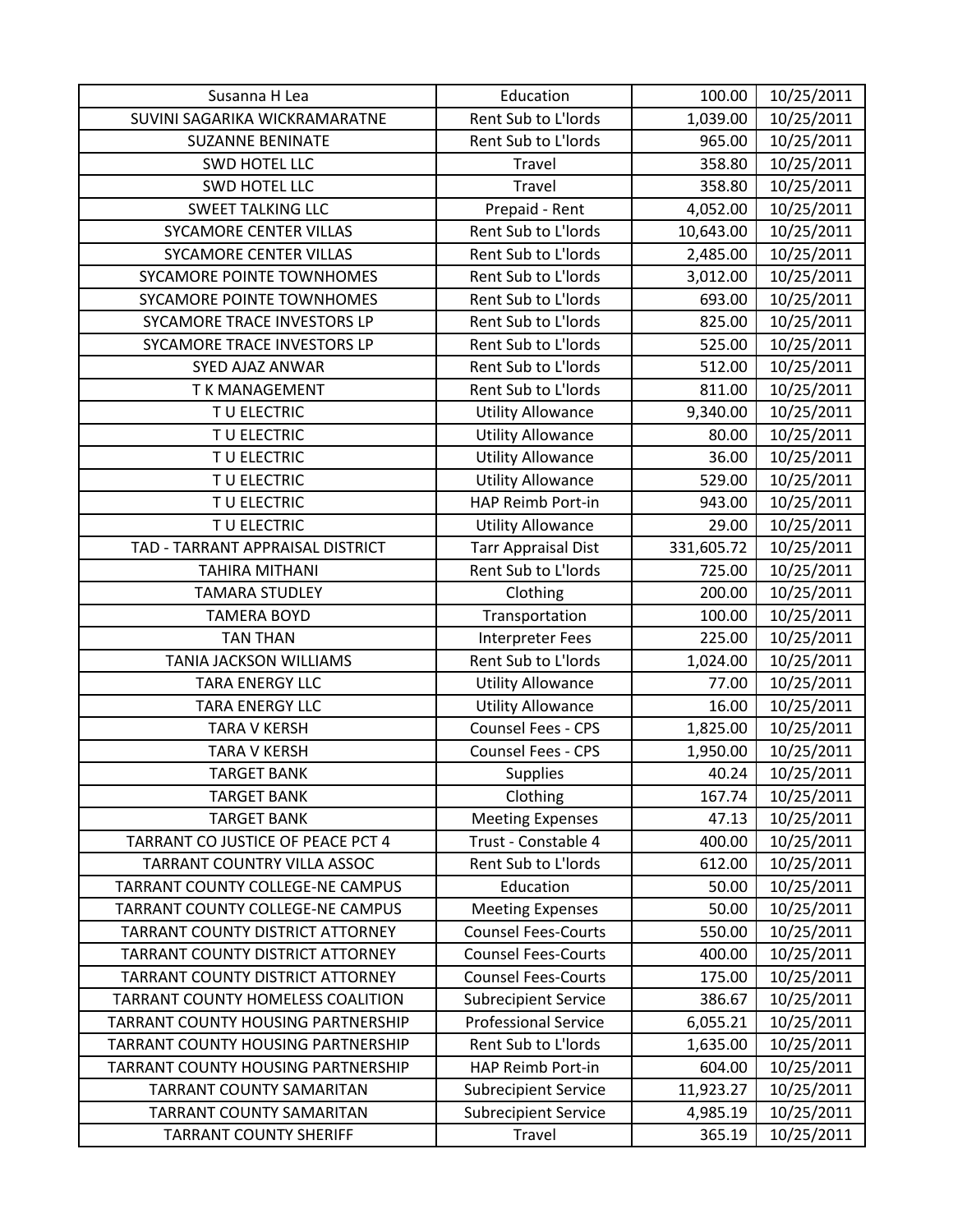| Susanna H Lea                      | Education                   | 100.00     | 10/25/2011 |
|------------------------------------|-----------------------------|------------|------------|
| SUVINI SAGARIKA WICKRAMARATNE      | Rent Sub to L'Iords         | 1,039.00   | 10/25/2011 |
| <b>SUZANNE BENINATE</b>            | Rent Sub to L'Iords         | 965.00     | 10/25/2011 |
| SWD HOTEL LLC                      | Travel                      | 358.80     | 10/25/2011 |
| SWD HOTEL LLC                      | Travel                      | 358.80     | 10/25/2011 |
| <b>SWEET TALKING LLC</b>           | Prepaid - Rent              | 4,052.00   | 10/25/2011 |
| <b>SYCAMORE CENTER VILLAS</b>      | Rent Sub to L'Iords         | 10,643.00  | 10/25/2011 |
| <b>SYCAMORE CENTER VILLAS</b>      | Rent Sub to L'Iords         | 2,485.00   | 10/25/2011 |
| SYCAMORE POINTE TOWNHOMES          | Rent Sub to L'Iords         | 3,012.00   | 10/25/2011 |
| SYCAMORE POINTE TOWNHOMES          | Rent Sub to L'Iords         | 693.00     | 10/25/2011 |
| SYCAMORE TRACE INVESTORS LP        | Rent Sub to L'Iords         | 825.00     | 10/25/2011 |
| SYCAMORE TRACE INVESTORS LP        | Rent Sub to L'Iords         | 525.00     | 10/25/2011 |
| SYED AJAZ ANWAR                    | Rent Sub to L'Iords         | 512.00     | 10/25/2011 |
| <b>TK MANAGEMENT</b>               | Rent Sub to L'Iords         | 811.00     | 10/25/2011 |
| TU ELECTRIC                        | <b>Utility Allowance</b>    | 9,340.00   | 10/25/2011 |
| TU ELECTRIC                        | <b>Utility Allowance</b>    | 80.00      | 10/25/2011 |
| T U ELECTRIC                       | <b>Utility Allowance</b>    | 36.00      | 10/25/2011 |
| TU ELECTRIC                        | <b>Utility Allowance</b>    | 529.00     | 10/25/2011 |
| TU ELECTRIC                        | HAP Reimb Port-in           | 943.00     | 10/25/2011 |
| TU ELECTRIC                        | <b>Utility Allowance</b>    | 29.00      | 10/25/2011 |
| TAD - TARRANT APPRAISAL DISTRICT   | <b>Tarr Appraisal Dist</b>  | 331,605.72 | 10/25/2011 |
| <b>TAHIRA MITHANI</b>              | Rent Sub to L'Iords         | 725.00     | 10/25/2011 |
| <b>TAMARA STUDLEY</b>              | Clothing                    | 200.00     | 10/25/2011 |
| <b>TAMERA BOYD</b>                 | Transportation              | 100.00     | 10/25/2011 |
| <b>TAN THAN</b>                    | <b>Interpreter Fees</b>     | 225.00     | 10/25/2011 |
| TANIA JACKSON WILLIAMS             | Rent Sub to L'Iords         | 1,024.00   | 10/25/2011 |
| <b>TARA ENERGY LLC</b>             | <b>Utility Allowance</b>    | 77.00      | 10/25/2011 |
| <b>TARA ENERGY LLC</b>             | <b>Utility Allowance</b>    | 16.00      | 10/25/2011 |
| <b>TARA V KERSH</b>                | <b>Counsel Fees - CPS</b>   | 1,825.00   | 10/25/2011 |
| <b>TARA V KERSH</b>                | Counsel Fees - CPS          | 1,950.00   | 10/25/2011 |
| <b>TARGET BANK</b>                 | <b>Supplies</b>             | 40.24      | 10/25/2011 |
| <b>TARGET BANK</b>                 | Clothing                    | 167.74     | 10/25/2011 |
| <b>TARGET BANK</b>                 | <b>Meeting Expenses</b>     | 47.13      | 10/25/2011 |
| TARRANT CO JUSTICE OF PEACE PCT 4  | Trust - Constable 4         | 400.00     | 10/25/2011 |
| TARRANT COUNTRY VILLA ASSOC        | Rent Sub to L'Iords         | 612.00     | 10/25/2011 |
| TARRANT COUNTY COLLEGE-NE CAMPUS   | Education                   | 50.00      | 10/25/2011 |
| TARRANT COUNTY COLLEGE-NE CAMPUS   | <b>Meeting Expenses</b>     | 50.00      | 10/25/2011 |
| TARRANT COUNTY DISTRICT ATTORNEY   | <b>Counsel Fees-Courts</b>  | 550.00     | 10/25/2011 |
| TARRANT COUNTY DISTRICT ATTORNEY   | <b>Counsel Fees-Courts</b>  | 400.00     | 10/25/2011 |
| TARRANT COUNTY DISTRICT ATTORNEY   | <b>Counsel Fees-Courts</b>  | 175.00     | 10/25/2011 |
| TARRANT COUNTY HOMELESS COALITION  | <b>Subrecipient Service</b> | 386.67     | 10/25/2011 |
| TARRANT COUNTY HOUSING PARTNERSHIP | <b>Professional Service</b> | 6,055.21   | 10/25/2011 |
| TARRANT COUNTY HOUSING PARTNERSHIP | Rent Sub to L'Iords         | 1,635.00   | 10/25/2011 |
| TARRANT COUNTY HOUSING PARTNERSHIP | HAP Reimb Port-in           | 604.00     | 10/25/2011 |
| TARRANT COUNTY SAMARITAN           | <b>Subrecipient Service</b> | 11,923.27  | 10/25/2011 |
| TARRANT COUNTY SAMARITAN           | <b>Subrecipient Service</b> | 4,985.19   | 10/25/2011 |
| <b>TARRANT COUNTY SHERIFF</b>      | Travel                      | 365.19     | 10/25/2011 |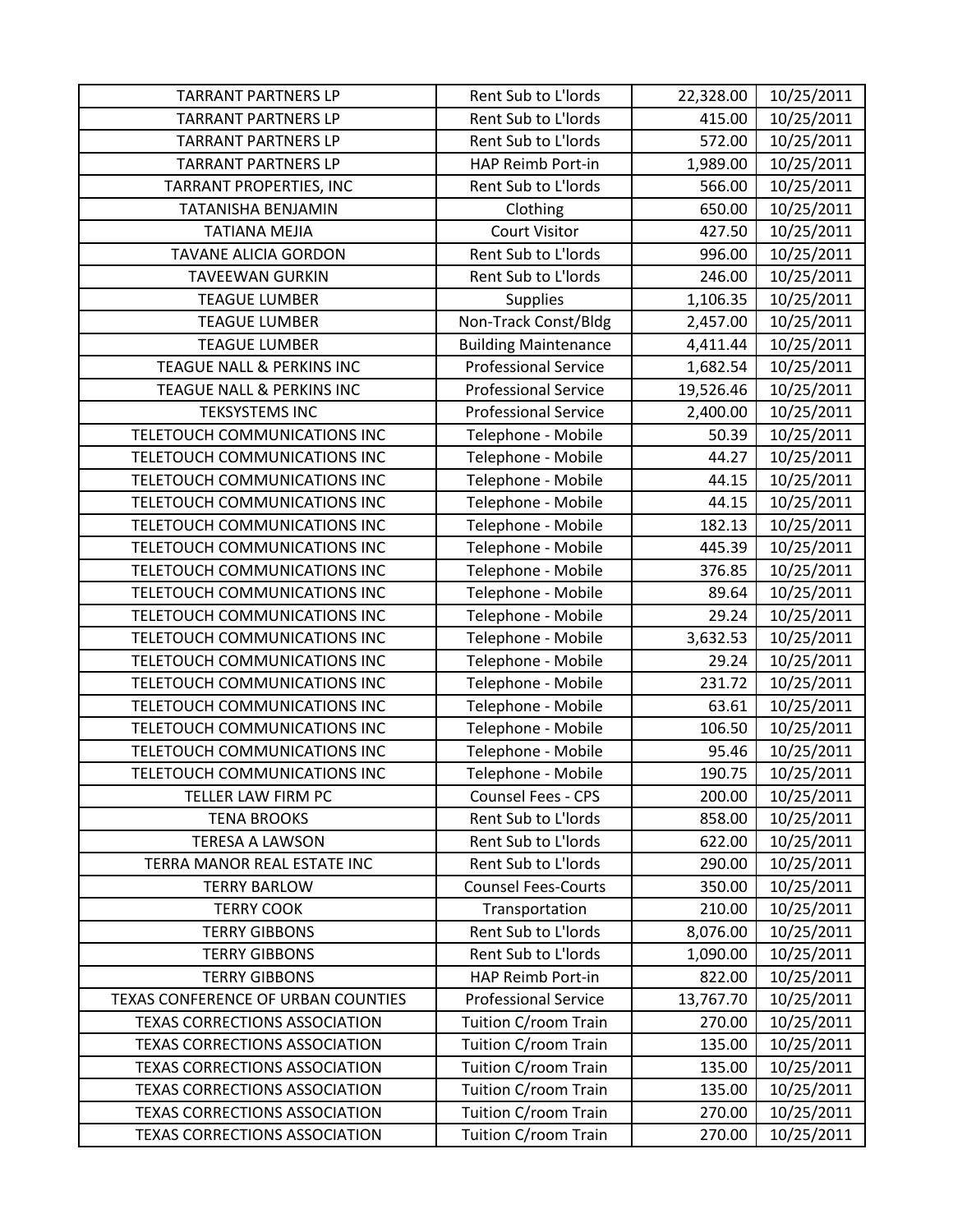| <b>TARRANT PARTNERS LP</b>           | Rent Sub to L'Iords         | 22,328.00 | 10/25/2011 |
|--------------------------------------|-----------------------------|-----------|------------|
| <b>TARRANT PARTNERS LP</b>           | Rent Sub to L'Iords         | 415.00    | 10/25/2011 |
| <b>TARRANT PARTNERS LP</b>           | Rent Sub to L'Iords         | 572.00    | 10/25/2011 |
| <b>TARRANT PARTNERS LP</b>           | HAP Reimb Port-in           | 1,989.00  | 10/25/2011 |
| TARRANT PROPERTIES, INC              | Rent Sub to L'Iords         | 566.00    | 10/25/2011 |
| TATANISHA BENJAMIN                   | Clothing                    | 650.00    | 10/25/2011 |
| <b>TATIANA MEJIA</b>                 | <b>Court Visitor</b>        | 427.50    | 10/25/2011 |
| <b>TAVANE ALICIA GORDON</b>          | Rent Sub to L'Iords         | 996.00    | 10/25/2011 |
| <b>TAVEEWAN GURKIN</b>               | Rent Sub to L'Iords         | 246.00    | 10/25/2011 |
| <b>TEAGUE LUMBER</b>                 | <b>Supplies</b>             | 1,106.35  | 10/25/2011 |
| <b>TEAGUE LUMBER</b>                 | Non-Track Const/Bldg        | 2,457.00  | 10/25/2011 |
| <b>TEAGUE LUMBER</b>                 | <b>Building Maintenance</b> | 4,411.44  | 10/25/2011 |
| TEAGUE NALL & PERKINS INC            | <b>Professional Service</b> | 1,682.54  | 10/25/2011 |
| <b>TEAGUE NALL &amp; PERKINS INC</b> | <b>Professional Service</b> | 19,526.46 | 10/25/2011 |
| <b>TEKSYSTEMS INC</b>                | <b>Professional Service</b> | 2,400.00  | 10/25/2011 |
| TELETOUCH COMMUNICATIONS INC         | Telephone - Mobile          | 50.39     | 10/25/2011 |
| TELETOUCH COMMUNICATIONS INC         | Telephone - Mobile          | 44.27     | 10/25/2011 |
| TELETOUCH COMMUNICATIONS INC         | Telephone - Mobile          | 44.15     | 10/25/2011 |
| TELETOUCH COMMUNICATIONS INC         | Telephone - Mobile          | 44.15     | 10/25/2011 |
| TELETOUCH COMMUNICATIONS INC         | Telephone - Mobile          | 182.13    | 10/25/2011 |
| TELETOUCH COMMUNICATIONS INC         | Telephone - Mobile          | 445.39    | 10/25/2011 |
| TELETOUCH COMMUNICATIONS INC         | Telephone - Mobile          | 376.85    | 10/25/2011 |
| TELETOUCH COMMUNICATIONS INC         | Telephone - Mobile          | 89.64     | 10/25/2011 |
| TELETOUCH COMMUNICATIONS INC         | Telephone - Mobile          | 29.24     | 10/25/2011 |
| TELETOUCH COMMUNICATIONS INC         | Telephone - Mobile          | 3,632.53  | 10/25/2011 |
| TELETOUCH COMMUNICATIONS INC         | Telephone - Mobile          | 29.24     | 10/25/2011 |
| TELETOUCH COMMUNICATIONS INC         | Telephone - Mobile          | 231.72    | 10/25/2011 |
| TELETOUCH COMMUNICATIONS INC         | Telephone - Mobile          | 63.61     | 10/25/2011 |
| TELETOUCH COMMUNICATIONS INC         | Telephone - Mobile          | 106.50    | 10/25/2011 |
| TELETOUCH COMMUNICATIONS INC         | Telephone - Mobile          | 95.46     | 10/25/2011 |
| TELETOUCH COMMUNICATIONS INC         | Telephone - Mobile          | 190.75    | 10/25/2011 |
| TELLER LAW FIRM PC                   | Counsel Fees - CPS          | 200.00    | 10/25/2011 |
| <b>TENA BROOKS</b>                   | Rent Sub to L'Iords         | 858.00    | 10/25/2011 |
| <b>TERESA A LAWSON</b>               | Rent Sub to L'Iords         | 622.00    | 10/25/2011 |
| TERRA MANOR REAL ESTATE INC          | Rent Sub to L'Iords         | 290.00    | 10/25/2011 |
| <b>TERRY BARLOW</b>                  | <b>Counsel Fees-Courts</b>  | 350.00    | 10/25/2011 |
| <b>TERRY COOK</b>                    | Transportation              | 210.00    | 10/25/2011 |
| <b>TERRY GIBBONS</b>                 | Rent Sub to L'Iords         | 8,076.00  | 10/25/2011 |
| <b>TERRY GIBBONS</b>                 | Rent Sub to L'Iords         | 1,090.00  | 10/25/2011 |
| <b>TERRY GIBBONS</b>                 | HAP Reimb Port-in           | 822.00    | 10/25/2011 |
| TEXAS CONFERENCE OF URBAN COUNTIES   | <b>Professional Service</b> | 13,767.70 | 10/25/2011 |
| <b>TEXAS CORRECTIONS ASSOCIATION</b> | Tuition C/room Train        | 270.00    | 10/25/2011 |
| <b>TEXAS CORRECTIONS ASSOCIATION</b> | Tuition C/room Train        | 135.00    | 10/25/2011 |
| <b>TEXAS CORRECTIONS ASSOCIATION</b> | Tuition C/room Train        | 135.00    | 10/25/2011 |
| <b>TEXAS CORRECTIONS ASSOCIATION</b> | Tuition C/room Train        | 135.00    | 10/25/2011 |
| <b>TEXAS CORRECTIONS ASSOCIATION</b> | Tuition C/room Train        | 270.00    | 10/25/2011 |
| <b>TEXAS CORRECTIONS ASSOCIATION</b> | Tuition C/room Train        | 270.00    | 10/25/2011 |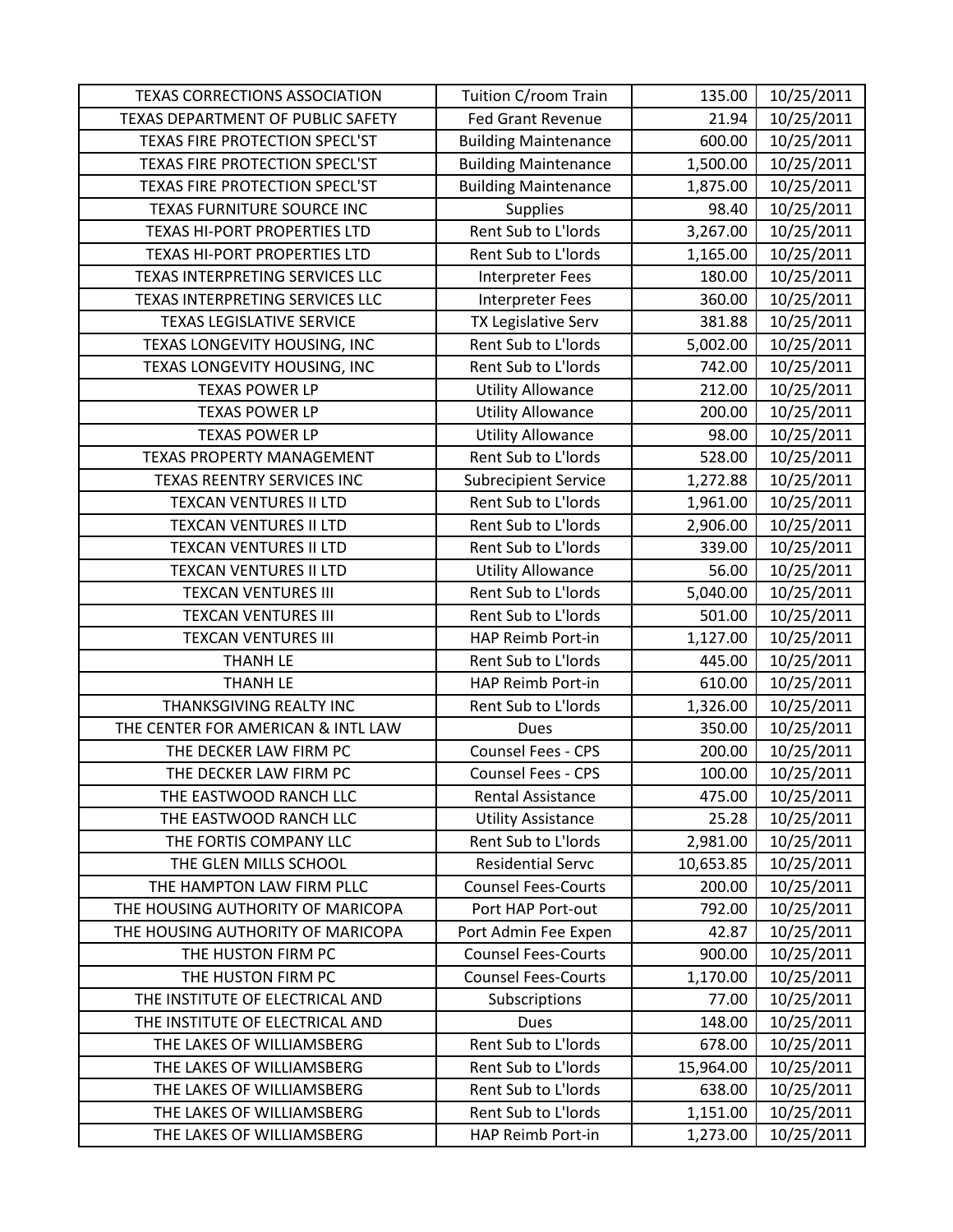| <b>TEXAS CORRECTIONS ASSOCIATION</b>  | Tuition C/room Train        | 135.00    | 10/25/2011 |
|---------------------------------------|-----------------------------|-----------|------------|
| TEXAS DEPARTMENT OF PUBLIC SAFETY     | <b>Fed Grant Revenue</b>    | 21.94     | 10/25/2011 |
| <b>TEXAS FIRE PROTECTION SPECL'ST</b> | <b>Building Maintenance</b> | 600.00    | 10/25/2011 |
| TEXAS FIRE PROTECTION SPECL'ST        | <b>Building Maintenance</b> | 1,500.00  | 10/25/2011 |
| TEXAS FIRE PROTECTION SPECL'ST        | <b>Building Maintenance</b> | 1,875.00  | 10/25/2011 |
| TEXAS FURNITURE SOURCE INC            | <b>Supplies</b>             | 98.40     | 10/25/2011 |
| <b>TEXAS HI-PORT PROPERTIES LTD</b>   | Rent Sub to L'Iords         | 3,267.00  | 10/25/2011 |
| TEXAS HI-PORT PROPERTIES LTD          | Rent Sub to L'Iords         | 1,165.00  | 10/25/2011 |
| TEXAS INTERPRETING SERVICES LLC       | Interpreter Fees            | 180.00    | 10/25/2011 |
| TEXAS INTERPRETING SERVICES LLC       | <b>Interpreter Fees</b>     | 360.00    | 10/25/2011 |
| <b>TEXAS LEGISLATIVE SERVICE</b>      | TX Legislative Serv         | 381.88    | 10/25/2011 |
| TEXAS LONGEVITY HOUSING, INC          | Rent Sub to L'Iords         | 5,002.00  | 10/25/2011 |
| TEXAS LONGEVITY HOUSING, INC          | Rent Sub to L'Iords         | 742.00    | 10/25/2011 |
| <b>TEXAS POWER LP</b>                 | <b>Utility Allowance</b>    | 212.00    | 10/25/2011 |
| <b>TEXAS POWER LP</b>                 | <b>Utility Allowance</b>    | 200.00    | 10/25/2011 |
| <b>TEXAS POWER LP</b>                 | <b>Utility Allowance</b>    | 98.00     | 10/25/2011 |
| <b>TEXAS PROPERTY MANAGEMENT</b>      | Rent Sub to L'Iords         | 528.00    | 10/25/2011 |
| TEXAS REENTRY SERVICES INC            | <b>Subrecipient Service</b> | 1,272.88  | 10/25/2011 |
| <b>TEXCAN VENTURES II LTD</b>         | Rent Sub to L'Iords         | 1,961.00  | 10/25/2011 |
| TEXCAN VENTURES II LTD                | Rent Sub to L'Iords         | 2,906.00  | 10/25/2011 |
| TEXCAN VENTURES II LTD                | Rent Sub to L'Iords         | 339.00    | 10/25/2011 |
| TEXCAN VENTURES II LTD                | <b>Utility Allowance</b>    | 56.00     | 10/25/2011 |
| <b>TEXCAN VENTURES III</b>            | Rent Sub to L'Iords         | 5,040.00  | 10/25/2011 |
| <b>TEXCAN VENTURES III</b>            | Rent Sub to L'Iords         | 501.00    | 10/25/2011 |
| <b>TEXCAN VENTURES III</b>            | HAP Reimb Port-in           | 1,127.00  | 10/25/2011 |
| <b>THANH LE</b>                       | Rent Sub to L'Iords         | 445.00    | 10/25/2011 |
| <b>THANH LE</b>                       | HAP Reimb Port-in           | 610.00    | 10/25/2011 |
| THANKSGIVING REALTY INC               | Rent Sub to L'Iords         | 1,326.00  | 10/25/2011 |
| THE CENTER FOR AMERICAN & INTL LAW    | <b>Dues</b>                 | 350.00    | 10/25/2011 |
| THE DECKER LAW FIRM PC                | Counsel Fees - CPS          | 200.00    | 10/25/2011 |
| THE DECKER LAW FIRM PC                | Counsel Fees - CPS          | 100.00    | 10/25/2011 |
| THE EASTWOOD RANCH LLC                | Rental Assistance           | 475.00    | 10/25/2011 |
| THE EASTWOOD RANCH LLC                | <b>Utility Assistance</b>   | 25.28     | 10/25/2011 |
| THE FORTIS COMPANY LLC                | Rent Sub to L'Iords         | 2,981.00  | 10/25/2011 |
| THE GLEN MILLS SCHOOL                 | <b>Residential Servc</b>    | 10,653.85 | 10/25/2011 |
| THE HAMPTON LAW FIRM PLLC             | <b>Counsel Fees-Courts</b>  | 200.00    | 10/25/2011 |
| THE HOUSING AUTHORITY OF MARICOPA     | Port HAP Port-out           | 792.00    | 10/25/2011 |
| THE HOUSING AUTHORITY OF MARICOPA     | Port Admin Fee Expen        | 42.87     | 10/25/2011 |
| THE HUSTON FIRM PC                    | <b>Counsel Fees-Courts</b>  | 900.00    | 10/25/2011 |
| THE HUSTON FIRM PC                    | <b>Counsel Fees-Courts</b>  | 1,170.00  | 10/25/2011 |
| THE INSTITUTE OF ELECTRICAL AND       | Subscriptions               | 77.00     | 10/25/2011 |
| THE INSTITUTE OF ELECTRICAL AND       | <b>Dues</b>                 | 148.00    | 10/25/2011 |
| THE LAKES OF WILLIAMSBERG             | Rent Sub to L'Iords         | 678.00    | 10/25/2011 |
| THE LAKES OF WILLIAMSBERG             | Rent Sub to L'Iords         | 15,964.00 | 10/25/2011 |
| THE LAKES OF WILLIAMSBERG             | Rent Sub to L'Iords         | 638.00    | 10/25/2011 |
| THE LAKES OF WILLIAMSBERG             | Rent Sub to L'Iords         | 1,151.00  | 10/25/2011 |
| THE LAKES OF WILLIAMSBERG             | HAP Reimb Port-in           | 1,273.00  | 10/25/2011 |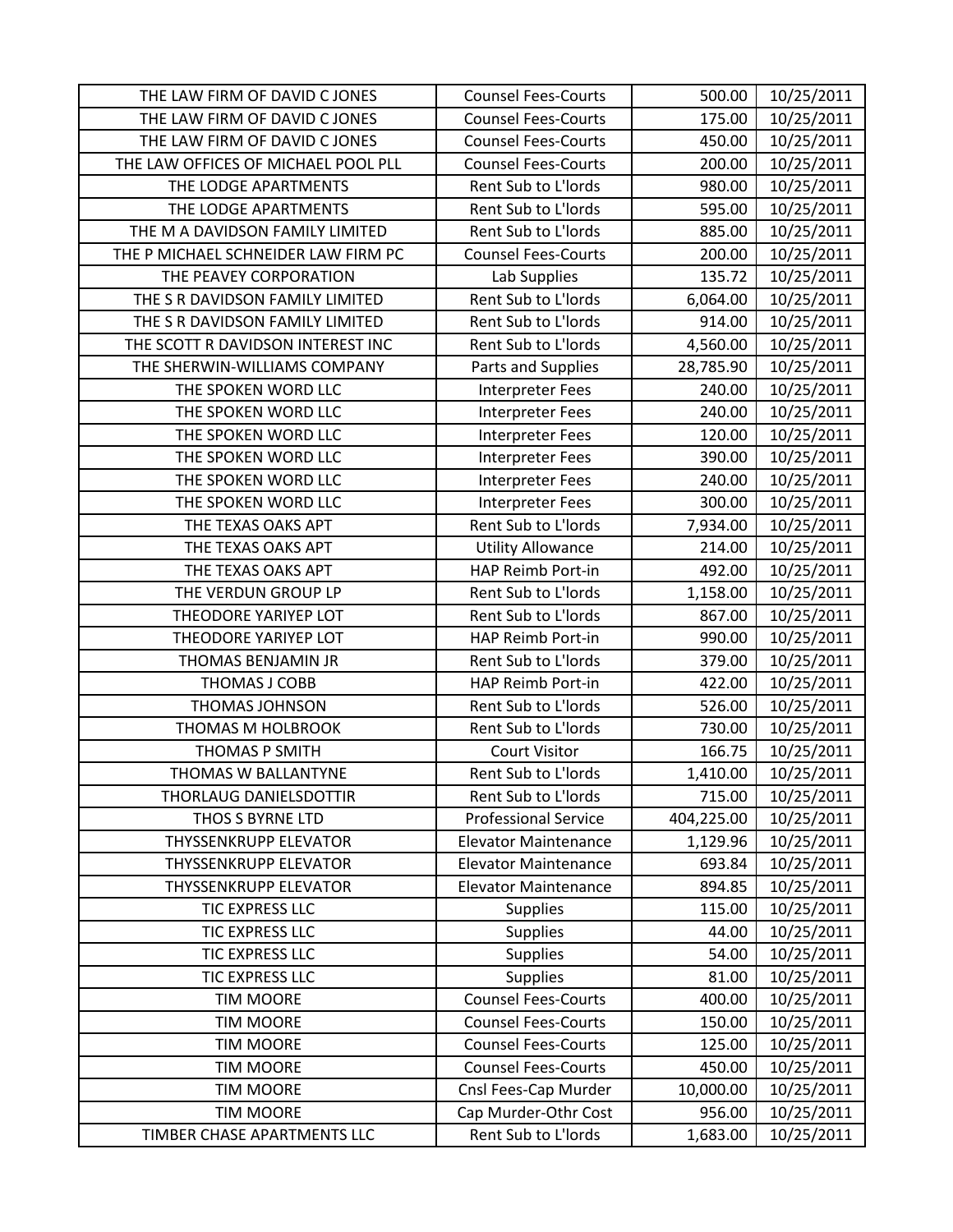| THE LAW FIRM OF DAVID C JONES       | <b>Counsel Fees-Courts</b>  | 500.00     | 10/25/2011 |
|-------------------------------------|-----------------------------|------------|------------|
| THE LAW FIRM OF DAVID C JONES       | <b>Counsel Fees-Courts</b>  | 175.00     | 10/25/2011 |
| THE LAW FIRM OF DAVID C JONES       | <b>Counsel Fees-Courts</b>  | 450.00     | 10/25/2011 |
| THE LAW OFFICES OF MICHAEL POOL PLL | <b>Counsel Fees-Courts</b>  | 200.00     | 10/25/2011 |
| THE LODGE APARTMENTS                | Rent Sub to L'Iords         | 980.00     | 10/25/2011 |
| THE LODGE APARTMENTS                | Rent Sub to L'Iords         | 595.00     | 10/25/2011 |
| THE M A DAVIDSON FAMILY LIMITED     | Rent Sub to L'Iords         | 885.00     | 10/25/2011 |
| THE P MICHAEL SCHNEIDER LAW FIRM PC | <b>Counsel Fees-Courts</b>  | 200.00     | 10/25/2011 |
| THE PEAVEY CORPORATION              | Lab Supplies                | 135.72     | 10/25/2011 |
| THE S R DAVIDSON FAMILY LIMITED     | Rent Sub to L'Iords         | 6,064.00   | 10/25/2011 |
| THE S R DAVIDSON FAMILY LIMITED     | Rent Sub to L'Iords         | 914.00     | 10/25/2011 |
| THE SCOTT R DAVIDSON INTEREST INC   | Rent Sub to L'Iords         | 4,560.00   | 10/25/2011 |
| THE SHERWIN-WILLIAMS COMPANY        | Parts and Supplies          | 28,785.90  | 10/25/2011 |
| THE SPOKEN WORD LLC                 | Interpreter Fees            | 240.00     | 10/25/2011 |
| THE SPOKEN WORD LLC                 | Interpreter Fees            | 240.00     | 10/25/2011 |
| THE SPOKEN WORD LLC                 | Interpreter Fees            | 120.00     | 10/25/2011 |
| THE SPOKEN WORD LLC                 | Interpreter Fees            | 390.00     | 10/25/2011 |
| THE SPOKEN WORD LLC                 | Interpreter Fees            | 240.00     | 10/25/2011 |
| THE SPOKEN WORD LLC                 | Interpreter Fees            | 300.00     | 10/25/2011 |
| THE TEXAS OAKS APT                  | Rent Sub to L'Iords         | 7,934.00   | 10/25/2011 |
| THE TEXAS OAKS APT                  | <b>Utility Allowance</b>    | 214.00     | 10/25/2011 |
| THE TEXAS OAKS APT                  | HAP Reimb Port-in           | 492.00     | 10/25/2011 |
| THE VERDUN GROUP LP                 | Rent Sub to L'Iords         | 1,158.00   | 10/25/2011 |
| THEODORE YARIYEP LOT                | Rent Sub to L'Iords         | 867.00     | 10/25/2011 |
| THEODORE YARIYEP LOT                | HAP Reimb Port-in           | 990.00     | 10/25/2011 |
| THOMAS BENJAMIN JR                  | Rent Sub to L'Iords         | 379.00     | 10/25/2011 |
| THOMAS J COBB                       | HAP Reimb Port-in           | 422.00     | 10/25/2011 |
| <b>THOMAS JOHNSON</b>               | Rent Sub to L'Iords         | 526.00     | 10/25/2011 |
| THOMAS M HOLBROOK                   | Rent Sub to L'Iords         | 730.00     | 10/25/2011 |
| THOMAS P SMITH                      | <b>Court Visitor</b>        | 166.75     | 10/25/2011 |
| THOMAS W BALLANTYNE                 | Rent Sub to L'Iords         | 1,410.00   | 10/25/2011 |
| THORLAUG DANIELSDOTTIR              | Rent Sub to L'Iords         | 715.00     | 10/25/2011 |
| THOS S BYRNE LTD                    | <b>Professional Service</b> | 404,225.00 | 10/25/2011 |
| <b>THYSSENKRUPP ELEVATOR</b>        | <b>Elevator Maintenance</b> | 1,129.96   | 10/25/2011 |
| <b>THYSSENKRUPP ELEVATOR</b>        | <b>Elevator Maintenance</b> | 693.84     | 10/25/2011 |
| THYSSENKRUPP ELEVATOR               | <b>Elevator Maintenance</b> | 894.85     | 10/25/2011 |
| TIC EXPRESS LLC                     | <b>Supplies</b>             | 115.00     | 10/25/2011 |
| TIC EXPRESS LLC                     | <b>Supplies</b>             | 44.00      | 10/25/2011 |
| <b>TIC EXPRESS LLC</b>              | <b>Supplies</b>             | 54.00      | 10/25/2011 |
| <b>TIC EXPRESS LLC</b>              | <b>Supplies</b>             | 81.00      | 10/25/2011 |
| <b>TIM MOORE</b>                    | <b>Counsel Fees-Courts</b>  | 400.00     | 10/25/2011 |
| <b>TIM MOORE</b>                    | <b>Counsel Fees-Courts</b>  | 150.00     | 10/25/2011 |
| <b>TIM MOORE</b>                    | <b>Counsel Fees-Courts</b>  | 125.00     | 10/25/2011 |
| <b>TIM MOORE</b>                    | <b>Counsel Fees-Courts</b>  | 450.00     | 10/25/2011 |
| <b>TIM MOORE</b>                    | Cnsl Fees-Cap Murder        | 10,000.00  | 10/25/2011 |
| <b>TIM MOORE</b>                    | Cap Murder-Othr Cost        | 956.00     | 10/25/2011 |
| TIMBER CHASE APARTMENTS LLC         | Rent Sub to L'Iords         | 1,683.00   | 10/25/2011 |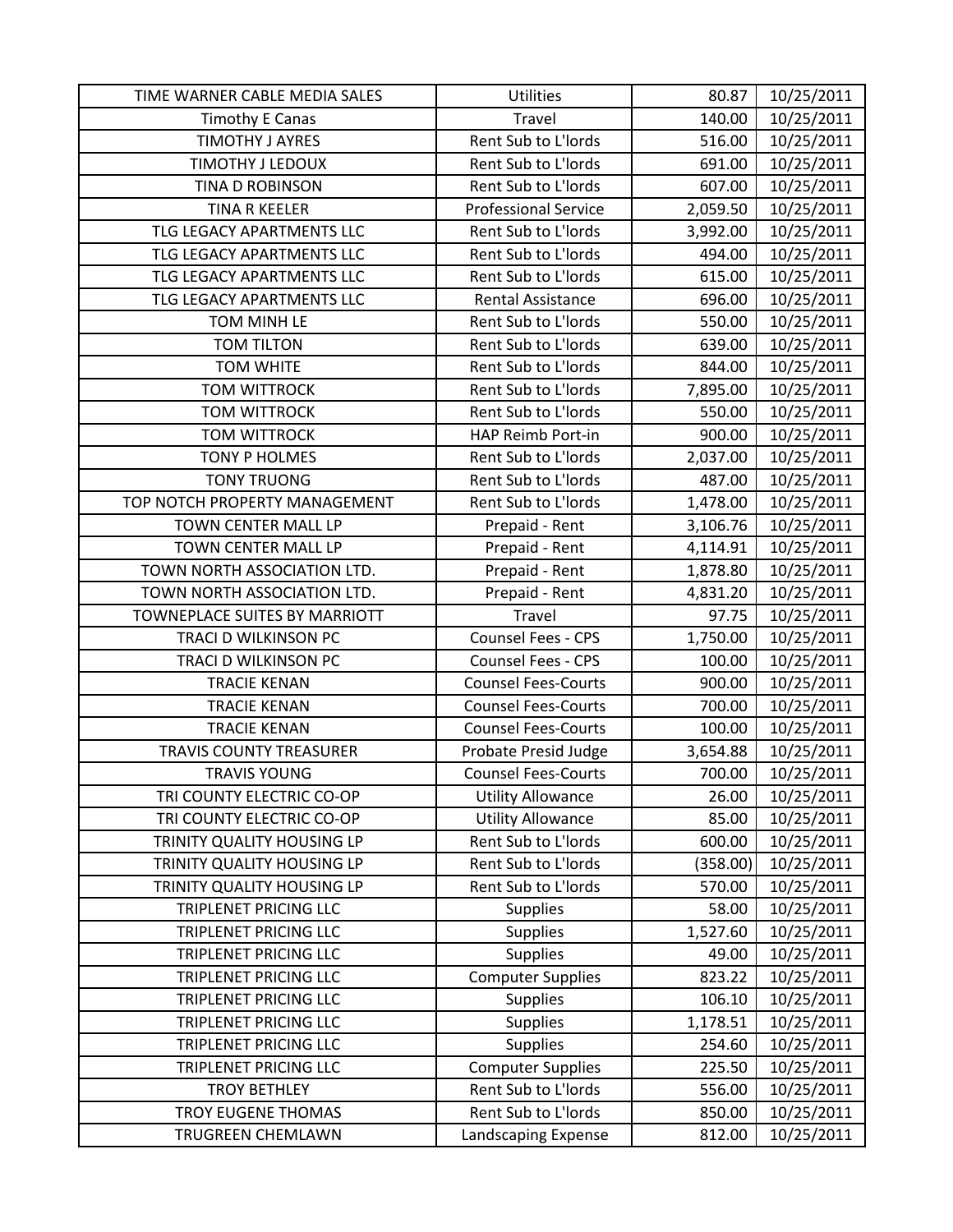| TIME WARNER CABLE MEDIA SALES | <b>Utilities</b>            | 80.87    | 10/25/2011 |
|-------------------------------|-----------------------------|----------|------------|
| <b>Timothy E Canas</b>        | Travel                      | 140.00   | 10/25/2011 |
| <b>TIMOTHY J AYRES</b>        | Rent Sub to L'Iords         | 516.00   | 10/25/2011 |
| <b>TIMOTHY J LEDOUX</b>       | Rent Sub to L'Iords         | 691.00   | 10/25/2011 |
| TINA D ROBINSON               | Rent Sub to L'Iords         | 607.00   | 10/25/2011 |
| <b>TINA R KEELER</b>          | <b>Professional Service</b> | 2,059.50 | 10/25/2011 |
| TLG LEGACY APARTMENTS LLC     | Rent Sub to L'Iords         | 3,992.00 | 10/25/2011 |
| TLG LEGACY APARTMENTS LLC     | Rent Sub to L'Iords         | 494.00   | 10/25/2011 |
| TLG LEGACY APARTMENTS LLC     | Rent Sub to L'Iords         | 615.00   | 10/25/2011 |
| TLG LEGACY APARTMENTS LLC     | <b>Rental Assistance</b>    | 696.00   | 10/25/2011 |
| TOM MINH LE                   | Rent Sub to L'Iords         | 550.00   | 10/25/2011 |
| <b>TOM TILTON</b>             | Rent Sub to L'Iords         | 639.00   | 10/25/2011 |
| <b>TOM WHITE</b>              | Rent Sub to L'Iords         | 844.00   | 10/25/2011 |
| <b>TOM WITTROCK</b>           | Rent Sub to L'Iords         | 7,895.00 | 10/25/2011 |
| <b>TOM WITTROCK</b>           | Rent Sub to L'Iords         | 550.00   | 10/25/2011 |
| <b>TOM WITTROCK</b>           | HAP Reimb Port-in           | 900.00   | 10/25/2011 |
| <b>TONY P HOLMES</b>          | Rent Sub to L'Iords         | 2,037.00 | 10/25/2011 |
| <b>TONY TRUONG</b>            | Rent Sub to L'Iords         | 487.00   | 10/25/2011 |
| TOP NOTCH PROPERTY MANAGEMENT | Rent Sub to L'Iords         | 1,478.00 | 10/25/2011 |
| TOWN CENTER MALL LP           | Prepaid - Rent              | 3,106.76 | 10/25/2011 |
| TOWN CENTER MALL LP           | Prepaid - Rent              | 4,114.91 | 10/25/2011 |
| TOWN NORTH ASSOCIATION LTD.   | Prepaid - Rent              | 1,878.80 | 10/25/2011 |
| TOWN NORTH ASSOCIATION LTD.   | Prepaid - Rent              | 4,831.20 | 10/25/2011 |
| TOWNEPLACE SUITES BY MARRIOTT | Travel                      | 97.75    | 10/25/2011 |
| TRACI D WILKINSON PC          | Counsel Fees - CPS          | 1,750.00 | 10/25/2011 |
| TRACI D WILKINSON PC          | Counsel Fees - CPS          | 100.00   | 10/25/2011 |
| <b>TRACIE KENAN</b>           | <b>Counsel Fees-Courts</b>  | 900.00   | 10/25/2011 |
| <b>TRACIE KENAN</b>           | <b>Counsel Fees-Courts</b>  | 700.00   | 10/25/2011 |
| <b>TRACIE KENAN</b>           | <b>Counsel Fees-Courts</b>  | 100.00   | 10/25/2011 |
| TRAVIS COUNTY TREASURER       | Probate Presid Judge        | 3,654.88 | 10/25/2011 |
| <b>TRAVIS YOUNG</b>           | <b>Counsel Fees-Courts</b>  | 700.00   | 10/25/2011 |
| TRI COUNTY ELECTRIC CO-OP     | <b>Utility Allowance</b>    | 26.00    | 10/25/2011 |
| TRI COUNTY ELECTRIC CO-OP     | <b>Utility Allowance</b>    | 85.00    | 10/25/2011 |
| TRINITY QUALITY HOUSING LP    | Rent Sub to L'Iords         | 600.00   | 10/25/2011 |
| TRINITY QUALITY HOUSING LP    | Rent Sub to L'Iords         | (358.00) | 10/25/2011 |
| TRINITY QUALITY HOUSING LP    | Rent Sub to L'Iords         | 570.00   | 10/25/2011 |
| TRIPLENET PRICING LLC         | <b>Supplies</b>             | 58.00    | 10/25/2011 |
| TRIPLENET PRICING LLC         | <b>Supplies</b>             | 1,527.60 | 10/25/2011 |
| TRIPLENET PRICING LLC         | <b>Supplies</b>             | 49.00    | 10/25/2011 |
| TRIPLENET PRICING LLC         | <b>Computer Supplies</b>    | 823.22   | 10/25/2011 |
| TRIPLENET PRICING LLC         | <b>Supplies</b>             | 106.10   | 10/25/2011 |
| <b>TRIPLENET PRICING LLC</b>  | <b>Supplies</b>             | 1,178.51 | 10/25/2011 |
| TRIPLENET PRICING LLC         | <b>Supplies</b>             | 254.60   | 10/25/2011 |
| TRIPLENET PRICING LLC         | <b>Computer Supplies</b>    | 225.50   | 10/25/2011 |
| <b>TROY BETHLEY</b>           | Rent Sub to L'Iords         | 556.00   | 10/25/2011 |
| TROY EUGENE THOMAS            | Rent Sub to L'Iords         | 850.00   | 10/25/2011 |
| TRUGREEN CHEMLAWN             | Landscaping Expense         | 812.00   | 10/25/2011 |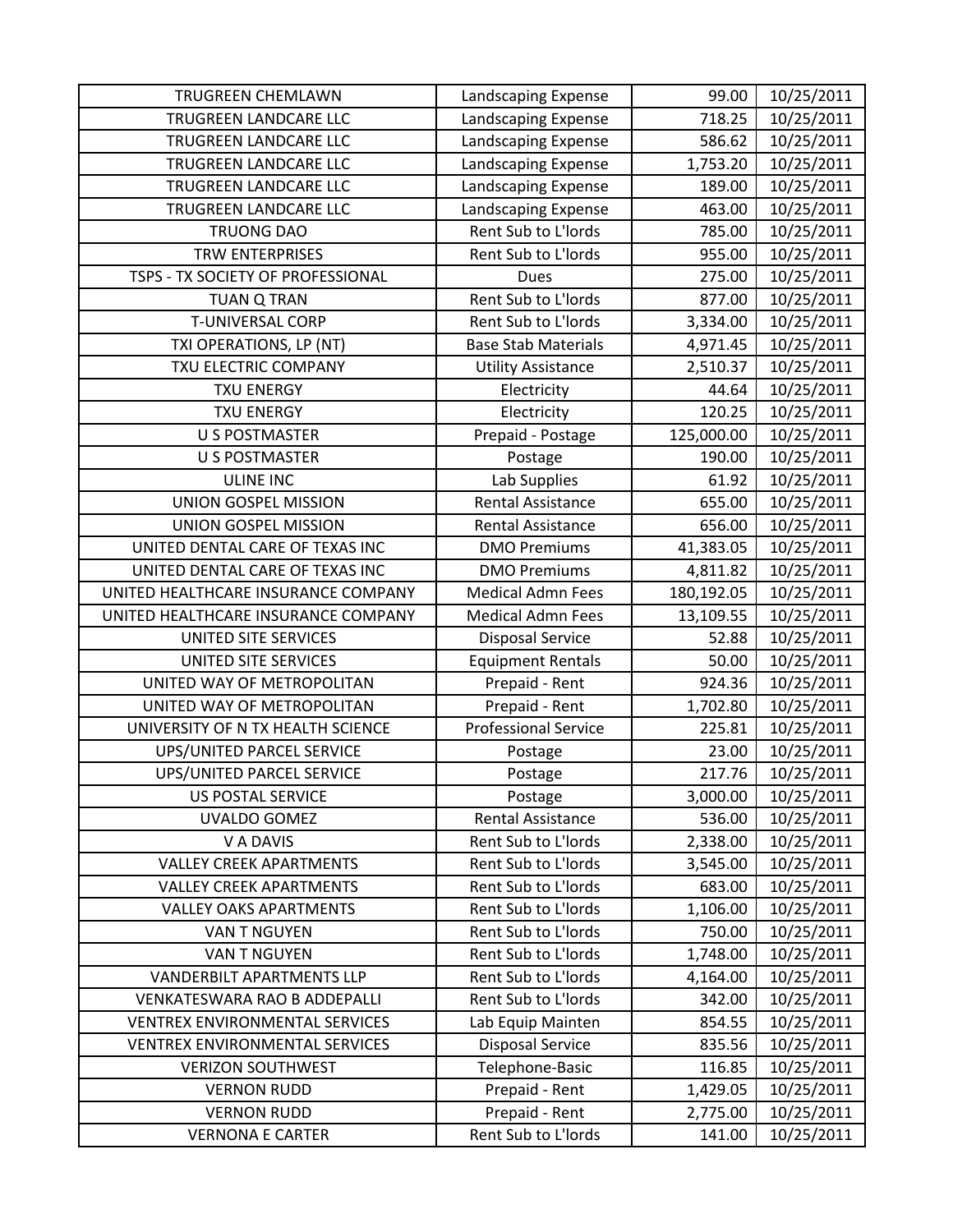| <b>TRUGREEN CHEMLAWN</b>              | Landscaping Expense         | 99.00      | 10/25/2011 |
|---------------------------------------|-----------------------------|------------|------------|
| TRUGREEN LANDCARE LLC                 | Landscaping Expense         | 718.25     | 10/25/2011 |
| TRUGREEN LANDCARE LLC                 | Landscaping Expense         | 586.62     | 10/25/2011 |
| TRUGREEN LANDCARE LLC                 | Landscaping Expense         | 1,753.20   | 10/25/2011 |
| TRUGREEN LANDCARE LLC                 | Landscaping Expense         | 189.00     | 10/25/2011 |
| TRUGREEN LANDCARE LLC                 | Landscaping Expense         | 463.00     | 10/25/2011 |
| <b>TRUONG DAO</b>                     | Rent Sub to L'Iords         | 785.00     | 10/25/2011 |
| <b>TRW ENTERPRISES</b>                | Rent Sub to L'Iords         | 955.00     | 10/25/2011 |
| TSPS - TX SOCIETY OF PROFESSIONAL     | <b>Dues</b>                 | 275.00     | 10/25/2011 |
| <b>TUAN Q TRAN</b>                    | Rent Sub to L'Iords         | 877.00     | 10/25/2011 |
| <b>T-UNIVERSAL CORP</b>               | Rent Sub to L'Iords         | 3,334.00   | 10/25/2011 |
| TXI OPERATIONS, LP (NT)               | <b>Base Stab Materials</b>  | 4,971.45   | 10/25/2011 |
| TXU ELECTRIC COMPANY                  | <b>Utility Assistance</b>   | 2,510.37   | 10/25/2011 |
| <b>TXU ENERGY</b>                     | Electricity                 | 44.64      | 10/25/2011 |
| <b>TXU ENERGY</b>                     | Electricity                 | 120.25     | 10/25/2011 |
| <b>U S POSTMASTER</b>                 | Prepaid - Postage           | 125,000.00 | 10/25/2011 |
| <b>U S POSTMASTER</b>                 | Postage                     | 190.00     | 10/25/2011 |
| <b>ULINE INC</b>                      | Lab Supplies                | 61.92      | 10/25/2011 |
| UNION GOSPEL MISSION                  | <b>Rental Assistance</b>    | 655.00     | 10/25/2011 |
| UNION GOSPEL MISSION                  | Rental Assistance           | 656.00     | 10/25/2011 |
| UNITED DENTAL CARE OF TEXAS INC       | <b>DMO Premiums</b>         | 41,383.05  | 10/25/2011 |
| UNITED DENTAL CARE OF TEXAS INC       | <b>DMO Premiums</b>         | 4,811.82   | 10/25/2011 |
| UNITED HEALTHCARE INSURANCE COMPANY   | <b>Medical Admn Fees</b>    | 180,192.05 | 10/25/2011 |
| UNITED HEALTHCARE INSURANCE COMPANY   | <b>Medical Admn Fees</b>    | 13,109.55  | 10/25/2011 |
| UNITED SITE SERVICES                  | <b>Disposal Service</b>     | 52.88      | 10/25/2011 |
| UNITED SITE SERVICES                  | <b>Equipment Rentals</b>    | 50.00      | 10/25/2011 |
| UNITED WAY OF METROPOLITAN            | Prepaid - Rent              | 924.36     | 10/25/2011 |
| UNITED WAY OF METROPOLITAN            | Prepaid - Rent              | 1,702.80   | 10/25/2011 |
| UNIVERSITY OF N TX HEALTH SCIENCE     | <b>Professional Service</b> | 225.81     | 10/25/2011 |
| UPS/UNITED PARCEL SERVICE             | Postage                     | 23.00      | 10/25/2011 |
| UPS/UNITED PARCEL SERVICE             | Postage                     | 217.76     | 10/25/2011 |
| <b>US POSTAL SERVICE</b>              | Postage                     | 3,000.00   | 10/25/2011 |
| UVALDO GOMEZ                          | <b>Rental Assistance</b>    | 536.00     | 10/25/2011 |
| V A DAVIS                             | Rent Sub to L'Iords         | 2,338.00   | 10/25/2011 |
| <b>VALLEY CREEK APARTMENTS</b>        | Rent Sub to L'Iords         | 3,545.00   | 10/25/2011 |
| <b>VALLEY CREEK APARTMENTS</b>        | Rent Sub to L'Iords         | 683.00     | 10/25/2011 |
| <b>VALLEY OAKS APARTMENTS</b>         | Rent Sub to L'Iords         | 1,106.00   | 10/25/2011 |
| VAN T NGUYEN                          | Rent Sub to L'Iords         | 750.00     | 10/25/2011 |
| VAN T NGUYEN                          | Rent Sub to L'Iords         | 1,748.00   | 10/25/2011 |
| <b>VANDERBILT APARTMENTS LLP</b>      | Rent Sub to L'Iords         | 4,164.00   | 10/25/2011 |
| <b>VENKATESWARA RAO B ADDEPALLI</b>   | Rent Sub to L'Iords         | 342.00     | 10/25/2011 |
| <b>VENTREX ENVIRONMENTAL SERVICES</b> | Lab Equip Mainten           | 854.55     | 10/25/2011 |
| <b>VENTREX ENVIRONMENTAL SERVICES</b> | <b>Disposal Service</b>     | 835.56     | 10/25/2011 |
| <b>VERIZON SOUTHWEST</b>              | Telephone-Basic             | 116.85     | 10/25/2011 |
| <b>VERNON RUDD</b>                    | Prepaid - Rent              | 1,429.05   | 10/25/2011 |
| <b>VERNON RUDD</b>                    | Prepaid - Rent              | 2,775.00   | 10/25/2011 |
| <b>VERNONA E CARTER</b>               | Rent Sub to L'Iords         | 141.00     | 10/25/2011 |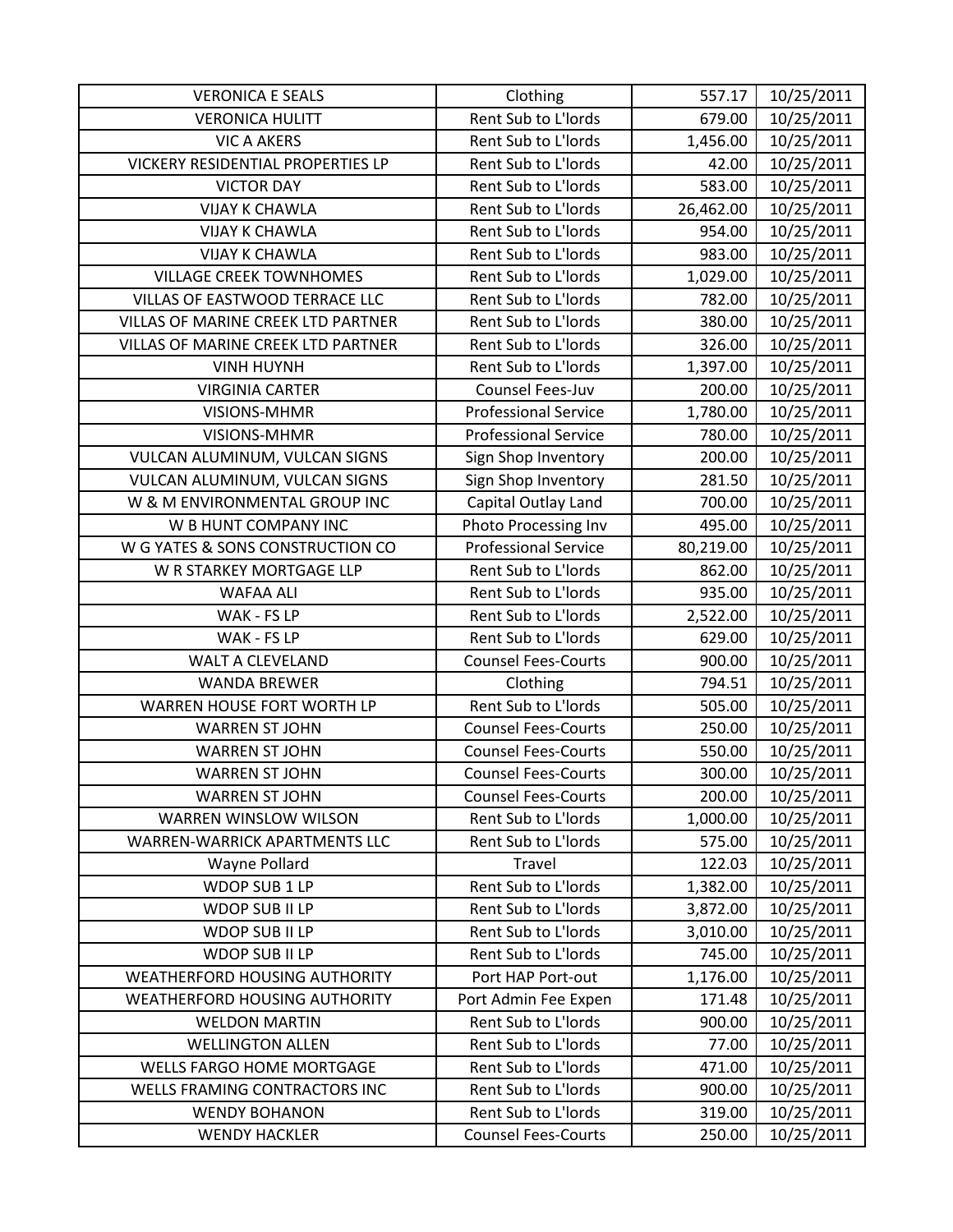| <b>VERONICA E SEALS</b>              | Clothing                    | 557.17    | 10/25/2011 |
|--------------------------------------|-----------------------------|-----------|------------|
| <b>VERONICA HULITT</b>               | Rent Sub to L'Iords         | 679.00    | 10/25/2011 |
| <b>VIC A AKERS</b>                   | Rent Sub to L'Iords         | 1,456.00  | 10/25/2011 |
| VICKERY RESIDENTIAL PROPERTIES LP    | Rent Sub to L'Iords         | 42.00     | 10/25/2011 |
| <b>VICTOR DAY</b>                    | Rent Sub to L'Iords         | 583.00    | 10/25/2011 |
| <b>VIJAY K CHAWLA</b>                | Rent Sub to L'Iords         | 26,462.00 | 10/25/2011 |
| <b>VIJAY K CHAWLA</b>                | Rent Sub to L'Iords         | 954.00    | 10/25/2011 |
| <b>VIJAY K CHAWLA</b>                | Rent Sub to L'Iords         | 983.00    | 10/25/2011 |
| <b>VILLAGE CREEK TOWNHOMES</b>       | Rent Sub to L'Iords         | 1,029.00  | 10/25/2011 |
| VILLAS OF EASTWOOD TERRACE LLC       | Rent Sub to L'Iords         | 782.00    | 10/25/2011 |
| VILLAS OF MARINE CREEK LTD PARTNER   | Rent Sub to L'Iords         | 380.00    | 10/25/2011 |
| VILLAS OF MARINE CREEK LTD PARTNER   | Rent Sub to L'Iords         | 326.00    | 10/25/2011 |
| <b>VINH HUYNH</b>                    | Rent Sub to L'Iords         | 1,397.00  | 10/25/2011 |
| <b>VIRGINIA CARTER</b>               | Counsel Fees-Juv            | 200.00    | 10/25/2011 |
| VISIONS-MHMR                         | <b>Professional Service</b> | 1,780.00  | 10/25/2011 |
| <b>VISIONS-MHMR</b>                  | <b>Professional Service</b> | 780.00    | 10/25/2011 |
| VULCAN ALUMINUM, VULCAN SIGNS        | Sign Shop Inventory         | 200.00    | 10/25/2011 |
| VULCAN ALUMINUM, VULCAN SIGNS        | Sign Shop Inventory         | 281.50    | 10/25/2011 |
| W & M ENVIRONMENTAL GROUP INC        | Capital Outlay Land         | 700.00    | 10/25/2011 |
| W B HUNT COMPANY INC                 | Photo Processing Inv        | 495.00    | 10/25/2011 |
| W G YATES & SONS CONSTRUCTION CO     | <b>Professional Service</b> | 80,219.00 | 10/25/2011 |
| W R STARKEY MORTGAGE LLP             | Rent Sub to L'Iords         | 862.00    | 10/25/2011 |
| <b>WAFAA ALI</b>                     | Rent Sub to L'Iords         | 935.00    | 10/25/2011 |
| WAK - FS LP                          | Rent Sub to L'Iords         | 2,522.00  | 10/25/2011 |
| WAK - FS LP                          | Rent Sub to L'Iords         | 629.00    | 10/25/2011 |
| WALT A CLEVELAND                     | <b>Counsel Fees-Courts</b>  | 900.00    | 10/25/2011 |
| <b>WANDA BREWER</b>                  | Clothing                    | 794.51    | 10/25/2011 |
| WARREN HOUSE FORT WORTH LP           | Rent Sub to L'Iords         | 505.00    | 10/25/2011 |
| <b>WARREN ST JOHN</b>                | <b>Counsel Fees-Courts</b>  | 250.00    | 10/25/2011 |
| <b>WARREN ST JOHN</b>                | <b>Counsel Fees-Courts</b>  | 550.00    | 10/25/2011 |
| <b>WARREN ST JOHN</b>                | <b>Counsel Fees-Courts</b>  | 300.00    | 10/25/2011 |
| <b>WARREN ST JOHN</b>                | <b>Counsel Fees-Courts</b>  | 200.00    | 10/25/2011 |
| WARREN WINSLOW WILSON                | Rent Sub to L'Iords         | 1,000.00  | 10/25/2011 |
| WARREN-WARRICK APARTMENTS LLC        | Rent Sub to L'Iords         | 575.00    | 10/25/2011 |
| Wayne Pollard                        | <b>Travel</b>               | 122.03    | 10/25/2011 |
| WDOP SUB 1 LP                        | Rent Sub to L'Iords         | 1,382.00  | 10/25/2011 |
| WDOP SUB II LP                       | Rent Sub to L'Iords         | 3,872.00  | 10/25/2011 |
| WDOP SUB II LP                       | Rent Sub to L'Iords         | 3,010.00  | 10/25/2011 |
| WDOP SUB II LP                       | Rent Sub to L'Iords         | 745.00    | 10/25/2011 |
| <b>WEATHERFORD HOUSING AUTHORITY</b> | Port HAP Port-out           | 1,176.00  | 10/25/2011 |
| <b>WEATHERFORD HOUSING AUTHORITY</b> | Port Admin Fee Expen        | 171.48    | 10/25/2011 |
| <b>WELDON MARTIN</b>                 | Rent Sub to L'Iords         | 900.00    | 10/25/2011 |
| <b>WELLINGTON ALLEN</b>              | Rent Sub to L'Iords         | 77.00     | 10/25/2011 |
| <b>WELLS FARGO HOME MORTGAGE</b>     | Rent Sub to L'Iords         | 471.00    | 10/25/2011 |
| WELLS FRAMING CONTRACTORS INC        | Rent Sub to L'Iords         | 900.00    | 10/25/2011 |
| <b>WENDY BOHANON</b>                 | Rent Sub to L'Iords         | 319.00    | 10/25/2011 |
| <b>WENDY HACKLER</b>                 | <b>Counsel Fees-Courts</b>  | 250.00    | 10/25/2011 |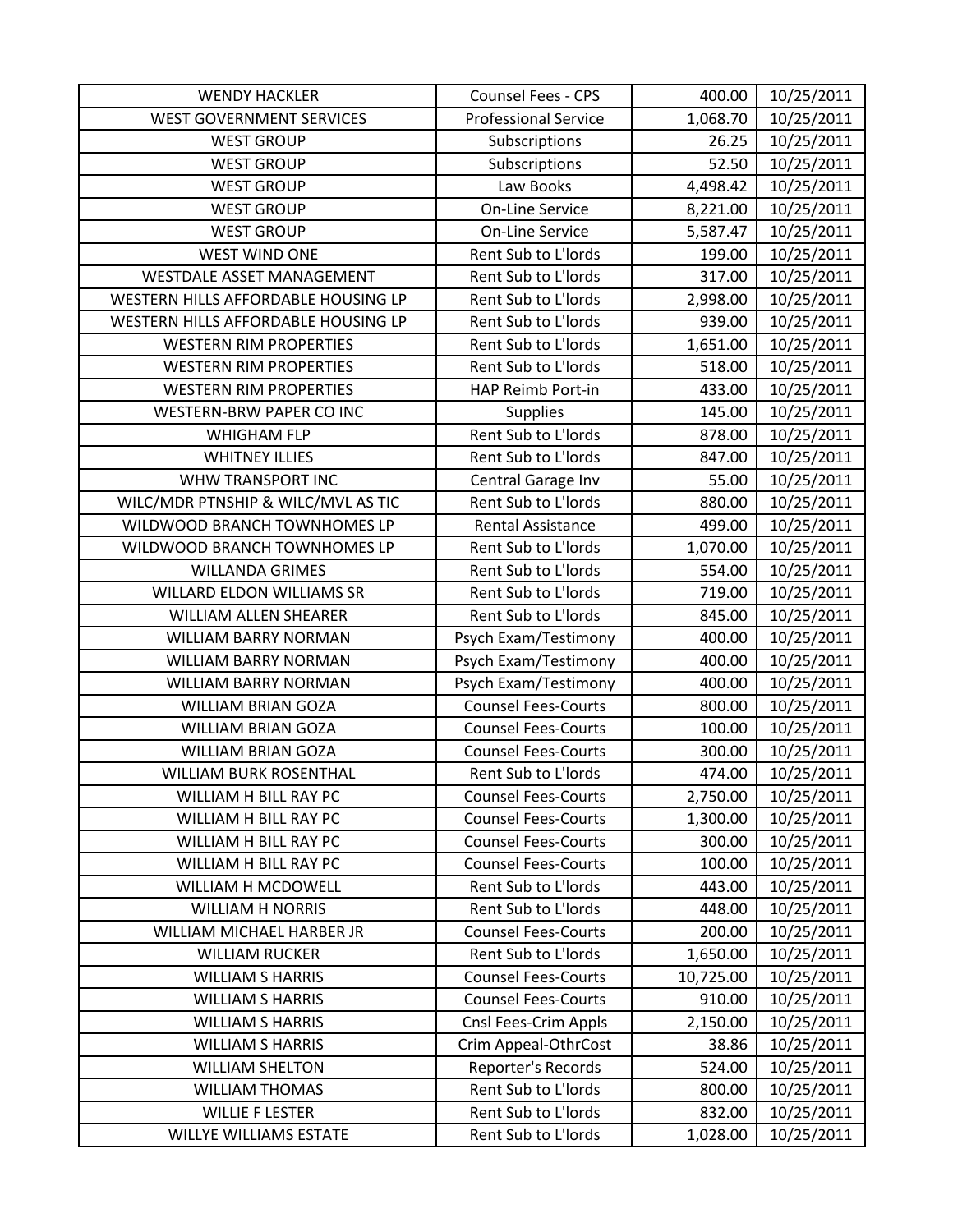| <b>WENDY HACKLER</b>                | Counsel Fees - CPS          | 400.00    | 10/25/2011 |
|-------------------------------------|-----------------------------|-----------|------------|
| <b>WEST GOVERNMENT SERVICES</b>     | <b>Professional Service</b> | 1,068.70  | 10/25/2011 |
| <b>WEST GROUP</b>                   | Subscriptions               | 26.25     | 10/25/2011 |
| <b>WEST GROUP</b>                   | Subscriptions               | 52.50     | 10/25/2011 |
| <b>WEST GROUP</b>                   | Law Books                   | 4,498.42  | 10/25/2011 |
| <b>WEST GROUP</b>                   | <b>On-Line Service</b>      | 8,221.00  | 10/25/2011 |
| <b>WEST GROUP</b>                   | <b>On-Line Service</b>      | 5,587.47  | 10/25/2011 |
| <b>WEST WIND ONE</b>                | Rent Sub to L'Iords         | 199.00    | 10/25/2011 |
| WESTDALE ASSET MANAGEMENT           | Rent Sub to L'Iords         | 317.00    | 10/25/2011 |
| WESTERN HILLS AFFORDABLE HOUSING LP | Rent Sub to L'Iords         | 2,998.00  | 10/25/2011 |
| WESTERN HILLS AFFORDABLE HOUSING LP | Rent Sub to L'Iords         | 939.00    | 10/25/2011 |
| <b>WESTERN RIM PROPERTIES</b>       | Rent Sub to L'Iords         | 1,651.00  | 10/25/2011 |
| <b>WESTERN RIM PROPERTIES</b>       | Rent Sub to L'Iords         | 518.00    | 10/25/2011 |
| <b>WESTERN RIM PROPERTIES</b>       | HAP Reimb Port-in           | 433.00    | 10/25/2011 |
| WESTERN-BRW PAPER CO INC            | <b>Supplies</b>             | 145.00    | 10/25/2011 |
| <b>WHIGHAM FLP</b>                  | Rent Sub to L'Iords         | 878.00    | 10/25/2011 |
| <b>WHITNEY ILLIES</b>               | Rent Sub to L'Iords         | 847.00    | 10/25/2011 |
| WHW TRANSPORT INC                   | Central Garage Inv          | 55.00     | 10/25/2011 |
| WILC/MDR PTNSHIP & WILC/MVL AS TIC  | Rent Sub to L'Iords         | 880.00    | 10/25/2011 |
| WILDWOOD BRANCH TOWNHOMES LP        | Rental Assistance           | 499.00    | 10/25/2011 |
| WILDWOOD BRANCH TOWNHOMES LP        | Rent Sub to L'Iords         | 1,070.00  | 10/25/2011 |
| <b>WILLANDA GRIMES</b>              | Rent Sub to L'Iords         | 554.00    | 10/25/2011 |
| <b>WILLARD ELDON WILLIAMS SR</b>    | Rent Sub to L'Iords         | 719.00    | 10/25/2011 |
| <b>WILLIAM ALLEN SHEARER</b>        | Rent Sub to L'Iords         | 845.00    | 10/25/2011 |
| WILLIAM BARRY NORMAN                | Psych Exam/Testimony        | 400.00    | 10/25/2011 |
| WILLIAM BARRY NORMAN                | Psych Exam/Testimony        | 400.00    | 10/25/2011 |
| WILLIAM BARRY NORMAN                | Psych Exam/Testimony        | 400.00    | 10/25/2011 |
| <b>WILLIAM BRIAN GOZA</b>           | <b>Counsel Fees-Courts</b>  | 800.00    | 10/25/2011 |
| <b>WILLIAM BRIAN GOZA</b>           | <b>Counsel Fees-Courts</b>  | 100.00    | 10/25/2011 |
| <b>WILLIAM BRIAN GOZA</b>           | <b>Counsel Fees-Courts</b>  | 300.00    | 10/25/2011 |
| <b>WILLIAM BURK ROSENTHAL</b>       | Rent Sub to L'Iords         | 474.00    | 10/25/2011 |
| WILLIAM H BILL RAY PC               | <b>Counsel Fees-Courts</b>  | 2,750.00  | 10/25/2011 |
| WILLIAM H BILL RAY PC               | <b>Counsel Fees-Courts</b>  | 1,300.00  | 10/25/2011 |
| WILLIAM H BILL RAY PC               | <b>Counsel Fees-Courts</b>  | 300.00    | 10/25/2011 |
| WILLIAM H BILL RAY PC               | <b>Counsel Fees-Courts</b>  | 100.00    | 10/25/2011 |
| WILLIAM H MCDOWELL                  | Rent Sub to L'Iords         | 443.00    | 10/25/2011 |
| <b>WILLIAM H NORRIS</b>             | Rent Sub to L'Iords         | 448.00    | 10/25/2011 |
| WILLIAM MICHAEL HARBER JR           | <b>Counsel Fees-Courts</b>  | 200.00    | 10/25/2011 |
| <b>WILLIAM RUCKER</b>               | Rent Sub to L'Iords         | 1,650.00  | 10/25/2011 |
| <b>WILLIAM S HARRIS</b>             | <b>Counsel Fees-Courts</b>  | 10,725.00 | 10/25/2011 |
| <b>WILLIAM S HARRIS</b>             | <b>Counsel Fees-Courts</b>  | 910.00    | 10/25/2011 |
| <b>WILLIAM S HARRIS</b>             | Cnsl Fees-Crim Appls        | 2,150.00  | 10/25/2011 |
| <b>WILLIAM S HARRIS</b>             | Crim Appeal-OthrCost        | 38.86     | 10/25/2011 |
| <b>WILLIAM SHELTON</b>              | Reporter's Records          | 524.00    | 10/25/2011 |
| <b>WILLIAM THOMAS</b>               | Rent Sub to L'Iords         | 800.00    | 10/25/2011 |
| <b>WILLIE F LESTER</b>              | Rent Sub to L'Iords         | 832.00    | 10/25/2011 |
| WILLYE WILLIAMS ESTATE              | Rent Sub to L'Iords         | 1,028.00  | 10/25/2011 |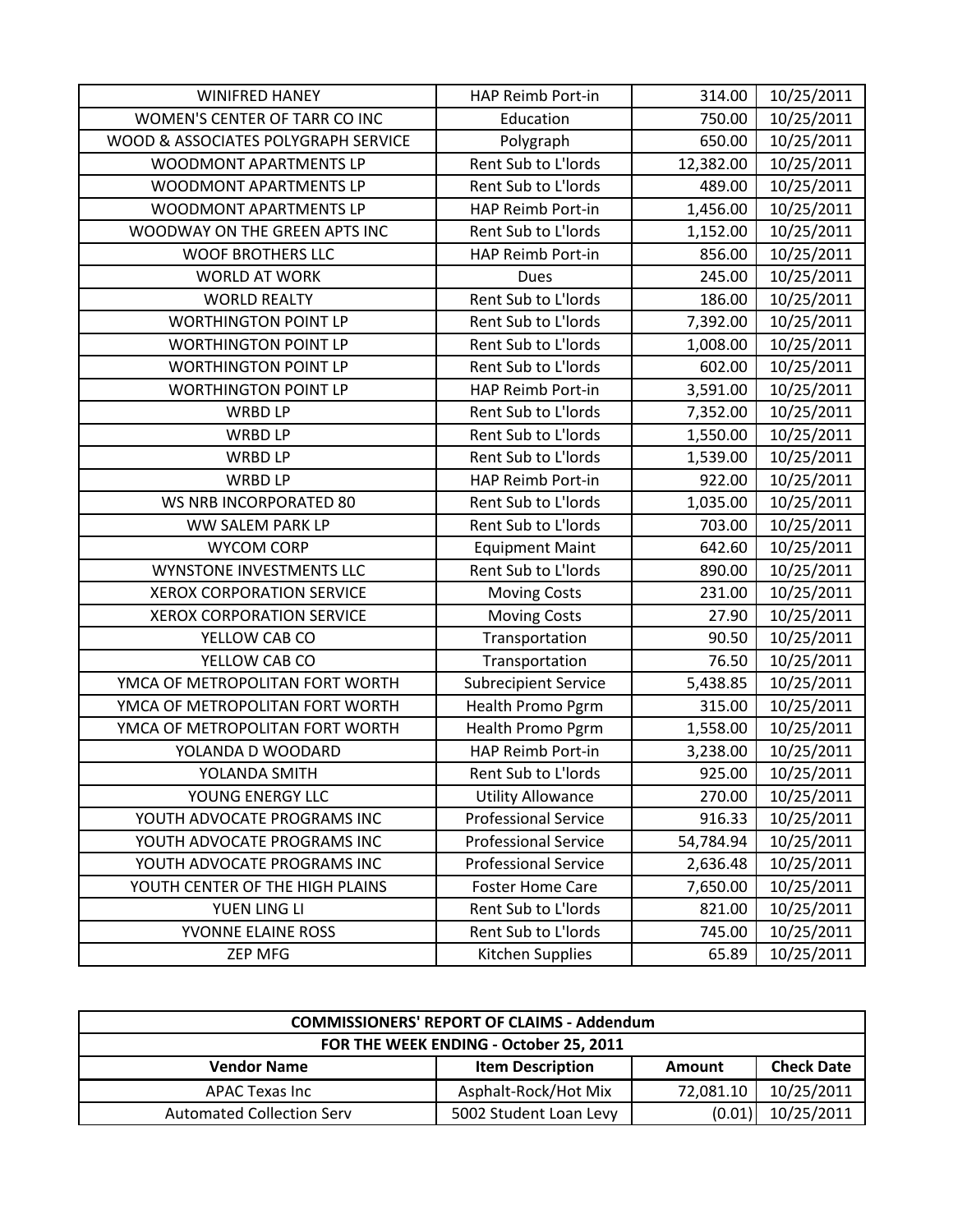| <b>WINIFRED HANEY</b>               | HAP Reimb Port-in           | 314.00    | 10/25/2011 |
|-------------------------------------|-----------------------------|-----------|------------|
| WOMEN'S CENTER OF TARR CO INC       | Education                   | 750.00    | 10/25/2011 |
| WOOD & ASSOCIATES POLYGRAPH SERVICE | Polygraph                   | 650.00    | 10/25/2011 |
| WOODMONT APARTMENTS LP              | Rent Sub to L'Iords         | 12,382.00 | 10/25/2011 |
| WOODMONT APARTMENTS LP              | Rent Sub to L'Iords         | 489.00    | 10/25/2011 |
| WOODMONT APARTMENTS LP              | HAP Reimb Port-in           | 1,456.00  | 10/25/2011 |
| WOODWAY ON THE GREEN APTS INC       | Rent Sub to L'Iords         | 1,152.00  | 10/25/2011 |
| <b>WOOF BROTHERS LLC</b>            | HAP Reimb Port-in           | 856.00    | 10/25/2011 |
| <b>WORLD AT WORK</b>                | Dues                        | 245.00    | 10/25/2011 |
| <b>WORLD REALTY</b>                 | Rent Sub to L'Iords         | 186.00    | 10/25/2011 |
| <b>WORTHINGTON POINT LP</b>         | Rent Sub to L'Iords         | 7,392.00  | 10/25/2011 |
| <b>WORTHINGTON POINT LP</b>         | Rent Sub to L'Iords         | 1,008.00  | 10/25/2011 |
| <b>WORTHINGTON POINT LP</b>         | Rent Sub to L'Iords         | 602.00    | 10/25/2011 |
| <b>WORTHINGTON POINT LP</b>         | <b>HAP Reimb Port-in</b>    | 3,591.00  | 10/25/2011 |
| <b>WRBD LP</b>                      | Rent Sub to L'Iords         | 7,352.00  | 10/25/2011 |
| <b>WRBD LP</b>                      | Rent Sub to L'Iords         | 1,550.00  | 10/25/2011 |
| <b>WRBD LP</b>                      | Rent Sub to L'Iords         | 1,539.00  | 10/25/2011 |
| WRBD LP                             | HAP Reimb Port-in           | 922.00    | 10/25/2011 |
| WS NRB INCORPORATED 80              | Rent Sub to L'Iords         | 1,035.00  | 10/25/2011 |
| WW SALEM PARK LP                    | Rent Sub to L'Iords         | 703.00    | 10/25/2011 |
| <b>WYCOM CORP</b>                   | <b>Equipment Maint</b>      | 642.60    | 10/25/2011 |
| WYNSTONE INVESTMENTS LLC            | Rent Sub to L'Iords         | 890.00    | 10/25/2011 |
| <b>XEROX CORPORATION SERVICE</b>    | <b>Moving Costs</b>         | 231.00    | 10/25/2011 |
| <b>XEROX CORPORATION SERVICE</b>    | <b>Moving Costs</b>         | 27.90     | 10/25/2011 |
| YELLOW CAB CO                       | Transportation              | 90.50     | 10/25/2011 |
| YELLOW CAB CO                       | Transportation              | 76.50     | 10/25/2011 |
| YMCA OF METROPOLITAN FORT WORTH     | <b>Subrecipient Service</b> | 5,438.85  | 10/25/2011 |
| YMCA OF METROPOLITAN FORT WORTH     | Health Promo Pgrm           | 315.00    | 10/25/2011 |
| YMCA OF METROPOLITAN FORT WORTH     | <b>Health Promo Pgrm</b>    | 1,558.00  | 10/25/2011 |
| YOLANDA D WOODARD                   | HAP Reimb Port-in           | 3,238.00  | 10/25/2011 |
| YOLANDA SMITH                       | Rent Sub to L'Iords         | 925.00    | 10/25/2011 |
| YOUNG ENERGY LLC                    | <b>Utility Allowance</b>    | 270.00    | 10/25/2011 |
| YOUTH ADVOCATE PROGRAMS INC         | <b>Professional Service</b> | 916.33    | 10/25/2011 |
| YOUTH ADVOCATE PROGRAMS INC         | <b>Professional Service</b> | 54,784.94 | 10/25/2011 |
| YOUTH ADVOCATE PROGRAMS INC         | <b>Professional Service</b> | 2,636.48  | 10/25/2011 |
| YOUTH CENTER OF THE HIGH PLAINS     | <b>Foster Home Care</b>     | 7,650.00  | 10/25/2011 |
| YUEN LING LI                        | Rent Sub to L'Iords         | 821.00    | 10/25/2011 |
| YVONNE ELAINE ROSS                  | Rent Sub to L'Iords         | 745.00    | 10/25/2011 |
| ZEP MFG                             | Kitchen Supplies            | 65.89     | 10/25/2011 |

| <b>COMMISSIONERS' REPORT OF CLAIMS - Addendum</b> |                         |           |                   |  |
|---------------------------------------------------|-------------------------|-----------|-------------------|--|
| FOR THE WEEK ENDING - October 25, 2011            |                         |           |                   |  |
| <b>Vendor Name</b>                                | <b>Item Description</b> | Amount    | <b>Check Date</b> |  |
| APAC Texas Inc                                    | Asphalt-Rock/Hot Mix    | 72,081.10 | 10/25/2011        |  |
| <b>Automated Collection Serv</b>                  | 5002 Student Loan Levy  | (0.01)    | 10/25/2011        |  |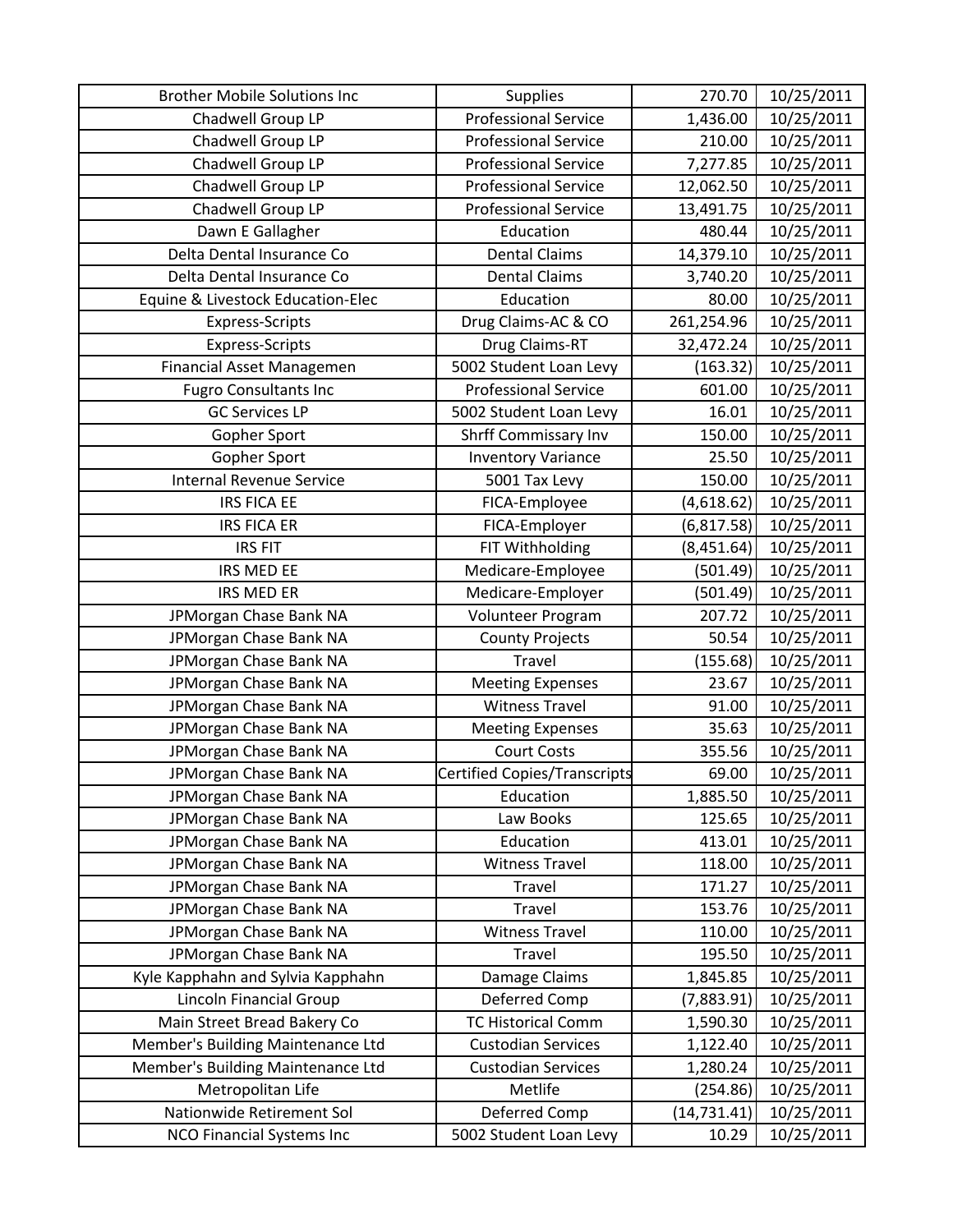| <b>Brother Mobile Solutions Inc</b> | <b>Supplies</b>                     | 270.70      | 10/25/2011 |
|-------------------------------------|-------------------------------------|-------------|------------|
| Chadwell Group LP                   | <b>Professional Service</b>         | 1,436.00    | 10/25/2011 |
| Chadwell Group LP                   | <b>Professional Service</b>         | 210.00      | 10/25/2011 |
| Chadwell Group LP                   | <b>Professional Service</b>         | 7,277.85    | 10/25/2011 |
| Chadwell Group LP                   | <b>Professional Service</b>         | 12,062.50   | 10/25/2011 |
| Chadwell Group LP                   | <b>Professional Service</b>         | 13,491.75   | 10/25/2011 |
| Dawn E Gallagher                    | Education                           | 480.44      | 10/25/2011 |
| Delta Dental Insurance Co           | <b>Dental Claims</b>                | 14,379.10   | 10/25/2011 |
| Delta Dental Insurance Co           | <b>Dental Claims</b>                | 3,740.20    | 10/25/2011 |
| Equine & Livestock Education-Elec   | Education                           | 80.00       | 10/25/2011 |
| <b>Express-Scripts</b>              | Drug Claims-AC & CO                 | 261,254.96  | 10/25/2011 |
| <b>Express-Scripts</b>              | Drug Claims-RT                      | 32,472.24   | 10/25/2011 |
| Financial Asset Managemen           | 5002 Student Loan Levy              | (163.32)    | 10/25/2011 |
| <b>Fugro Consultants Inc</b>        | <b>Professional Service</b>         | 601.00      | 10/25/2011 |
| <b>GC Services LP</b>               | 5002 Student Loan Levy              | 16.01       | 10/25/2011 |
| Gopher Sport                        | Shrff Commissary Inv                | 150.00      | 10/25/2011 |
| Gopher Sport                        | <b>Inventory Variance</b>           | 25.50       | 10/25/2011 |
| <b>Internal Revenue Service</b>     | 5001 Tax Levy                       | 150.00      | 10/25/2011 |
| <b>IRS FICA EE</b>                  | FICA-Employee                       | (4,618.62)  | 10/25/2011 |
| <b>IRS FICA ER</b>                  | FICA-Employer                       | (6, 817.58) | 10/25/2011 |
| <b>IRS FIT</b>                      | FIT Withholding                     | (8,451.64)  | 10/25/2011 |
| IRS MED EE                          | Medicare-Employee                   | (501.49)    | 10/25/2011 |
| <b>IRS MED ER</b>                   | Medicare-Employer                   | (501.49)    | 10/25/2011 |
| JPMorgan Chase Bank NA              | Volunteer Program                   | 207.72      | 10/25/2011 |
| JPMorgan Chase Bank NA              | <b>County Projects</b>              | 50.54       | 10/25/2011 |
| JPMorgan Chase Bank NA              | <b>Travel</b>                       | (155.68)    | 10/25/2011 |
| JPMorgan Chase Bank NA              | <b>Meeting Expenses</b>             | 23.67       | 10/25/2011 |
| JPMorgan Chase Bank NA              | <b>Witness Travel</b>               | 91.00       | 10/25/2011 |
| JPMorgan Chase Bank NA              | <b>Meeting Expenses</b>             | 35.63       | 10/25/2011 |
| JPMorgan Chase Bank NA              | <b>Court Costs</b>                  | 355.56      | 10/25/2011 |
| JPMorgan Chase Bank NA              | <b>Certified Copies/Transcripts</b> | 69.00       | 10/25/2011 |
| JPMorgan Chase Bank NA              | Education                           | 1,885.50    | 10/25/2011 |
| JPMorgan Chase Bank NA              | Law Books                           | 125.65      | 10/25/2011 |
| JPMorgan Chase Bank NA              | Education                           | 413.01      | 10/25/2011 |
| JPMorgan Chase Bank NA              | <b>Witness Travel</b>               | 118.00      | 10/25/2011 |
| JPMorgan Chase Bank NA              | Travel                              | 171.27      | 10/25/2011 |
| JPMorgan Chase Bank NA              | Travel                              | 153.76      | 10/25/2011 |
| JPMorgan Chase Bank NA              | <b>Witness Travel</b>               | 110.00      | 10/25/2011 |
| JPMorgan Chase Bank NA              | <b>Travel</b>                       | 195.50      | 10/25/2011 |
| Kyle Kapphahn and Sylvia Kapphahn   | Damage Claims                       | 1,845.85    | 10/25/2011 |
| Lincoln Financial Group             | Deferred Comp                       | (7,883.91)  | 10/25/2011 |
| Main Street Bread Bakery Co         | <b>TC Historical Comm</b>           | 1,590.30    | 10/25/2011 |
| Member's Building Maintenance Ltd   | <b>Custodian Services</b>           | 1,122.40    | 10/25/2011 |
| Member's Building Maintenance Ltd   | <b>Custodian Services</b>           | 1,280.24    | 10/25/2011 |
| Metropolitan Life                   | Metlife                             | (254.86)    | 10/25/2011 |
| Nationwide Retirement Sol           | Deferred Comp                       | (14,731.41) | 10/25/2011 |
| <b>NCO Financial Systems Inc</b>    | 5002 Student Loan Levy              | 10.29       | 10/25/2011 |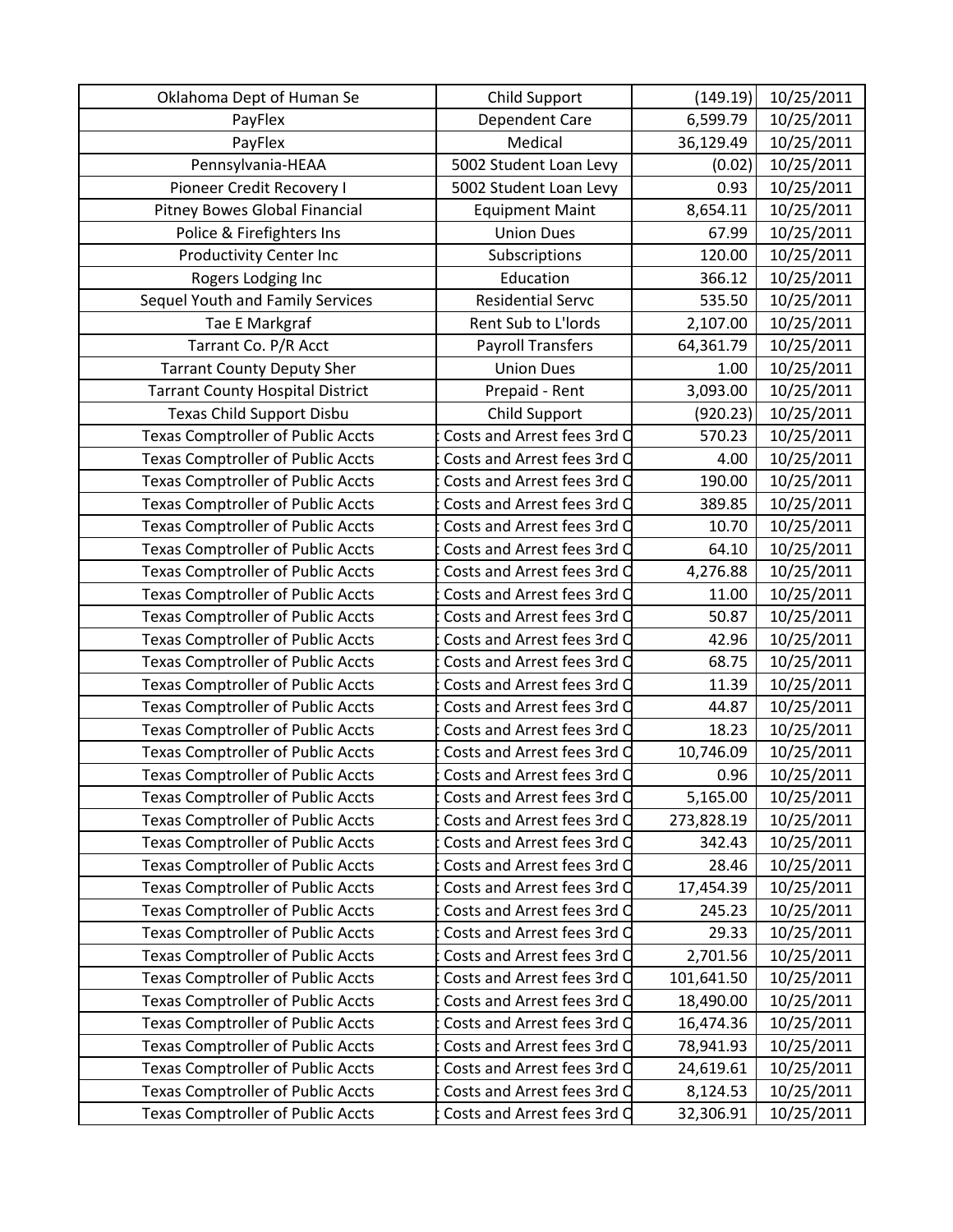| Oklahoma Dept of Human Se                | Child Support               | (149.19)   | 10/25/2011 |
|------------------------------------------|-----------------------------|------------|------------|
| PayFlex                                  | Dependent Care              | 6,599.79   | 10/25/2011 |
| PayFlex                                  | Medical                     | 36,129.49  | 10/25/2011 |
| Pennsylvania-HEAA                        | 5002 Student Loan Levy      | (0.02)     | 10/25/2011 |
| Pioneer Credit Recovery I                | 5002 Student Loan Levy      | 0.93       | 10/25/2011 |
| Pitney Bowes Global Financial            | <b>Equipment Maint</b>      | 8,654.11   | 10/25/2011 |
| Police & Firefighters Ins                | <b>Union Dues</b>           | 67.99      | 10/25/2011 |
| Productivity Center Inc                  | Subscriptions               | 120.00     | 10/25/2011 |
| Rogers Lodging Inc                       | Education                   | 366.12     | 10/25/2011 |
| Sequel Youth and Family Services         | <b>Residential Servc</b>    | 535.50     | 10/25/2011 |
| Tae E Markgraf                           | Rent Sub to L'Iords         | 2,107.00   | 10/25/2011 |
| Tarrant Co. P/R Acct                     | <b>Payroll Transfers</b>    | 64,361.79  | 10/25/2011 |
| <b>Tarrant County Deputy Sher</b>        | <b>Union Dues</b>           | 1.00       | 10/25/2011 |
| <b>Tarrant County Hospital District</b>  | Prepaid - Rent              | 3,093.00   | 10/25/2011 |
| Texas Child Support Disbu                | Child Support               | (920.23)   | 10/25/2011 |
| <b>Texas Comptroller of Public Accts</b> | Costs and Arrest fees 3rd O | 570.23     | 10/25/2011 |
| <b>Texas Comptroller of Public Accts</b> | Costs and Arrest fees 3rd Q | 4.00       | 10/25/2011 |
| <b>Texas Comptroller of Public Accts</b> | Costs and Arrest fees 3rd O | 190.00     | 10/25/2011 |
| <b>Texas Comptroller of Public Accts</b> | Costs and Arrest fees 3rd O | 389.85     | 10/25/2011 |
| <b>Texas Comptroller of Public Accts</b> | Costs and Arrest fees 3rd Q | 10.70      | 10/25/2011 |
| <b>Texas Comptroller of Public Accts</b> | Costs and Arrest fees 3rd C | 64.10      | 10/25/2011 |
| <b>Texas Comptroller of Public Accts</b> | Costs and Arrest fees 3rd O | 4,276.88   | 10/25/2011 |
| <b>Texas Comptroller of Public Accts</b> | Costs and Arrest fees 3rd O | 11.00      | 10/25/2011 |
| <b>Texas Comptroller of Public Accts</b> | Costs and Arrest fees 3rd O | 50.87      | 10/25/2011 |
| <b>Texas Comptroller of Public Accts</b> | Costs and Arrest fees 3rd O | 42.96      | 10/25/2011 |
| <b>Texas Comptroller of Public Accts</b> | Costs and Arrest fees 3rd C | 68.75      | 10/25/2011 |
| <b>Texas Comptroller of Public Accts</b> | Costs and Arrest fees 3rd O | 11.39      | 10/25/2011 |
| <b>Texas Comptroller of Public Accts</b> | Costs and Arrest fees 3rd O | 44.87      | 10/25/2011 |
| <b>Texas Comptroller of Public Accts</b> | Costs and Arrest fees 3rd O | 18.23      | 10/25/2011 |
| <b>Texas Comptroller of Public Accts</b> | Costs and Arrest fees 3rd O | 10,746.09  | 10/25/2011 |
| <b>Texas Comptroller of Public Accts</b> | Costs and Arrest fees 3rd O | 0.96       | 10/25/2011 |
| <b>Texas Comptroller of Public Accts</b> | Costs and Arrest fees 3rd O | 5,165.00   | 10/25/2011 |
| <b>Texas Comptroller of Public Accts</b> | Costs and Arrest fees 3rd O | 273,828.19 | 10/25/2011 |
| <b>Texas Comptroller of Public Accts</b> | Costs and Arrest fees 3rd Q | 342.43     | 10/25/2011 |
| <b>Texas Comptroller of Public Accts</b> | Costs and Arrest fees 3rd O | 28.46      | 10/25/2011 |
| <b>Texas Comptroller of Public Accts</b> | Costs and Arrest fees 3rd O | 17,454.39  | 10/25/2011 |
| <b>Texas Comptroller of Public Accts</b> | Costs and Arrest fees 3rd Q | 245.23     | 10/25/2011 |
| <b>Texas Comptroller of Public Accts</b> | Costs and Arrest fees 3rd C | 29.33      | 10/25/2011 |
| <b>Texas Comptroller of Public Accts</b> | Costs and Arrest fees 3rd C | 2,701.56   | 10/25/2011 |
| <b>Texas Comptroller of Public Accts</b> | Costs and Arrest fees 3rd O | 101,641.50 | 10/25/2011 |
| <b>Texas Comptroller of Public Accts</b> | Costs and Arrest fees 3rd O | 18,490.00  | 10/25/2011 |
| <b>Texas Comptroller of Public Accts</b> | Costs and Arrest fees 3rd C | 16,474.36  | 10/25/2011 |
| <b>Texas Comptroller of Public Accts</b> | Costs and Arrest fees 3rd Q | 78,941.93  | 10/25/2011 |
| <b>Texas Comptroller of Public Accts</b> | Costs and Arrest fees 3rd C | 24,619.61  | 10/25/2011 |
| <b>Texas Comptroller of Public Accts</b> | Costs and Arrest fees 3rd C | 8,124.53   | 10/25/2011 |
| <b>Texas Comptroller of Public Accts</b> | Costs and Arrest fees 3rd O | 32,306.91  | 10/25/2011 |